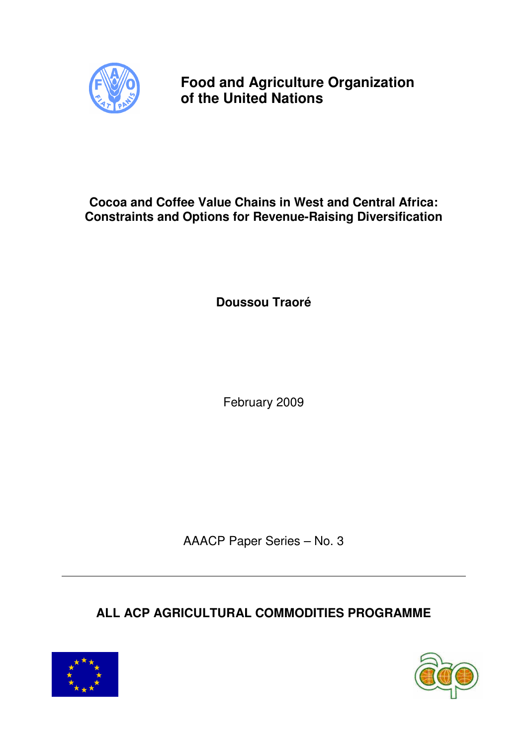

**Food and Agriculture Organization of the United Nations** 

# **Cocoa and Coffee Value Chains in West and Central Africa: Constraints and Options for Revenue-Raising Diversification**

**Doussou Traoré** 

February 2009

AAACP Paper Series – No. 3

**ALL ACP AGRICULTURAL COMMODITIES PROGRAMME** 



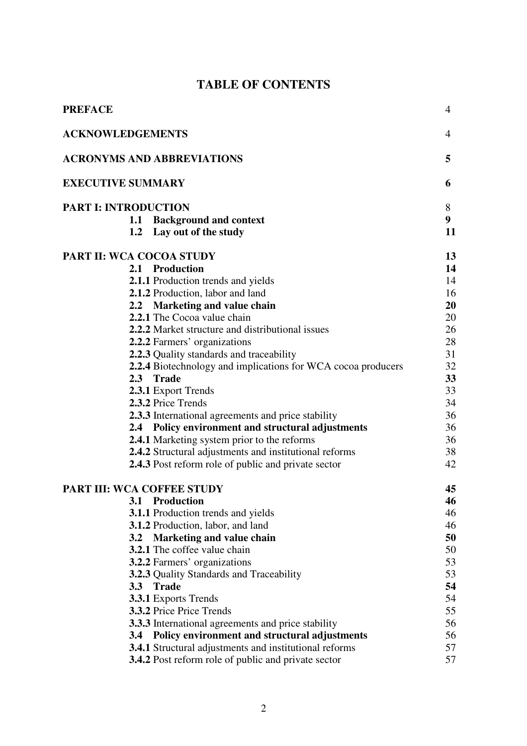## **TABLE OF CONTENTS**

| <b>PREFACE</b>                  |                                                               | $\overline{4}$ |
|---------------------------------|---------------------------------------------------------------|----------------|
| <b>ACKNOWLEDGEMENTS</b>         |                                                               | 4              |
|                                 | <b>ACRONYMS AND ABBREVIATIONS</b>                             | 5              |
| <b>EXECUTIVE SUMMARY</b>        |                                                               | 6              |
| <b>PART I: INTRODUCTION</b>     |                                                               | 8              |
|                                 | 1.1 Background and context                                    | 9 <sup>1</sup> |
|                                 | 1.2 Lay out of the study                                      | 11             |
| <b>PART II: WCA COCOA STUDY</b> |                                                               | 13             |
|                                 | 2.1 Production                                                | 14             |
|                                 | 2.1.1 Production trends and yields                            | 14             |
|                                 | 2.1.2 Production, labor and land                              | 16             |
|                                 | 2.2 Marketing and value chain                                 | 20             |
|                                 | 2.2.1 The Cocoa value chain                                   | 20             |
|                                 | <b>2.2.2</b> Market structure and distributional issues       | 26             |
|                                 | 2.2.2 Farmers' organizations                                  | 28             |
|                                 | 2.2.3 Quality standards and traceability                      | 31             |
|                                 | 2.2.4 Biotechnology and implications for WCA cocoa producers  | 32             |
|                                 | 2.3 Trade                                                     | 33             |
|                                 | 2.3.1 Export Trends                                           | 33             |
|                                 | 2.3.2 Price Trends                                            | 34             |
|                                 | 2.3.3 International agreements and price stability            | 36             |
|                                 | 2.4 Policy environment and structural adjustments             | 36             |
|                                 | 2.4.1 Marketing system prior to the reforms                   | 36             |
|                                 | 2.4.2 Structural adjustments and institutional reforms        | 38             |
|                                 | <b>2.4.3</b> Post reform role of public and private sector    | 42             |
|                                 | PART III: WCA COFFEE STUDY                                    | 45             |
|                                 | 3.1 Production                                                | 46             |
|                                 | <b>3.1.1</b> Production trends and yields                     | 46             |
|                                 | <b>3.1.2</b> Production, labor, and land                      | 46             |
|                                 | 3.2 Marketing and value chain                                 | 50             |
|                                 | <b>3.2.1</b> The coffee value chain                           | 50             |
|                                 | <b>3.2.2</b> Farmers' organizations                           | 53             |
|                                 | <b>3.2.3</b> Quality Standards and Traceability               | 53             |
| 3.3                             | <b>Trade</b>                                                  | 54             |
|                                 | <b>3.3.1 Exports Trends</b>                                   | 54             |
|                                 | <b>3.3.2</b> Price Price Trends                               | 55             |
|                                 | 3.3.3 International agreements and price stability            | 56             |
|                                 | 3.4 Policy environment and structural adjustments             | 56             |
|                                 | <b>3.4.1</b> Structural adjustments and institutional reforms | 57             |
|                                 | <b>3.4.2</b> Post reform role of public and private sector    | 57             |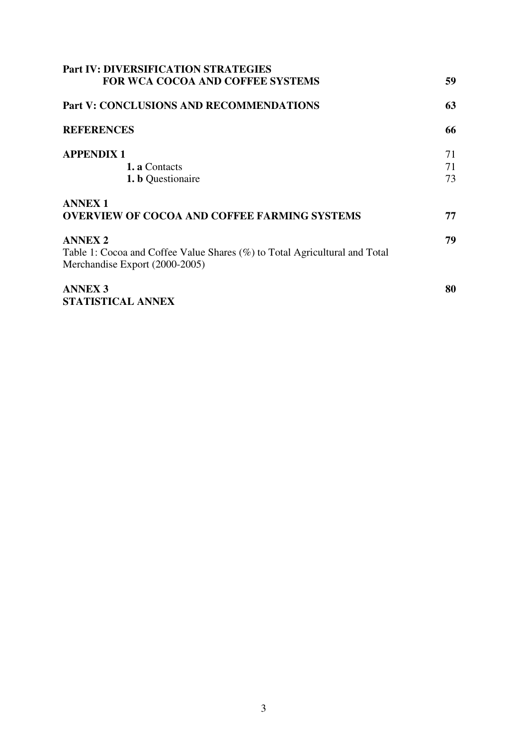| <b>Part IV: DIVERSIFICATION STRATEGIES</b>                                 |    |
|----------------------------------------------------------------------------|----|
| FOR WCA COCOA AND COFFEE SYSTEMS                                           | 59 |
| <b>Part V: CONCLUSIONS AND RECOMMENDATIONS</b>                             | 63 |
| <b>REFERENCES</b>                                                          | 66 |
| <b>APPENDIX 1</b>                                                          | 71 |
| <b>1. a</b> Contacts                                                       | 71 |
| <b>1. b</b> Questionaire                                                   | 73 |
| <b>ANNEX1</b>                                                              |    |
| <b>OVERVIEW OF COCOA AND COFFEE FARMING SYSTEMS</b>                        | 77 |
| <b>ANNEX 2</b>                                                             | 79 |
| Table 1: Cocoa and Coffee Value Shares (%) to Total Agricultural and Total |    |
| Merchandise Export (2000-2005)                                             |    |
| <b>ANNEX 3</b>                                                             | 80 |
| STATISTICAL ANNEX                                                          |    |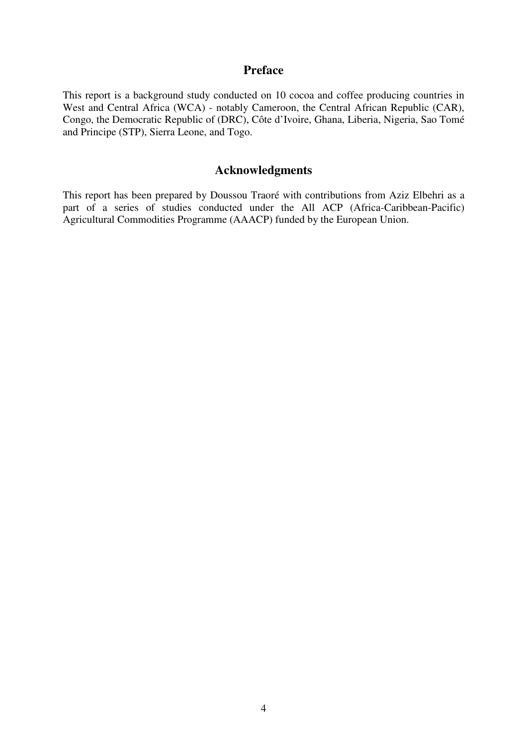## **Preface**

This report is a background study conducted on 10 cocoa and coffee producing countries in West and Central Africa (WCA) - notably Cameroon, the Central African Republic (CAR), Congo, the Democratic Republic of (DRC), Côte d'Ivoire, Ghana, Liberia, Nigeria, Sao Tomé and Principe (STP), Sierra Leone, and Togo.

## **Acknowledgments**

This report has been prepared by Doussou Traoré with contributions from Aziz Elbehri as a part of a series of studies conducted under the All ACP (Africa-Caribbean-Pacific) Agricultural Commodities Programme (AAACP) funded by the European Union.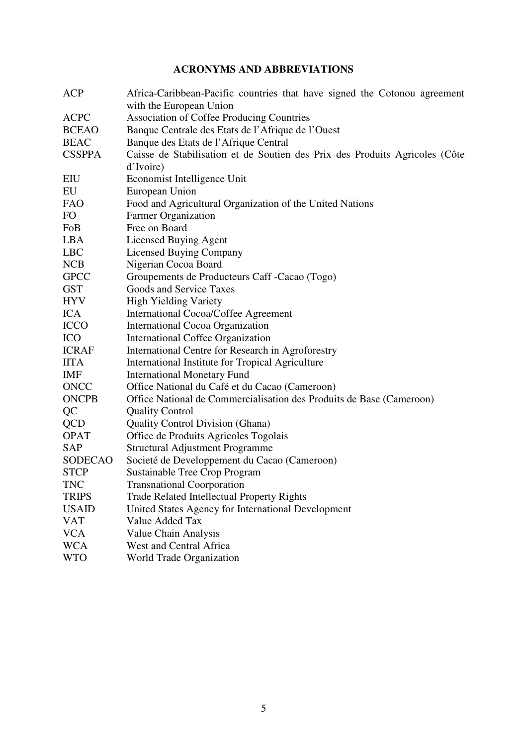## **ACRONYMS AND ABBREVIATIONS**

| <b>ACP</b>     | Africa-Caribbean-Pacific countries that have signed the Cotonou agreement   |  |  |  |  |  |
|----------------|-----------------------------------------------------------------------------|--|--|--|--|--|
|                | with the European Union                                                     |  |  |  |  |  |
| <b>ACPC</b>    | <b>Association of Coffee Producing Countries</b>                            |  |  |  |  |  |
| <b>BCEAO</b>   | Banque Centrale des Etats de l'Afrique de l'Ouest                           |  |  |  |  |  |
| <b>BEAC</b>    | Banque des Etats de l'Afrique Central                                       |  |  |  |  |  |
| <b>CSSPPA</b>  | Caisse de Stabilisation et de Soutien des Prix des Produits Agricoles (Côte |  |  |  |  |  |
|                | d'Ivoire)                                                                   |  |  |  |  |  |
| EIU            | Economist Intelligence Unit                                                 |  |  |  |  |  |
| EU             | European Union                                                              |  |  |  |  |  |
| <b>FAO</b>     | Food and Agricultural Organization of the United Nations                    |  |  |  |  |  |
| FO             | <b>Farmer Organization</b>                                                  |  |  |  |  |  |
| FoB            | Free on Board                                                               |  |  |  |  |  |
| <b>LBA</b>     | <b>Licensed Buying Agent</b>                                                |  |  |  |  |  |
| <b>LBC</b>     | <b>Licensed Buying Company</b>                                              |  |  |  |  |  |
| <b>NCB</b>     | Nigerian Cocoa Board                                                        |  |  |  |  |  |
| <b>GPCC</b>    | Groupements de Producteurs Caff -Cacao (Togo)                               |  |  |  |  |  |
| <b>GST</b>     | Goods and Service Taxes                                                     |  |  |  |  |  |
| <b>HYV</b>     | <b>High Yielding Variety</b>                                                |  |  |  |  |  |
| <b>ICA</b>     | International Cocoa/Coffee Agreement                                        |  |  |  |  |  |
| <b>ICCO</b>    | International Cocoa Organization                                            |  |  |  |  |  |
| <b>ICO</b>     | <b>International Coffee Organization</b>                                    |  |  |  |  |  |
| <b>ICRAF</b>   | International Centre for Research in Agroforestry                           |  |  |  |  |  |
| <b>IITA</b>    | International Institute for Tropical Agriculture                            |  |  |  |  |  |
| <b>IMF</b>     | <b>International Monetary Fund</b>                                          |  |  |  |  |  |
| <b>ONCC</b>    | Office National du Café et du Cacao (Cameroon)                              |  |  |  |  |  |
| <b>ONCPB</b>   | Office National de Commercialisation des Produits de Base (Cameroon)        |  |  |  |  |  |
| QC             | <b>Quality Control</b>                                                      |  |  |  |  |  |
| <b>QCD</b>     | <b>Quality Control Division (Ghana)</b>                                     |  |  |  |  |  |
| <b>OPAT</b>    | Office de Produits Agricoles Togolais                                       |  |  |  |  |  |
| <b>SAP</b>     | <b>Structural Adjustment Programme</b>                                      |  |  |  |  |  |
| <b>SODECAO</b> | Societé de Developpement du Cacao (Cameroon)                                |  |  |  |  |  |
| <b>STCP</b>    | Sustainable Tree Crop Program                                               |  |  |  |  |  |
| <b>TNC</b>     | <b>Transnational Coorporation</b>                                           |  |  |  |  |  |
| <b>TRIPS</b>   | <b>Trade Related Intellectual Property Rights</b>                           |  |  |  |  |  |
| <b>USAID</b>   | United States Agency for International Development                          |  |  |  |  |  |
| <b>VAT</b>     | Value Added Tax                                                             |  |  |  |  |  |
| <b>VCA</b>     | Value Chain Analysis                                                        |  |  |  |  |  |
| <b>WCA</b>     | West and Central Africa                                                     |  |  |  |  |  |
| <b>WTO</b>     | World Trade Organization                                                    |  |  |  |  |  |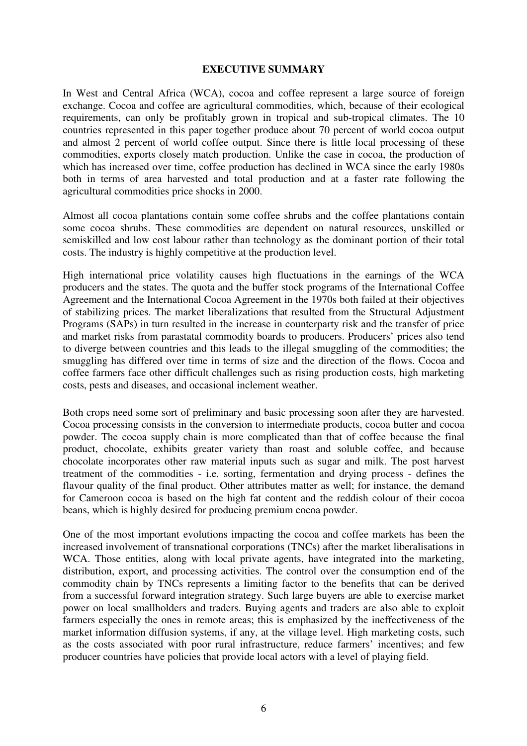#### **EXECUTIVE SUMMARY**

In West and Central Africa (WCA), cocoa and coffee represent a large source of foreign exchange. Cocoa and coffee are agricultural commodities, which, because of their ecological requirements, can only be profitably grown in tropical and sub-tropical climates. The 10 countries represented in this paper together produce about 70 percent of world cocoa output and almost 2 percent of world coffee output. Since there is little local processing of these commodities, exports closely match production. Unlike the case in cocoa, the production of which has increased over time, coffee production has declined in WCA since the early 1980s both in terms of area harvested and total production and at a faster rate following the agricultural commodities price shocks in 2000.

Almost all cocoa plantations contain some coffee shrubs and the coffee plantations contain some cocoa shrubs. These commodities are dependent on natural resources, unskilled or semiskilled and low cost labour rather than technology as the dominant portion of their total costs. The industry is highly competitive at the production level.

High international price volatility causes high fluctuations in the earnings of the WCA producers and the states. The quota and the buffer stock programs of the International Coffee Agreement and the International Cocoa Agreement in the 1970s both failed at their objectives of stabilizing prices. The market liberalizations that resulted from the Structural Adjustment Programs (SAPs) in turn resulted in the increase in counterparty risk and the transfer of price and market risks from parastatal commodity boards to producers. Producers' prices also tend to diverge between countries and this leads to the illegal smuggling of the commodities; the smuggling has differed over time in terms of size and the direction of the flows. Cocoa and coffee farmers face other difficult challenges such as rising production costs, high marketing costs, pests and diseases, and occasional inclement weather.

Both crops need some sort of preliminary and basic processing soon after they are harvested. Cocoa processing consists in the conversion to intermediate products, cocoa butter and cocoa powder. The cocoa supply chain is more complicated than that of coffee because the final product, chocolate, exhibits greater variety than roast and soluble coffee, and because chocolate incorporates other raw material inputs such as sugar and milk. The post harvest treatment of the commodities - i.e. sorting, fermentation and drying process - defines the flavour quality of the final product. Other attributes matter as well; for instance, the demand for Cameroon cocoa is based on the high fat content and the reddish colour of their cocoa beans, which is highly desired for producing premium cocoa powder.

One of the most important evolutions impacting the cocoa and coffee markets has been the increased involvement of transnational corporations (TNCs) after the market liberalisations in WCA. Those entities, along with local private agents, have integrated into the marketing, distribution, export, and processing activities. The control over the consumption end of the commodity chain by TNCs represents a limiting factor to the benefits that can be derived from a successful forward integration strategy. Such large buyers are able to exercise market power on local smallholders and traders. Buying agents and traders are also able to exploit farmers especially the ones in remote areas; this is emphasized by the ineffectiveness of the market information diffusion systems, if any, at the village level. High marketing costs, such as the costs associated with poor rural infrastructure, reduce farmers' incentives; and few producer countries have policies that provide local actors with a level of playing field.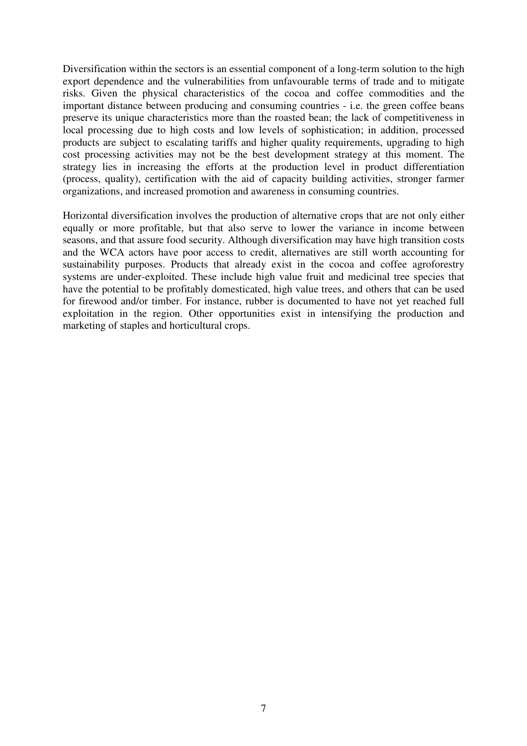Diversification within the sectors is an essential component of a long-term solution to the high export dependence and the vulnerabilities from unfavourable terms of trade and to mitigate risks. Given the physical characteristics of the cocoa and coffee commodities and the important distance between producing and consuming countries - i.e. the green coffee beans preserve its unique characteristics more than the roasted bean; the lack of competitiveness in local processing due to high costs and low levels of sophistication; in addition, processed products are subject to escalating tariffs and higher quality requirements, upgrading to high cost processing activities may not be the best development strategy at this moment. The strategy lies in increasing the efforts at the production level in product differentiation (process, quality), certification with the aid of capacity building activities, stronger farmer organizations, and increased promotion and awareness in consuming countries.

Horizontal diversification involves the production of alternative crops that are not only either equally or more profitable, but that also serve to lower the variance in income between seasons, and that assure food security. Although diversification may have high transition costs and the WCA actors have poor access to credit, alternatives are still worth accounting for sustainability purposes. Products that already exist in the cocoa and coffee agroforestry systems are under-exploited. These include high value fruit and medicinal tree species that have the potential to be profitably domesticated, high value trees, and others that can be used for firewood and/or timber. For instance, rubber is documented to have not yet reached full exploitation in the region. Other opportunities exist in intensifying the production and marketing of staples and horticultural crops.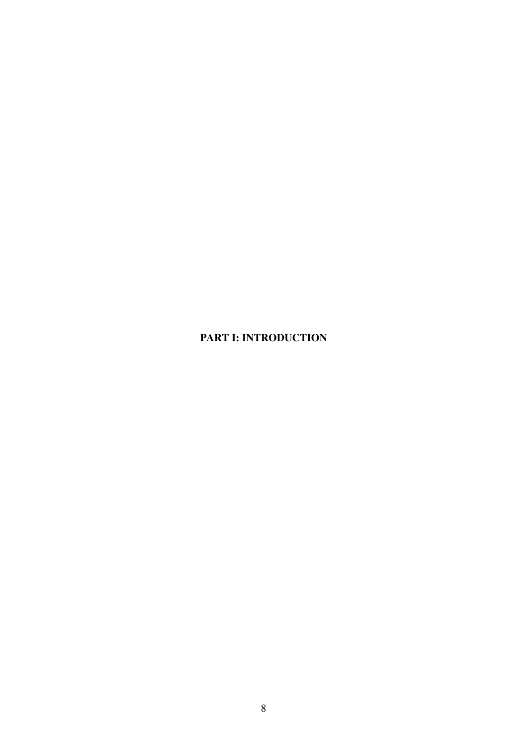## **PART I: INTRODUCTION**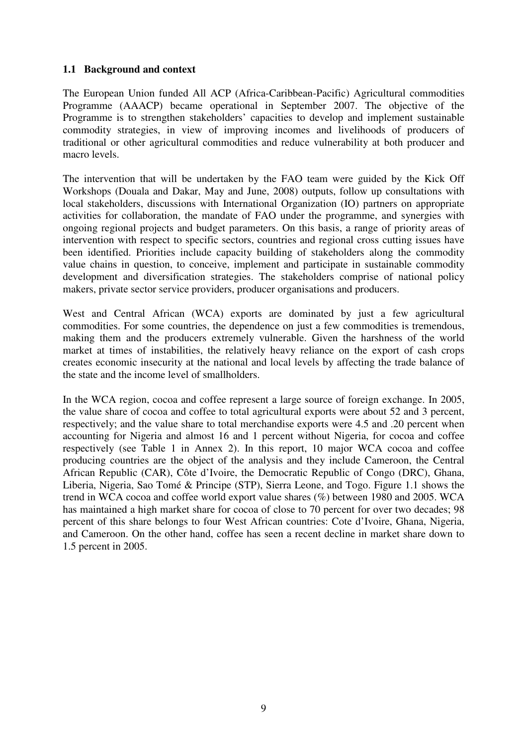## **1.1 Background and context**

The European Union funded All ACP (Africa-Caribbean-Pacific) Agricultural commodities Programme (AAACP) became operational in September 2007. The objective of the Programme is to strengthen stakeholders' capacities to develop and implement sustainable commodity strategies, in view of improving incomes and livelihoods of producers of traditional or other agricultural commodities and reduce vulnerability at both producer and macro levels.

The intervention that will be undertaken by the FAO team were guided by the Kick Off Workshops (Douala and Dakar, May and June, 2008) outputs, follow up consultations with local stakeholders, discussions with International Organization (IO) partners on appropriate activities for collaboration, the mandate of FAO under the programme, and synergies with ongoing regional projects and budget parameters. On this basis, a range of priority areas of intervention with respect to specific sectors, countries and regional cross cutting issues have been identified. Priorities include capacity building of stakeholders along the commodity value chains in question, to conceive, implement and participate in sustainable commodity development and diversification strategies. The stakeholders comprise of national policy makers, private sector service providers, producer organisations and producers.

West and Central African (WCA) exports are dominated by just a few agricultural commodities. For some countries, the dependence on just a few commodities is tremendous, making them and the producers extremely vulnerable. Given the harshness of the world market at times of instabilities, the relatively heavy reliance on the export of cash crops creates economic insecurity at the national and local levels by affecting the trade balance of the state and the income level of smallholders.

In the WCA region, cocoa and coffee represent a large source of foreign exchange. In 2005, the value share of cocoa and coffee to total agricultural exports were about 52 and 3 percent, respectively; and the value share to total merchandise exports were 4.5 and .20 percent when accounting for Nigeria and almost 16 and 1 percent without Nigeria, for cocoa and coffee respectively (see Table 1 in Annex 2). In this report, 10 major WCA cocoa and coffee producing countries are the object of the analysis and they include Cameroon, the Central African Republic (CAR), Côte d'Ivoire, the Democratic Republic of Congo (DRC), Ghana, Liberia, Nigeria, Sao Tomé & Principe (STP), Sierra Leone, and Togo. Figure 1.1 shows the trend in WCA cocoa and coffee world export value shares (%) between 1980 and 2005. WCA has maintained a high market share for cocoa of close to 70 percent for over two decades; 98 percent of this share belongs to four West African countries: Cote d'Ivoire, Ghana, Nigeria, and Cameroon. On the other hand, coffee has seen a recent decline in market share down to 1.5 percent in 2005.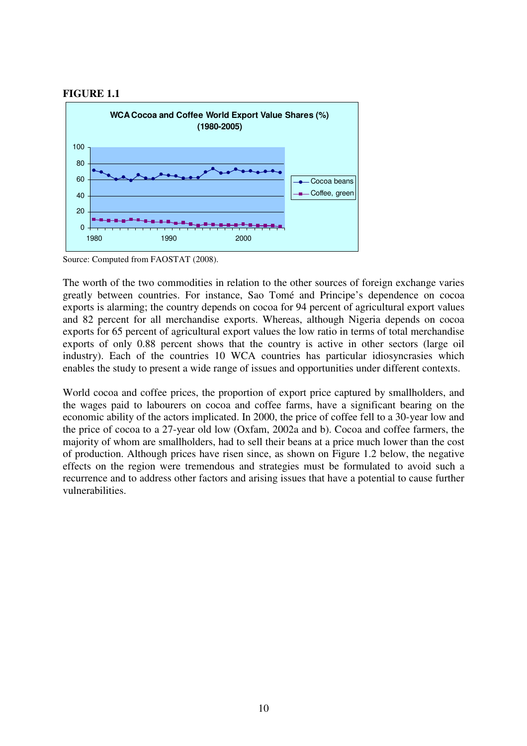



Source: Computed from FAOSTAT (2008).

The worth of the two commodities in relation to the other sources of foreign exchange varies greatly between countries. For instance, Sao Tomé and Principe's dependence on cocoa exports is alarming; the country depends on cocoa for 94 percent of agricultural export values and 82 percent for all merchandise exports. Whereas, although Nigeria depends on cocoa exports for 65 percent of agricultural export values the low ratio in terms of total merchandise exports of only 0.88 percent shows that the country is active in other sectors (large oil industry). Each of the countries 10 WCA countries has particular idiosyncrasies which enables the study to present a wide range of issues and opportunities under different contexts.

World cocoa and coffee prices, the proportion of export price captured by smallholders, and the wages paid to labourers on cocoa and coffee farms, have a significant bearing on the economic ability of the actors implicated. In 2000, the price of coffee fell to a 30-year low and the price of cocoa to a 27-year old low (Oxfam, 2002a and b). Cocoa and coffee farmers, the majority of whom are smallholders, had to sell their beans at a price much lower than the cost of production. Although prices have risen since, as shown on Figure 1.2 below, the negative effects on the region were tremendous and strategies must be formulated to avoid such a recurrence and to address other factors and arising issues that have a potential to cause further vulnerabilities.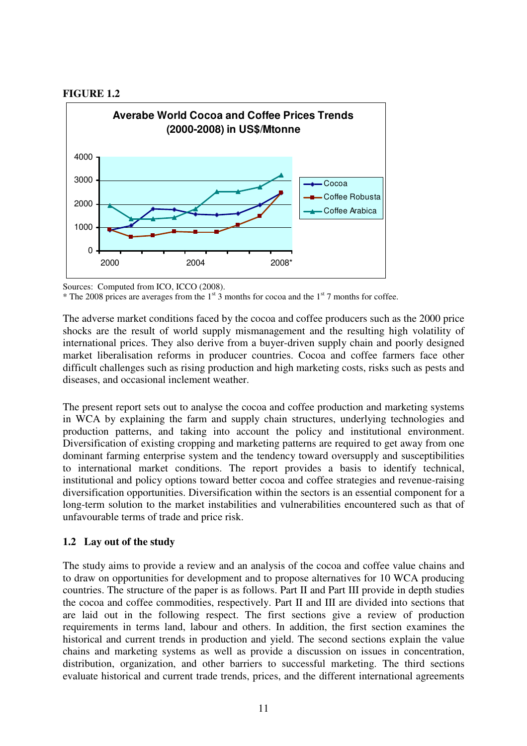#### **FIGURE 1.2**



Sources: Computed from ICO, ICCO (2008).

The adverse market conditions faced by the cocoa and coffee producers such as the 2000 price shocks are the result of world supply mismanagement and the resulting high volatility of international prices. They also derive from a buyer-driven supply chain and poorly designed market liberalisation reforms in producer countries. Cocoa and coffee farmers face other difficult challenges such as rising production and high marketing costs, risks such as pests and diseases, and occasional inclement weather.

The present report sets out to analyse the cocoa and coffee production and marketing systems in WCA by explaining the farm and supply chain structures, underlying technologies and production patterns, and taking into account the policy and institutional environment. Diversification of existing cropping and marketing patterns are required to get away from one dominant farming enterprise system and the tendency toward oversupply and susceptibilities to international market conditions. The report provides a basis to identify technical, institutional and policy options toward better cocoa and coffee strategies and revenue-raising diversification opportunities. Diversification within the sectors is an essential component for a long-term solution to the market instabilities and vulnerabilities encountered such as that of unfavourable terms of trade and price risk.

## **1.2 Lay out of the study**

The study aims to provide a review and an analysis of the cocoa and coffee value chains and to draw on opportunities for development and to propose alternatives for 10 WCA producing countries. The structure of the paper is as follows. Part II and Part III provide in depth studies the cocoa and coffee commodities, respectively. Part II and III are divided into sections that are laid out in the following respect. The first sections give a review of production requirements in terms land, labour and others. In addition, the first section examines the historical and current trends in production and yield. The second sections explain the value chains and marketing systems as well as provide a discussion on issues in concentration, distribution, organization, and other barriers to successful marketing. The third sections evaluate historical and current trade trends, prices, and the different international agreements

 $*$  The 2008 prices are averages from the  $1<sup>st</sup>$  3 months for cocoa and the  $1<sup>st</sup>$  7 months for coffee.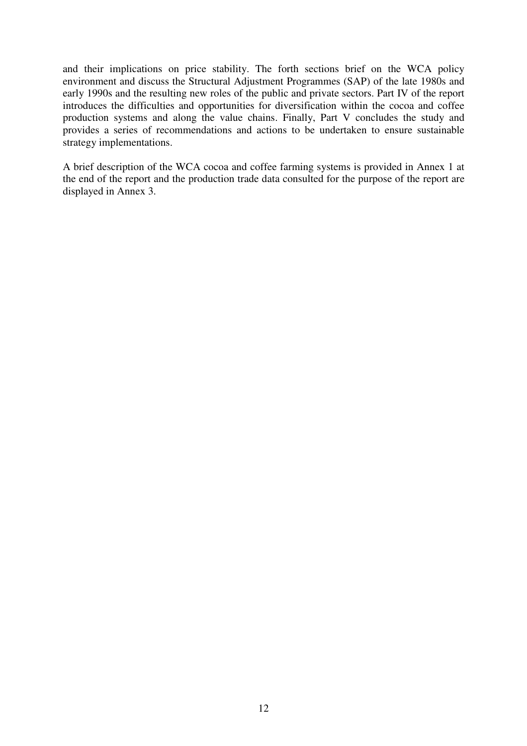and their implications on price stability. The forth sections brief on the WCA policy environment and discuss the Structural Adjustment Programmes (SAP) of the late 1980s and early 1990s and the resulting new roles of the public and private sectors. Part IV of the report introduces the difficulties and opportunities for diversification within the cocoa and coffee production systems and along the value chains. Finally, Part V concludes the study and provides a series of recommendations and actions to be undertaken to ensure sustainable strategy implementations.

A brief description of the WCA cocoa and coffee farming systems is provided in Annex 1 at the end of the report and the production trade data consulted for the purpose of the report are displayed in Annex 3.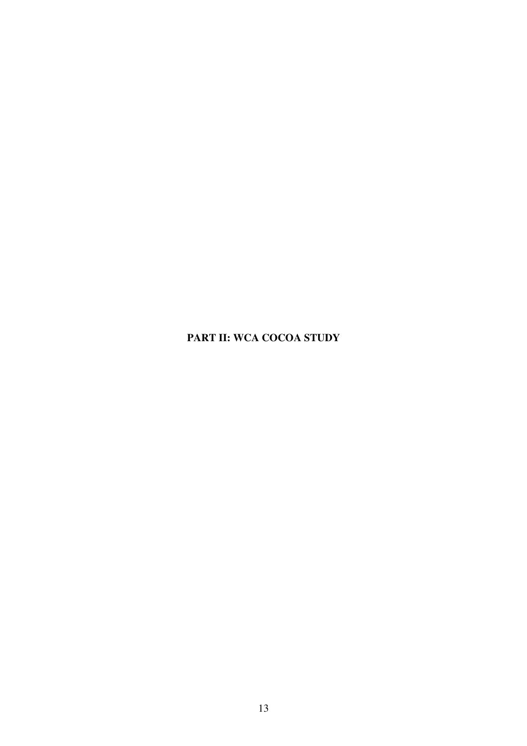## **PART II: WCA COCOA STUDY**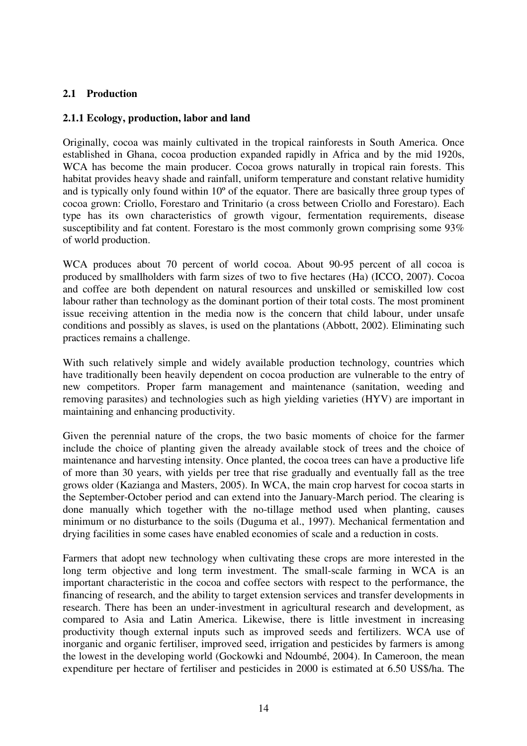## **2.1 Production**

### **2.1.1 Ecology, production, labor and land**

Originally, cocoa was mainly cultivated in the tropical rainforests in South America. Once established in Ghana, cocoa production expanded rapidly in Africa and by the mid 1920s, WCA has become the main producer. Cocoa grows naturally in tropical rain forests. This habitat provides heavy shade and rainfall, uniform temperature and constant relative humidity and is typically only found within 10º of the equator. There are basically three group types of cocoa grown: Criollo, Forestaro and Trinitario (a cross between Criollo and Forestaro). Each type has its own characteristics of growth vigour, fermentation requirements, disease susceptibility and fat content. Forestaro is the most commonly grown comprising some 93% of world production.

WCA produces about 70 percent of world cocoa. About 90-95 percent of all cocoa is produced by smallholders with farm sizes of two to five hectares (Ha) (ICCO, 2007). Cocoa and coffee are both dependent on natural resources and unskilled or semiskilled low cost labour rather than technology as the dominant portion of their total costs. The most prominent issue receiving attention in the media now is the concern that child labour, under unsafe conditions and possibly as slaves, is used on the plantations (Abbott, 2002). Eliminating such practices remains a challenge.

With such relatively simple and widely available production technology, countries which have traditionally been heavily dependent on cocoa production are vulnerable to the entry of new competitors. Proper farm management and maintenance (sanitation, weeding and removing parasites) and technologies such as high yielding varieties (HYV) are important in maintaining and enhancing productivity.

Given the perennial nature of the crops, the two basic moments of choice for the farmer include the choice of planting given the already available stock of trees and the choice of maintenance and harvesting intensity. Once planted, the cocoa trees can have a productive life of more than 30 years, with yields per tree that rise gradually and eventually fall as the tree grows older (Kazianga and Masters, 2005). In WCA, the main crop harvest for cocoa starts in the September-October period and can extend into the January-March period. The clearing is done manually which together with the no-tillage method used when planting, causes minimum or no disturbance to the soils (Duguma et al., 1997). Mechanical fermentation and drying facilities in some cases have enabled economies of scale and a reduction in costs.

Farmers that adopt new technology when cultivating these crops are more interested in the long term objective and long term investment. The small-scale farming in WCA is an important characteristic in the cocoa and coffee sectors with respect to the performance, the financing of research, and the ability to target extension services and transfer developments in research. There has been an under-investment in agricultural research and development, as compared to Asia and Latin America. Likewise, there is little investment in increasing productivity though external inputs such as improved seeds and fertilizers. WCA use of inorganic and organic fertiliser, improved seed, irrigation and pesticides by farmers is among the lowest in the developing world (Gockowki and Ndoumbé, 2004). In Cameroon, the mean expenditure per hectare of fertiliser and pesticides in 2000 is estimated at 6.50 US\$/ha. The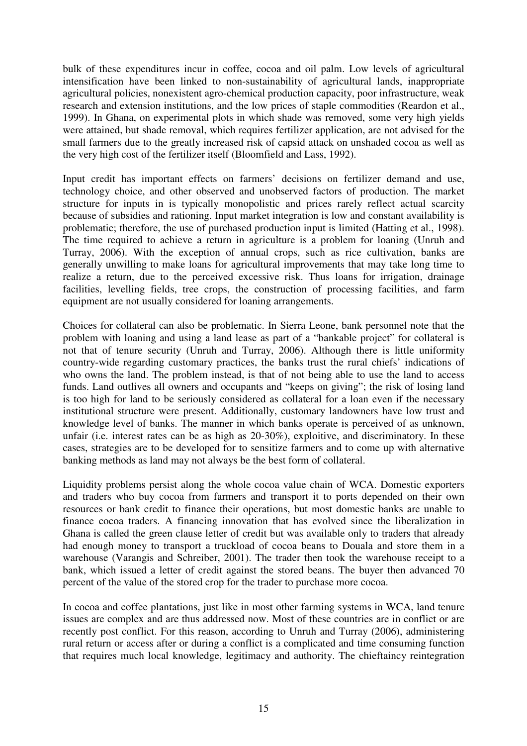bulk of these expenditures incur in coffee, cocoa and oil palm. Low levels of agricultural intensification have been linked to non-sustainability of agricultural lands, inappropriate agricultural policies, nonexistent agro-chemical production capacity, poor infrastructure, weak research and extension institutions, and the low prices of staple commodities (Reardon et al., 1999). In Ghana, on experimental plots in which shade was removed, some very high yields were attained, but shade removal, which requires fertilizer application, are not advised for the small farmers due to the greatly increased risk of capsid attack on unshaded cocoa as well as the very high cost of the fertilizer itself (Bloomfield and Lass, 1992).

Input credit has important effects on farmers' decisions on fertilizer demand and use, technology choice, and other observed and unobserved factors of production. The market structure for inputs in is typically monopolistic and prices rarely reflect actual scarcity because of subsidies and rationing. Input market integration is low and constant availability is problematic; therefore, the use of purchased production input is limited (Hatting et al., 1998). The time required to achieve a return in agriculture is a problem for loaning (Unruh and Turray, 2006). With the exception of annual crops, such as rice cultivation, banks are generally unwilling to make loans for agricultural improvements that may take long time to realize a return, due to the perceived excessive risk. Thus loans for irrigation, drainage facilities, levelling fields, tree crops, the construction of processing facilities, and farm equipment are not usually considered for loaning arrangements.

Choices for collateral can also be problematic. In Sierra Leone, bank personnel note that the problem with loaning and using a land lease as part of a "bankable project" for collateral is not that of tenure security (Unruh and Turray, 2006). Although there is little uniformity country-wide regarding customary practices, the banks trust the rural chiefs' indications of who owns the land. The problem instead, is that of not being able to use the land to access funds. Land outlives all owners and occupants and "keeps on giving"; the risk of losing land is too high for land to be seriously considered as collateral for a loan even if the necessary institutional structure were present. Additionally, customary landowners have low trust and knowledge level of banks. The manner in which banks operate is perceived of as unknown, unfair (i.e. interest rates can be as high as 20-30%), exploitive, and discriminatory. In these cases, strategies are to be developed for to sensitize farmers and to come up with alternative banking methods as land may not always be the best form of collateral.

Liquidity problems persist along the whole cocoa value chain of WCA. Domestic exporters and traders who buy cocoa from farmers and transport it to ports depended on their own resources or bank credit to finance their operations, but most domestic banks are unable to finance cocoa traders. A financing innovation that has evolved since the liberalization in Ghana is called the green clause letter of credit but was available only to traders that already had enough money to transport a truckload of cocoa beans to Douala and store them in a warehouse (Varangis and Schreiber, 2001). The trader then took the warehouse receipt to a bank, which issued a letter of credit against the stored beans. The buyer then advanced 70 percent of the value of the stored crop for the trader to purchase more cocoa.

In cocoa and coffee plantations, just like in most other farming systems in WCA, land tenure issues are complex and are thus addressed now. Most of these countries are in conflict or are recently post conflict. For this reason, according to Unruh and Turray (2006), administering rural return or access after or during a conflict is a complicated and time consuming function that requires much local knowledge, legitimacy and authority. The chieftaincy reintegration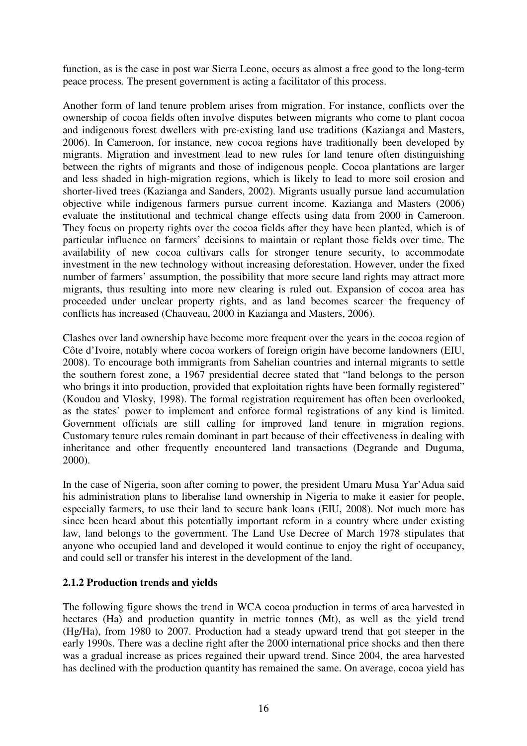function, as is the case in post war Sierra Leone, occurs as almost a free good to the long-term peace process. The present government is acting a facilitator of this process.

Another form of land tenure problem arises from migration. For instance, conflicts over the ownership of cocoa fields often involve disputes between migrants who come to plant cocoa and indigenous forest dwellers with pre-existing land use traditions (Kazianga and Masters, 2006). In Cameroon, for instance, new cocoa regions have traditionally been developed by migrants. Migration and investment lead to new rules for land tenure often distinguishing between the rights of migrants and those of indigenous people. Cocoa plantations are larger and less shaded in high-migration regions, which is likely to lead to more soil erosion and shorter-lived trees (Kazianga and Sanders, 2002). Migrants usually pursue land accumulation objective while indigenous farmers pursue current income. Kazianga and Masters (2006) evaluate the institutional and technical change effects using data from 2000 in Cameroon. They focus on property rights over the cocoa fields after they have been planted, which is of particular influence on farmers' decisions to maintain or replant those fields over time. The availability of new cocoa cultivars calls for stronger tenure security, to accommodate investment in the new technology without increasing deforestation. However, under the fixed number of farmers' assumption, the possibility that more secure land rights may attract more migrants, thus resulting into more new clearing is ruled out. Expansion of cocoa area has proceeded under unclear property rights, and as land becomes scarcer the frequency of conflicts has increased (Chauveau, 2000 in Kazianga and Masters, 2006).

Clashes over land ownership have become more frequent over the years in the cocoa region of Côte d'Ivoire, notably where cocoa workers of foreign origin have become landowners (EIU, 2008). To encourage both immigrants from Sahelian countries and internal migrants to settle the southern forest zone, a 1967 presidential decree stated that "land belongs to the person who brings it into production, provided that exploitation rights have been formally registered" (Koudou and Vlosky, 1998). The formal registration requirement has often been overlooked, as the states' power to implement and enforce formal registrations of any kind is limited. Government officials are still calling for improved land tenure in migration regions. Customary tenure rules remain dominant in part because of their effectiveness in dealing with inheritance and other frequently encountered land transactions (Degrande and Duguma, 2000).

In the case of Nigeria, soon after coming to power, the president Umaru Musa Yar'Adua said his administration plans to liberalise land ownership in Nigeria to make it easier for people, especially farmers, to use their land to secure bank loans (EIU, 2008). Not much more has since been heard about this potentially important reform in a country where under existing law, land belongs to the government. The Land Use Decree of March 1978 stipulates that anyone who occupied land and developed it would continue to enjoy the right of occupancy, and could sell or transfer his interest in the development of the land.

#### **2.1.2 Production trends and yields**

The following figure shows the trend in WCA cocoa production in terms of area harvested in hectares (Ha) and production quantity in metric tonnes (Mt), as well as the yield trend (Hg/Ha), from 1980 to 2007. Production had a steady upward trend that got steeper in the early 1990s. There was a decline right after the 2000 international price shocks and then there was a gradual increase as prices regained their upward trend. Since 2004, the area harvested has declined with the production quantity has remained the same. On average, cocoa yield has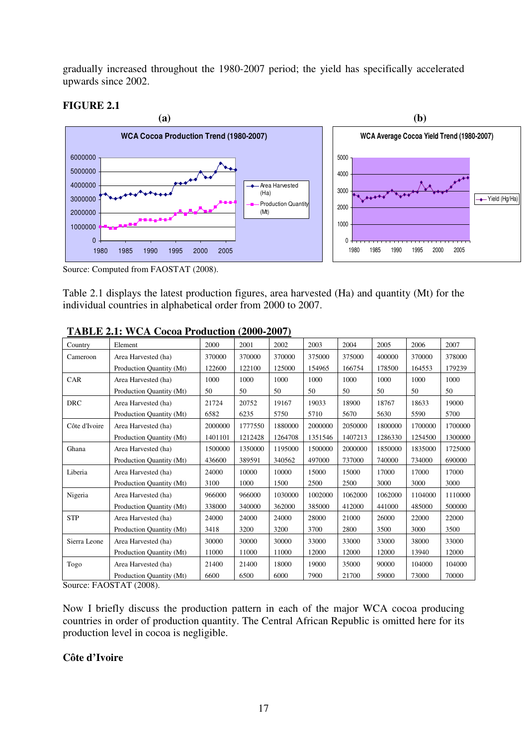gradually increased throughout the 1980-2007 period; the yield has specifically accelerated upwards since 2002.

## **FIGURE 2.1**



Source: Computed from FAOSTAT (2008).

Table 2.1 displays the latest production figures, area harvested (Ha) and quantity (Mt) for the individual countries in alphabetical order from 2000 to 2007.

|               | $1.0111$ = $1.111$ $0.11000$ $0.1100$ $0.0111$ $0.000$ = $0.011$ |         |         |         |         |         |         |         |         |
|---------------|------------------------------------------------------------------|---------|---------|---------|---------|---------|---------|---------|---------|
| Country       | Element                                                          | 2000    | 2001    | 2002    | 2003    | 2004    | 2005    | 2006    | 2007    |
| Cameroon      | Area Harvested (ha)                                              | 370000  | 370000  | 370000  | 375000  | 375000  | 400000  | 370000  | 378000  |
|               | Production Quantity (Mt)                                         | 122600  | 122100  | 125000  | 154965  | 166754  | 178500  | 164553  | 179239  |
| CAR           | Area Harvested (ha)                                              | 1000    | 1000    | 1000    | 1000    | 1000    | 1000    | 1000    | 1000    |
|               | Production Quantity (Mt)                                         | 50      | 50      | 50      | 50      | 50      | 50      | 50      | 50      |
| <b>DRC</b>    | Area Harvested (ha)                                              | 21724   | 20752   | 19167   | 19033   | 18900   | 18767   | 18633   | 19000   |
|               | Production Quantity (Mt)                                         | 6582    | 6235    | 5750    | 5710    | 5670    | 5630    | 5590    | 5700    |
| Côte d'Ivoire | Area Harvested (ha)                                              | 2000000 | 1777550 | 1880000 | 2000000 | 2050000 | 1800000 | 1700000 | 1700000 |
|               | Production Quantity (Mt)                                         | 1401101 | 1212428 | 1264708 | 1351546 | 1407213 | 1286330 | 1254500 | 1300000 |
| Ghana         | Area Harvested (ha)                                              | 1500000 | 1350000 | 1195000 | 1500000 | 2000000 | 1850000 | 1835000 | 1725000 |
|               | Production Quantity (Mt)                                         | 436600  | 389591  | 340562  | 497000  | 737000  | 740000  | 734000  | 690000  |
| Liberia       | Area Harvested (ha)                                              | 24000   | 10000   | 10000   | 15000   | 15000   | 17000   | 17000   | 17000   |
|               | Production Quantity (Mt)                                         | 3100    | 1000    | 1500    | 2500    | 2500    | 3000    | 3000    | 3000    |
| Nigeria       | Area Harvested (ha)                                              | 966000  | 966000  | 1030000 | 1002000 | 1062000 | 1062000 | 1104000 | 1110000 |
|               | Production Quantity (Mt)                                         | 338000  | 340000  | 362000  | 385000  | 412000  | 441000  | 485000  | 500000  |
| <b>STP</b>    | Area Harvested (ha)                                              | 24000   | 24000   | 24000   | 28000   | 21000   | 26000   | 22000   | 22000   |
|               | Production Quantity (Mt)                                         | 3418    | 3200    | 3200    | 3700    | 2800    | 3500    | 3000    | 3500    |
| Sierra Leone  | Area Harvested (ha)                                              | 30000   | 30000   | 30000   | 33000   | 33000   | 33000   | 38000   | 33000   |
|               | Production Quantity (Mt)                                         | 11000   | 11000   | 11000   | 12000   | 12000   | 12000   | 13940   | 12000   |
| Togo          | Area Harvested (ha)                                              | 21400   | 21400   | 18000   | 19000   | 35000   | 90000   | 104000  | 104000  |
|               | Production Quantity (Mt)                                         | 6600    | 6500    | 6000    | 7900    | 21700   | 59000   | 73000   | 70000   |

| TABLE 2.1: WCA Cocoa Production (2000-2007) |  |
|---------------------------------------------|--|
|                                             |  |

Source: FAOSTAT (2008).

Now I briefly discuss the production pattern in each of the major WCA cocoa producing countries in order of production quantity. The Central African Republic is omitted here for its production level in cocoa is negligible.

#### **Côte d'Ivoire**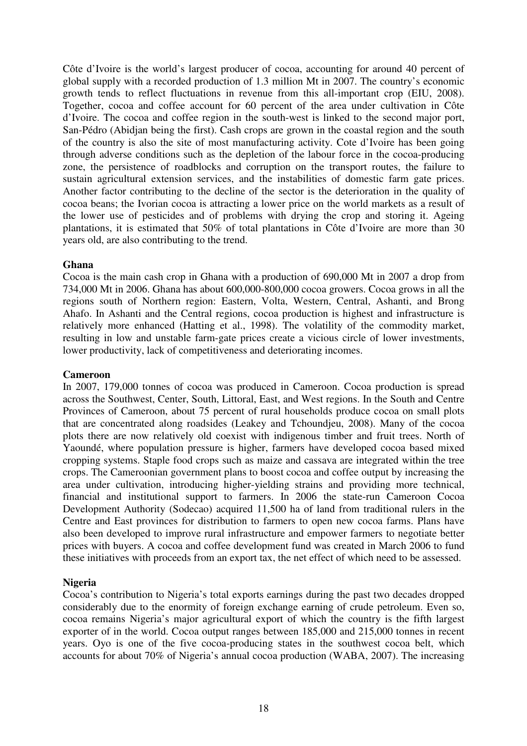Côte d'Ivoire is the world's largest producer of cocoa, accounting for around 40 percent of global supply with a recorded production of 1.3 million Mt in 2007. The country's economic growth tends to reflect fluctuations in revenue from this all-important crop (EIU, 2008). Together, cocoa and coffee account for 60 percent of the area under cultivation in Côte d'Ivoire. The cocoa and coffee region in the south-west is linked to the second major port, San-Pédro (Abidjan being the first). Cash crops are grown in the coastal region and the south of the country is also the site of most manufacturing activity. Cote d'Ivoire has been going through adverse conditions such as the depletion of the labour force in the cocoa-producing zone, the persistence of roadblocks and corruption on the transport routes, the failure to sustain agricultural extension services, and the instabilities of domestic farm gate prices. Another factor contributing to the decline of the sector is the deterioration in the quality of cocoa beans; the Ivorian cocoa is attracting a lower price on the world markets as a result of the lower use of pesticides and of problems with drying the crop and storing it. Ageing plantations, it is estimated that 50% of total plantations in Côte d'Ivoire are more than 30 years old, are also contributing to the trend.

#### **Ghana**

Cocoa is the main cash crop in Ghana with a production of 690,000 Mt in 2007 a drop from 734,000 Mt in 2006. Ghana has about 600,000-800,000 cocoa growers. Cocoa grows in all the regions south of Northern region: Eastern, Volta, Western, Central, Ashanti, and Brong Ahafo. In Ashanti and the Central regions, cocoa production is highest and infrastructure is relatively more enhanced (Hatting et al., 1998). The volatility of the commodity market, resulting in low and unstable farm-gate prices create a vicious circle of lower investments, lower productivity, lack of competitiveness and deteriorating incomes.

#### **Cameroon**

In 2007, 179,000 tonnes of cocoa was produced in Cameroon. Cocoa production is spread across the Southwest, Center, South, Littoral, East, and West regions. In the South and Centre Provinces of Cameroon, about 75 percent of rural households produce cocoa on small plots that are concentrated along roadsides (Leakey and Tchoundjeu, 2008). Many of the cocoa plots there are now relatively old coexist with indigenous timber and fruit trees. North of Yaoundé, where population pressure is higher, farmers have developed cocoa based mixed cropping systems. Staple food crops such as maize and cassava are integrated within the tree crops. The Cameroonian government plans to boost cocoa and coffee output by increasing the area under cultivation, introducing higher-yielding strains and providing more technical, financial and institutional support to farmers. In 2006 the state-run Cameroon Cocoa Development Authority (Sodecao) acquired 11,500 ha of land from traditional rulers in the Centre and East provinces for distribution to farmers to open new cocoa farms. Plans have also been developed to improve rural infrastructure and empower farmers to negotiate better prices with buyers. A cocoa and coffee development fund was created in March 2006 to fund these initiatives with proceeds from an export tax, the net effect of which need to be assessed.

## **Nigeria**

Cocoa's contribution to Nigeria's total exports earnings during the past two decades dropped considerably due to the enormity of foreign exchange earning of crude petroleum. Even so, cocoa remains Nigeria's major agricultural export of which the country is the fifth largest exporter of in the world. Cocoa output ranges between 185,000 and 215,000 tonnes in recent years. Oyo is one of the five cocoa-producing states in the southwest cocoa belt, which accounts for about 70% of Nigeria's annual cocoa production (WABA, 2007). The increasing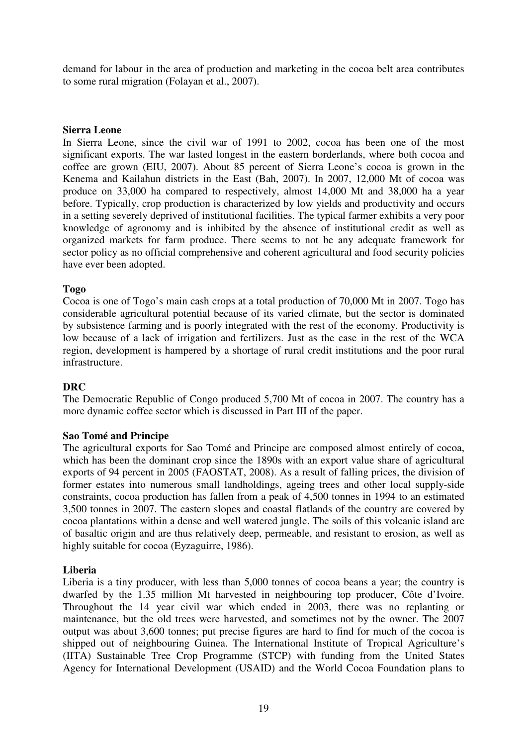demand for labour in the area of production and marketing in the cocoa belt area contributes to some rural migration (Folayan et al., 2007).

#### **Sierra Leone**

In Sierra Leone, since the civil war of 1991 to 2002, cocoa has been one of the most significant exports. The war lasted longest in the eastern borderlands, where both cocoa and coffee are grown (EIU, 2007). About 85 percent of Sierra Leone's cocoa is grown in the Kenema and Kailahun districts in the East (Bah, 2007). In 2007, 12,000 Mt of cocoa was produce on 33,000 ha compared to respectively, almost 14,000 Mt and 38,000 ha a year before. Typically, crop production is characterized by low yields and productivity and occurs in a setting severely deprived of institutional facilities. The typical farmer exhibits a very poor knowledge of agronomy and is inhibited by the absence of institutional credit as well as organized markets for farm produce. There seems to not be any adequate framework for sector policy as no official comprehensive and coherent agricultural and food security policies have ever been adopted.

#### **Togo**

Cocoa is one of Togo's main cash crops at a total production of 70,000 Mt in 2007. Togo has considerable agricultural potential because of its varied climate, but the sector is dominated by subsistence farming and is poorly integrated with the rest of the economy. Productivity is low because of a lack of irrigation and fertilizers. Just as the case in the rest of the WCA region, development is hampered by a shortage of rural credit institutions and the poor rural infrastructure.

#### **DRC**

The Democratic Republic of Congo produced 5,700 Mt of cocoa in 2007. The country has a more dynamic coffee sector which is discussed in Part III of the paper.

#### **Sao Tomé and Principe**

The agricultural exports for Sao Tomé and Principe are composed almost entirely of cocoa, which has been the dominant crop since the 1890s with an export value share of agricultural exports of 94 percent in 2005 (FAOSTAT, 2008). As a result of falling prices, the division of former estates into numerous small landholdings, ageing trees and other local supply-side constraints, cocoa production has fallen from a peak of 4,500 tonnes in 1994 to an estimated 3,500 tonnes in 2007. The eastern slopes and coastal flatlands of the country are covered by cocoa plantations within a dense and well watered jungle. The soils of this volcanic island are of basaltic origin and are thus relatively deep, permeable, and resistant to erosion, as well as highly suitable for cocoa (Eyzaguirre, 1986).

#### **Liberia**

Liberia is a tiny producer, with less than 5,000 tonnes of cocoa beans a year; the country is dwarfed by the 1.35 million Mt harvested in neighbouring top producer, Côte d'Ivoire. Throughout the 14 year civil war which ended in 2003, there was no replanting or maintenance, but the old trees were harvested, and sometimes not by the owner. The 2007 output was about 3,600 tonnes; put precise figures are hard to find for much of the cocoa is shipped out of neighbouring Guinea. The International Institute of Tropical Agriculture's (IITA) Sustainable Tree Crop Programme (STCP) with funding from the United States Agency for International Development (USAID) and the World Cocoa Foundation plans to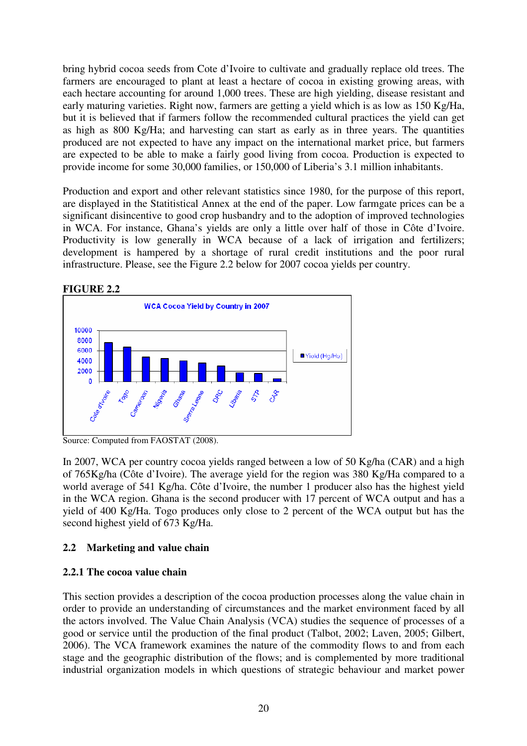bring hybrid cocoa seeds from Cote d'Ivoire to cultivate and gradually replace old trees. The farmers are encouraged to plant at least a hectare of cocoa in existing growing areas, with each hectare accounting for around 1,000 trees. These are high yielding, disease resistant and early maturing varieties. Right now, farmers are getting a yield which is as low as 150 Kg/Ha, but it is believed that if farmers follow the recommended cultural practices the yield can get as high as 800 Kg/Ha; and harvesting can start as early as in three years. The quantities produced are not expected to have any impact on the international market price, but farmers are expected to be able to make a fairly good living from cocoa. Production is expected to provide income for some 30,000 families, or 150,000 of Liberia's 3.1 million inhabitants.

Production and export and other relevant statistics since 1980, for the purpose of this report, are displayed in the Statitistical Annex at the end of the paper. Low farmgate prices can be a significant disincentive to good crop husbandry and to the adoption of improved technologies in WCA. For instance, Ghana's yields are only a little over half of those in Côte d'Ivoire. Productivity is low generally in WCA because of a lack of irrigation and fertilizers; development is hampered by a shortage of rural credit institutions and the poor rural infrastructure. Please, see the Figure 2.2 below for 2007 cocoa yields per country.



Source: Computed from FAOSTAT (2008).

In 2007, WCA per country cocoa yields ranged between a low of 50 Kg/ha (CAR) and a high of 765Kg/ha (Côte d'Ivoire). The average yield for the region was 380 Kg/Ha compared to a world average of 541 Kg/ha. Côte d'Ivoire, the number 1 producer also has the highest yield in the WCA region. Ghana is the second producer with 17 percent of WCA output and has a yield of 400 Kg/Ha. Togo produces only close to 2 percent of the WCA output but has the second highest yield of 673 Kg/Ha.

## **2.2 Marketing and value chain**

## **2.2.1 The cocoa value chain**

This section provides a description of the cocoa production processes along the value chain in order to provide an understanding of circumstances and the market environment faced by all the actors involved. The Value Chain Analysis (VCA) studies the sequence of processes of a good or service until the production of the final product (Talbot, 2002; Laven, 2005; Gilbert, 2006). The VCA framework examines the nature of the commodity flows to and from each stage and the geographic distribution of the flows; and is complemented by more traditional industrial organization models in which questions of strategic behaviour and market power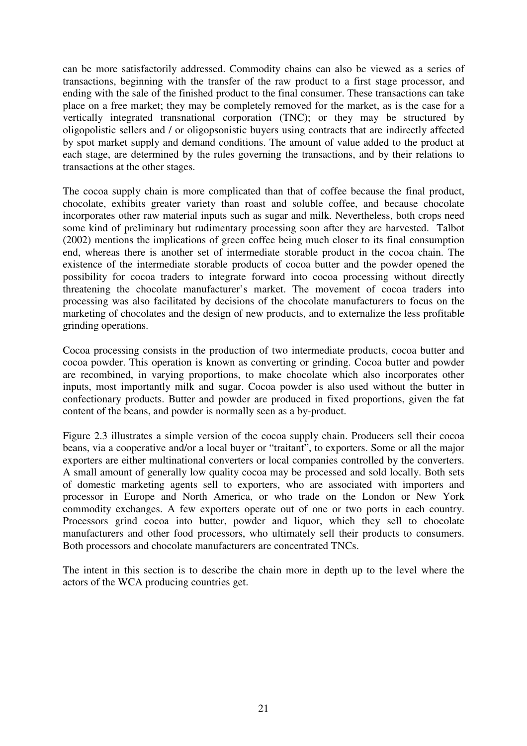can be more satisfactorily addressed. Commodity chains can also be viewed as a series of transactions, beginning with the transfer of the raw product to a first stage processor, and ending with the sale of the finished product to the final consumer. These transactions can take place on a free market; they may be completely removed for the market, as is the case for a vertically integrated transnational corporation (TNC); or they may be structured by oligopolistic sellers and / or oligopsonistic buyers using contracts that are indirectly affected by spot market supply and demand conditions. The amount of value added to the product at each stage, are determined by the rules governing the transactions, and by their relations to transactions at the other stages.

The cocoa supply chain is more complicated than that of coffee because the final product, chocolate, exhibits greater variety than roast and soluble coffee, and because chocolate incorporates other raw material inputs such as sugar and milk. Nevertheless, both crops need some kind of preliminary but rudimentary processing soon after they are harvested. Talbot (2002) mentions the implications of green coffee being much closer to its final consumption end, whereas there is another set of intermediate storable product in the cocoa chain. The existence of the intermediate storable products of cocoa butter and the powder opened the possibility for cocoa traders to integrate forward into cocoa processing without directly threatening the chocolate manufacturer's market. The movement of cocoa traders into processing was also facilitated by decisions of the chocolate manufacturers to focus on the marketing of chocolates and the design of new products, and to externalize the less profitable grinding operations.

Cocoa processing consists in the production of two intermediate products, cocoa butter and cocoa powder. This operation is known as converting or grinding. Cocoa butter and powder are recombined, in varying proportions, to make chocolate which also incorporates other inputs, most importantly milk and sugar. Cocoa powder is also used without the butter in confectionary products. Butter and powder are produced in fixed proportions, given the fat content of the beans, and powder is normally seen as a by-product.

Figure 2.3 illustrates a simple version of the cocoa supply chain. Producers sell their cocoa beans, via a cooperative and/or a local buyer or "traitant", to exporters. Some or all the major exporters are either multinational converters or local companies controlled by the converters. A small amount of generally low quality cocoa may be processed and sold locally. Both sets of domestic marketing agents sell to exporters, who are associated with importers and processor in Europe and North America, or who trade on the London or New York commodity exchanges. A few exporters operate out of one or two ports in each country. Processors grind cocoa into butter, powder and liquor, which they sell to chocolate manufacturers and other food processors, who ultimately sell their products to consumers. Both processors and chocolate manufacturers are concentrated TNCs.

The intent in this section is to describe the chain more in depth up to the level where the actors of the WCA producing countries get.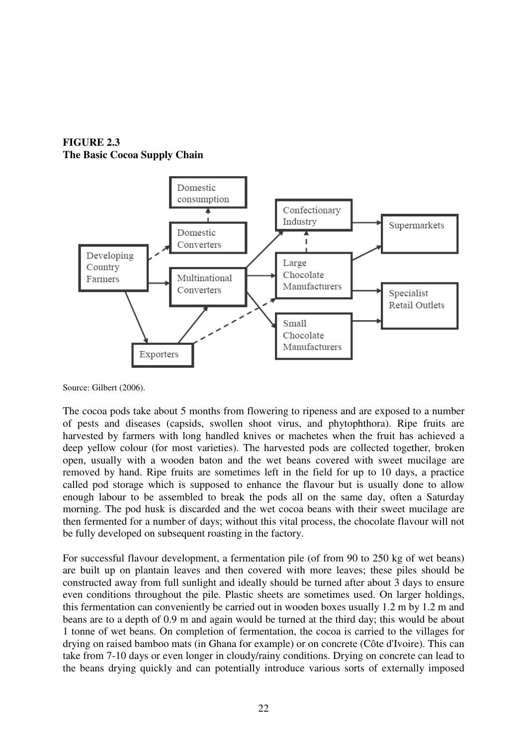**FIGURE 2.3 The Basic Cocoa Supply Chain** 



Source: Gilbert (2006).

The cocoa pods take about 5 months from flowering to ripeness and are exposed to a number of pests and diseases (capsids, swollen shoot virus, and phytophthora). Ripe fruits are harvested by farmers with long handled knives or machetes when the fruit has achieved a deep yellow colour (for most varieties). The harvested pods are collected together, broken open, usually with a wooden baton and the wet beans covered with sweet mucilage are removed by hand. Ripe fruits are sometimes left in the field for up to 10 days, a practice called pod storage which is supposed to enhance the flavour but is usually done to allow enough labour to be assembled to break the pods all on the same day, often a Saturday morning. The pod husk is discarded and the wet cocoa beans with their sweet mucilage are then fermented for a number of days; without this vital process, the chocolate flavour will not be fully developed on subsequent roasting in the factory.

For successful flavour development, a fermentation pile (of from 90 to 250 kg of wet beans) are built up on plantain leaves and then covered with more leaves; these piles should be constructed away from full sunlight and ideally should be turned after about 3 days to ensure even conditions throughout the pile. Plastic sheets are sometimes used. On larger holdings, this fermentation can conveniently be carried out in wooden boxes usually 1.2 m by 1.2 m and beans are to a depth of 0.9 m and again would be turned at the third day; this would be about 1 tonne of wet beans. On completion of fermentation, the cocoa is carried to the villages for drying on raised bamboo mats (in Ghana for example) or on concrete (Côte d'Ivoire). This can take from 7-10 days or even longer in cloudy/rainy conditions. Drying on concrete can lead to the beans drying quickly and can potentially introduce various sorts of externally imposed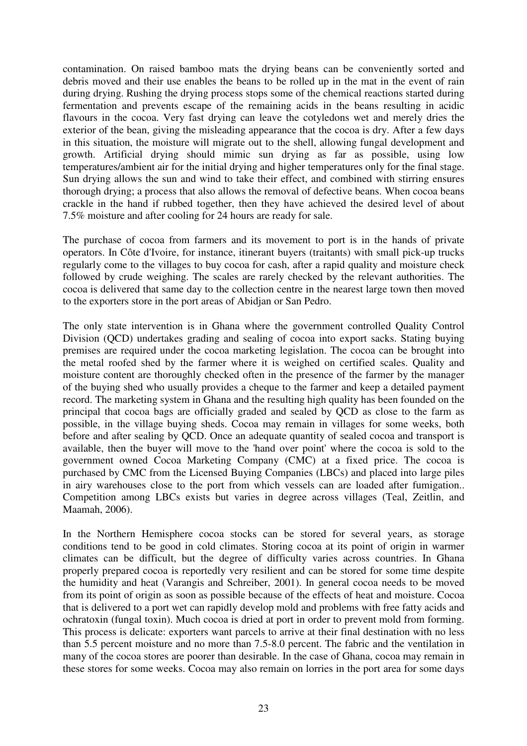contamination. On raised bamboo mats the drying beans can be conveniently sorted and debris moved and their use enables the beans to be rolled up in the mat in the event of rain during drying. Rushing the drying process stops some of the chemical reactions started during fermentation and prevents escape of the remaining acids in the beans resulting in acidic flavours in the cocoa. Very fast drying can leave the cotyledons wet and merely dries the exterior of the bean, giving the misleading appearance that the cocoa is dry. After a few days in this situation, the moisture will migrate out to the shell, allowing fungal development and growth. Artificial drying should mimic sun drying as far as possible, using low temperatures/ambient air for the initial drying and higher temperatures only for the final stage. Sun drying allows the sun and wind to take their effect, and combined with stirring ensures thorough drying; a process that also allows the removal of defective beans. When cocoa beans crackle in the hand if rubbed together, then they have achieved the desired level of about 7.5% moisture and after cooling for 24 hours are ready for sale.

The purchase of cocoa from farmers and its movement to port is in the hands of private operators. In Côte d'Ivoire, for instance, itinerant buyers (traitants) with small pick-up trucks regularly come to the villages to buy cocoa for cash, after a rapid quality and moisture check followed by crude weighing. The scales are rarely checked by the relevant authorities. The cocoa is delivered that same day to the collection centre in the nearest large town then moved to the exporters store in the port areas of Abidjan or San Pedro.

The only state intervention is in Ghana where the government controlled Quality Control Division (QCD) undertakes grading and sealing of cocoa into export sacks. Stating buying premises are required under the cocoa marketing legislation. The cocoa can be brought into the metal roofed shed by the farmer where it is weighed on certified scales. Quality and moisture content are thoroughly checked often in the presence of the farmer by the manager of the buying shed who usually provides a cheque to the farmer and keep a detailed payment record. The marketing system in Ghana and the resulting high quality has been founded on the principal that cocoa bags are officially graded and sealed by QCD as close to the farm as possible, in the village buying sheds. Cocoa may remain in villages for some weeks, both before and after sealing by QCD. Once an adequate quantity of sealed cocoa and transport is available, then the buyer will move to the 'hand over point' where the cocoa is sold to the government owned Cocoa Marketing Company (CMC) at a fixed price. The cocoa is purchased by CMC from the Licensed Buying Companies (LBCs) and placed into large piles in airy warehouses close to the port from which vessels can are loaded after fumigation.. Competition among LBCs exists but varies in degree across villages (Teal, Zeitlin, and Maamah, 2006).

In the Northern Hemisphere cocoa stocks can be stored for several years, as storage conditions tend to be good in cold climates. Storing cocoa at its point of origin in warmer climates can be difficult, but the degree of difficulty varies across countries. In Ghana properly prepared cocoa is reportedly very resilient and can be stored for some time despite the humidity and heat (Varangis and Schreiber, 2001). In general cocoa needs to be moved from its point of origin as soon as possible because of the effects of heat and moisture. Cocoa that is delivered to a port wet can rapidly develop mold and problems with free fatty acids and ochratoxin (fungal toxin). Much cocoa is dried at port in order to prevent mold from forming. This process is delicate: exporters want parcels to arrive at their final destination with no less than 5.5 percent moisture and no more than 7.5-8.0 percent. The fabric and the ventilation in many of the cocoa stores are poorer than desirable. In the case of Ghana, cocoa may remain in these stores for some weeks. Cocoa may also remain on lorries in the port area for some days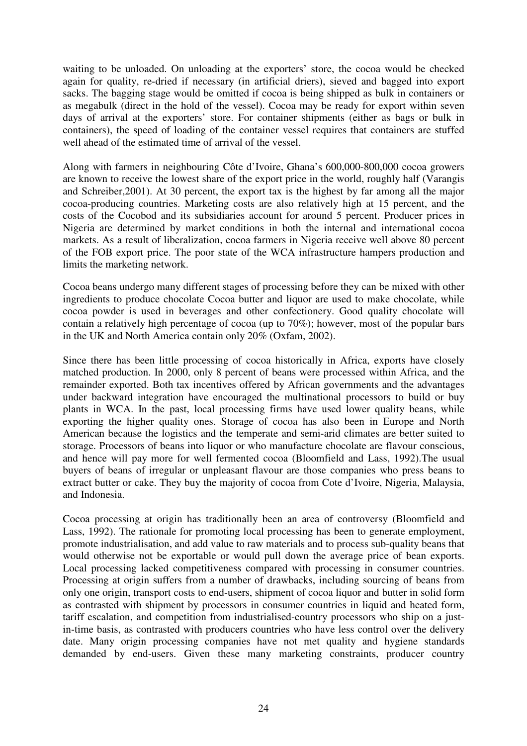waiting to be unloaded. On unloading at the exporters' store, the cocoa would be checked again for quality, re-dried if necessary (in artificial driers), sieved and bagged into export sacks. The bagging stage would be omitted if cocoa is being shipped as bulk in containers or as megabulk (direct in the hold of the vessel). Cocoa may be ready for export within seven days of arrival at the exporters' store. For container shipments (either as bags or bulk in containers), the speed of loading of the container vessel requires that containers are stuffed well ahead of the estimated time of arrival of the vessel.

Along with farmers in neighbouring Côte d'Ivoire, Ghana's 600,000-800,000 cocoa growers are known to receive the lowest share of the export price in the world, roughly half (Varangis and Schreiber,2001). At 30 percent, the export tax is the highest by far among all the major cocoa-producing countries. Marketing costs are also relatively high at 15 percent, and the costs of the Cocobod and its subsidiaries account for around 5 percent. Producer prices in Nigeria are determined by market conditions in both the internal and international cocoa markets. As a result of liberalization, cocoa farmers in Nigeria receive well above 80 percent of the FOB export price. The poor state of the WCA infrastructure hampers production and limits the marketing network.

Cocoa beans undergo many different stages of processing before they can be mixed with other ingredients to produce chocolate Cocoa butter and liquor are used to make chocolate, while cocoa powder is used in beverages and other confectionery. Good quality chocolate will contain a relatively high percentage of cocoa (up to 70%); however, most of the popular bars in the UK and North America contain only 20% (Oxfam, 2002).

Since there has been little processing of cocoa historically in Africa, exports have closely matched production. In 2000, only 8 percent of beans were processed within Africa, and the remainder exported. Both tax incentives offered by African governments and the advantages under backward integration have encouraged the multinational processors to build or buy plants in WCA. In the past, local processing firms have used lower quality beans, while exporting the higher quality ones. Storage of cocoa has also been in Europe and North American because the logistics and the temperate and semi-arid climates are better suited to storage. Processors of beans into liquor or who manufacture chocolate are flavour conscious, and hence will pay more for well fermented cocoa (Bloomfield and Lass, 1992).The usual buyers of beans of irregular or unpleasant flavour are those companies who press beans to extract butter or cake. They buy the majority of cocoa from Cote d'Ivoire, Nigeria, Malaysia, and Indonesia.

Cocoa processing at origin has traditionally been an area of controversy (Bloomfield and Lass, 1992). The rationale for promoting local processing has been to generate employment, promote industrialisation, and add value to raw materials and to process sub-quality beans that would otherwise not be exportable or would pull down the average price of bean exports. Local processing lacked competitiveness compared with processing in consumer countries. Processing at origin suffers from a number of drawbacks, including sourcing of beans from only one origin, transport costs to end-users, shipment of cocoa liquor and butter in solid form as contrasted with shipment by processors in consumer countries in liquid and heated form, tariff escalation, and competition from industrialised-country processors who ship on a justin-time basis, as contrasted with producers countries who have less control over the delivery date. Many origin processing companies have not met quality and hygiene standards demanded by end-users. Given these many marketing constraints, producer country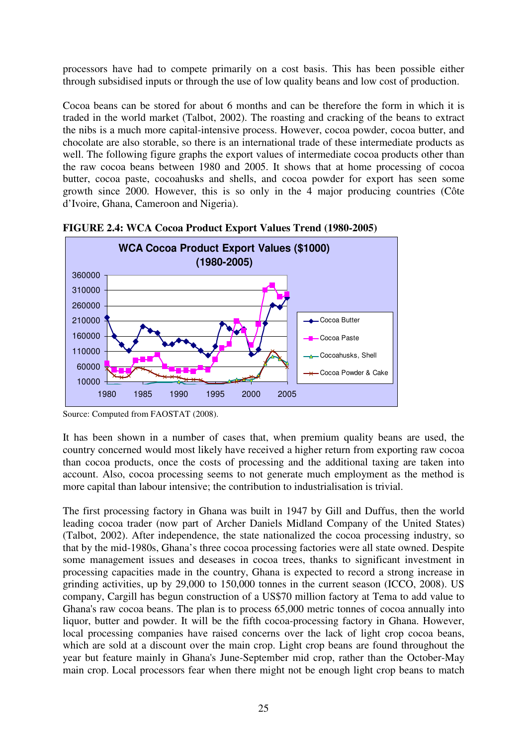processors have had to compete primarily on a cost basis. This has been possible either through subsidised inputs or through the use of low quality beans and low cost of production.

Cocoa beans can be stored for about 6 months and can be therefore the form in which it is traded in the world market (Talbot, 2002). The roasting and cracking of the beans to extract the nibs is a much more capital-intensive process. However, cocoa powder, cocoa butter, and chocolate are also storable, so there is an international trade of these intermediate products as well. The following figure graphs the export values of intermediate cocoa products other than the raw cocoa beans between 1980 and 2005. It shows that at home processing of cocoa butter, cocoa paste, cocoahusks and shells, and cocoa powder for export has seen some growth since 2000. However, this is so only in the 4 major producing countries (Côte d'Ivoire, Ghana, Cameroon and Nigeria).



**FIGURE 2.4: WCA Cocoa Product Export Values Trend (1980-2005)** 

It has been shown in a number of cases that, when premium quality beans are used, the country concerned would most likely have received a higher return from exporting raw cocoa than cocoa products, once the costs of processing and the additional taxing are taken into account. Also, cocoa processing seems to not generate much employment as the method is more capital than labour intensive; the contribution to industrialisation is trivial.

The first processing factory in Ghana was built in 1947 by Gill and Duffus, then the world leading cocoa trader (now part of Archer Daniels Midland Company of the United States) (Talbot, 2002). After independence, the state nationalized the cocoa processing industry, so that by the mid-1980s, Ghana's three cocoa processing factories were all state owned. Despite some management issues and deseases in cocoa trees, thanks to significant investment in processing capacities made in the country, Ghana is expected to record a strong increase in grinding activities, up by 29,000 to 150,000 tonnes in the current season (ICCO, 2008). US company, Cargill has begun construction of a US\$70 million factory at Tema to add value to Ghana's raw cocoa beans. The plan is to process 65,000 metric tonnes of cocoa annually into liquor, butter and powder. It will be the fifth cocoa-processing factory in Ghana. However, local processing companies have raised concerns over the lack of light crop cocoa beans, which are sold at a discount over the main crop. Light crop beans are found throughout the year but feature mainly in Ghana's June-September mid crop, rather than the October-May main crop. Local processors fear when there might not be enough light crop beans to match

Source: Computed from FAOSTAT (2008).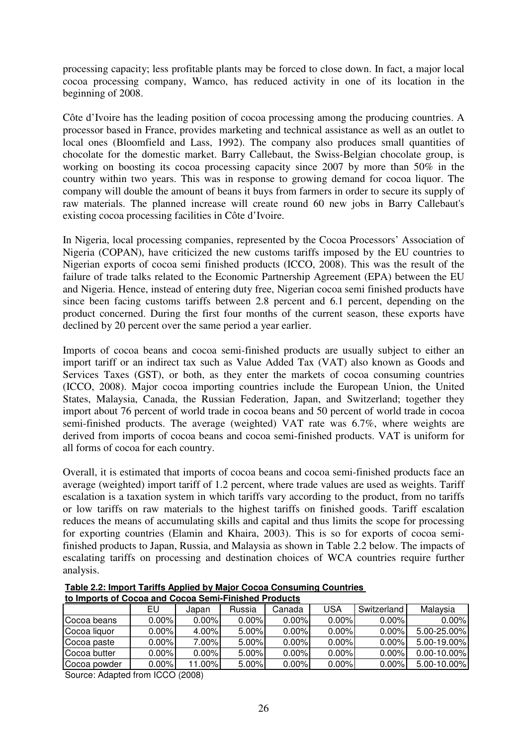processing capacity; less profitable plants may be forced to close down. In fact, a major local cocoa processing company, Wamco, has reduced activity in one of its location in the beginning of 2008.

Côte d'Ivoire has the leading position of cocoa processing among the producing countries. A processor based in France, provides marketing and technical assistance as well as an outlet to local ones (Bloomfield and Lass, 1992). The company also produces small quantities of chocolate for the domestic market. Barry Callebaut, the Swiss-Belgian chocolate group, is working on boosting its cocoa processing capacity since 2007 by more than 50% in the country within two years. This was in response to growing demand for cocoa liquor. The company will double the amount of beans it buys from farmers in order to secure its supply of raw materials. The planned increase will create round 60 new jobs in Barry Callebaut's existing cocoa processing facilities in Côte d'Ivoire.

In Nigeria, local processing companies, represented by the Cocoa Processors' Association of Nigeria (COPAN), have criticized the new customs tariffs imposed by the EU countries to Nigerian exports of cocoa semi finished products (ICCO, 2008). This was the result of the failure of trade talks related to the Economic Partnership Agreement (EPA) between the EU and Nigeria. Hence, instead of entering duty free, Nigerian cocoa semi finished products have since been facing customs tariffs between 2.8 percent and 6.1 percent, depending on the product concerned. During the first four months of the current season, these exports have declined by 20 percent over the same period a year earlier.

Imports of cocoa beans and cocoa semi-finished products are usually subject to either an import tariff or an indirect tax such as Value Added Tax (VAT) also known as Goods and Services Taxes (GST), or both, as they enter the markets of cocoa consuming countries (ICCO, 2008). Major cocoa importing countries include the European Union, the United States, Malaysia, Canada, the Russian Federation, Japan, and Switzerland; together they import about 76 percent of world trade in cocoa beans and 50 percent of world trade in cocoa semi-finished products. The average (weighted) VAT rate was 6.7%, where weights are derived from imports of cocoa beans and cocoa semi-finished products. VAT is uniform for all forms of cocoa for each country.

Overall, it is estimated that imports of cocoa beans and cocoa semi-finished products face an average (weighted) import tariff of 1.2 percent, where trade values are used as weights. Tariff escalation is a taxation system in which tariffs vary according to the product, from no tariffs or low tariffs on raw materials to the highest tariffs on finished goods. Tariff escalation reduces the means of accumulating skills and capital and thus limits the scope for processing for exporting countries (Elamin and Khaira, 2003). This is so for exports of cocoa semifinished products to Japan, Russia, and Malaysia as shown in Table 2.2 below. The impacts of escalating tariffs on processing and destination choices of WCA countries require further analysis.

| <u>io iliiporis ol oocod dhu oocod ochii-i iliishcu i Touucis</u> |          |          |        |          |          |             |                  |  |
|-------------------------------------------------------------------|----------|----------|--------|----------|----------|-------------|------------------|--|
|                                                                   | EU       | Japan    | Russia | Canada   | USA      | Switzerland | Malavsia         |  |
| Cocoa beans                                                       | $0.00\%$ | $0.00\%$ | 0.00%  | 0.00%    | $0.00\%$ | 0.00%       | $0.00\%$         |  |
| Cocoa liquor                                                      | $0.00\%$ | 4.00%    | 5.00%  | 0.00%    | $0.00\%$ | 0.00%       | 5.00-25.00%      |  |
| Cocoa paste                                                       | $0.00\%$ | 7.00%    | 5.00%  | $0.00\%$ | $0.00\%$ | 0.00%       | 5.00-19.00%      |  |
| Cocoa butter                                                      | $0.00\%$ | $0.00\%$ | 5.00%  | 0.00%    | $0.00\%$ | 0.00%       | $0.00 - 10.00\%$ |  |
| Cocoa powder                                                      | $0.00\%$ | 11.00%   | 5.00%  | 0.00%    | $0.00\%$ | 0.00%       | $5.00 - 10.00\%$ |  |

**Table 2.2: Import Tariffs Applied by Major Cocoa Consuming Countries to Imports of Cocoa and Cocoa Semi-Finished Products**

Source: Adapted from ICCO (2008)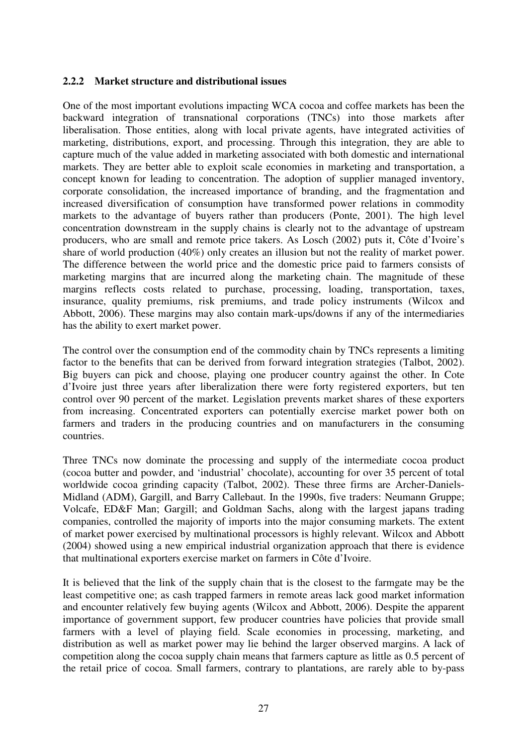#### **2.2.2 Market structure and distributional issues**

One of the most important evolutions impacting WCA cocoa and coffee markets has been the backward integration of transnational corporations (TNCs) into those markets after liberalisation. Those entities, along with local private agents, have integrated activities of marketing, distributions, export, and processing. Through this integration, they are able to capture much of the value added in marketing associated with both domestic and international markets. They are better able to exploit scale economies in marketing and transportation, a concept known for leading to concentration. The adoption of supplier managed inventory, corporate consolidation, the increased importance of branding, and the fragmentation and increased diversification of consumption have transformed power relations in commodity markets to the advantage of buyers rather than producers (Ponte, 2001). The high level concentration downstream in the supply chains is clearly not to the advantage of upstream producers, who are small and remote price takers. As Losch (2002) puts it, Côte d'Ivoire's share of world production (40%) only creates an illusion but not the reality of market power. The difference between the world price and the domestic price paid to farmers consists of marketing margins that are incurred along the marketing chain. The magnitude of these margins reflects costs related to purchase, processing, loading, transportation, taxes, insurance, quality premiums, risk premiums, and trade policy instruments (Wilcox and Abbott, 2006). These margins may also contain mark-ups/downs if any of the intermediaries has the ability to exert market power.

The control over the consumption end of the commodity chain by TNCs represents a limiting factor to the benefits that can be derived from forward integration strategies (Talbot, 2002). Big buyers can pick and choose, playing one producer country against the other. In Cote d'Ivoire just three years after liberalization there were forty registered exporters, but ten control over 90 percent of the market. Legislation prevents market shares of these exporters from increasing. Concentrated exporters can potentially exercise market power both on farmers and traders in the producing countries and on manufacturers in the consuming countries.

Three TNCs now dominate the processing and supply of the intermediate cocoa product (cocoa butter and powder, and 'industrial' chocolate), accounting for over 35 percent of total worldwide cocoa grinding capacity (Talbot, 2002). These three firms are Archer-Daniels-Midland (ADM), Gargill, and Barry Callebaut. In the 1990s, five traders: Neumann Gruppe; Volcafe, ED&F Man; Gargill; and Goldman Sachs, along with the largest japans trading companies, controlled the majority of imports into the major consuming markets. The extent of market power exercised by multinational processors is highly relevant. Wilcox and Abbott (2004) showed using a new empirical industrial organization approach that there is evidence that multinational exporters exercise market on farmers in Côte d'Ivoire.

It is believed that the link of the supply chain that is the closest to the farmgate may be the least competitive one; as cash trapped farmers in remote areas lack good market information and encounter relatively few buying agents (Wilcox and Abbott, 2006). Despite the apparent importance of government support, few producer countries have policies that provide small farmers with a level of playing field. Scale economies in processing, marketing, and distribution as well as market power may lie behind the larger observed margins. A lack of competition along the cocoa supply chain means that farmers capture as little as 0.5 percent of the retail price of cocoa. Small farmers, contrary to plantations, are rarely able to by-pass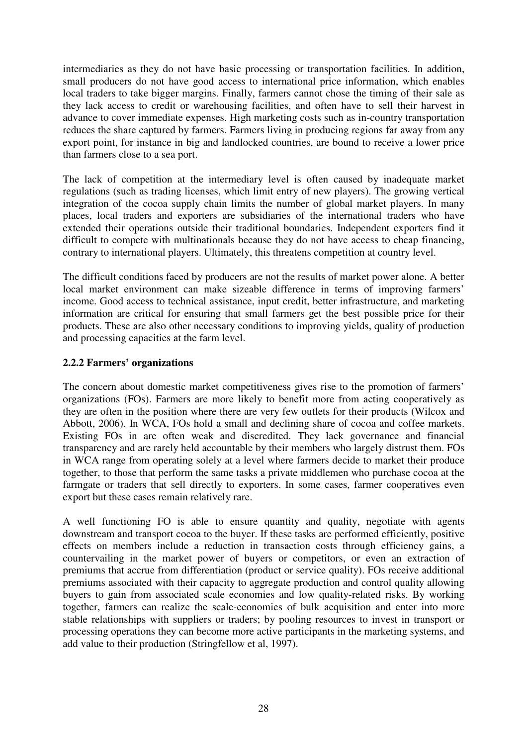intermediaries as they do not have basic processing or transportation facilities. In addition, small producers do not have good access to international price information, which enables local traders to take bigger margins. Finally, farmers cannot chose the timing of their sale as they lack access to credit or warehousing facilities, and often have to sell their harvest in advance to cover immediate expenses. High marketing costs such as in-country transportation reduces the share captured by farmers. Farmers living in producing regions far away from any export point, for instance in big and landlocked countries, are bound to receive a lower price than farmers close to a sea port.

The lack of competition at the intermediary level is often caused by inadequate market regulations (such as trading licenses, which limit entry of new players). The growing vertical integration of the cocoa supply chain limits the number of global market players. In many places, local traders and exporters are subsidiaries of the international traders who have extended their operations outside their traditional boundaries. Independent exporters find it difficult to compete with multinationals because they do not have access to cheap financing, contrary to international players. Ultimately, this threatens competition at country level.

The difficult conditions faced by producers are not the results of market power alone. A better local market environment can make sizeable difference in terms of improving farmers' income. Good access to technical assistance, input credit, better infrastructure, and marketing information are critical for ensuring that small farmers get the best possible price for their products. These are also other necessary conditions to improving yields, quality of production and processing capacities at the farm level.

## **2.2.2 Farmers' organizations**

The concern about domestic market competitiveness gives rise to the promotion of farmers' organizations (FOs). Farmers are more likely to benefit more from acting cooperatively as they are often in the position where there are very few outlets for their products (Wilcox and Abbott, 2006). In WCA, FOs hold a small and declining share of cocoa and coffee markets. Existing FOs in are often weak and discredited. They lack governance and financial transparency and are rarely held accountable by their members who largely distrust them. FOs in WCA range from operating solely at a level where farmers decide to market their produce together, to those that perform the same tasks a private middlemen who purchase cocoa at the farmgate or traders that sell directly to exporters. In some cases, farmer cooperatives even export but these cases remain relatively rare.

A well functioning FO is able to ensure quantity and quality, negotiate with agents downstream and transport cocoa to the buyer. If these tasks are performed efficiently, positive effects on members include a reduction in transaction costs through efficiency gains, a countervailing in the market power of buyers or competitors, or even an extraction of premiums that accrue from differentiation (product or service quality). FOs receive additional premiums associated with their capacity to aggregate production and control quality allowing buyers to gain from associated scale economies and low quality-related risks. By working together, farmers can realize the scale-economies of bulk acquisition and enter into more stable relationships with suppliers or traders; by pooling resources to invest in transport or processing operations they can become more active participants in the marketing systems, and add value to their production (Stringfellow et al, 1997).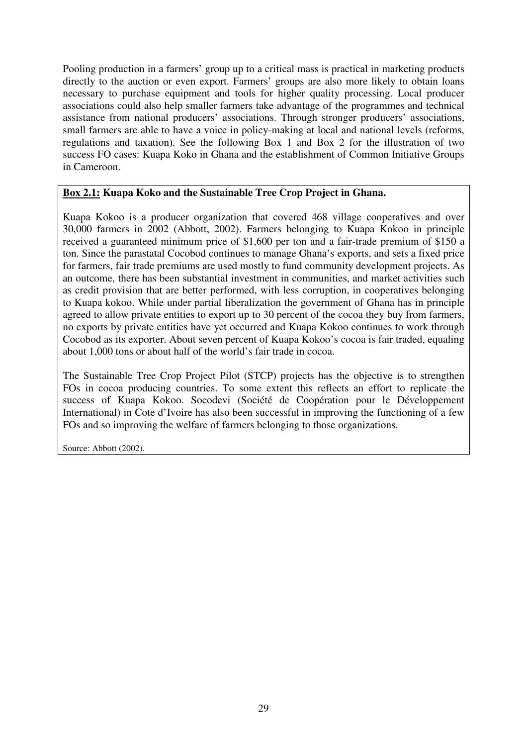Pooling production in a farmers' group up to a critical mass is practical in marketing products directly to the auction or even export. Farmers' groups are also more likely to obtain loans necessary to purchase equipment and tools for higher quality processing. Local producer associations could also help smaller farmers take advantage of the programmes and technical assistance from national producers' associations. Through stronger producers' associations, small farmers are able to have a voice in policy-making at local and national levels (reforms, regulations and taxation). See the following Box 1 and Box 2 for the illustration of two success FO cases: Kuapa Koko in Ghana and the establishment of Common Initiative Groups in Cameroon.

## **Box 2.1: Kuapa Koko and the Sustainable Tree Crop Project in Ghana.**

Kuapa Kokoo is a producer organization that covered 468 village cooperatives and over 30,000 farmers in 2002 (Abbott, 2002). Farmers belonging to Kuapa Kokoo in principle received a guaranteed minimum price of \$1,600 per ton and a fair-trade premium of \$150 a ton. Since the parastatal Cocobod continues to manage Ghana's exports, and sets a fixed price for farmers, fair trade premiums are used mostly to fund community development projects. As an outcome, there has been substantial investment in communities, and market activities such as credit provision that are better performed, with less corruption, in cooperatives belonging to Kuapa kokoo. While under partial liberalization the government of Ghana has in principle agreed to allow private entities to export up to 30 percent of the cocoa they buy from farmers, no exports by private entities have yet occurred and Kuapa Kokoo continues to work through Cocobod as its exporter. About seven percent of Kuapa Kokoo's cocoa is fair traded, equaling about 1,000 tons or about half of the world's fair trade in cocoa.

The Sustainable Tree Crop Project Pilot (STCP) projects has the objective is to strengthen FOs in cocoa producing countries. To some extent this reflects an effort to replicate the success of Kuapa Kokoo. Socodevi (Société de Coopération pour le Développement International) in Cote d'Ivoire has also been successful in improving the functioning of a few FOs and so improving the welfare of farmers belonging to those organizations.

Source: Abbott (2002).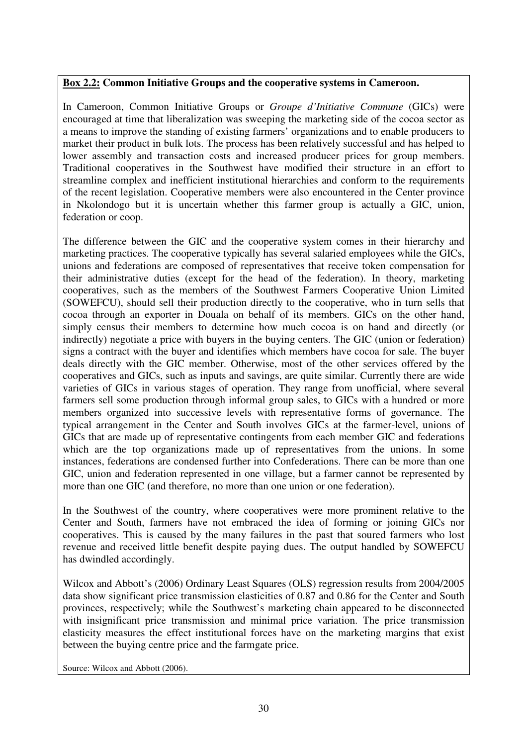## **Box 2.2: Common Initiative Groups and the cooperative systems in Cameroon.**

In Cameroon, Common Initiative Groups or *Groupe d'Initiative Commune* (GICs) were encouraged at time that liberalization was sweeping the marketing side of the cocoa sector as a means to improve the standing of existing farmers' organizations and to enable producers to market their product in bulk lots. The process has been relatively successful and has helped to lower assembly and transaction costs and increased producer prices for group members. Traditional cooperatives in the Southwest have modified their structure in an effort to streamline complex and inefficient institutional hierarchies and conform to the requirements of the recent legislation. Cooperative members were also encountered in the Center province in Nkolondogo but it is uncertain whether this farmer group is actually a GIC, union, federation or coop.

The difference between the GIC and the cooperative system comes in their hierarchy and marketing practices. The cooperative typically has several salaried employees while the GICs, unions and federations are composed of representatives that receive token compensation for their administrative duties (except for the head of the federation). In theory, marketing cooperatives, such as the members of the Southwest Farmers Cooperative Union Limited (SOWEFCU), should sell their production directly to the cooperative, who in turn sells that cocoa through an exporter in Douala on behalf of its members. GICs on the other hand, simply census their members to determine how much cocoa is on hand and directly (or indirectly) negotiate a price with buyers in the buying centers. The GIC (union or federation) signs a contract with the buyer and identifies which members have cocoa for sale. The buyer deals directly with the GIC member. Otherwise, most of the other services offered by the cooperatives and GICs, such as inputs and savings, are quite similar. Currently there are wide varieties of GICs in various stages of operation. They range from unofficial, where several farmers sell some production through informal group sales, to GICs with a hundred or more members organized into successive levels with representative forms of governance. The typical arrangement in the Center and South involves GICs at the farmer-level, unions of GICs that are made up of representative contingents from each member GIC and federations which are the top organizations made up of representatives from the unions. In some instances, federations are condensed further into Confederations. There can be more than one GIC, union and federation represented in one village, but a farmer cannot be represented by more than one GIC (and therefore, no more than one union or one federation).

In the Southwest of the country, where cooperatives were more prominent relative to the Center and South, farmers have not embraced the idea of forming or joining GICs nor cooperatives. This is caused by the many failures in the past that soured farmers who lost revenue and received little benefit despite paying dues. The output handled by SOWEFCU has dwindled accordingly.

Wilcox and Abbott's (2006) Ordinary Least Squares (OLS) regression results from 2004/2005 data show significant price transmission elasticities of 0.87 and 0.86 for the Center and South provinces, respectively; while the Southwest's marketing chain appeared to be disconnected with insignificant price transmission and minimal price variation. The price transmission elasticity measures the effect institutional forces have on the marketing margins that exist between the buying centre price and the farmgate price.

Source: Wilcox and Abbott (2006).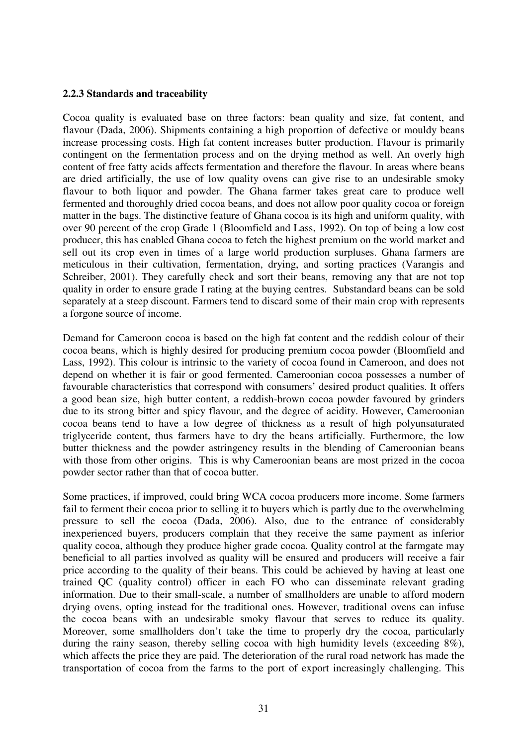#### **2.2.3 Standards and traceability**

Cocoa quality is evaluated base on three factors: bean quality and size, fat content, and flavour (Dada, 2006). Shipments containing a high proportion of defective or mouldy beans increase processing costs. High fat content increases butter production. Flavour is primarily contingent on the fermentation process and on the drying method as well. An overly high content of free fatty acids affects fermentation and therefore the flavour. In areas where beans are dried artificially, the use of low quality ovens can give rise to an undesirable smoky flavour to both liquor and powder. The Ghana farmer takes great care to produce well fermented and thoroughly dried cocoa beans, and does not allow poor quality cocoa or foreign matter in the bags. The distinctive feature of Ghana cocoa is its high and uniform quality, with over 90 percent of the crop Grade 1 (Bloomfield and Lass, 1992). On top of being a low cost producer, this has enabled Ghana cocoa to fetch the highest premium on the world market and sell out its crop even in times of a large world production surpluses. Ghana farmers are meticulous in their cultivation, fermentation, drying, and sorting practices (Varangis and Schreiber, 2001). They carefully check and sort their beans, removing any that are not top quality in order to ensure grade I rating at the buying centres. Substandard beans can be sold separately at a steep discount. Farmers tend to discard some of their main crop with represents a forgone source of income.

Demand for Cameroon cocoa is based on the high fat content and the reddish colour of their cocoa beans, which is highly desired for producing premium cocoa powder (Bloomfield and Lass, 1992). This colour is intrinsic to the variety of cocoa found in Cameroon, and does not depend on whether it is fair or good fermented. Cameroonian cocoa possesses a number of favourable characteristics that correspond with consumers' desired product qualities. It offers a good bean size, high butter content, a reddish-brown cocoa powder favoured by grinders due to its strong bitter and spicy flavour, and the degree of acidity. However, Cameroonian cocoa beans tend to have a low degree of thickness as a result of high polyunsaturated triglyceride content, thus farmers have to dry the beans artificially. Furthermore, the low butter thickness and the powder astringency results in the blending of Cameroonian beans with those from other origins. This is why Cameroonian beans are most prized in the cocoa powder sector rather than that of cocoa butter.

Some practices, if improved, could bring WCA cocoa producers more income. Some farmers fail to ferment their cocoa prior to selling it to buyers which is partly due to the overwhelming pressure to sell the cocoa (Dada, 2006). Also, due to the entrance of considerably inexperienced buyers, producers complain that they receive the same payment as inferior quality cocoa, although they produce higher grade cocoa. Quality control at the farmgate may beneficial to all parties involved as quality will be ensured and producers will receive a fair price according to the quality of their beans. This could be achieved by having at least one trained QC (quality control) officer in each FO who can disseminate relevant grading information. Due to their small-scale, a number of smallholders are unable to afford modern drying ovens, opting instead for the traditional ones. However, traditional ovens can infuse the cocoa beans with an undesirable smoky flavour that serves to reduce its quality. Moreover, some smallholders don't take the time to properly dry the cocoa, particularly during the rainy season, thereby selling cocoa with high humidity levels (exceeding 8%), which affects the price they are paid. The deterioration of the rural road network has made the transportation of cocoa from the farms to the port of export increasingly challenging. This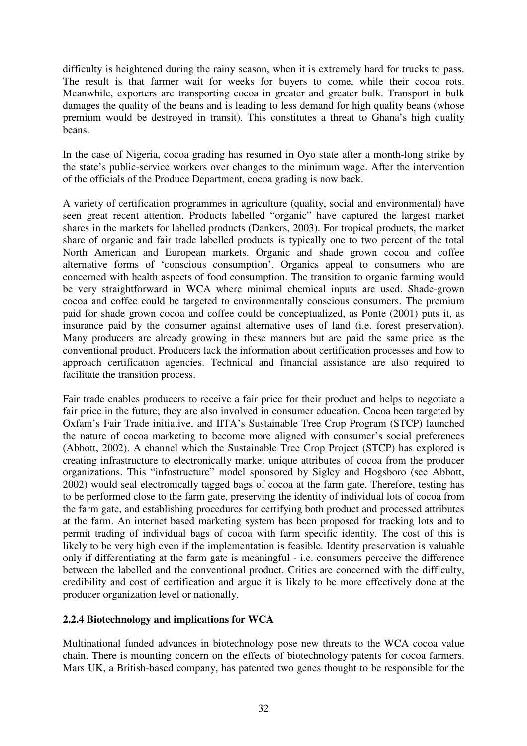difficulty is heightened during the rainy season, when it is extremely hard for trucks to pass. The result is that farmer wait for weeks for buyers to come, while their cocoa rots. Meanwhile, exporters are transporting cocoa in greater and greater bulk. Transport in bulk damages the quality of the beans and is leading to less demand for high quality beans (whose premium would be destroyed in transit). This constitutes a threat to Ghana's high quality beans.

In the case of Nigeria, cocoa grading has resumed in Oyo state after a month-long strike by the state's public-service workers over changes to the minimum wage. After the intervention of the officials of the Produce Department, cocoa grading is now back.

A variety of certification programmes in agriculture (quality, social and environmental) have seen great recent attention. Products labelled "organic" have captured the largest market shares in the markets for labelled products (Dankers, 2003). For tropical products, the market share of organic and fair trade labelled products is typically one to two percent of the total North American and European markets. Organic and shade grown cocoa and coffee alternative forms of 'conscious consumption'. Organics appeal to consumers who are concerned with health aspects of food consumption. The transition to organic farming would be very straightforward in WCA where minimal chemical inputs are used. Shade-grown cocoa and coffee could be targeted to environmentally conscious consumers. The premium paid for shade grown cocoa and coffee could be conceptualized, as Ponte (2001) puts it, as insurance paid by the consumer against alternative uses of land (i.e. forest preservation). Many producers are already growing in these manners but are paid the same price as the conventional product. Producers lack the information about certification processes and how to approach certification agencies. Technical and financial assistance are also required to facilitate the transition process.

Fair trade enables producers to receive a fair price for their product and helps to negotiate a fair price in the future; they are also involved in consumer education. Cocoa been targeted by Oxfam's Fair Trade initiative, and IITA's Sustainable Tree Crop Program (STCP) launched the nature of cocoa marketing to become more aligned with consumer's social preferences (Abbott, 2002). A channel which the Sustainable Tree Crop Project (STCP) has explored is creating infrastructure to electronically market unique attributes of cocoa from the producer organizations. This "infostructure" model sponsored by Sigley and Hogsboro (see Abbott, 2002) would seal electronically tagged bags of cocoa at the farm gate. Therefore, testing has to be performed close to the farm gate, preserving the identity of individual lots of cocoa from the farm gate, and establishing procedures for certifying both product and processed attributes at the farm. An internet based marketing system has been proposed for tracking lots and to permit trading of individual bags of cocoa with farm specific identity. The cost of this is likely to be very high even if the implementation is feasible. Identity preservation is valuable only if differentiating at the farm gate is meaningful - i.e. consumers perceive the difference between the labelled and the conventional product. Critics are concerned with the difficulty, credibility and cost of certification and argue it is likely to be more effectively done at the producer organization level or nationally.

## **2.2.4 Biotechnology and implications for WCA**

Multinational funded advances in biotechnology pose new threats to the WCA cocoa value chain. There is mounting concern on the effects of biotechnology patents for cocoa farmers. Mars UK, a British-based company, has patented two genes thought to be responsible for the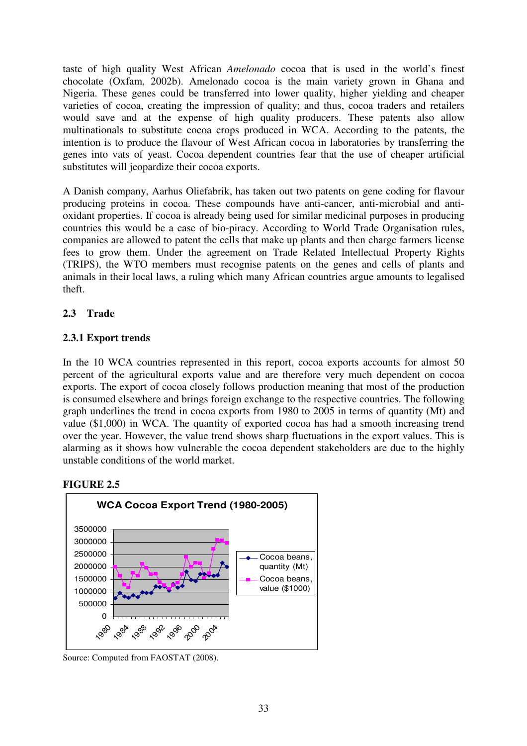taste of high quality West African *Amelonado* cocoa that is used in the world's finest chocolate (Oxfam, 2002b). Amelonado cocoa is the main variety grown in Ghana and Nigeria. These genes could be transferred into lower quality, higher yielding and cheaper varieties of cocoa, creating the impression of quality; and thus, cocoa traders and retailers would save and at the expense of high quality producers. These patents also allow multinationals to substitute cocoa crops produced in WCA. According to the patents, the intention is to produce the flavour of West African cocoa in laboratories by transferring the genes into vats of yeast. Cocoa dependent countries fear that the use of cheaper artificial substitutes will jeopardize their cocoa exports.

A Danish company, Aarhus Oliefabrik, has taken out two patents on gene coding for flavour producing proteins in cocoa. These compounds have anti-cancer, anti-microbial and antioxidant properties. If cocoa is already being used for similar medicinal purposes in producing countries this would be a case of bio-piracy. According to World Trade Organisation rules, companies are allowed to patent the cells that make up plants and then charge farmers license fees to grow them. Under the agreement on Trade Related Intellectual Property Rights (TRIPS), the WTO members must recognise patents on the genes and cells of plants and animals in their local laws, a ruling which many African countries argue amounts to legalised theft.

## **2.3 Trade**

## **2.3.1 Export trends**

In the 10 WCA countries represented in this report, cocoa exports accounts for almost 50 percent of the agricultural exports value and are therefore very much dependent on cocoa exports. The export of cocoa closely follows production meaning that most of the production is consumed elsewhere and brings foreign exchange to the respective countries. The following graph underlines the trend in cocoa exports from 1980 to 2005 in terms of quantity (Mt) and value (\$1,000) in WCA. The quantity of exported cocoa has had a smooth increasing trend over the year. However, the value trend shows sharp fluctuations in the export values. This is alarming as it shows how vulnerable the cocoa dependent stakeholders are due to the highly unstable conditions of the world market.

## **FIGURE 2.5**



Source: Computed from FAOSTAT (2008).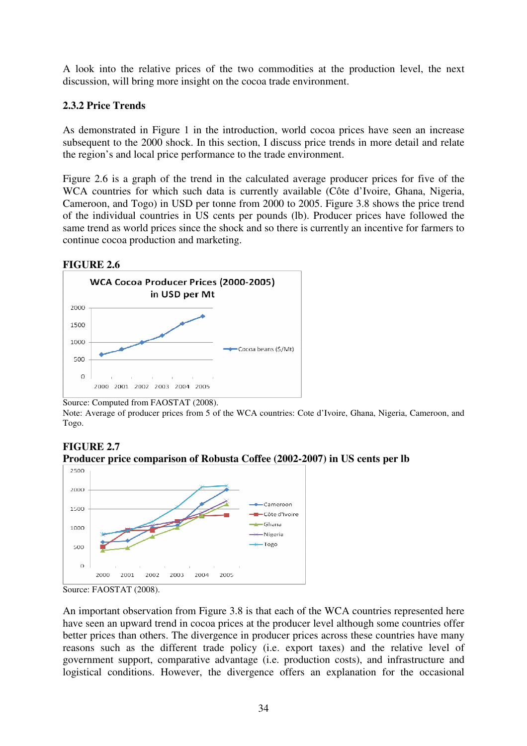A look into the relative prices of the two commodities at the production level, the next discussion, will bring more insight on the cocoa trade environment.

## **2.3.2 Price Trends**

As demonstrated in Figure 1 in the introduction, world cocoa prices have seen an increase subsequent to the 2000 shock. In this section, I discuss price trends in more detail and relate the region's and local price performance to the trade environment.

Figure 2.6 is a graph of the trend in the calculated average producer prices for five of the WCA countries for which such data is currently available (Côte d'Ivoire, Ghana, Nigeria, Cameroon, and Togo) in USD per tonne from 2000 to 2005. Figure 3.8 shows the price trend of the individual countries in US cents per pounds (lb). Producer prices have followed the same trend as world prices since the shock and so there is currently an incentive for farmers to continue cocoa production and marketing.

#### **FIGURE 2.6**



Source: Computed from FAOSTAT (2008).

Note: Average of producer prices from 5 of the WCA countries: Cote d'Ivoire, Ghana, Nigeria, Cameroon, and Togo.

#### **FIGURE 2.7 Producer price comparison of Robusta Coffee (2002-2007) in US cents per lb**



Source: FAOSTAT (2008).

An important observation from Figure 3.8 is that each of the WCA countries represented here have seen an upward trend in cocoa prices at the producer level although some countries offer better prices than others. The divergence in producer prices across these countries have many reasons such as the different trade policy (i.e. export taxes) and the relative level of government support, comparative advantage (i.e. production costs), and infrastructure and logistical conditions. However, the divergence offers an explanation for the occasional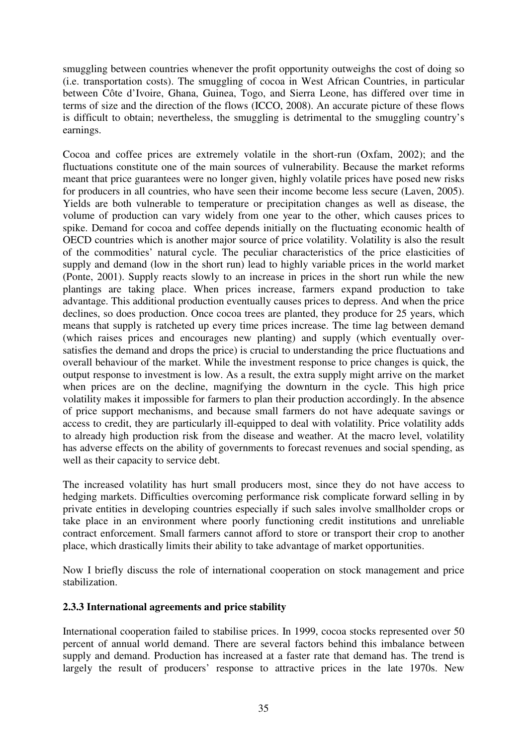smuggling between countries whenever the profit opportunity outweighs the cost of doing so (i.e. transportation costs). The smuggling of cocoa in West African Countries, in particular between Côte d'Ivoire, Ghana, Guinea, Togo, and Sierra Leone, has differed over time in terms of size and the direction of the flows (ICCO, 2008). An accurate picture of these flows is difficult to obtain; nevertheless, the smuggling is detrimental to the smuggling country's earnings.

Cocoa and coffee prices are extremely volatile in the short-run (Oxfam, 2002); and the fluctuations constitute one of the main sources of vulnerability. Because the market reforms meant that price guarantees were no longer given, highly volatile prices have posed new risks for producers in all countries, who have seen their income become less secure (Laven, 2005). Yields are both vulnerable to temperature or precipitation changes as well as disease, the volume of production can vary widely from one year to the other, which causes prices to spike. Demand for cocoa and coffee depends initially on the fluctuating economic health of OECD countries which is another major source of price volatility. Volatility is also the result of the commodities' natural cycle. The peculiar characteristics of the price elasticities of supply and demand (low in the short run) lead to highly variable prices in the world market (Ponte, 2001). Supply reacts slowly to an increase in prices in the short run while the new plantings are taking place. When prices increase, farmers expand production to take advantage. This additional production eventually causes prices to depress. And when the price declines, so does production. Once cocoa trees are planted, they produce for 25 years, which means that supply is ratcheted up every time prices increase. The time lag between demand (which raises prices and encourages new planting) and supply (which eventually oversatisfies the demand and drops the price) is crucial to understanding the price fluctuations and overall behaviour of the market. While the investment response to price changes is quick, the output response to investment is low. As a result, the extra supply might arrive on the market when prices are on the decline, magnifying the downturn in the cycle. This high price volatility makes it impossible for farmers to plan their production accordingly. In the absence of price support mechanisms, and because small farmers do not have adequate savings or access to credit, they are particularly ill-equipped to deal with volatility. Price volatility adds to already high production risk from the disease and weather. At the macro level, volatility has adverse effects on the ability of governments to forecast revenues and social spending, as well as their capacity to service debt.

The increased volatility has hurt small producers most, since they do not have access to hedging markets. Difficulties overcoming performance risk complicate forward selling in by private entities in developing countries especially if such sales involve smallholder crops or take place in an environment where poorly functioning credit institutions and unreliable contract enforcement. Small farmers cannot afford to store or transport their crop to another place, which drastically limits their ability to take advantage of market opportunities.

Now I briefly discuss the role of international cooperation on stock management and price stabilization.

## **2.3.3 International agreements and price stability**

International cooperation failed to stabilise prices. In 1999, cocoa stocks represented over 50 percent of annual world demand. There are several factors behind this imbalance between supply and demand. Production has increased at a faster rate that demand has. The trend is largely the result of producers' response to attractive prices in the late 1970s. New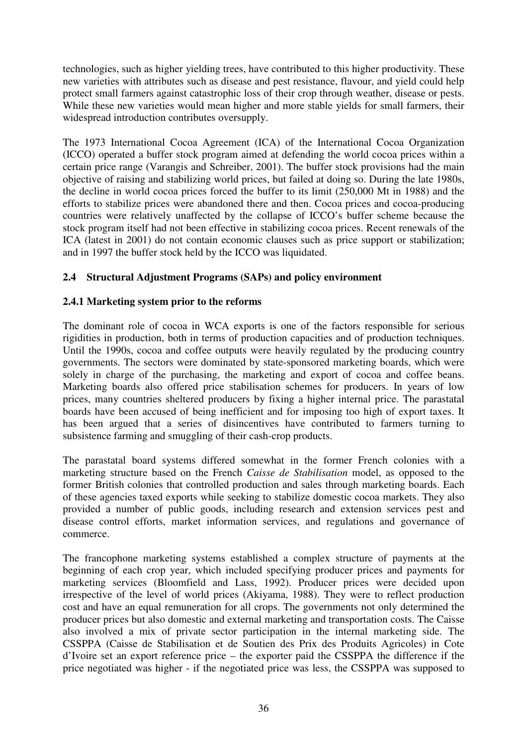technologies, such as higher yielding trees, have contributed to this higher productivity. These new varieties with attributes such as disease and pest resistance, flavour, and yield could help protect small farmers against catastrophic loss of their crop through weather, disease or pests. While these new varieties would mean higher and more stable yields for small farmers, their widespread introduction contributes oversupply.

The 1973 International Cocoa Agreement (ICA) of the International Cocoa Organization (ICCO) operated a buffer stock program aimed at defending the world cocoa prices within a certain price range (Varangis and Schreiber, 2001). The buffer stock provisions had the main objective of raising and stabilizing world prices, but failed at doing so. During the late 1980s, the decline in world cocoa prices forced the buffer to its limit (250,000 Mt in 1988) and the efforts to stabilize prices were abandoned there and then. Cocoa prices and cocoa-producing countries were relatively unaffected by the collapse of ICCO's buffer scheme because the stock program itself had not been effective in stabilizing cocoa prices. Recent renewals of the ICA (latest in 2001) do not contain economic clauses such as price support or stabilization; and in 1997 the buffer stock held by the ICCO was liquidated.

## **2.4 Structural Adjustment Programs (SAPs) and policy environment**

## **2.4.1 Marketing system prior to the reforms**

The dominant role of cocoa in WCA exports is one of the factors responsible for serious rigidities in production, both in terms of production capacities and of production techniques. Until the 1990s, cocoa and coffee outputs were heavily regulated by the producing country governments. The sectors were dominated by state-sponsored marketing boards, which were solely in charge of the purchasing, the marketing and export of cocoa and coffee beans. Marketing boards also offered price stabilisation schemes for producers. In years of low prices, many countries sheltered producers by fixing a higher internal price. The parastatal boards have been accused of being inefficient and for imposing too high of export taxes. It has been argued that a series of disincentives have contributed to farmers turning to subsistence farming and smuggling of their cash-crop products.

The parastatal board systems differed somewhat in the former French colonies with a marketing structure based on the French *Caisse de Stabilisation* model, as opposed to the former British colonies that controlled production and sales through marketing boards. Each of these agencies taxed exports while seeking to stabilize domestic cocoa markets. They also provided a number of public goods, including research and extension services pest and disease control efforts, market information services, and regulations and governance of commerce.

The francophone marketing systems established a complex structure of payments at the beginning of each crop year, which included specifying producer prices and payments for marketing services (Bloomfield and Lass, 1992). Producer prices were decided upon irrespective of the level of world prices (Akiyama, 1988). They were to reflect production cost and have an equal remuneration for all crops. The governments not only determined the producer prices but also domestic and external marketing and transportation costs. The Caisse also involved a mix of private sector participation in the internal marketing side. The CSSPPA (Caisse de Stabilisation et de Soutien des Prix des Produits Agricoles) in Cote d'Ivoire set an export reference price – the exporter paid the CSSPPA the difference if the price negotiated was higher - if the negotiated price was less, the CSSPPA was supposed to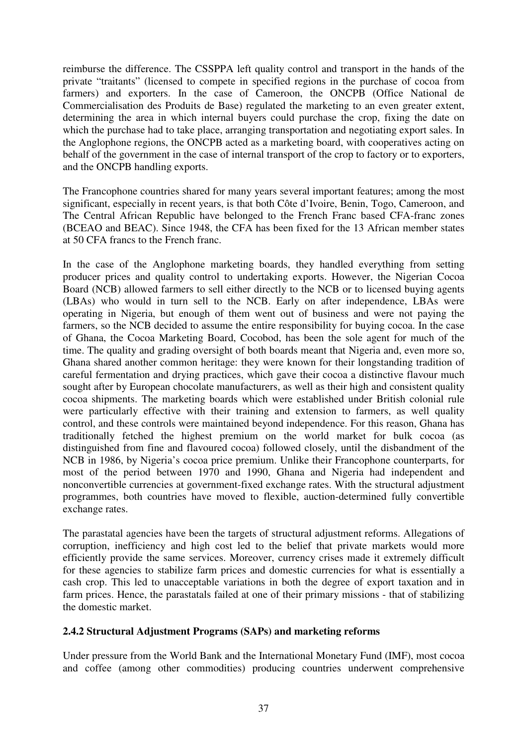reimburse the difference. The CSSPPA left quality control and transport in the hands of the private "traitants" (licensed to compete in specified regions in the purchase of cocoa from farmers) and exporters. In the case of Cameroon, the ONCPB (Office National de Commercialisation des Produits de Base) regulated the marketing to an even greater extent, determining the area in which internal buyers could purchase the crop, fixing the date on which the purchase had to take place, arranging transportation and negotiating export sales. In the Anglophone regions, the ONCPB acted as a marketing board, with cooperatives acting on behalf of the government in the case of internal transport of the crop to factory or to exporters, and the ONCPB handling exports.

The Francophone countries shared for many years several important features; among the most significant, especially in recent years, is that both Côte d'Ivoire, Benin, Togo, Cameroon, and The Central African Republic have belonged to the French Franc based CFA-franc zones (BCEAO and BEAC). Since 1948, the CFA has been fixed for the 13 African member states at 50 CFA francs to the French franc.

In the case of the Anglophone marketing boards, they handled everything from setting producer prices and quality control to undertaking exports. However, the Nigerian Cocoa Board (NCB) allowed farmers to sell either directly to the NCB or to licensed buying agents (LBAs) who would in turn sell to the NCB. Early on after independence, LBAs were operating in Nigeria, but enough of them went out of business and were not paying the farmers, so the NCB decided to assume the entire responsibility for buying cocoa. In the case of Ghana, the Cocoa Marketing Board, Cocobod, has been the sole agent for much of the time. The quality and grading oversight of both boards meant that Nigeria and, even more so, Ghana shared another common heritage: they were known for their longstanding tradition of careful fermentation and drying practices, which gave their cocoa a distinctive flavour much sought after by European chocolate manufacturers, as well as their high and consistent quality cocoa shipments. The marketing boards which were established under British colonial rule were particularly effective with their training and extension to farmers, as well quality control, and these controls were maintained beyond independence. For this reason, Ghana has traditionally fetched the highest premium on the world market for bulk cocoa (as distinguished from fine and flavoured cocoa) followed closely, until the disbandment of the NCB in 1986, by Nigeria's cocoa price premium. Unlike their Francophone counterparts, for most of the period between 1970 and 1990, Ghana and Nigeria had independent and nonconvertible currencies at government-fixed exchange rates. With the structural adjustment programmes, both countries have moved to flexible, auction-determined fully convertible exchange rates.

The parastatal agencies have been the targets of structural adjustment reforms. Allegations of corruption, inefficiency and high cost led to the belief that private markets would more efficiently provide the same services. Moreover, currency crises made it extremely difficult for these agencies to stabilize farm prices and domestic currencies for what is essentially a cash crop. This led to unacceptable variations in both the degree of export taxation and in farm prices. Hence, the parastatals failed at one of their primary missions - that of stabilizing the domestic market.

## **2.4.2 Structural Adjustment Programs (SAPs) and marketing reforms**

Under pressure from the World Bank and the International Monetary Fund (IMF), most cocoa and coffee (among other commodities) producing countries underwent comprehensive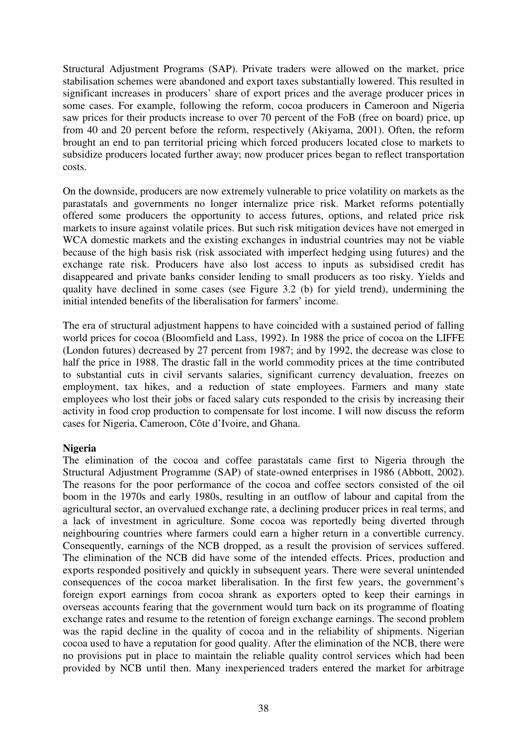Structural Adjustment Programs (SAP). Private traders were allowed on the market, price stabilisation schemes were abandoned and export taxes substantially lowered. This resulted in significant increases in producers' share of export prices and the average producer prices in some cases. For example, following the reform, cocoa producers in Cameroon and Nigeria saw prices for their products increase to over 70 percent of the FoB (free on board) price, up from 40 and 20 percent before the reform, respectively (Akiyama, 2001). Often, the reform brought an end to pan territorial pricing which forced producers located close to markets to subsidize producers located further away; now producer prices began to reflect transportation costs.

On the downside, producers are now extremely vulnerable to price volatility on markets as the parastatals and governments no longer internalize price risk. Market reforms potentially offered some producers the opportunity to access futures, options, and related price risk markets to insure against volatile prices. But such risk mitigation devices have not emerged in WCA domestic markets and the existing exchanges in industrial countries may not be viable because of the high basis risk (risk associated with imperfect hedging using futures) and the exchange rate risk. Producers have also lost access to inputs as subsidised credit has disappeared and private banks consider lending to small producers as too risky. Yields and quality have declined in some cases (see Figure 3.2 (b) for yield trend), undermining the initial intended benefits of the liberalisation for farmers' income.

The era of structural adjustment happens to have coincided with a sustained period of falling world prices for cocoa (Bloomfield and Lass, 1992). In 1988 the price of cocoa on the LIFFE (London futures) decreased by 27 percent from 1987; and by 1992, the decrease was close to half the price in 1988. The drastic fall in the world commodity prices at the time contributed to substantial cuts in civil servants salaries, significant currency devaluation, freezes on employment, tax hikes, and a reduction of state employees. Farmers and many state employees who lost their jobs or faced salary cuts responded to the crisis by increasing their activity in food crop production to compensate for lost income. I will now discuss the reform cases for Nigeria, Cameroon, Côte d'Ivoire, and Ghana.

#### **Nigeria**

The elimination of the cocoa and coffee parastatals came first to Nigeria through the Structural Adjustment Programme (SAP) of state-owned enterprises in 1986 (Abbott, 2002). The reasons for the poor performance of the cocoa and coffee sectors consisted of the oil boom in the 1970s and early 1980s, resulting in an outflow of labour and capital from the agricultural sector, an overvalued exchange rate, a declining producer prices in real terms, and a lack of investment in agriculture. Some cocoa was reportedly being diverted through neighbouring countries where farmers could earn a higher return in a convertible currency. Consequently, earnings of the NCB dropped, as a result the provision of services suffered. The elimination of the NCB did have some of the intended effects. Prices, production and exports responded positively and quickly in subsequent years. There were several unintended consequences of the cocoa market liberalisation. In the first few years, the government's foreign export earnings from cocoa shrank as exporters opted to keep their earnings in overseas accounts fearing that the government would turn back on its programme of floating exchange rates and resume to the retention of foreign exchange earnings. The second problem was the rapid decline in the quality of cocoa and in the reliability of shipments. Nigerian cocoa used to have a reputation for good quality. After the elimination of the NCB, there were no provisions put in place to maintain the reliable quality control services which had been provided by NCB until then. Many inexperienced traders entered the market for arbitrage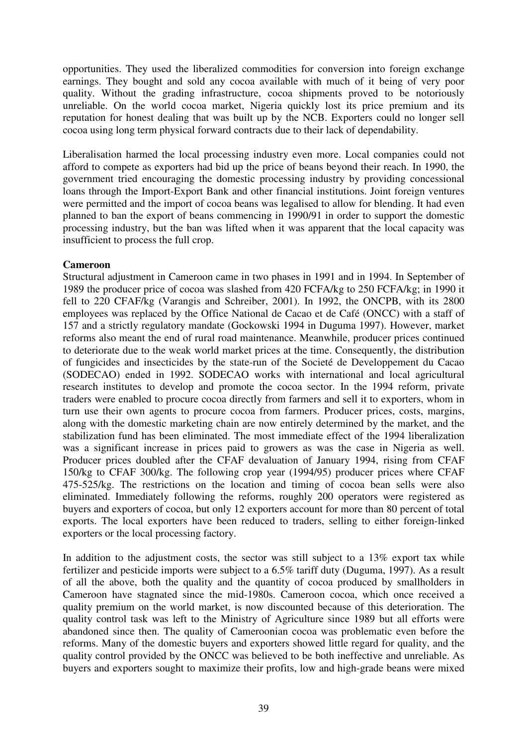opportunities. They used the liberalized commodities for conversion into foreign exchange earnings. They bought and sold any cocoa available with much of it being of very poor quality. Without the grading infrastructure, cocoa shipments proved to be notoriously unreliable. On the world cocoa market, Nigeria quickly lost its price premium and its reputation for honest dealing that was built up by the NCB. Exporters could no longer sell cocoa using long term physical forward contracts due to their lack of dependability.

Liberalisation harmed the local processing industry even more. Local companies could not afford to compete as exporters had bid up the price of beans beyond their reach. In 1990, the government tried encouraging the domestic processing industry by providing concessional loans through the Import-Export Bank and other financial institutions. Joint foreign ventures were permitted and the import of cocoa beans was legalised to allow for blending. It had even planned to ban the export of beans commencing in 1990/91 in order to support the domestic processing industry, but the ban was lifted when it was apparent that the local capacity was insufficient to process the full crop.

#### **Cameroon**

Structural adjustment in Cameroon came in two phases in 1991 and in 1994. In September of 1989 the producer price of cocoa was slashed from 420 FCFA/kg to 250 FCFA/kg; in 1990 it fell to 220 CFAF/kg (Varangis and Schreiber, 2001). In 1992, the ONCPB, with its 2800 employees was replaced by the Office National de Cacao et de Café (ONCC) with a staff of 157 and a strictly regulatory mandate (Gockowski 1994 in Duguma 1997). However, market reforms also meant the end of rural road maintenance. Meanwhile, producer prices continued to deteriorate due to the weak world market prices at the time. Consequently, the distribution of fungicides and insecticides by the state-run of the Societé de Developpement du Cacao (SODECAO) ended in 1992. SODECAO works with international and local agricultural research institutes to develop and promote the cocoa sector. In the 1994 reform, private traders were enabled to procure cocoa directly from farmers and sell it to exporters, whom in turn use their own agents to procure cocoa from farmers. Producer prices, costs, margins, along with the domestic marketing chain are now entirely determined by the market, and the stabilization fund has been eliminated. The most immediate effect of the 1994 liberalization was a significant increase in prices paid to growers as was the case in Nigeria as well. Producer prices doubled after the CFAF devaluation of January 1994, rising from CFAF 150/kg to CFAF 300/kg. The following crop year (1994/95) producer prices where CFAF 475-525/kg. The restrictions on the location and timing of cocoa bean sells were also eliminated. Immediately following the reforms, roughly 200 operators were registered as buyers and exporters of cocoa, but only 12 exporters account for more than 80 percent of total exports. The local exporters have been reduced to traders, selling to either foreign-linked exporters or the local processing factory.

In addition to the adjustment costs, the sector was still subject to a 13% export tax while fertilizer and pesticide imports were subject to a 6.5% tariff duty (Duguma, 1997). As a result of all the above, both the quality and the quantity of cocoa produced by smallholders in Cameroon have stagnated since the mid-1980s. Cameroon cocoa, which once received a quality premium on the world market, is now discounted because of this deterioration. The quality control task was left to the Ministry of Agriculture since 1989 but all efforts were abandoned since then. The quality of Cameroonian cocoa was problematic even before the reforms. Many of the domestic buyers and exporters showed little regard for quality, and the quality control provided by the ONCC was believed to be both ineffective and unreliable. As buyers and exporters sought to maximize their profits, low and high-grade beans were mixed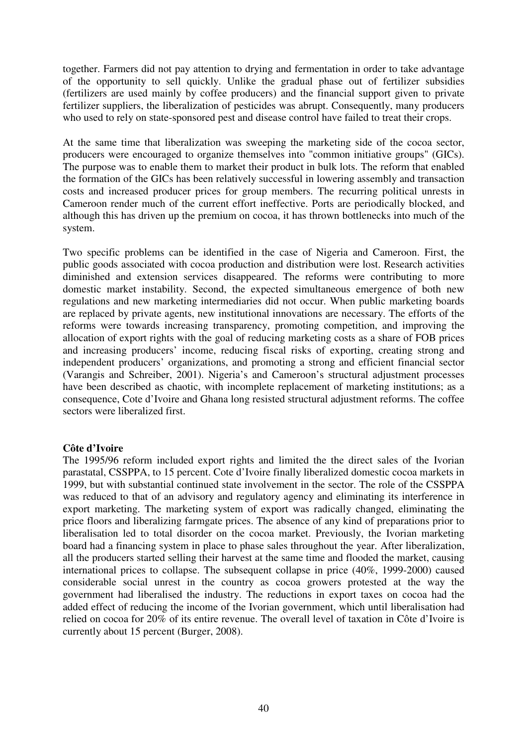together. Farmers did not pay attention to drying and fermentation in order to take advantage of the opportunity to sell quickly. Unlike the gradual phase out of fertilizer subsidies (fertilizers are used mainly by coffee producers) and the financial support given to private fertilizer suppliers, the liberalization of pesticides was abrupt. Consequently, many producers who used to rely on state-sponsored pest and disease control have failed to treat their crops.

At the same time that liberalization was sweeping the marketing side of the cocoa sector, producers were encouraged to organize themselves into "common initiative groups" (GICs). The purpose was to enable them to market their product in bulk lots. The reform that enabled the formation of the GICs has been relatively successful in lowering assembly and transaction costs and increased producer prices for group members. The recurring political unrests in Cameroon render much of the current effort ineffective. Ports are periodically blocked, and although this has driven up the premium on cocoa, it has thrown bottlenecks into much of the system.

Two specific problems can be identified in the case of Nigeria and Cameroon. First, the public goods associated with cocoa production and distribution were lost. Research activities diminished and extension services disappeared. The reforms were contributing to more domestic market instability. Second, the expected simultaneous emergence of both new regulations and new marketing intermediaries did not occur. When public marketing boards are replaced by private agents, new institutional innovations are necessary. The efforts of the reforms were towards increasing transparency, promoting competition, and improving the allocation of export rights with the goal of reducing marketing costs as a share of FOB prices and increasing producers' income, reducing fiscal risks of exporting, creating strong and independent producers' organizations, and promoting a strong and efficient financial sector (Varangis and Schreiber, 2001). Nigeria's and Cameroon's structural adjustment processes have been described as chaotic, with incomplete replacement of marketing institutions; as a consequence, Cote d'Ivoire and Ghana long resisted structural adjustment reforms. The coffee sectors were liberalized first.

#### **Côte d'Ivoire**

The 1995/96 reform included export rights and limited the the direct sales of the Ivorian parastatal, CSSPPA, to 15 percent. Cote d'Ivoire finally liberalized domestic cocoa markets in 1999, but with substantial continued state involvement in the sector. The role of the CSSPPA was reduced to that of an advisory and regulatory agency and eliminating its interference in export marketing. The marketing system of export was radically changed, eliminating the price floors and liberalizing farmgate prices. The absence of any kind of preparations prior to liberalisation led to total disorder on the cocoa market. Previously, the Ivorian marketing board had a financing system in place to phase sales throughout the year. After liberalization, all the producers started selling their harvest at the same time and flooded the market, causing international prices to collapse. The subsequent collapse in price (40%, 1999-2000) caused considerable social unrest in the country as cocoa growers protested at the way the government had liberalised the industry. The reductions in export taxes on cocoa had the added effect of reducing the income of the Ivorian government, which until liberalisation had relied on cocoa for 20% of its entire revenue. The overall level of taxation in Côte d'Ivoire is currently about 15 percent (Burger, 2008).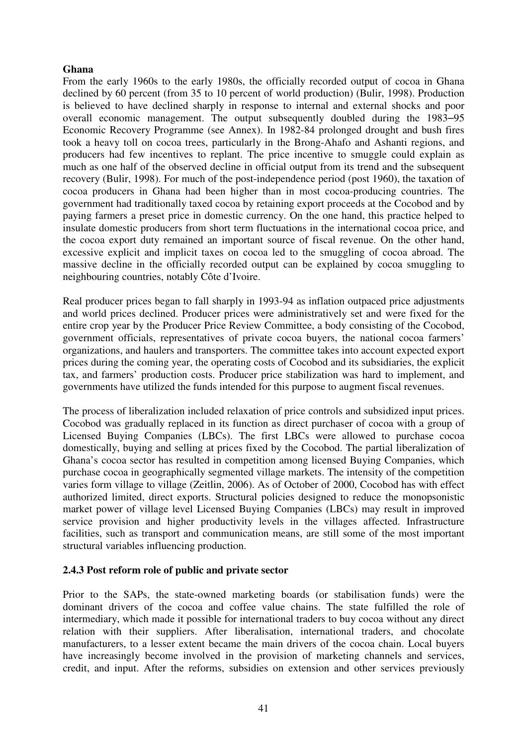#### **Ghana**

From the early 1960s to the early 1980s, the officially recorded output of cocoa in Ghana declined by 60 percent (from 35 to 10 percent of world production) (Bulir, 1998). Production is believed to have declined sharply in response to internal and external shocks and poor overall economic management. The output subsequently doubled during the 1983–95 Economic Recovery Programme (see Annex). In 1982-84 prolonged drought and bush fires took a heavy toll on cocoa trees, particularly in the Brong-Ahafo and Ashanti regions, and producers had few incentives to replant. The price incentive to smuggle could explain as much as one half of the observed decline in official output from its trend and the subsequent recovery (Bulir, 1998). For much of the post-independence period (post 1960), the taxation of cocoa producers in Ghana had been higher than in most cocoa-producing countries. The government had traditionally taxed cocoa by retaining export proceeds at the Cocobod and by paying farmers a preset price in domestic currency. On the one hand, this practice helped to insulate domestic producers from short term fluctuations in the international cocoa price, and the cocoa export duty remained an important source of fiscal revenue. On the other hand, excessive explicit and implicit taxes on cocoa led to the smuggling of cocoa abroad. The massive decline in the officially recorded output can be explained by cocoa smuggling to neighbouring countries, notably Côte d'Ivoire.

Real producer prices began to fall sharply in 1993-94 as inflation outpaced price adjustments and world prices declined. Producer prices were administratively set and were fixed for the entire crop year by the Producer Price Review Committee, a body consisting of the Cocobod, government officials, representatives of private cocoa buyers, the national cocoa farmers' organizations, and haulers and transporters. The committee takes into account expected export prices during the coming year, the operating costs of Cocobod and its subsidiaries, the explicit tax, and farmers' production costs. Producer price stabilization was hard to implement, and governments have utilized the funds intended for this purpose to augment fiscal revenues.

The process of liberalization included relaxation of price controls and subsidized input prices. Cocobod was gradually replaced in its function as direct purchaser of cocoa with a group of Licensed Buying Companies (LBCs). The first LBCs were allowed to purchase cocoa domestically, buying and selling at prices fixed by the Cocobod. The partial liberalization of Ghana's cocoa sector has resulted in competition among licensed Buying Companies, which purchase cocoa in geographically segmented village markets. The intensity of the competition varies form village to village (Zeitlin, 2006). As of October of 2000, Cocobod has with effect authorized limited, direct exports. Structural policies designed to reduce the monopsonistic market power of village level Licensed Buying Companies (LBCs) may result in improved service provision and higher productivity levels in the villages affected. Infrastructure facilities, such as transport and communication means, are still some of the most important structural variables influencing production.

## **2.4.3 Post reform role of public and private sector**

Prior to the SAPs, the state-owned marketing boards (or stabilisation funds) were the dominant drivers of the cocoa and coffee value chains. The state fulfilled the role of intermediary, which made it possible for international traders to buy cocoa without any direct relation with their suppliers. After liberalisation, international traders, and chocolate manufacturers, to a lesser extent became the main drivers of the cocoa chain. Local buyers have increasingly become involved in the provision of marketing channels and services, credit, and input. After the reforms, subsidies on extension and other services previously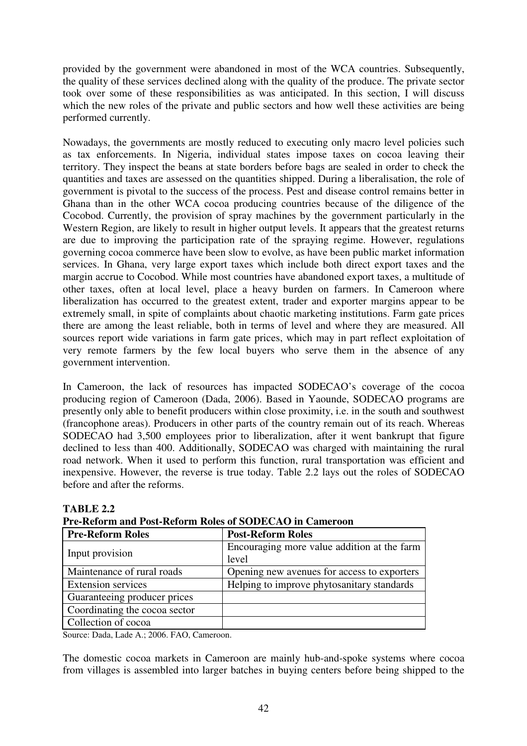provided by the government were abandoned in most of the WCA countries. Subsequently, the quality of these services declined along with the quality of the produce. The private sector took over some of these responsibilities as was anticipated. In this section, I will discuss which the new roles of the private and public sectors and how well these activities are being performed currently.

Nowadays, the governments are mostly reduced to executing only macro level policies such as tax enforcements. In Nigeria, individual states impose taxes on cocoa leaving their territory. They inspect the beans at state borders before bags are sealed in order to check the quantities and taxes are assessed on the quantities shipped. During a liberalisation, the role of government is pivotal to the success of the process. Pest and disease control remains better in Ghana than in the other WCA cocoa producing countries because of the diligence of the Cocobod. Currently, the provision of spray machines by the government particularly in the Western Region, are likely to result in higher output levels. It appears that the greatest returns are due to improving the participation rate of the spraying regime. However, regulations governing cocoa commerce have been slow to evolve, as have been public market information services. In Ghana, very large export taxes which include both direct export taxes and the margin accrue to Cocobod. While most countries have abandoned export taxes, a multitude of other taxes, often at local level, place a heavy burden on farmers. In Cameroon where liberalization has occurred to the greatest extent, trader and exporter margins appear to be extremely small, in spite of complaints about chaotic marketing institutions. Farm gate prices there are among the least reliable, both in terms of level and where they are measured. All sources report wide variations in farm gate prices, which may in part reflect exploitation of very remote farmers by the few local buyers who serve them in the absence of any government intervention.

In Cameroon, the lack of resources has impacted SODECAO's coverage of the cocoa producing region of Cameroon (Dada, 2006). Based in Yaounde, SODECAO programs are presently only able to benefit producers within close proximity, i.e. in the south and southwest (francophone areas). Producers in other parts of the country remain out of its reach. Whereas SODECAO had 3,500 employees prior to liberalization, after it went bankrupt that figure declined to less than 400. Additionally, SODECAO was charged with maintaining the rural road network. When it used to perform this function, rural transportation was efficient and inexpensive. However, the reverse is true today. Table 2.2 lays out the roles of SODECAO before and after the reforms.

| Pre-Reform and Post-Reform Roles of SODECAO in Cameroon |                                                      |  |  |  |
|---------------------------------------------------------|------------------------------------------------------|--|--|--|
| <b>Pre-Reform Roles</b>                                 | <b>Post-Reform Roles</b>                             |  |  |  |
| Input provision                                         | Encouraging more value addition at the farm<br>level |  |  |  |
| Maintenance of rural roads                              | Opening new avenues for access to exporters          |  |  |  |
| <b>Extension services</b>                               | Helping to improve phytosanitary standards           |  |  |  |
| Guaranteeing producer prices                            |                                                      |  |  |  |
| Coordinating the cocoa sector                           |                                                      |  |  |  |
| Collection of cocoa                                     |                                                      |  |  |  |

**TABLE 2.2 Pre-Reform and Post-Reform Roles of SODECAO in Cameroon** 

Source: Dada, Lade A.; 2006. FAO, Cameroon.

The domestic cocoa markets in Cameroon are mainly hub-and-spoke systems where cocoa from villages is assembled into larger batches in buying centers before being shipped to the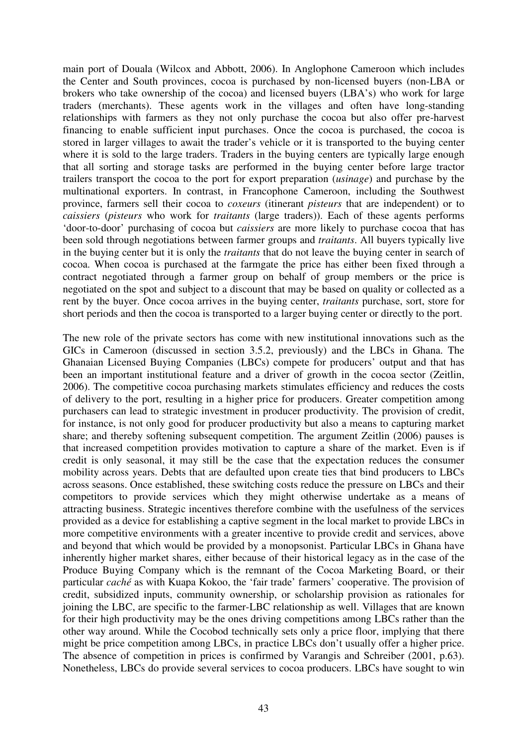main port of Douala (Wilcox and Abbott, 2006). In Anglophone Cameroon which includes the Center and South provinces, cocoa is purchased by non-licensed buyers (non-LBA or brokers who take ownership of the cocoa) and licensed buyers (LBA's) who work for large traders (merchants). These agents work in the villages and often have long-standing relationships with farmers as they not only purchase the cocoa but also offer pre-harvest financing to enable sufficient input purchases. Once the cocoa is purchased, the cocoa is stored in larger villages to await the trader's vehicle or it is transported to the buying center where it is sold to the large traders. Traders in the buying centers are typically large enough that all sorting and storage tasks are performed in the buying center before large tractor trailers transport the cocoa to the port for export preparation (*usinage*) and purchase by the multinational exporters. In contrast, in Francophone Cameroon, including the Southwest province, farmers sell their cocoa to *coxeurs* (itinerant *pisteurs* that are independent) or to *caissiers* (*pisteurs* who work for *traitants* (large traders)). Each of these agents performs 'door-to-door' purchasing of cocoa but *caissiers* are more likely to purchase cocoa that has been sold through negotiations between farmer groups and *traitants*. All buyers typically live in the buying center but it is only the *traitants* that do not leave the buying center in search of cocoa. When cocoa is purchased at the farmgate the price has either been fixed through a contract negotiated through a farmer group on behalf of group members or the price is negotiated on the spot and subject to a discount that may be based on quality or collected as a rent by the buyer. Once cocoa arrives in the buying center, *traitants* purchase, sort, store for short periods and then the cocoa is transported to a larger buying center or directly to the port.

The new role of the private sectors has come with new institutional innovations such as the GICs in Cameroon (discussed in section 3.5.2, previously) and the LBCs in Ghana. The Ghanaian Licensed Buying Companies (LBCs) compete for producers' output and that has been an important institutional feature and a driver of growth in the cocoa sector (Zeitlin, 2006). The competitive cocoa purchasing markets stimulates efficiency and reduces the costs of delivery to the port, resulting in a higher price for producers. Greater competition among purchasers can lead to strategic investment in producer productivity. The provision of credit, for instance, is not only good for producer productivity but also a means to capturing market share; and thereby softening subsequent competition. The argument Zeitlin (2006) pauses is that increased competition provides motivation to capture a share of the market. Even is if credit is only seasonal, it may still be the case that the expectation reduces the consumer mobility across years. Debts that are defaulted upon create ties that bind producers to LBCs across seasons. Once established, these switching costs reduce the pressure on LBCs and their competitors to provide services which they might otherwise undertake as a means of attracting business. Strategic incentives therefore combine with the usefulness of the services provided as a device for establishing a captive segment in the local market to provide LBCs in more competitive environments with a greater incentive to provide credit and services, above and beyond that which would be provided by a monopsonist. Particular LBCs in Ghana have inherently higher market shares, either because of their historical legacy as in the case of the Produce Buying Company which is the remnant of the Cocoa Marketing Board, or their particular *caché* as with Kuapa Kokoo, the 'fair trade' farmers' cooperative. The provision of credit, subsidized inputs, community ownership, or scholarship provision as rationales for joining the LBC, are specific to the farmer-LBC relationship as well. Villages that are known for their high productivity may be the ones driving competitions among LBCs rather than the other way around. While the Cocobod technically sets only a price floor, implying that there might be price competition among LBCs, in practice LBCs don't usually offer a higher price. The absence of competition in prices is confirmed by Varangis and Schreiber (2001, p.63). Nonetheless, LBCs do provide several services to cocoa producers. LBCs have sought to win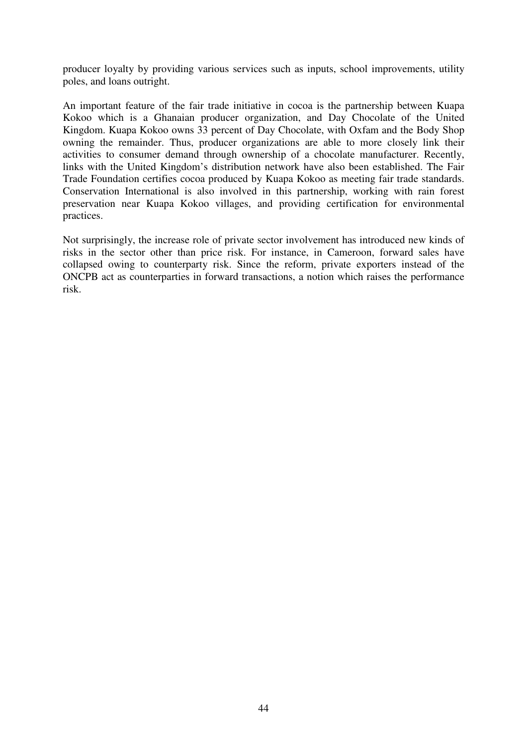producer loyalty by providing various services such as inputs, school improvements, utility poles, and loans outright.

An important feature of the fair trade initiative in cocoa is the partnership between Kuapa Kokoo which is a Ghanaian producer organization, and Day Chocolate of the United Kingdom. Kuapa Kokoo owns 33 percent of Day Chocolate, with Oxfam and the Body Shop owning the remainder. Thus, producer organizations are able to more closely link their activities to consumer demand through ownership of a chocolate manufacturer. Recently, links with the United Kingdom's distribution network have also been established. The Fair Trade Foundation certifies cocoa produced by Kuapa Kokoo as meeting fair trade standards. Conservation International is also involved in this partnership, working with rain forest preservation near Kuapa Kokoo villages, and providing certification for environmental practices.

Not surprisingly, the increase role of private sector involvement has introduced new kinds of risks in the sector other than price risk. For instance, in Cameroon, forward sales have collapsed owing to counterparty risk. Since the reform, private exporters instead of the ONCPB act as counterparties in forward transactions, a notion which raises the performance risk.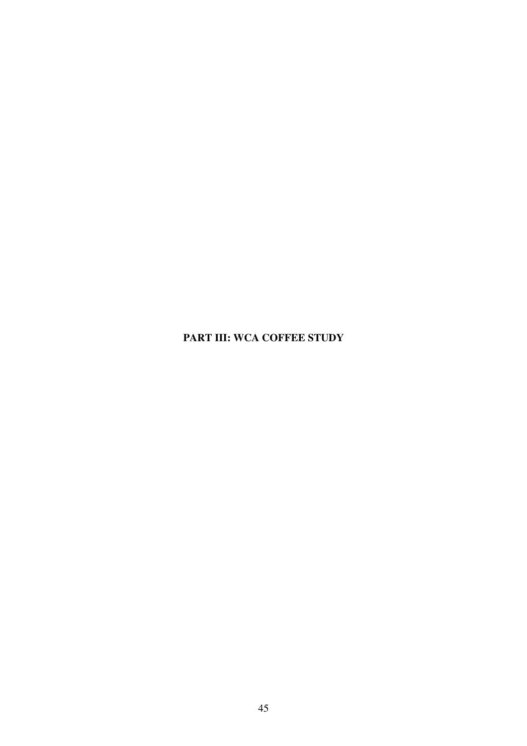# **PART III: WCA COFFEE STUDY**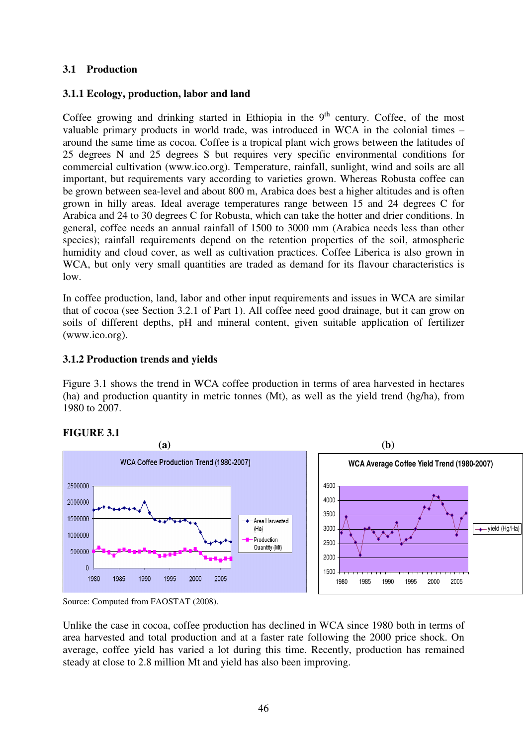# **3.1 Production**

## **3.1.1 Ecology, production, labor and land**

Coffee growing and drinking started in Ethiopia in the  $9<sup>th</sup>$  century. Coffee, of the most valuable primary products in world trade, was introduced in WCA in the colonial times – around the same time as cocoa. Coffee is a tropical plant wich grows between the latitudes of 25 degrees N and 25 degrees S but requires very specific environmental conditions for commercial cultivation (www.ico.org). Temperature, rainfall, sunlight, wind and soils are all important, but requirements vary according to varieties grown. Whereas Robusta coffee can be grown between sea-level and about 800 m, Arabica does best a higher altitudes and is often grown in hilly areas. Ideal average temperatures range between 15 and 24 degrees C for Arabica and 24 to 30 degrees C for Robusta, which can take the hotter and drier conditions. In general, coffee needs an annual rainfall of 1500 to 3000 mm (Arabica needs less than other species); rainfall requirements depend on the retention properties of the soil, atmospheric humidity and cloud cover, as well as cultivation practices. Coffee Liberica is also grown in WCA, but only very small quantities are traded as demand for its flavour characteristics is low.

In coffee production, land, labor and other input requirements and issues in WCA are similar that of cocoa (see Section 3.2.1 of Part 1). All coffee need good drainage, but it can grow on soils of different depths, pH and mineral content, given suitable application of fertilizer (www.ico.org).

#### **3.1.2 Production trends and yields**

Figure 3.1 shows the trend in WCA coffee production in terms of area harvested in hectares (ha) and production quantity in metric tonnes (Mt), as well as the yield trend (hg/ha), from 1980 to 2007.



# **FIGURE 3.1**

Unlike the case in cocoa, coffee production has declined in WCA since 1980 both in terms of area harvested and total production and at a faster rate following the 2000 price shock. On average, coffee yield has varied a lot during this time. Recently, production has remained steady at close to 2.8 million Mt and yield has also been improving.

Source: Computed from FAOSTAT (2008).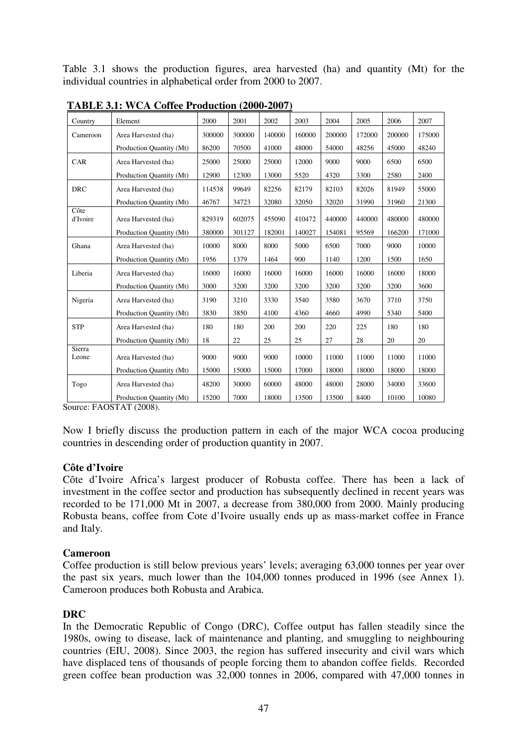Table 3.1 shows the production figures, area harvested (ha) and quantity (Mt) for the individual countries in alphabetical order from 2000 to 2007.

| Country          | Element                  | 2000   | 2001   | 2002   | 2003   | 2004   | 2005   | 2006   | 2007   |
|------------------|--------------------------|--------|--------|--------|--------|--------|--------|--------|--------|
| Cameroon         | Area Harvested (ha)      | 300000 | 300000 | 140000 | 160000 | 200000 | 172000 | 200000 | 175000 |
|                  | Production Quantity (Mt) | 86200  | 70500  | 41000  | 48000  | 54000  | 48256  | 45000  | 48240  |
| CAR              | Area Harvested (ha)      | 25000  | 25000  | 25000  | 12000  | 9000   | 9000   | 6500   | 6500   |
|                  | Production Quantity (Mt) | 12900  | 12300  | 13000  | 5520   | 4320   | 3300   | 2580   | 2400   |
| <b>DRC</b>       | Area Harvested (ha)      | 114538 | 99649  | 82256  | 82179  | 82103  | 82026  | 81949  | 55000  |
|                  | Production Quantity (Mt) | 46767  | 34723  | 32080  | 32050  | 32020  | 31990  | 31960  | 21300  |
| Côte<br>d'Ivoire | Area Harvested (ha)      | 829319 | 602075 | 455090 | 410472 | 440000 | 440000 | 480000 | 480000 |
|                  | Production Quantity (Mt) | 380000 | 301127 | 182001 | 140027 | 154081 | 95569  | 166200 | 171000 |
| Ghana            | Area Harvested (ha)      | 10000  | 8000   | 8000   | 5000   | 6500   | 7000   | 9000   | 10000  |
|                  | Production Quantity (Mt) | 1956   | 1379   | 1464   | 900    | 1140   | 1200   | 1500   | 1650   |
| Liberia          | Area Harvested (ha)      | 16000  | 16000  | 16000  | 16000  | 16000  | 16000  | 16000  | 18000  |
|                  | Production Quantity (Mt) | 3000   | 3200   | 3200   | 3200   | 3200   | 3200   | 3200   | 3600   |
| Nigeria          | Area Harvested (ha)      | 3190   | 3210   | 3330   | 3540   | 3580   | 3670   | 3710   | 3750   |
|                  | Production Quantity (Mt) | 3830   | 3850   | 4100   | 4360   | 4660   | 4990   | 5340   | 5400   |
| <b>STP</b>       | Area Harvested (ha)      | 180    | 180    | 200    | 200    | 220    | 225    | 180    | 180    |
|                  | Production Quantity (Mt) | 18     | 22     | 25     | 25     | 27     | 28     | 20     | 20     |
| Sierra<br>Leone  | Area Harvested (ha)      | 9000   | 9000   | 9000   | 10000  | 11000  | 11000  | 11000  | 11000  |
|                  | Production Quantity (Mt) | 15000  | 15000  | 15000  | 17000  | 18000  | 18000  | 18000  | 18000  |
| Togo             | Area Harvested (ha)      | 48200  | 30000  | 60000  | 48000  | 48000  | 28000  | 34000  | 33600  |
|                  | Production Quantity (Mt) | 15200  | 7000   | 18000  | 13500  | 13500  | 8400   | 10100  | 10080  |

**TABLE 3.1: WCA Coffee Production (2000-2007)**

Source: FAOSTAT (2008).

Now I briefly discuss the production pattern in each of the major WCA cocoa producing countries in descending order of production quantity in 2007.

## **Côte d'Ivoire**

Côte d'Ivoire Africa's largest producer of Robusta coffee. There has been a lack of investment in the coffee sector and production has subsequently declined in recent years was recorded to be 171,000 Mt in 2007, a decrease from 380,000 from 2000. Mainly producing Robusta beans, coffee from Cote d'Ivoire usually ends up as mass-market coffee in France and Italy.

#### **Cameroon**

Coffee production is still below previous years' levels; averaging 63,000 tonnes per year over the past six years, much lower than the 104,000 tonnes produced in 1996 (see Annex 1). Cameroon produces both Robusta and Arabica.

## **DRC**

In the Democratic Republic of Congo (DRC), Coffee output has fallen steadily since the 1980s, owing to disease, lack of maintenance and planting, and smuggling to neighbouring countries (EIU, 2008). Since 2003, the region has suffered insecurity and civil wars which have displaced tens of thousands of people forcing them to abandon coffee fields. Recorded green coffee bean production was 32,000 tonnes in 2006, compared with 47,000 tonnes in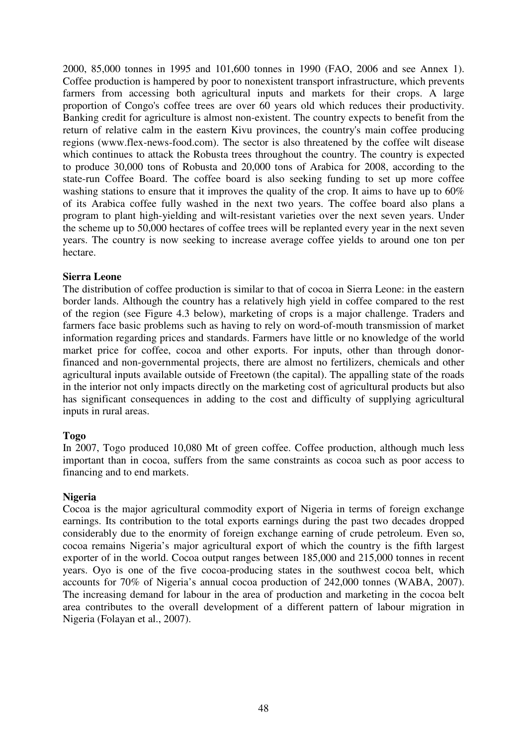2000, 85,000 tonnes in 1995 and 101,600 tonnes in 1990 (FAO, 2006 and see Annex 1). Coffee production is hampered by poor to nonexistent transport infrastructure, which prevents farmers from accessing both agricultural inputs and markets for their crops. A large proportion of Congo's coffee trees are over 60 years old which reduces their productivity. Banking credit for agriculture is almost non-existent. The country expects to benefit from the return of relative calm in the eastern Kivu provinces, the country's main coffee producing regions (www.flex-news-food.com). The sector is also threatened by the coffee wilt disease which continues to attack the Robusta trees throughout the country. The country is expected to produce 30,000 tons of Robusta and 20,000 tons of Arabica for 2008, according to the state-run Coffee Board. The coffee board is also seeking funding to set up more coffee washing stations to ensure that it improves the quality of the crop. It aims to have up to 60% of its Arabica coffee fully washed in the next two years. The coffee board also plans a program to plant high-yielding and wilt-resistant varieties over the next seven years. Under the scheme up to 50,000 hectares of coffee trees will be replanted every year in the next seven years. The country is now seeking to increase average coffee yields to around one ton per hectare.

#### **Sierra Leone**

The distribution of coffee production is similar to that of cocoa in Sierra Leone: in the eastern border lands. Although the country has a relatively high yield in coffee compared to the rest of the region (see Figure 4.3 below), marketing of crops is a major challenge. Traders and farmers face basic problems such as having to rely on word-of-mouth transmission of market information regarding prices and standards. Farmers have little or no knowledge of the world market price for coffee, cocoa and other exports. For inputs, other than through donorfinanced and non-governmental projects, there are almost no fertilizers, chemicals and other agricultural inputs available outside of Freetown (the capital). The appalling state of the roads in the interior not only impacts directly on the marketing cost of agricultural products but also has significant consequences in adding to the cost and difficulty of supplying agricultural inputs in rural areas.

#### **Togo**

In 2007, Togo produced 10,080 Mt of green coffee. Coffee production, although much less important than in cocoa, suffers from the same constraints as cocoa such as poor access to financing and to end markets.

#### **Nigeria**

Cocoa is the major agricultural commodity export of Nigeria in terms of foreign exchange earnings. Its contribution to the total exports earnings during the past two decades dropped considerably due to the enormity of foreign exchange earning of crude petroleum. Even so, cocoa remains Nigeria's major agricultural export of which the country is the fifth largest exporter of in the world. Cocoa output ranges between 185,000 and 215,000 tonnes in recent years. Oyo is one of the five cocoa-producing states in the southwest cocoa belt, which accounts for 70% of Nigeria's annual cocoa production of 242,000 tonnes (WABA, 2007). The increasing demand for labour in the area of production and marketing in the cocoa belt area contributes to the overall development of a different pattern of labour migration in Nigeria (Folayan et al., 2007).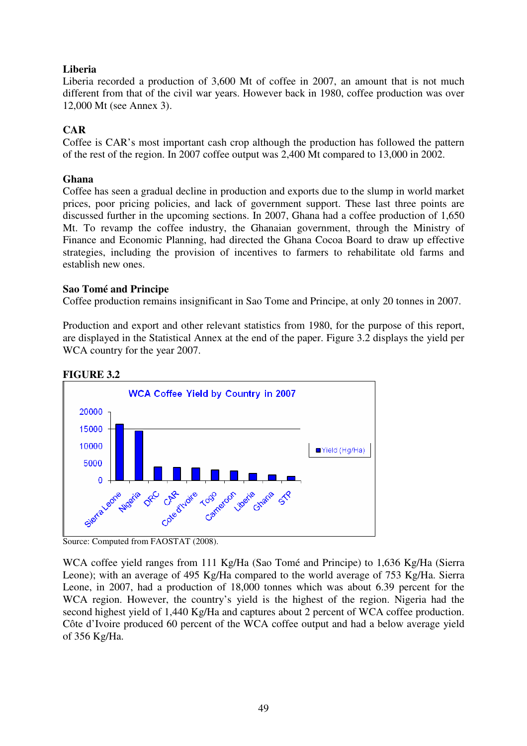# **Liberia**

Liberia recorded a production of 3,600 Mt of coffee in 2007, an amount that is not much different from that of the civil war years. However back in 1980, coffee production was over 12,000 Mt (see Annex 3).

# **CAR**

Coffee is CAR's most important cash crop although the production has followed the pattern of the rest of the region. In 2007 coffee output was 2,400 Mt compared to 13,000 in 2002.

#### **Ghana**

Coffee has seen a gradual decline in production and exports due to the slump in world market prices, poor pricing policies, and lack of government support. These last three points are discussed further in the upcoming sections. In 2007, Ghana had a coffee production of 1,650 Mt. To revamp the coffee industry, the Ghanaian government, through the Ministry of Finance and Economic Planning, had directed the Ghana Cocoa Board to draw up effective strategies, including the provision of incentives to farmers to rehabilitate old farms and establish new ones.

#### **Sao Tomé and Principe**

Coffee production remains insignificant in Sao Tome and Principe, at only 20 tonnes in 2007.

Production and export and other relevant statistics from 1980, for the purpose of this report, are displayed in the Statistical Annex at the end of the paper. Figure 3.2 displays the yield per WCA country for the year 2007.



#### **FIGURE 3.2**

WCA coffee yield ranges from 111 Kg/Ha (Sao Tomé and Principe) to 1,636 Kg/Ha (Sierra Leone); with an average of 495 Kg/Ha compared to the world average of 753 Kg/Ha. Sierra Leone, in 2007, had a production of 18,000 tonnes which was about 6.39 percent for the WCA region. However, the country's yield is the highest of the region. Nigeria had the second highest yield of 1,440 Kg/Ha and captures about 2 percent of WCA coffee production. Côte d'Ivoire produced 60 percent of the WCA coffee output and had a below average yield of 356 Kg/Ha.

Source: Computed from FAOSTAT (2008).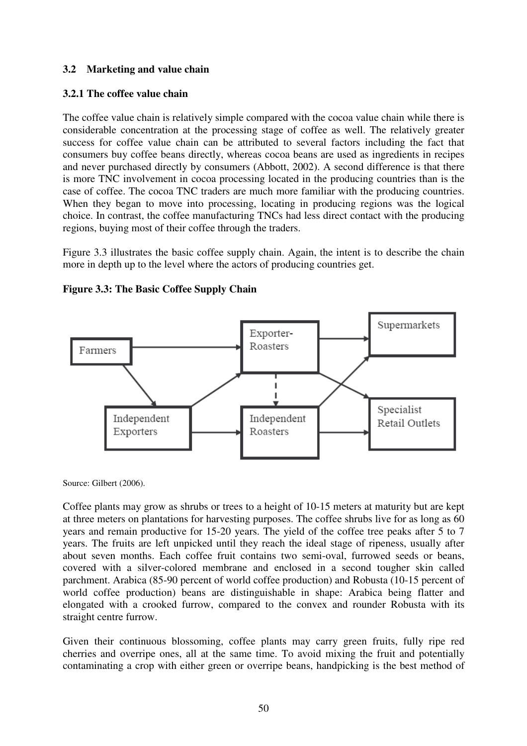# **3.2 Marketing and value chain**

# **3.2.1 The coffee value chain**

The coffee value chain is relatively simple compared with the cocoa value chain while there is considerable concentration at the processing stage of coffee as well. The relatively greater success for coffee value chain can be attributed to several factors including the fact that consumers buy coffee beans directly, whereas cocoa beans are used as ingredients in recipes and never purchased directly by consumers (Abbott, 2002). A second difference is that there is more TNC involvement in cocoa processing located in the producing countries than is the case of coffee. The cocoa TNC traders are much more familiar with the producing countries. When they began to move into processing, locating in producing regions was the logical choice. In contrast, the coffee manufacturing TNCs had less direct contact with the producing regions, buying most of their coffee through the traders.

Figure 3.3 illustrates the basic coffee supply chain. Again, the intent is to describe the chain more in depth up to the level where the actors of producing countries get.



**Figure 3.3: The Basic Coffee Supply Chain** 

Source: Gilbert (2006).

Coffee plants may grow as shrubs or trees to a height of 10-15 meters at maturity but are kept at three meters on plantations for harvesting purposes. The coffee shrubs live for as long as 60 years and remain productive for 15-20 years. The yield of the coffee tree peaks after 5 to 7 years. The fruits are left unpicked until they reach the ideal stage of ripeness, usually after about seven months. Each coffee fruit contains two semi-oval, furrowed seeds or beans, covered with a silver-colored membrane and enclosed in a second tougher skin called parchment. Arabica (85-90 percent of world coffee production) and Robusta (10-15 percent of world coffee production) beans are distinguishable in shape: Arabica being flatter and elongated with a crooked furrow, compared to the convex and rounder Robusta with its straight centre furrow.

Given their continuous blossoming, coffee plants may carry green fruits, fully ripe red cherries and overripe ones, all at the same time. To avoid mixing the fruit and potentially contaminating a crop with either green or overripe beans, handpicking is the best method of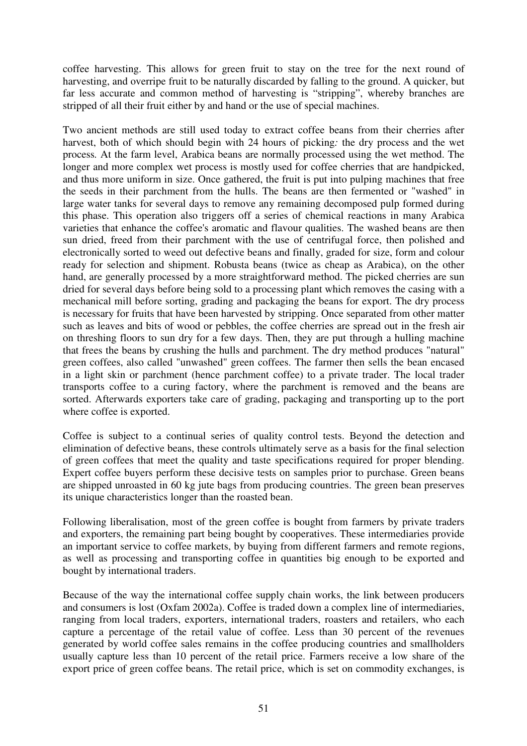coffee harvesting. This allows for green fruit to stay on the tree for the next round of harvesting, and overripe fruit to be naturally discarded by falling to the ground. A quicker, but far less accurate and common method of harvesting is "stripping", whereby branches are stripped of all their fruit either by and hand or the use of special machines.

Two ancient methods are still used today to extract coffee beans from their cherries after harvest, both of which should begin with 24 hours of picking*:* the dry process and the wet process*.* At the farm level, Arabica beans are normally processed using the wet method. The longer and more complex wet process is mostly used for coffee cherries that are handpicked, and thus more uniform in size. Once gathered, the fruit is put into pulping machines that free the seeds in their parchment from the hulls. The beans are then fermented or "washed" in large water tanks for several days to remove any remaining decomposed pulp formed during this phase. This operation also triggers off a series of chemical reactions in many Arabica varieties that enhance the coffee's aromatic and flavour qualities. The washed beans are then sun dried, freed from their parchment with the use of centrifugal force, then polished and electronically sorted to weed out defective beans and finally, graded for size, form and colour ready for selection and shipment. Robusta beans (twice as cheap as Arabica), on the other hand, are generally processed by a more straightforward method. The picked cherries are sun dried for several days before being sold to a processing plant which removes the casing with a mechanical mill before sorting, grading and packaging the beans for export. The dry process is necessary for fruits that have been harvested by stripping. Once separated from other matter such as leaves and bits of wood or pebbles, the coffee cherries are spread out in the fresh air on threshing floors to sun dry for a few days. Then, they are put through a hulling machine that frees the beans by crushing the hulls and parchment. The dry method produces "natural" green coffees, also called "unwashed" green coffees. The farmer then sells the bean encased in a light skin or parchment (hence parchment coffee) to a private trader. The local trader transports coffee to a curing factory, where the parchment is removed and the beans are sorted. Afterwards exporters take care of grading, packaging and transporting up to the port where coffee is exported.

Coffee is subject to a continual series of quality control tests. Beyond the detection and elimination of defective beans, these controls ultimately serve as a basis for the final selection of green coffees that meet the quality and taste specifications required for proper blending. Expert coffee buyers perform these decisive tests on samples prior to purchase. Green beans are shipped unroasted in 60 kg jute bags from producing countries. The green bean preserves its unique characteristics longer than the roasted bean.

Following liberalisation, most of the green coffee is bought from farmers by private traders and exporters, the remaining part being bought by cooperatives. These intermediaries provide an important service to coffee markets, by buying from different farmers and remote regions, as well as processing and transporting coffee in quantities big enough to be exported and bought by international traders.

Because of the way the international coffee supply chain works, the link between producers and consumers is lost (Oxfam 2002a). Coffee is traded down a complex line of intermediaries, ranging from local traders, exporters, international traders, roasters and retailers, who each capture a percentage of the retail value of coffee. Less than 30 percent of the revenues generated by world coffee sales remains in the coffee producing countries and smallholders usually capture less than 10 percent of the retail price. Farmers receive a low share of the export price of green coffee beans. The retail price, which is set on commodity exchanges, is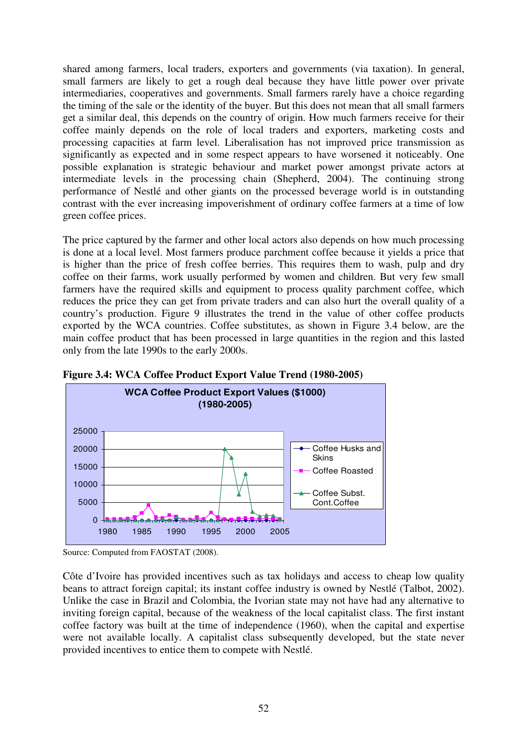shared among farmers, local traders, exporters and governments (via taxation). In general, small farmers are likely to get a rough deal because they have little power over private intermediaries, cooperatives and governments. Small farmers rarely have a choice regarding the timing of the sale or the identity of the buyer. But this does not mean that all small farmers get a similar deal, this depends on the country of origin. How much farmers receive for their coffee mainly depends on the role of local traders and exporters, marketing costs and processing capacities at farm level. Liberalisation has not improved price transmission as significantly as expected and in some respect appears to have worsened it noticeably. One possible explanation is strategic behaviour and market power amongst private actors at intermediate levels in the processing chain (Shepherd, 2004). The continuing strong performance of Nestlé and other giants on the processed beverage world is in outstanding contrast with the ever increasing impoverishment of ordinary coffee farmers at a time of low green coffee prices.

The price captured by the farmer and other local actors also depends on how much processing is done at a local level. Most farmers produce parchment coffee because it yields a price that is higher than the price of fresh coffee berries. This requires them to wash, pulp and dry coffee on their farms, work usually performed by women and children. But very few small farmers have the required skills and equipment to process quality parchment coffee, which reduces the price they can get from private traders and can also hurt the overall quality of a country's production. Figure 9 illustrates the trend in the value of other coffee products exported by the WCA countries. Coffee substitutes, as shown in Figure 3.4 below, are the main coffee product that has been processed in large quantities in the region and this lasted only from the late 1990s to the early 2000s.





Côte d'Ivoire has provided incentives such as tax holidays and access to cheap low quality beans to attract foreign capital; its instant coffee industry is owned by Nestlé (Talbot, 2002). Unlike the case in Brazil and Colombia, the Ivorian state may not have had any alternative to inviting foreign capital, because of the weakness of the local capitalist class. The first instant coffee factory was built at the time of independence (1960), when the capital and expertise were not available locally. A capitalist class subsequently developed, but the state never provided incentives to entice them to compete with Nestlé.

Source: Computed from FAOSTAT (2008).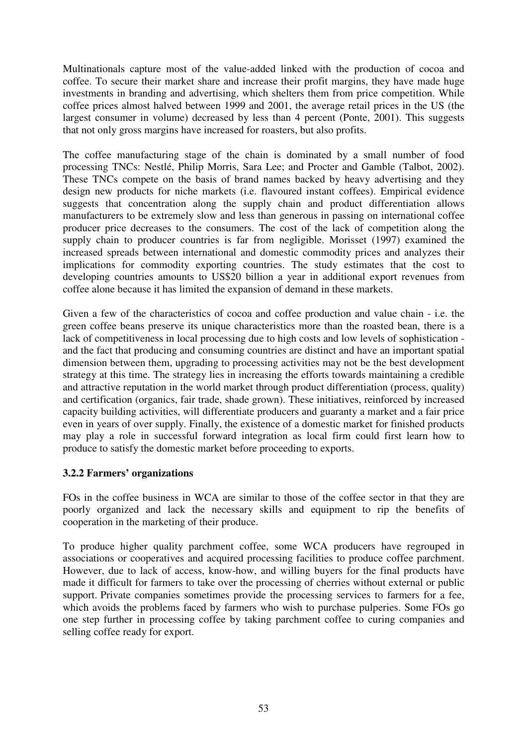Multinationals capture most of the value-added linked with the production of cocoa and coffee. To secure their market share and increase their profit margins, they have made huge investments in branding and advertising, which shelters them from price competition. While coffee prices almost halved between 1999 and 2001, the average retail prices in the US (the largest consumer in volume) decreased by less than 4 percent (Ponte, 2001). This suggests that not only gross margins have increased for roasters, but also profits.

The coffee manufacturing stage of the chain is dominated by a small number of food processing TNCs: Nestlé, Philip Morris, Sara Lee; and Procter and Gamble (Talbot, 2002). These TNCs compete on the basis of brand names backed by heavy advertising and they design new products for niche markets (i.e. flavoured instant coffees). Empirical evidence suggests that concentration along the supply chain and product differentiation allows manufacturers to be extremely slow and less than generous in passing on international coffee producer price decreases to the consumers. The cost of the lack of competition along the supply chain to producer countries is far from negligible. Morisset (1997) examined the increased spreads between international and domestic commodity prices and analyzes their implications for commodity exporting countries. The study estimates that the cost to developing countries amounts to US\$20 billion a year in additional export revenues from coffee alone because it has limited the expansion of demand in these markets.

Given a few of the characteristics of cocoa and coffee production and value chain - i.e. the green coffee beans preserve its unique characteristics more than the roasted bean, there is a lack of competitiveness in local processing due to high costs and low levels of sophistication and the fact that producing and consuming countries are distinct and have an important spatial dimension between them, upgrading to processing activities may not be the best development strategy at this time. The strategy lies in increasing the efforts towards maintaining a credible and attractive reputation in the world market through product differentiation (process, quality) and certification (organics, fair trade, shade grown). These initiatives, reinforced by increased capacity building activities, will differentiate producers and guaranty a market and a fair price even in years of over supply. Finally, the existence of a domestic market for finished products may play a role in successful forward integration as local firm could first learn how to produce to satisfy the domestic market before proceeding to exports.

## **3.2.2 Farmers' organizations**

FOs in the coffee business in WCA are similar to those of the coffee sector in that they are poorly organized and lack the necessary skills and equipment to rip the benefits of cooperation in the marketing of their produce.

To produce higher quality parchment coffee, some WCA producers have regrouped in associations or cooperatives and acquired processing facilities to produce coffee parchment. However, due to lack of access, know-how, and willing buyers for the final products have made it difficult for farmers to take over the processing of cherries without external or public support. Private companies sometimes provide the processing services to farmers for a fee, which avoids the problems faced by farmers who wish to purchase pulperies. Some FOs go one step further in processing coffee by taking parchment coffee to curing companies and selling coffee ready for export.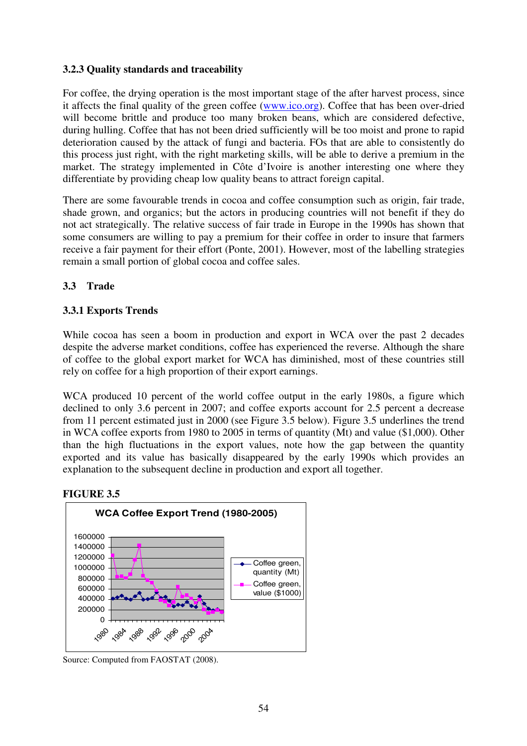# **3.2.3 Quality standards and traceability**

For coffee, the drying operation is the most important stage of the after harvest process, since it affects the final quality of the green coffee (www.ico.org). Coffee that has been over-dried will become brittle and produce too many broken beans, which are considered defective, during hulling. Coffee that has not been dried sufficiently will be too moist and prone to rapid deterioration caused by the attack of fungi and bacteria. FOs that are able to consistently do this process just right, with the right marketing skills, will be able to derive a premium in the market. The strategy implemented in Côte d'Ivoire is another interesting one where they differentiate by providing cheap low quality beans to attract foreign capital.

There are some favourable trends in cocoa and coffee consumption such as origin, fair trade, shade grown, and organics; but the actors in producing countries will not benefit if they do not act strategically. The relative success of fair trade in Europe in the 1990s has shown that some consumers are willing to pay a premium for their coffee in order to insure that farmers receive a fair payment for their effort (Ponte, 2001). However, most of the labelling strategies remain a small portion of global cocoa and coffee sales.

# **3.3 Trade**

## **3.3.1 Exports Trends**

While cocoa has seen a boom in production and export in WCA over the past 2 decades despite the adverse market conditions, coffee has experienced the reverse. Although the share of coffee to the global export market for WCA has diminished, most of these countries still rely on coffee for a high proportion of their export earnings.

WCA produced 10 percent of the world coffee output in the early 1980s, a figure which declined to only 3.6 percent in 2007; and coffee exports account for 2.5 percent a decrease from 11 percent estimated just in 2000 (see Figure 3.5 below). Figure 3.5 underlines the trend in WCA coffee exports from 1980 to 2005 in terms of quantity (Mt) and value (\$1,000). Other than the high fluctuations in the export values, note how the gap between the quantity exported and its value has basically disappeared by the early 1990s which provides an explanation to the subsequent decline in production and export all together.

#### **FIGURE 3.5**



Source: Computed from FAOSTAT (2008).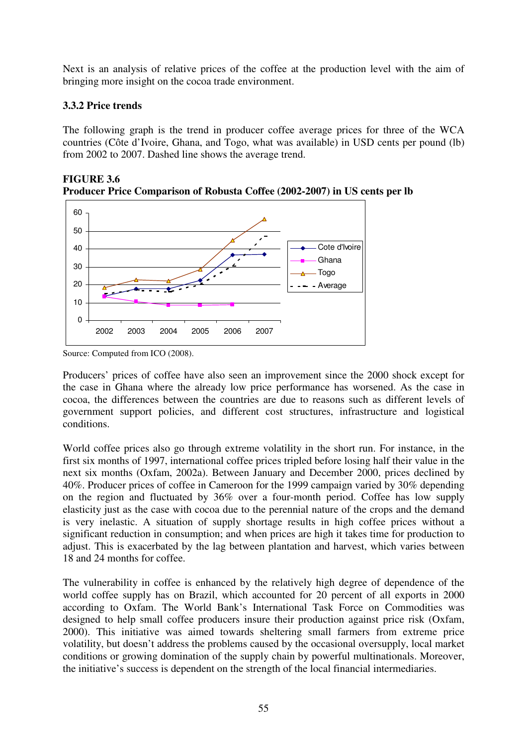Next is an analysis of relative prices of the coffee at the production level with the aim of bringing more insight on the cocoa trade environment.

## **3.3.2 Price trends**

The following graph is the trend in producer coffee average prices for three of the WCA countries (Côte d'Ivoire, Ghana, and Togo, what was available) in USD cents per pound (lb) from 2002 to 2007. Dashed line shows the average trend.



**FIGURE 3.6 Producer Price Comparison of Robusta Coffee (2002-2007) in US cents per lb** 

Producers' prices of coffee have also seen an improvement since the 2000 shock except for the case in Ghana where the already low price performance has worsened. As the case in cocoa, the differences between the countries are due to reasons such as different levels of government support policies, and different cost structures, infrastructure and logistical conditions.

World coffee prices also go through extreme volatility in the short run. For instance, in the first six months of 1997, international coffee prices tripled before losing half their value in the next six months (Oxfam, 2002a). Between January and December 2000, prices declined by 40%. Producer prices of coffee in Cameroon for the 1999 campaign varied by 30% depending on the region and fluctuated by 36% over a four-month period. Coffee has low supply elasticity just as the case with cocoa due to the perennial nature of the crops and the demand is very inelastic. A situation of supply shortage results in high coffee prices without a significant reduction in consumption; and when prices are high it takes time for production to adjust. This is exacerbated by the lag between plantation and harvest, which varies between 18 and 24 months for coffee.

The vulnerability in coffee is enhanced by the relatively high degree of dependence of the world coffee supply has on Brazil, which accounted for 20 percent of all exports in 2000 according to Oxfam. The World Bank's International Task Force on Commodities was designed to help small coffee producers insure their production against price risk (Oxfam, 2000). This initiative was aimed towards sheltering small farmers from extreme price volatility, but doesn't address the problems caused by the occasional oversupply, local market conditions or growing domination of the supply chain by powerful multinationals. Moreover, the initiative's success is dependent on the strength of the local financial intermediaries.

Source: Computed from ICO (2008).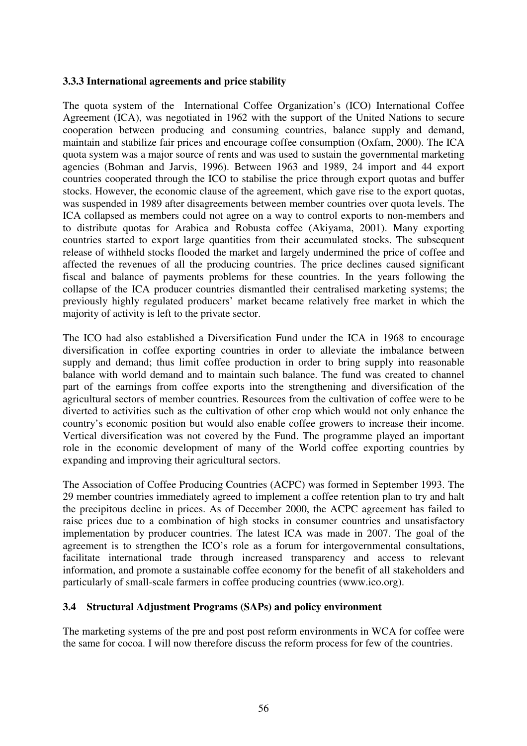#### **3.3.3 International agreements and price stability**

The quota system of the International Coffee Organization's (ICO) International Coffee Agreement (ICA), was negotiated in 1962 with the support of the United Nations to secure cooperation between producing and consuming countries, balance supply and demand, maintain and stabilize fair prices and encourage coffee consumption (Oxfam, 2000). The ICA quota system was a major source of rents and was used to sustain the governmental marketing agencies (Bohman and Jarvis, 1996). Between 1963 and 1989, 24 import and 44 export countries cooperated through the ICO to stabilise the price through export quotas and buffer stocks. However, the economic clause of the agreement, which gave rise to the export quotas, was suspended in 1989 after disagreements between member countries over quota levels. The ICA collapsed as members could not agree on a way to control exports to non-members and to distribute quotas for Arabica and Robusta coffee (Akiyama, 2001). Many exporting countries started to export large quantities from their accumulated stocks. The subsequent release of withheld stocks flooded the market and largely undermined the price of coffee and affected the revenues of all the producing countries. The price declines caused significant fiscal and balance of payments problems for these countries. In the years following the collapse of the ICA producer countries dismantled their centralised marketing systems; the previously highly regulated producers' market became relatively free market in which the majority of activity is left to the private sector.

The ICO had also established a Diversification Fund under the ICA in 1968 to encourage diversification in coffee exporting countries in order to alleviate the imbalance between supply and demand; thus limit coffee production in order to bring supply into reasonable balance with world demand and to maintain such balance. The fund was created to channel part of the earnings from coffee exports into the strengthening and diversification of the agricultural sectors of member countries. Resources from the cultivation of coffee were to be diverted to activities such as the cultivation of other crop which would not only enhance the country's economic position but would also enable coffee growers to increase their income. Vertical diversification was not covered by the Fund. The programme played an important role in the economic development of many of the World coffee exporting countries by expanding and improving their agricultural sectors.

The Association of Coffee Producing Countries (ACPC) was formed in September 1993. The 29 member countries immediately agreed to implement a coffee retention plan to try and halt the precipitous decline in prices. As of December 2000, the ACPC agreement has failed to raise prices due to a combination of high stocks in consumer countries and unsatisfactory implementation by producer countries. The latest ICA was made in 2007. The goal of the agreement is to strengthen the ICO's role as a forum for intergovernmental consultations, facilitate international trade through increased transparency and access to relevant information, and promote a sustainable coffee economy for the benefit of all stakeholders and particularly of small-scale farmers in coffee producing countries (www.ico.org).

## **3.4 Structural Adjustment Programs (SAPs) and policy environment**

The marketing systems of the pre and post post reform environments in WCA for coffee were the same for cocoa. I will now therefore discuss the reform process for few of the countries.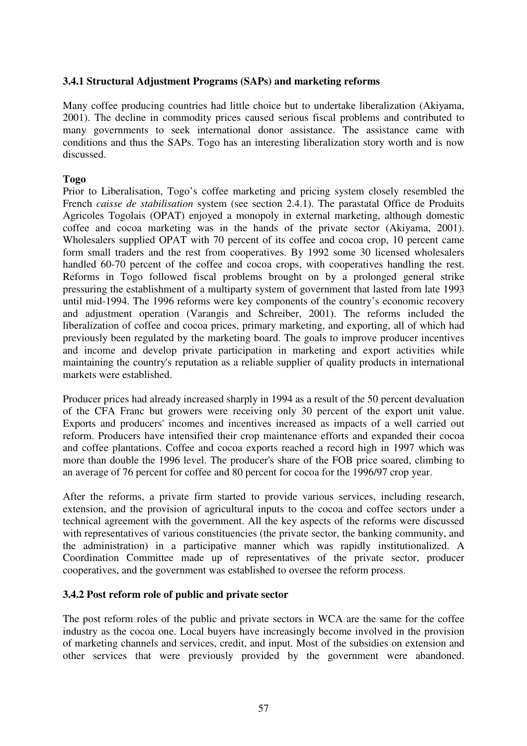#### **3.4.1 Structural Adjustment Programs (SAPs) and marketing reforms**

Many coffee producing countries had little choice but to undertake liberalization (Akiyama, 2001). The decline in commodity prices caused serious fiscal problems and contributed to many governments to seek international donor assistance. The assistance came with conditions and thus the SAPs. Togo has an interesting liberalization story worth and is now discussed.

#### **Togo**

Prior to Liberalisation, Togo's coffee marketing and pricing system closely resembled the French *caisse de stabilisation* system (see section 2.4.1). The parastatal Office de Produits Agricoles Togolais (OPAT) enjoyed a monopoly in external marketing, although domestic coffee and cocoa marketing was in the hands of the private sector (Akiyama, 2001). Wholesalers supplied OPAT with 70 percent of its coffee and cocoa crop, 10 percent came form small traders and the rest from cooperatives. By 1992 some 30 licensed wholesalers handled 60-70 percent of the coffee and cocoa crops, with cooperatives handling the rest. Reforms in Togo followed fiscal problems brought on by a prolonged general strike pressuring the establishment of a multiparty system of government that lasted from late 1993 until mid-1994. The 1996 reforms were key components of the country's economic recovery and adjustment operation (Varangis and Schreiber, 2001). The reforms included the liberalization of coffee and cocoa prices, primary marketing, and exporting, all of which had previously been regulated by the marketing board. The goals to improve producer incentives and income and develop private participation in marketing and export activities while maintaining the country's reputation as a reliable supplier of quality products in international markets were established.

Producer prices had already increased sharply in 1994 as a result of the 50 percent devaluation of the CFA Franc but growers were receiving only 30 percent of the export unit value. Exports and producers' incomes and incentives increased as impacts of a well carried out reform. Producers have intensified their crop maintenance efforts and expanded their cocoa and coffee plantations. Coffee and cocoa exports reached a record high in 1997 which was more than double the 1996 level. The producer's share of the FOB price soared, climbing to an average of 76 percent for coffee and 80 percent for cocoa for the 1996/97 crop year.

After the reforms, a private firm started to provide various services, including research, extension, and the provision of agricultural inputs to the cocoa and coffee sectors under a technical agreement with the government. All the key aspects of the reforms were discussed with representatives of various constituencies (the private sector, the banking community, and the administration) in a participative manner which was rapidly institutionalized. A Coordination Committee made up of representatives of the private sector, producer cooperatives, and the government was established to oversee the reform process.

#### **3.4.2 Post reform role of public and private sector**

The post reform roles of the public and private sectors in WCA are the same for the coffee industry as the cocoa one. Local buyers have increasingly become involved in the provision of marketing channels and services, credit, and input. Most of the subsidies on extension and other services that were previously provided by the government were abandoned.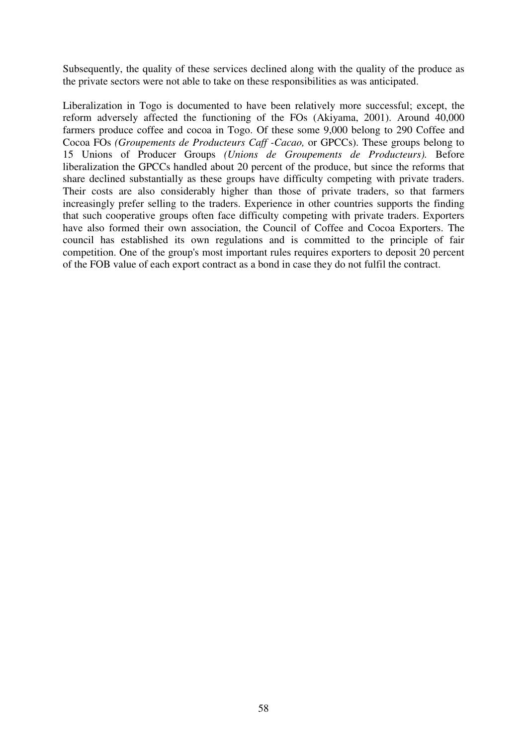Subsequently, the quality of these services declined along with the quality of the produce as the private sectors were not able to take on these responsibilities as was anticipated.

Liberalization in Togo is documented to have been relatively more successful; except, the reform adversely affected the functioning of the FOs (Akiyama, 2001). Around 40,000 farmers produce coffee and cocoa in Togo. Of these some 9,000 belong to 290 Coffee and Cocoa FOs *(Groupements de Producteurs Caff -Cacao,* or GPCCs). These groups belong to 15 Unions of Producer Groups *(Unions de Groupements de Producteurs).* Before liberalization the GPCCs handled about 20 percent of the produce, but since the reforms that share declined substantially as these groups have difficulty competing with private traders. Their costs are also considerably higher than those of private traders, so that farmers increasingly prefer selling to the traders. Experience in other countries supports the finding that such cooperative groups often face difficulty competing with private traders. Exporters have also formed their own association, the Council of Coffee and Cocoa Exporters. The council has established its own regulations and is committed to the principle of fair competition. One of the group's most important rules requires exporters to deposit 20 percent of the FOB value of each export contract as a bond in case they do not fulfil the contract.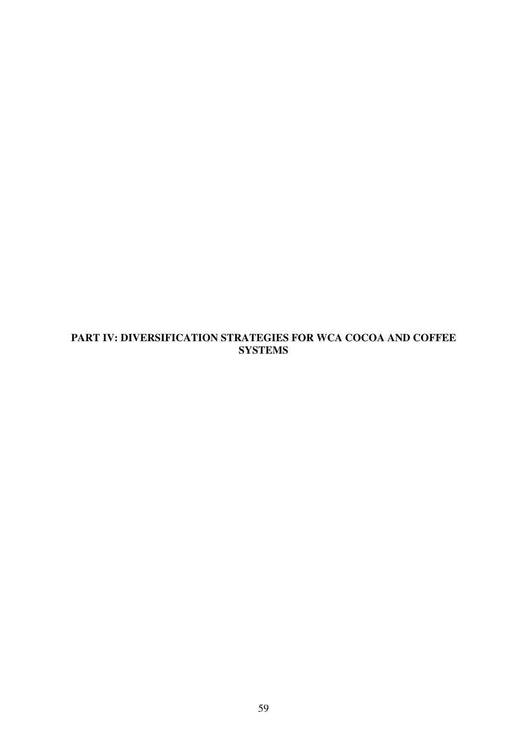# **PART IV: DIVERSIFICATION STRATEGIES FOR WCA COCOA AND COFFEE SYSTEMS**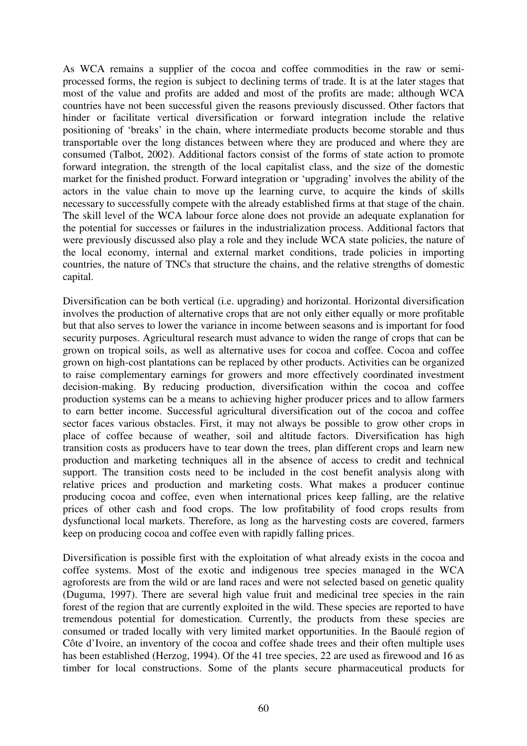As WCA remains a supplier of the cocoa and coffee commodities in the raw or semiprocessed forms, the region is subject to declining terms of trade. It is at the later stages that most of the value and profits are added and most of the profits are made; although WCA countries have not been successful given the reasons previously discussed. Other factors that hinder or facilitate vertical diversification or forward integration include the relative positioning of 'breaks' in the chain, where intermediate products become storable and thus transportable over the long distances between where they are produced and where they are consumed (Talbot, 2002). Additional factors consist of the forms of state action to promote forward integration, the strength of the local capitalist class, and the size of the domestic market for the finished product. Forward integration or 'upgrading' involves the ability of the actors in the value chain to move up the learning curve, to acquire the kinds of skills necessary to successfully compete with the already established firms at that stage of the chain. The skill level of the WCA labour force alone does not provide an adequate explanation for the potential for successes or failures in the industrialization process. Additional factors that were previously discussed also play a role and they include WCA state policies, the nature of the local economy, internal and external market conditions, trade policies in importing countries, the nature of TNCs that structure the chains, and the relative strengths of domestic capital.

Diversification can be both vertical (i.e. upgrading) and horizontal. Horizontal diversification involves the production of alternative crops that are not only either equally or more profitable but that also serves to lower the variance in income between seasons and is important for food security purposes. Agricultural research must advance to widen the range of crops that can be grown on tropical soils, as well as alternative uses for cocoa and coffee. Cocoa and coffee grown on high-cost plantations can be replaced by other products. Activities can be organized to raise complementary earnings for growers and more effectively coordinated investment decision-making. By reducing production, diversification within the cocoa and coffee production systems can be a means to achieving higher producer prices and to allow farmers to earn better income. Successful agricultural diversification out of the cocoa and coffee sector faces various obstacles. First, it may not always be possible to grow other crops in place of coffee because of weather, soil and altitude factors. Diversification has high transition costs as producers have to tear down the trees, plan different crops and learn new production and marketing techniques all in the absence of access to credit and technical support. The transition costs need to be included in the cost benefit analysis along with relative prices and production and marketing costs. What makes a producer continue producing cocoa and coffee, even when international prices keep falling, are the relative prices of other cash and food crops. The low profitability of food crops results from dysfunctional local markets. Therefore, as long as the harvesting costs are covered, farmers keep on producing cocoa and coffee even with rapidly falling prices.

Diversification is possible first with the exploitation of what already exists in the cocoa and coffee systems. Most of the exotic and indigenous tree species managed in the WCA agroforests are from the wild or are land races and were not selected based on genetic quality (Duguma, 1997). There are several high value fruit and medicinal tree species in the rain forest of the region that are currently exploited in the wild. These species are reported to have tremendous potential for domestication. Currently, the products from these species are consumed or traded locally with very limited market opportunities. In the Baoulé region of Côte d'Ivoire, an inventory of the cocoa and coffee shade trees and their often multiple uses has been established (Herzog, 1994). Of the 41 tree species, 22 are used as firewood and 16 as timber for local constructions. Some of the plants secure pharmaceutical products for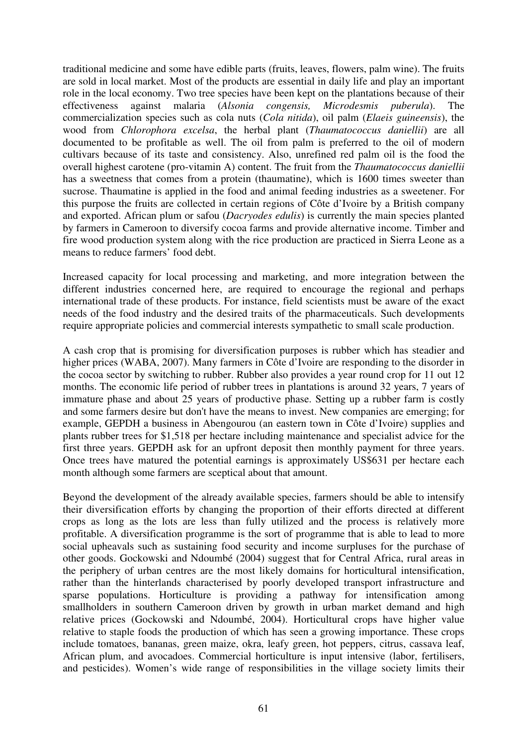traditional medicine and some have edible parts (fruits, leaves, flowers, palm wine). The fruits are sold in local market. Most of the products are essential in daily life and play an important role in the local economy. Two tree species have been kept on the plantations because of their effectiveness against malaria (*Alsonia congensis, Microdesmis puberula*). The commercialization species such as cola nuts (*Cola nitida*), oil palm (*Elaeis guineensis*), the wood from *Chlorophora excelsa*, the herbal plant (*Thaumatococcus daniellii*) are all documented to be profitable as well. The oil from palm is preferred to the oil of modern cultivars because of its taste and consistency. Also, unrefined red palm oil is the food the overall highest carotene (pro-vitamin A) content. The fruit from the *Thaumatococcus daniellii*  has a sweetness that comes from a protein (thaumatine), which is 1600 times sweeter than sucrose. Thaumatine is applied in the food and animal feeding industries as a sweetener. For this purpose the fruits are collected in certain regions of Côte d'Ivoire by a British company and exported. African plum or safou (*Dacryodes edulis*) is currently the main species planted by farmers in Cameroon to diversify cocoa farms and provide alternative income. Timber and fire wood production system along with the rice production are practiced in Sierra Leone as a means to reduce farmers' food debt.

Increased capacity for local processing and marketing, and more integration between the different industries concerned here, are required to encourage the regional and perhaps international trade of these products. For instance, field scientists must be aware of the exact needs of the food industry and the desired traits of the pharmaceuticals. Such developments require appropriate policies and commercial interests sympathetic to small scale production.

A cash crop that is promising for diversification purposes is rubber which has steadier and higher prices (WABA, 2007). Many farmers in Côte d'Ivoire are responding to the disorder in the cocoa sector by switching to rubber. Rubber also provides a year round crop for 11 out 12 months. The economic life period of rubber trees in plantations is around 32 years, 7 years of immature phase and about 25 years of productive phase. Setting up a rubber farm is costly and some farmers desire but don't have the means to invest. New companies are emerging; for example, GEPDH a business in Abengourou (an eastern town in Côte d'Ivoire) supplies and plants rubber trees for \$1,518 per hectare including maintenance and specialist advice for the first three years. GEPDH ask for an upfront deposit then monthly payment for three years. Once trees have matured the potential earnings is approximately US\$631 per hectare each month although some farmers are sceptical about that amount.

Beyond the development of the already available species, farmers should be able to intensify their diversification efforts by changing the proportion of their efforts directed at different crops as long as the lots are less than fully utilized and the process is relatively more profitable. A diversification programme is the sort of programme that is able to lead to more social upheavals such as sustaining food security and income surpluses for the purchase of other goods. Gockowski and Ndoumbé (2004) suggest that for Central Africa, rural areas in the periphery of urban centres are the most likely domains for horticultural intensification, rather than the hinterlands characterised by poorly developed transport infrastructure and sparse populations. Horticulture is providing a pathway for intensification among smallholders in southern Cameroon driven by growth in urban market demand and high relative prices (Gockowski and Ndoumbé, 2004). Horticultural crops have higher value relative to staple foods the production of which has seen a growing importance. These crops include tomatoes, bananas, green maize, okra, leafy green, hot peppers, citrus, cassava leaf, African plum, and avocadoes. Commercial horticulture is input intensive (labor, fertilisers, and pesticides). Women's wide range of responsibilities in the village society limits their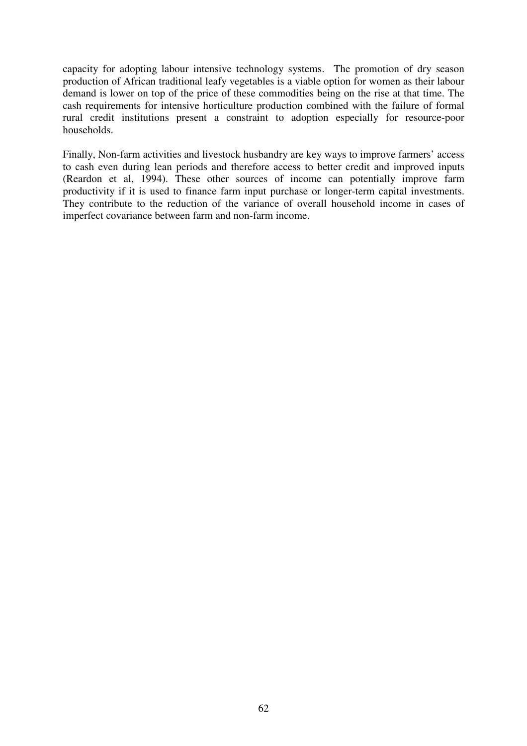capacity for adopting labour intensive technology systems. The promotion of dry season production of African traditional leafy vegetables is a viable option for women as their labour demand is lower on top of the price of these commodities being on the rise at that time. The cash requirements for intensive horticulture production combined with the failure of formal rural credit institutions present a constraint to adoption especially for resource-poor households.

Finally, Non-farm activities and livestock husbandry are key ways to improve farmers' access to cash even during lean periods and therefore access to better credit and improved inputs (Reardon et al, 1994). These other sources of income can potentially improve farm productivity if it is used to finance farm input purchase or longer-term capital investments. They contribute to the reduction of the variance of overall household income in cases of imperfect covariance between farm and non-farm income.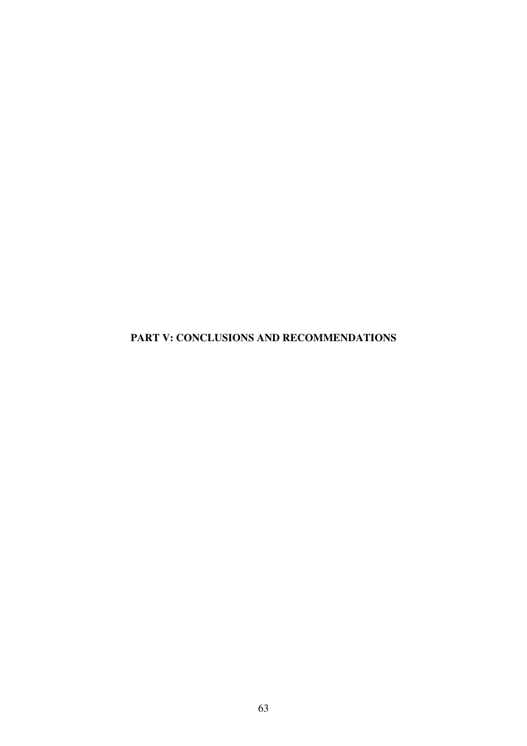**PART V: CONCLUSIONS AND RECOMMENDATIONS**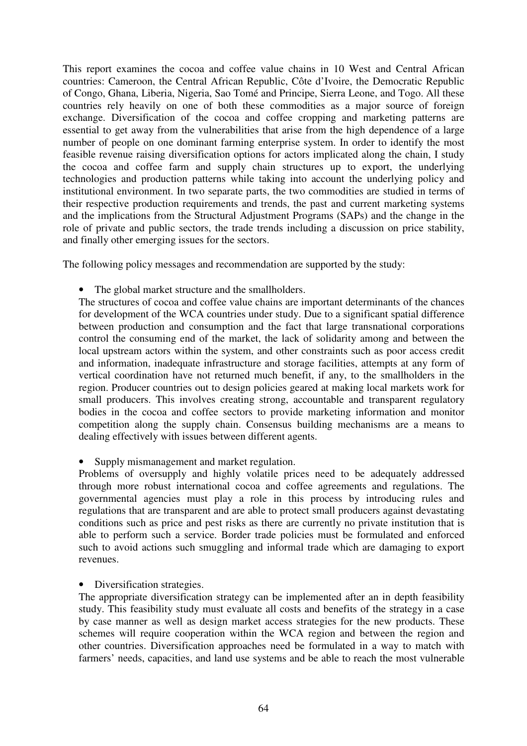This report examines the cocoa and coffee value chains in 10 West and Central African countries: Cameroon, the Central African Republic, Côte d'Ivoire, the Democratic Republic of Congo, Ghana, Liberia, Nigeria, Sao Tomé and Principe, Sierra Leone, and Togo. All these countries rely heavily on one of both these commodities as a major source of foreign exchange. Diversification of the cocoa and coffee cropping and marketing patterns are essential to get away from the vulnerabilities that arise from the high dependence of a large number of people on one dominant farming enterprise system. In order to identify the most feasible revenue raising diversification options for actors implicated along the chain, I study the cocoa and coffee farm and supply chain structures up to export, the underlying technologies and production patterns while taking into account the underlying policy and institutional environment. In two separate parts, the two commodities are studied in terms of their respective production requirements and trends, the past and current marketing systems and the implications from the Structural Adjustment Programs (SAPs) and the change in the role of private and public sectors, the trade trends including a discussion on price stability, and finally other emerging issues for the sectors.

The following policy messages and recommendation are supported by the study:

• The global market structure and the smallholders.

The structures of cocoa and coffee value chains are important determinants of the chances for development of the WCA countries under study. Due to a significant spatial difference between production and consumption and the fact that large transnational corporations control the consuming end of the market, the lack of solidarity among and between the local upstream actors within the system, and other constraints such as poor access credit and information, inadequate infrastructure and storage facilities, attempts at any form of vertical coordination have not returned much benefit, if any, to the smallholders in the region. Producer countries out to design policies geared at making local markets work for small producers. This involves creating strong, accountable and transparent regulatory bodies in the cocoa and coffee sectors to provide marketing information and monitor competition along the supply chain. Consensus building mechanisms are a means to dealing effectively with issues between different agents.

Supply mismanagement and market regulation.

Problems of oversupply and highly volatile prices need to be adequately addressed through more robust international cocoa and coffee agreements and regulations. The governmental agencies must play a role in this process by introducing rules and regulations that are transparent and are able to protect small producers against devastating conditions such as price and pest risks as there are currently no private institution that is able to perform such a service. Border trade policies must be formulated and enforced such to avoid actions such smuggling and informal trade which are damaging to export revenues.

• Diversification strategies.

The appropriate diversification strategy can be implemented after an in depth feasibility study. This feasibility study must evaluate all costs and benefits of the strategy in a case by case manner as well as design market access strategies for the new products. These schemes will require cooperation within the WCA region and between the region and other countries. Diversification approaches need be formulated in a way to match with farmers' needs, capacities, and land use systems and be able to reach the most vulnerable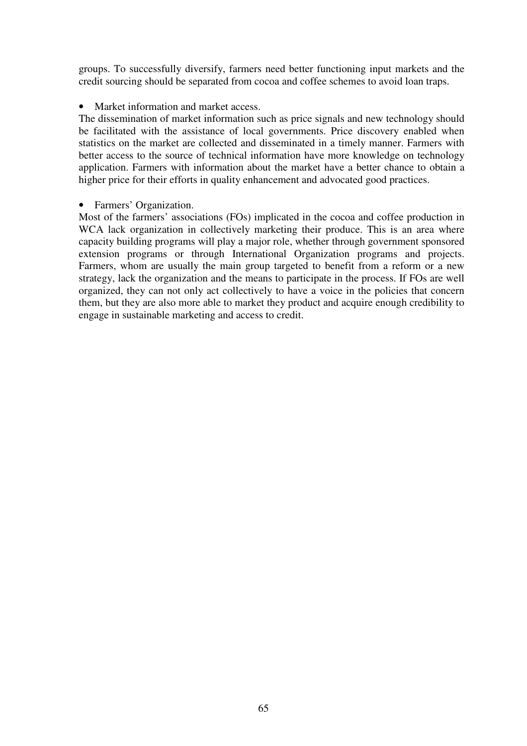groups. To successfully diversify, farmers need better functioning input markets and the credit sourcing should be separated from cocoa and coffee schemes to avoid loan traps.

• Market information and market access.

The dissemination of market information such as price signals and new technology should be facilitated with the assistance of local governments. Price discovery enabled when statistics on the market are collected and disseminated in a timely manner. Farmers with better access to the source of technical information have more knowledge on technology application. Farmers with information about the market have a better chance to obtain a higher price for their efforts in quality enhancement and advocated good practices.

• Farmers' Organization.

Most of the farmers' associations (FOs) implicated in the cocoa and coffee production in WCA lack organization in collectively marketing their produce. This is an area where capacity building programs will play a major role, whether through government sponsored extension programs or through International Organization programs and projects. Farmers, whom are usually the main group targeted to benefit from a reform or a new strategy, lack the organization and the means to participate in the process. If FOs are well organized, they can not only act collectively to have a voice in the policies that concern them, but they are also more able to market they product and acquire enough credibility to engage in sustainable marketing and access to credit.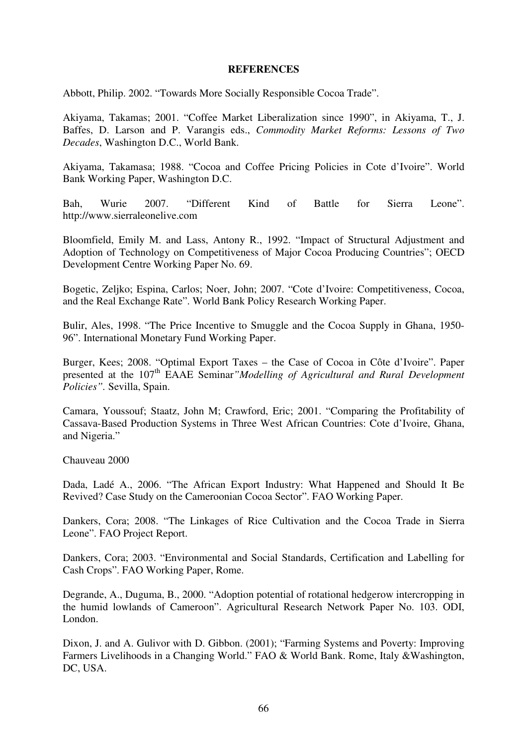#### **REFERENCES**

Abbott, Philip. 2002. "Towards More Socially Responsible Cocoa Trade".

Akiyama, Takamas; 2001. "Coffee Market Liberalization since 1990", in Akiyama, T., J. Baffes, D. Larson and P. Varangis eds., *Commodity Market Reforms: Lessons of Two Decades*, Washington D.C., World Bank.

Akiyama, Takamasa; 1988. "Cocoa and Coffee Pricing Policies in Cote d'Ivoire". World Bank Working Paper, Washington D.C.

Bah, Wurie 2007. "Different Kind of Battle for Sierra Leone". http://www.sierraleonelive.com

Bloomfield, Emily M. and Lass, Antony R., 1992. "Impact of Structural Adjustment and Adoption of Technology on Competitiveness of Major Cocoa Producing Countries"; OECD Development Centre Working Paper No. 69.

Bogetic, Zeljko; Espina, Carlos; Noer, John; 2007. "Cote d'Ivoire: Competitiveness, Cocoa, and the Real Exchange Rate". World Bank Policy Research Working Paper.

Bulir, Ales, 1998. "The Price Incentive to Smuggle and the Cocoa Supply in Ghana, 1950- 96". International Monetary Fund Working Paper.

Burger, Kees; 2008. "Optimal Export Taxes – the Case of Cocoa in Côte d'Ivoire". Paper presented at the 107<sup>th</sup> EAAE Seminar*"Modelling of Agricultural and Rural Development Policies".* Sevilla, Spain.

Camara, Youssouf; Staatz, John M; Crawford, Eric; 2001. "Comparing the Profitability of Cassava-Based Production Systems in Three West African Countries: Cote d'Ivoire, Ghana, and Nigeria."

Chauveau 2000

Dada, Ladé A., 2006. "The African Export Industry: What Happened and Should It Be Revived? Case Study on the Cameroonian Cocoa Sector". FAO Working Paper.

Dankers, Cora; 2008. "The Linkages of Rice Cultivation and the Cocoa Trade in Sierra Leone". FAO Project Report.

Dankers, Cora; 2003. "Environmental and Social Standards, Certification and Labelling for Cash Crops". FAO Working Paper, Rome.

Degrande, A., Duguma, B., 2000. "Adoption potential of rotational hedgerow intercropping in the humid lowlands of Cameroon". Agricultural Research Network Paper No. 103. ODI, London.

Dixon, J. and A. Gulivor with D. Gibbon. (2001); "Farming Systems and Poverty: Improving Farmers Livelihoods in a Changing World." FAO & World Bank. Rome, Italy &Washington, DC, USA.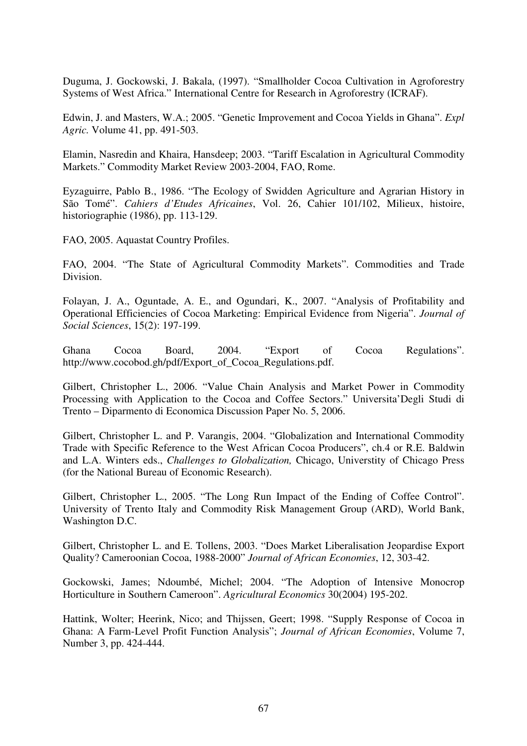Duguma, J. Gockowski, J. Bakala, (1997). "Smallholder Cocoa Cultivation in Agroforestry Systems of West Africa." International Centre for Research in Agroforestry (ICRAF).

Edwin, J. and Masters, W.A.; 2005. "Genetic Improvement and Cocoa Yields in Ghana". *Expl Agric.* Volume 41, pp. 491-503.

Elamin, Nasredin and Khaira, Hansdeep; 2003. "Tariff Escalation in Agricultural Commodity Markets." Commodity Market Review 2003-2004, FAO, Rome.

Eyzaguirre, Pablo B., 1986. "The Ecology of Swidden Agriculture and Agrarian History in São Tomé". *Cahiers d'Etudes Africaines*, Vol. 26, Cahier 101/102, Milieux, histoire, historiographie (1986), pp. 113-129.

FAO, 2005. Aquastat Country Profiles.

FAO, 2004. "The State of Agricultural Commodity Markets". Commodities and Trade Division.

Folayan, J. A., Oguntade, A. E., and Ogundari, K., 2007. "Analysis of Profitability and Operational Efficiencies of Cocoa Marketing: Empirical Evidence from Nigeria". *Journal of Social Sciences*, 15(2): 197-199.

Ghana Cocoa Board, 2004. "Export of Cocoa Regulations". http://www.cocobod.gh/pdf/Export\_of\_Cocoa\_Regulations.pdf.

Gilbert, Christopher L., 2006. "Value Chain Analysis and Market Power in Commodity Processing with Application to the Cocoa and Coffee Sectors." Universita'Degli Studi di Trento – Diparmento di Economica Discussion Paper No. 5, 2006.

Gilbert, Christopher L. and P. Varangis, 2004. "Globalization and International Commodity Trade with Specific Reference to the West African Cocoa Producers", ch.4 or R.E. Baldwin and L.A. Winters eds., *Challenges to Globalization,* Chicago, Universtity of Chicago Press (for the National Bureau of Economic Research).

Gilbert, Christopher L., 2005. "The Long Run Impact of the Ending of Coffee Control". University of Trento Italy and Commodity Risk Management Group (ARD), World Bank, Washington D.C.

Gilbert, Christopher L. and E. Tollens, 2003. "Does Market Liberalisation Jeopardise Export Quality? Cameroonian Cocoa, 1988-2000" *Journal of African Economies*, 12, 303-42.

Gockowski, James; Ndoumbé, Michel; 2004. "The Adoption of Intensive Monocrop Horticulture in Southern Cameroon". *Agricultural Economics* 30(2004) 195-202.

Hattink, Wolter; Heerink, Nico; and Thijssen, Geert; 1998. "Supply Response of Cocoa in Ghana: A Farm-Level Profit Function Analysis"; *Journal of African Economies*, Volume 7, Number 3, pp. 424-444.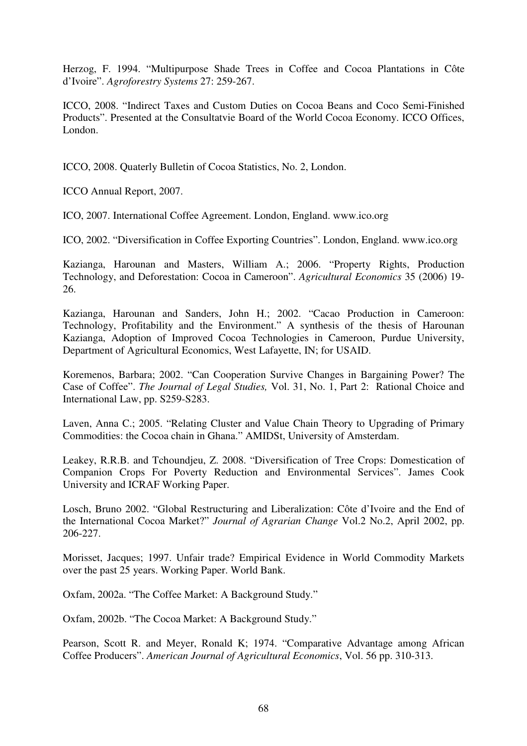Herzog, F. 1994. "Multipurpose Shade Trees in Coffee and Cocoa Plantations in Côte d'Ivoire". *Agroforestry Systems* 27: 259-267.

ICCO, 2008. "Indirect Taxes and Custom Duties on Cocoa Beans and Coco Semi-Finished Products". Presented at the Consultatvie Board of the World Cocoa Economy. ICCO Offices, London.

ICCO, 2008. Quaterly Bulletin of Cocoa Statistics, No. 2, London.

ICCO Annual Report, 2007.

ICO, 2007. International Coffee Agreement. London, England. www.ico.org

ICO, 2002. "Diversification in Coffee Exporting Countries". London, England. www.ico.org

Kazianga, Harounan and Masters, William A.; 2006. "Property Rights, Production Technology, and Deforestation: Cocoa in Cameroon". *Agricultural Economics* 35 (2006) 19- 26.

Kazianga, Harounan and Sanders, John H.; 2002. "Cacao Production in Cameroon: Technology, Profitability and the Environment." A synthesis of the thesis of Harounan Kazianga, Adoption of Improved Cocoa Technologies in Cameroon, Purdue University, Department of Agricultural Economics, West Lafayette, IN; for USAID.

Koremenos, Barbara; 2002. "Can Cooperation Survive Changes in Bargaining Power? The Case of Coffee". *The Journal of Legal Studies,* Vol. 31, No. 1, Part 2: Rational Choice and International Law, pp. S259-S283.

Laven, Anna C.; 2005. "Relating Cluster and Value Chain Theory to Upgrading of Primary Commodities: the Cocoa chain in Ghana." AMIDSt, University of Amsterdam.

Leakey, R.R.B. and Tchoundjeu, Z. 2008. "Diversification of Tree Crops: Domestication of Companion Crops For Poverty Reduction and Environmental Services". James Cook University and ICRAF Working Paper.

Losch, Bruno 2002. "Global Restructuring and Liberalization: Côte d'Ivoire and the End of the International Cocoa Market?" *Journal of Agrarian Change* Vol.2 No.2, April 2002, pp. 206-227.

Morisset, Jacques; 1997. Unfair trade? Empirical Evidence in World Commodity Markets over the past 25 years. Working Paper. World Bank.

Oxfam, 2002a. "The Coffee Market: A Background Study."

Oxfam, 2002b. "The Cocoa Market: A Background Study."

Pearson, Scott R. and Meyer, Ronald K; 1974. "Comparative Advantage among African Coffee Producers". *American Journal of Agricultural Economics*, Vol. 56 pp. 310-313.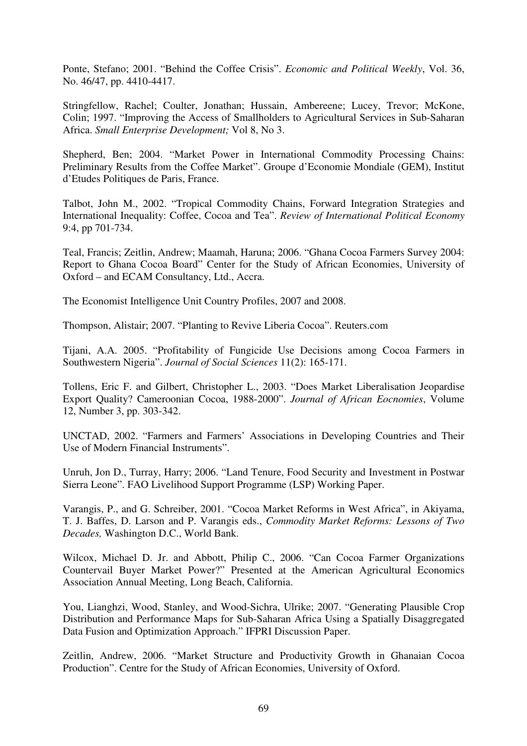Ponte, Stefano; 2001. "Behind the Coffee Crisis". *Economic and Political Weekly*, Vol. 36, No. 46/47, pp. 4410-4417.

Stringfellow, Rachel; Coulter, Jonathan; Hussain, Ambereene; Lucey, Trevor; McKone, Colin; 1997. "Improving the Access of Smallholders to Agricultural Services in Sub-Saharan Africa. *Small Enterprise Development;* Vol 8, No 3.

Shepherd, Ben; 2004. "Market Power in International Commodity Processing Chains: Preliminary Results from the Coffee Market". Groupe d'Economie Mondiale (GEM), Institut d'Etudes Politiques de Paris, France.

Talbot, John M., 2002. "Tropical Commodity Chains, Forward Integration Strategies and International Inequality: Coffee, Cocoa and Tea". *Review of International Political Economy*  9:4, pp 701-734.

Teal, Francis; Zeitlin, Andrew; Maamah, Haruna; 2006. "Ghana Cocoa Farmers Survey 2004: Report to Ghana Cocoa Board" Center for the Study of African Economies, University of Oxford – and ECAM Consultancy, Ltd., Accra.

The Economist Intelligence Unit Country Profiles, 2007 and 2008.

Thompson, Alistair; 2007. "Planting to Revive Liberia Cocoa". Reuters.com

Tijani, A.A. 2005. "Profitability of Fungicide Use Decisions among Cocoa Farmers in Southwestern Nigeria". *Journal of Social Sciences* 11(2): 165-171.

Tollens, Eric F. and Gilbert, Christopher L., 2003. "Does Market Liberalisation Jeopardise Export Quality? Cameroonian Cocoa, 1988-2000". *Journal of African Eocnomies*, Volume 12, Number 3, pp. 303-342.

UNCTAD, 2002. "Farmers and Farmers' Associations in Developing Countries and Their Use of Modern Financial Instruments".

Unruh, Jon D., Turray, Harry; 2006. "Land Tenure, Food Security and Investment in Postwar Sierra Leone". FAO Livelihood Support Programme (LSP) Working Paper.

Varangis, P., and G. Schreiber, 2001. "Cocoa Market Reforms in West Africa", in Akiyama, T. J. Baffes, D. Larson and P. Varangis eds., *Commodity Market Reforms: Lessons of Two Decades,* Washington D.C., World Bank.

Wilcox, Michael D. Jr. and Abbott, Philip C., 2006. "Can Cocoa Farmer Organizations Countervail Buyer Market Power?" Presented at the American Agricultural Economics Association Annual Meeting, Long Beach, California.

You, Lianghzi, Wood, Stanley, and Wood-Sichra, Ulrike; 2007. "Generating Plausible Crop Distribution and Performance Maps for Sub-Saharan Africa Using a Spatially Disaggregated Data Fusion and Optimization Approach." IFPRI Discussion Paper.

Zeitlin, Andrew, 2006. "Market Structure and Productivity Growth in Ghanaian Cocoa Production". Centre for the Study of African Economies, University of Oxford.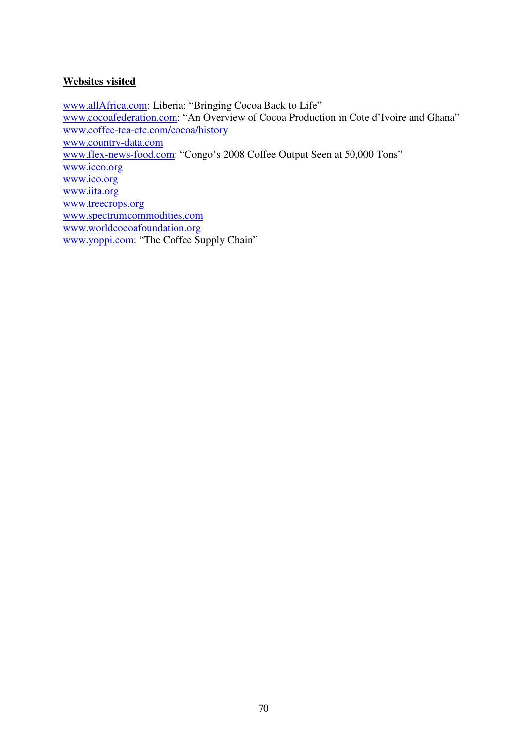# **Websites visited**

www.allAfrica.com: Liberia: "Bringing Cocoa Back to Life" www.cocoafederation.com: "An Overview of Cocoa Production in Cote d'Ivoire and Ghana" www.coffee-tea-etc.com/cocoa/history www.country-data.com www.flex-news-food.com: "Congo's 2008 Coffee Output Seen at 50,000 Tons" www.icco.org www.ico.org www.iita.org www.treecrops.org www.spectrumcommodities.com www.worldcocoafoundation.org www.yoppi.com: "The Coffee Supply Chain"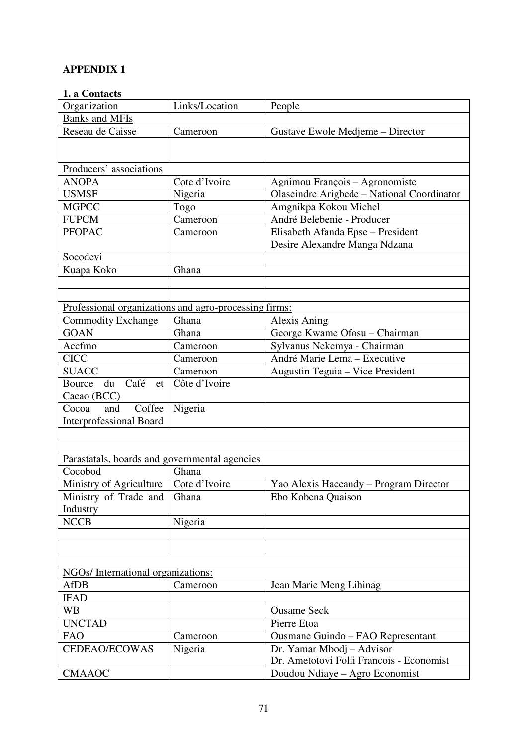# **APPENDIX 1**

## **1. a Contacts**

| Organization                                          | Links/Location | People                                     |
|-------------------------------------------------------|----------------|--------------------------------------------|
| <b>Banks and MFIs</b>                                 |                |                                            |
| Reseau de Caisse                                      | Cameroon       | Gustave Ewole Medjeme - Director           |
|                                                       |                |                                            |
|                                                       |                |                                            |
| Producers' associations                               |                |                                            |
| <b>ANOPA</b>                                          | Cote d'Ivoire  | Agnimou François - Agronomiste             |
| <b>USMSF</b>                                          | Nigeria        | Olaseindre Arigbede - National Coordinator |
| <b>MGPCC</b>                                          | Togo           | Amgnikpa Kokou Michel                      |
| <b>FUPCM</b>                                          | Cameroon       | André Belebenie - Producer                 |
| <b>PFOPAC</b>                                         | Cameroon       | Elisabeth Afanda Epse - President          |
|                                                       |                | Desire Alexandre Manga Ndzana              |
| Socodevi                                              |                |                                            |
| Kuapa Koko                                            | Ghana          |                                            |
|                                                       |                |                                            |
|                                                       |                |                                            |
| Professional organizations and agro-processing firms: |                |                                            |
| <b>Commodity Exchange</b>                             | Ghana          | Alexis Aning                               |
| <b>GOAN</b>                                           | Ghana          | George Kwame Ofosu - Chairman              |
| Accfmo                                                | Cameroon       | Sylvanus Nekemya - Chairman                |
| <b>CICC</b>                                           | Cameroon       | André Marie Lema - Executive               |
| <b>SUACC</b>                                          | Cameroon       | Augustin Teguia - Vice President           |
| Café<br>Bource<br>du                                  | Côte d'Ivoire  |                                            |
| et                                                    |                |                                            |
| Cacao (BCC)<br>Coffee<br>Cocoa<br>and                 |                |                                            |
|                                                       | Nigeria        |                                            |
| <b>Interprofessional Board</b>                        |                |                                            |
|                                                       |                |                                            |
|                                                       |                |                                            |
| Parastatals, boards and governmental agencies         |                |                                            |
| Cocobod                                               | Ghana          |                                            |
| Ministry of Agriculture                               | Cote d'Ivoire  | Yao Alexis Haccandy – Program Director     |
| Ministry of Trade and                                 | Ghana          | Ebo Kobena Quaison                         |
| Industry                                              |                |                                            |
| <b>NCCB</b>                                           | Nigeria        |                                            |
|                                                       |                |                                            |
|                                                       |                |                                            |
|                                                       |                |                                            |
| NGOs/International organizations:                     |                |                                            |
| <b>AfDB</b>                                           | Cameroon       | Jean Marie Meng Lihinag                    |
| <b>IFAD</b>                                           |                |                                            |
| <b>WB</b>                                             |                | <b>Ousame Seck</b>                         |
| <b>UNCTAD</b>                                         |                | Pierre Etoa                                |
| <b>FAO</b>                                            | Cameroon       | Ousmane Guindo - FAO Representant          |
| CEDEAO/ECOWAS                                         | Nigeria        | Dr. Yamar Mbodj – Advisor                  |
|                                                       |                | Dr. Ametotovi Folli Francois - Economist   |
| <b>CMAAOC</b>                                         |                | Doudou Ndiaye - Agro Economist             |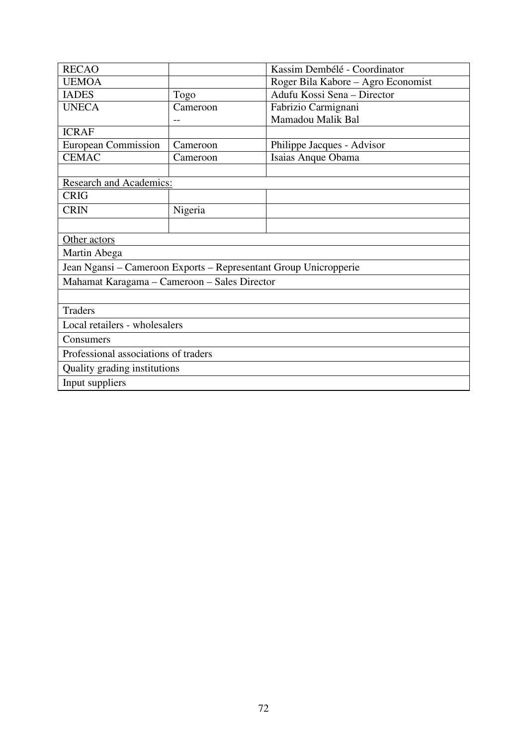| <b>RECAO</b>                                                     |          | Kassim Dembélé - Coordinator       |  |  |  |
|------------------------------------------------------------------|----------|------------------------------------|--|--|--|
| <b>UEMOA</b>                                                     |          | Roger Bila Kabore – Agro Economist |  |  |  |
| <b>IADES</b>                                                     | Togo     | Adufu Kossi Sena - Director        |  |  |  |
| <b>UNECA</b>                                                     | Cameroon | Fabrizio Carmignani                |  |  |  |
|                                                                  |          | Mamadou Malik Bal                  |  |  |  |
| <b>ICRAF</b>                                                     |          |                                    |  |  |  |
| <b>European Commission</b>                                       | Cameroon | Philippe Jacques - Advisor         |  |  |  |
| <b>CEMAC</b>                                                     | Cameroon | Isaias Anque Obama                 |  |  |  |
|                                                                  |          |                                    |  |  |  |
| <b>Research and Academics:</b>                                   |          |                                    |  |  |  |
| <b>CRIG</b>                                                      |          |                                    |  |  |  |
| <b>CRIN</b>                                                      | Nigeria  |                                    |  |  |  |
|                                                                  |          |                                    |  |  |  |
| Other actors                                                     |          |                                    |  |  |  |
| Martin Abega                                                     |          |                                    |  |  |  |
| Jean Ngansi – Cameroon Exports – Representant Group Unicropperie |          |                                    |  |  |  |
| Mahamat Karagama - Cameroon - Sales Director                     |          |                                    |  |  |  |
|                                                                  |          |                                    |  |  |  |
| <b>Traders</b>                                                   |          |                                    |  |  |  |
| Local retailers - wholesalers                                    |          |                                    |  |  |  |
| Consumers                                                        |          |                                    |  |  |  |
| Professional associations of traders                             |          |                                    |  |  |  |
| Quality grading institutions                                     |          |                                    |  |  |  |
| Input suppliers                                                  |          |                                    |  |  |  |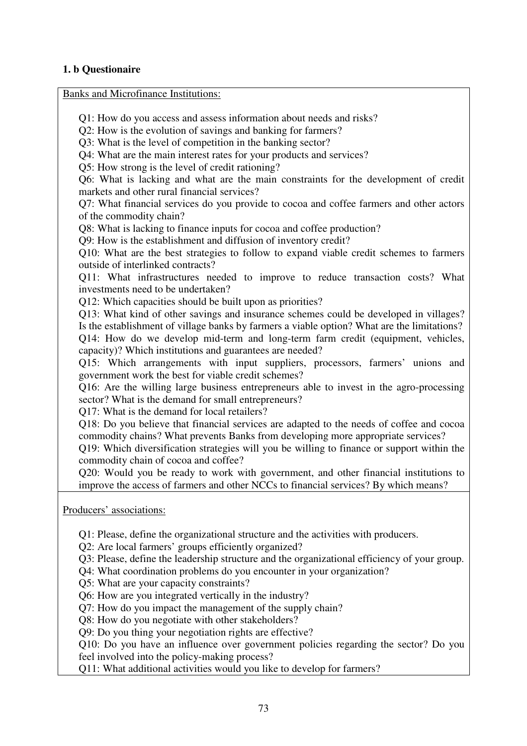## **1. b Questionaire**

Banks and Microfinance Institutions:

Q1: How do you access and assess information about needs and risks? Q2: How is the evolution of savings and banking for farmers? Q3: What is the level of competition in the banking sector? Q4: What are the main interest rates for your products and services? Q5: How strong is the level of credit rationing? Q6: What is lacking and what are the main constraints for the development of credit markets and other rural financial services? Q7: What financial services do you provide to cocoa and coffee farmers and other actors of the commodity chain? Q8: What is lacking to finance inputs for cocoa and coffee production? Q9: How is the establishment and diffusion of inventory credit? Q10: What are the best strategies to follow to expand viable credit schemes to farmers outside of interlinked contracts? Q11: What infrastructures needed to improve to reduce transaction costs? What investments need to be undertaken? Q12: Which capacities should be built upon as priorities? Q13: What kind of other savings and insurance schemes could be developed in villages? Is the establishment of village banks by farmers a viable option? What are the limitations? Q14: How do we develop mid-term and long-term farm credit (equipment, vehicles, capacity)? Which institutions and guarantees are needed? Q15: Which arrangements with input suppliers, processors, farmers' unions and government work the best for viable credit schemes? Q16: Are the willing large business entrepreneurs able to invest in the agro-processing sector? What is the demand for small entrepreneurs? Q17: What is the demand for local retailers? Q18: Do you believe that financial services are adapted to the needs of coffee and cocoa commodity chains? What prevents Banks from developing more appropriate services? Q19: Which diversification strategies will you be willing to finance or support within the commodity chain of cocoa and coffee? Q20: Would you be ready to work with government, and other financial institutions to improve the access of farmers and other NCCs to financial services? By which means?

Producers' associations:

Q1: Please, define the organizational structure and the activities with producers.

Q2: Are local farmers' groups efficiently organized?

Q3: Please, define the leadership structure and the organizational efficiency of your group.

Q4: What coordination problems do you encounter in your organization?

Q5: What are your capacity constraints?

Q6: How are you integrated vertically in the industry?

Q7: How do you impact the management of the supply chain?

Q8: How do you negotiate with other stakeholders?

Q9: Do you thing your negotiation rights are effective?

Q10: Do you have an influence over government policies regarding the sector? Do you feel involved into the policy-making process?

Q11: What additional activities would you like to develop for farmers?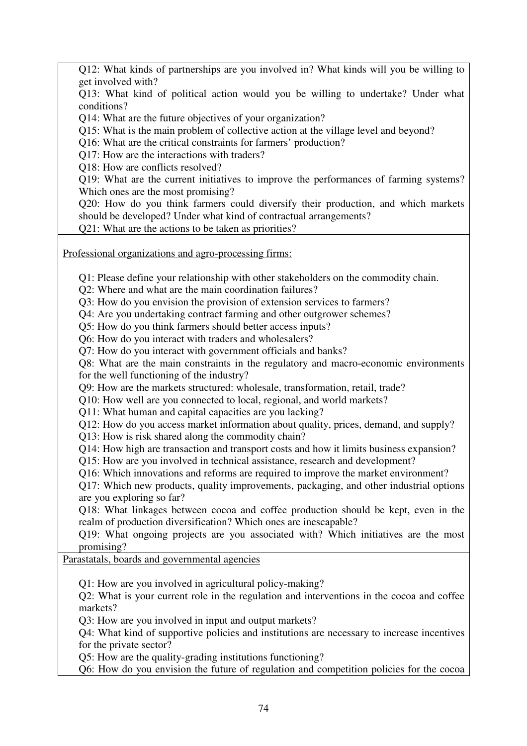Q12: What kinds of partnerships are you involved in? What kinds will you be willing to get involved with?

Q13: What kind of political action would you be willing to undertake? Under what conditions?

Q14: What are the future objectives of your organization?

Q15: What is the main problem of collective action at the village level and beyond?

Q16: What are the critical constraints for farmers' production?

Q17: How are the interactions with traders?

Q18: How are conflicts resolved?

Q19: What are the current initiatives to improve the performances of farming systems? Which ones are the most promising?

Q20: How do you think farmers could diversify their production, and which markets should be developed? Under what kind of contractual arrangements?

Q21: What are the actions to be taken as priorities?

Professional organizations and agro-processing firms:

Q1: Please define your relationship with other stakeholders on the commodity chain.

Q2: Where and what are the main coordination failures?

Q3: How do you envision the provision of extension services to farmers?

Q4: Are you undertaking contract farming and other outgrower schemes?

Q5: How do you think farmers should better access inputs?

Q6: How do you interact with traders and wholesalers?

Q7: How do you interact with government officials and banks?

Q8: What are the main constraints in the regulatory and macro-economic environments for the well functioning of the industry?

Q9: How are the markets structured: wholesale, transformation, retail, trade?

Q10: How well are you connected to local, regional, and world markets?

Q11: What human and capital capacities are you lacking?

Q12: How do you access market information about quality, prices, demand, and supply?

Q13: How is risk shared along the commodity chain?

Q14: How high are transaction and transport costs and how it limits business expansion?

Q15: How are you involved in technical assistance, research and development?

Q16: Which innovations and reforms are required to improve the market environment?

Q17: Which new products, quality improvements, packaging, and other industrial options are you exploring so far?

Q18: What linkages between cocoa and coffee production should be kept, even in the realm of production diversification? Which ones are inescapable?

Q19: What ongoing projects are you associated with? Which initiatives are the most promising?

Parastatals, boards and governmental agencies

Q1: How are you involved in agricultural policy-making?

Q2: What is your current role in the regulation and interventions in the cocoa and coffee markets?

Q3: How are you involved in input and output markets?

Q4: What kind of supportive policies and institutions are necessary to increase incentives for the private sector?

Q5: How are the quality-grading institutions functioning?

Q6: How do you envision the future of regulation and competition policies for the cocoa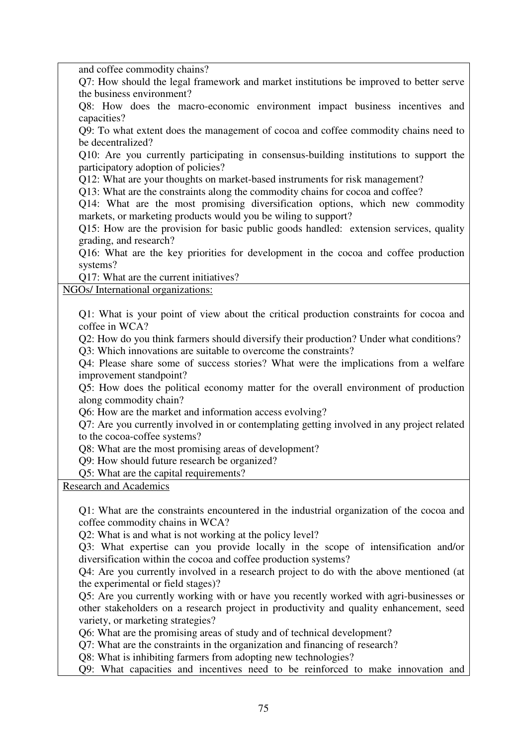and coffee commodity chains?

Q7: How should the legal framework and market institutions be improved to better serve the business environment?

Q8: How does the macro-economic environment impact business incentives and capacities?

Q9: To what extent does the management of cocoa and coffee commodity chains need to be decentralized?

Q10: Are you currently participating in consensus-building institutions to support the participatory adoption of policies?

Q12: What are your thoughts on market-based instruments for risk management?

Q13: What are the constraints along the commodity chains for cocoa and coffee?

Q14: What are the most promising diversification options, which new commodity markets, or marketing products would you be wiling to support?

Q15: How are the provision for basic public goods handled: extension services, quality grading, and research?

Q16: What are the key priorities for development in the cocoa and coffee production systems?

Q17: What are the current initiatives?

NGOs/ International organizations:

Q1: What is your point of view about the critical production constraints for cocoa and coffee in WCA?

Q2: How do you think farmers should diversify their production? Under what conditions?

Q3: Which innovations are suitable to overcome the constraints?

Q4: Please share some of success stories? What were the implications from a welfare improvement standpoint?

Q5: How does the political economy matter for the overall environment of production along commodity chain?

Q6: How are the market and information access evolving?

Q7: Are you currently involved in or contemplating getting involved in any project related to the cocoa-coffee systems?

Q8: What are the most promising areas of development?

Q9: How should future research be organized?

Q5: What are the capital requirements?

Research and Academics

Q1: What are the constraints encountered in the industrial organization of the cocoa and coffee commodity chains in WCA?

Q2: What is and what is not working at the policy level?

Q3: What expertise can you provide locally in the scope of intensification and/or diversification within the cocoa and coffee production systems?

Q4: Are you currently involved in a research project to do with the above mentioned (at the experimental or field stages)?

Q5: Are you currently working with or have you recently worked with agri-businesses or other stakeholders on a research project in productivity and quality enhancement, seed variety, or marketing strategies?

Q6: What are the promising areas of study and of technical development?

Q7: What are the constraints in the organization and financing of research?

Q8: What is inhibiting farmers from adopting new technologies?

Q9: What capacities and incentives need to be reinforced to make innovation and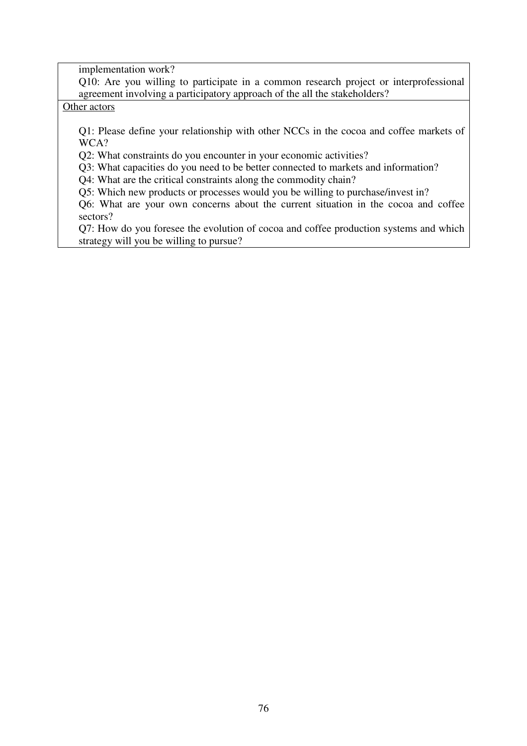implementation work?

Q10: Are you willing to participate in a common research project or interprofessional agreement involving a participatory approach of the all the stakeholders?

Other actors

Q1: Please define your relationship with other NCCs in the cocoa and coffee markets of WCA?

Q2: What constraints do you encounter in your economic activities?

Q3: What capacities do you need to be better connected to markets and information?

Q4: What are the critical constraints along the commodity chain?

Q5: Which new products or processes would you be willing to purchase/invest in?

Q6: What are your own concerns about the current situation in the cocoa and coffee sectors?

Q7: How do you foresee the evolution of cocoa and coffee production systems and which strategy will you be willing to pursue?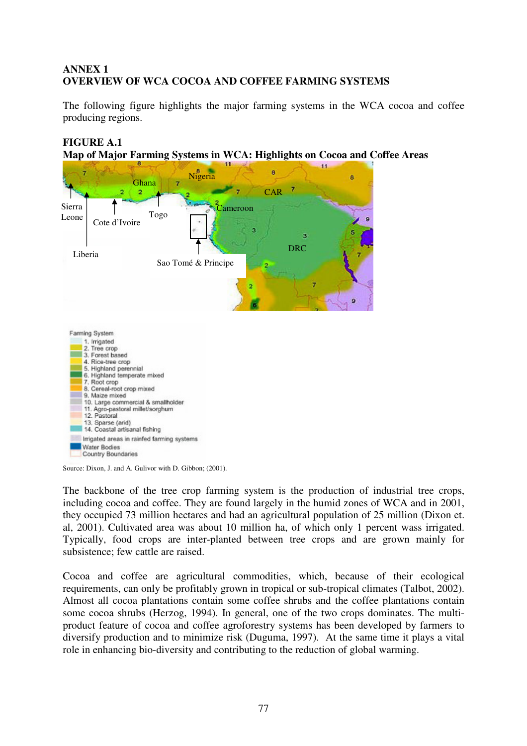# **ANNEX 1 OVERVIEW OF WCA COCOA AND COFFEE FARMING SYSTEMS**

The following figure highlights the major farming systems in the WCA cocoa and coffee producing regions.

# **FIGURE A.1**





Source: Dixon, J. and A. Gulivor with D. Gibbon; (2001).

Irrigated areas in rainfed farming systems

Water Bodies Country Boundaries

The backbone of the tree crop farming system is the production of industrial tree crops, including cocoa and coffee. They are found largely in the humid zones of WCA and in 2001, they occupied 73 million hectares and had an agricultural population of 25 million (Dixon et. al, 2001). Cultivated area was about 10 million ha, of which only 1 percent wass irrigated. Typically, food crops are inter-planted between tree crops and are grown mainly for subsistence; few cattle are raised.

Cocoa and coffee are agricultural commodities, which, because of their ecological requirements, can only be profitably grown in tropical or sub-tropical climates (Talbot, 2002). Almost all cocoa plantations contain some coffee shrubs and the coffee plantations contain some cocoa shrubs (Herzog, 1994). In general, one of the two crops dominates. The multiproduct feature of cocoa and coffee agroforestry systems has been developed by farmers to diversify production and to minimize risk (Duguma, 1997). At the same time it plays a vital role in enhancing bio-diversity and contributing to the reduction of global warming.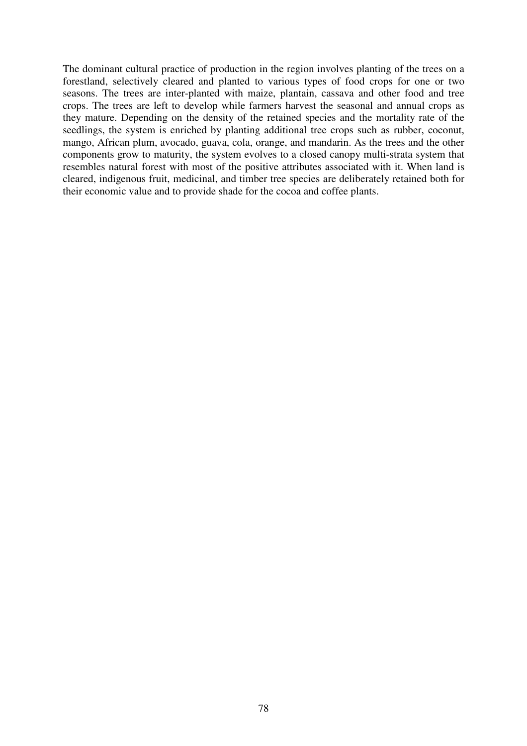The dominant cultural practice of production in the region involves planting of the trees on a forestland, selectively cleared and planted to various types of food crops for one or two seasons. The trees are inter-planted with maize, plantain, cassava and other food and tree crops. The trees are left to develop while farmers harvest the seasonal and annual crops as they mature. Depending on the density of the retained species and the mortality rate of the seedlings, the system is enriched by planting additional tree crops such as rubber, coconut, mango, African plum, avocado, guava, cola, orange, and mandarin. As the trees and the other components grow to maturity, the system evolves to a closed canopy multi-strata system that resembles natural forest with most of the positive attributes associated with it. When land is cleared, indigenous fruit, medicinal, and timber tree species are deliberately retained both for their economic value and to provide shade for the cocoa and coffee plants.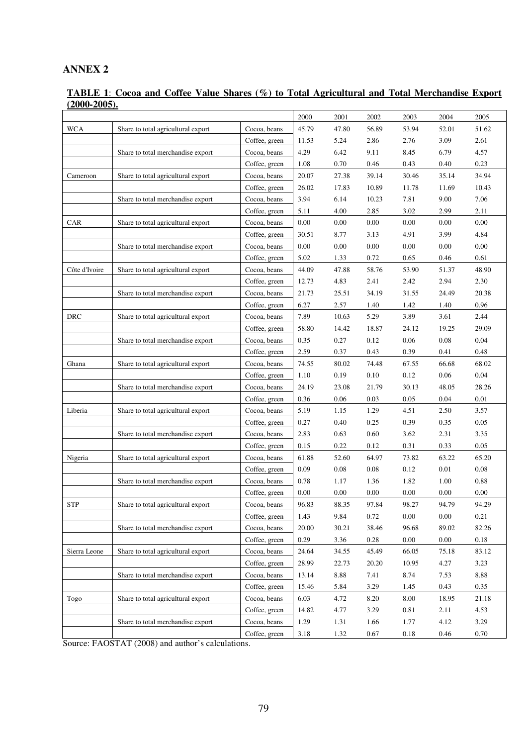## **ANNEX 2**

### **TABLE 1**: **Cocoa and Coffee Value Shares (%) to Total Agricultural and Total Merchandise Export (2000-2005).**

|               |                                    |               | 2000     | 2001  | 2002     | 2003     | 2004     | 2005  |
|---------------|------------------------------------|---------------|----------|-------|----------|----------|----------|-------|
| <b>WCA</b>    | Share to total agricultural export | Cocoa, beans  | 45.79    | 47.80 | 56.89    | 53.94    | 52.01    | 51.62 |
|               |                                    | Coffee, green | 11.53    | 5.24  | 2.86     | 2.76     | 3.09     | 2.61  |
|               | Share to total merchandise export  | Cocoa, beans  | 4.29     | 6.42  | 9.11     | 8.45     | 6.79     | 4.57  |
|               |                                    | Coffee, green | 1.08     | 0.70  | 0.46     | 0.43     | 0.40     | 0.23  |
| Cameroon      | Share to total agricultural export | Cocoa, beans  | 20.07    | 27.38 | 39.14    | 30.46    | 35.14    | 34.94 |
|               |                                    | Coffee, green | 26.02    | 17.83 | 10.89    | 11.78    | 11.69    | 10.43 |
|               | Share to total merchandise export  | Cocoa, beans  | 3.94     | 6.14  | 10.23    | 7.81     | 9.00     | 7.06  |
|               |                                    | Coffee, green | 5.11     | 4.00  | 2.85     | 3.02     | 2.99     | 2.11  |
| <b>CAR</b>    | Share to total agricultural export | Cocoa, beans  | 0.00     | 0.00  | $0.00\,$ | 0.00     | 0.00     | 0.00  |
|               |                                    | Coffee, green | 30.51    | 8.77  | 3.13     | 4.91     | 3.99     | 4.84  |
|               | Share to total merchandise export  | Cocoa, beans  | $0.00\,$ | 0.00  | 0.00     | 0.00     | 0.00     | 0.00  |
|               |                                    | Coffee, green | 5.02     | 1.33  | 0.72     | 0.65     | 0.46     | 0.61  |
| Côte d'Ivoire | Share to total agricultural export | Cocoa, beans  | 44.09    | 47.88 | 58.76    | 53.90    | 51.37    | 48.90 |
|               |                                    | Coffee, green | 12.73    | 4.83  | 2.41     | 2.42     | 2.94     | 2.30  |
|               | Share to total merchandise export  | Cocoa, beans  | 21.73    | 25.51 | 34.19    | 31.55    | 24.49    | 20.38 |
|               |                                    | Coffee, green | 6.27     | 2.57  | 1.40     | 1.42     | 1.40     | 0.96  |
| <b>DRC</b>    | Share to total agricultural export | Cocoa, beans  | 7.89     | 10.63 | 5.29     | 3.89     | 3.61     | 2.44  |
|               |                                    | Coffee, green | 58.80    | 14.42 | 18.87    | 24.12    | 19.25    | 29.09 |
|               | Share to total merchandise export  | Cocoa, beans  | 0.35     | 0.27  | 0.12     | 0.06     | 0.08     | 0.04  |
|               |                                    | Coffee, green | 2.59     | 0.37  | 0.43     | 0.39     | 0.41     | 0.48  |
| Ghana         | Share to total agricultural export | Cocoa, beans  | 74.55    | 80.02 | 74.48    | 67.55    | 66.68    | 68.02 |
|               |                                    | Coffee, green | 1.10     | 0.19  | 0.10     | 0.12     | 0.06     | 0.04  |
|               | Share to total merchandise export  | Cocoa, beans  | 24.19    | 23.08 | 21.79    | 30.13    | 48.05    | 28.26 |
|               |                                    | Coffee, green | 0.36     | 0.06  | 0.03     | 0.05     | 0.04     | 0.01  |
| Liberia       | Share to total agricultural export | Cocoa, beans  | 5.19     | 1.15  | 1.29     | 4.51     | 2.50     | 3.57  |
|               |                                    | Coffee, green | 0.27     | 0.40  | 0.25     | 0.39     | 0.35     | 0.05  |
|               | Share to total merchandise export  | Cocoa, beans  | 2.83     | 0.63  | 0.60     | 3.62     | 2.31     | 3.35  |
|               |                                    | Coffee, green | 0.15     | 0.22  | 0.12     | 0.31     | 0.33     | 0.05  |
| Nigeria       | Share to total agricultural export | Cocoa, beans  | 61.88    | 52.60 | 64.97    | 73.82    | 63.22    | 65.20 |
|               |                                    | Coffee, green | 0.09     | 0.08  | 0.08     | 0.12     | 0.01     | 0.08  |
|               | Share to total merchandise export  | Cocoa, beans  | 0.78     | 1.17  | 1.36     | 1.82     | 1.00     | 0.88  |
|               |                                    | Coffee, green | $0.00\,$ | 0.00  | $0.00\,$ | $0.00\,$ | 0.00     | 0.00  |
| <b>STP</b>    | Share to total agricultural export | Cocoa, beans  | 96.83    | 88.35 | 97.84    | 98.27    | 94.79    | 94.29 |
|               |                                    | Coffee, green | 1.43     | 9.84  | 0.72     | $0.00\,$ | $0.00\,$ | 0.21  |
|               | Share to total merchandise export  | Cocoa, beans  | 20.00    | 30.21 | 38.46    | 96.68    | 89.02    | 82.26 |
|               |                                    | Coffee, green | 0.29     | 3.36  | 0.28     | $0.00\,$ | 0.00     | 0.18  |
| Sierra Leone  | Share to total agricultural export | Cocoa, beans  | 24.64    | 34.55 | 45.49    | 66.05    | 75.18    | 83.12 |
|               |                                    | Coffee, green | 28.99    | 22.73 | 20.20    | 10.95    | 4.27     | 3.23  |
|               | Share to total merchandise export  | Cocoa, beans  | 13.14    | 8.88  | 7.41     | 8.74     | 7.53     | 8.88  |
|               |                                    | Coffee, green | 15.46    | 5.84  | 3.29     | 1.45     | 0.43     | 0.35  |
| Togo          | Share to total agricultural export | Cocoa, beans  | 6.03     | 4.72  | 8.20     | 8.00     | 18.95    | 21.18 |
|               |                                    | Coffee, green | 14.82    | 4.77  | 3.29     | 0.81     | 2.11     | 4.53  |
|               | Share to total merchandise export  | Cocoa, beans  | 1.29     | 1.31  | 1.66     | 1.77     | 4.12     | 3.29  |
|               |                                    | Coffee, green | 3.18     | 1.32  | 0.67     | $0.18\,$ | 0.46     | 0.70  |

Source: FAOSTAT (2008) and author's calculations.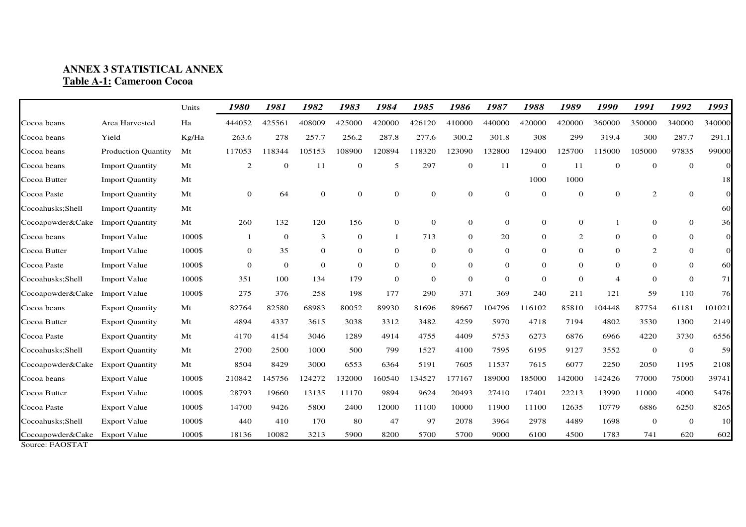# **ANNEX 3 STATISTICAL ANNEX Table A-1: Cameroon Cocoa**

|                                     |                            | Units  | 1980         | 1981         | 1982           | 1983     | 1984             | 1985     | 1986         | 1987           | 1988         | 1989           | 1990           | 1991           | 1992             | 1993           |
|-------------------------------------|----------------------------|--------|--------------|--------------|----------------|----------|------------------|----------|--------------|----------------|--------------|----------------|----------------|----------------|------------------|----------------|
| Cocoa beans                         | Area Harvested             | Ha     | 444052       | 425561       | 408009         | 425000   | 420000           | 426120   | 410000       | 440000         | 420000       | 420000         | 360000         | 350000         | 340000           | 340000         |
| Cocoa beans                         | Yield                      | Kg/Ha  | 263.6        | 278          | 257.7          | 256.2    | 287.8            | 277.6    | 300.2        | 301.8          | 308          | 299            | 319.4          | 300            | 287.7            | 291.1          |
| Cocoa beans                         | <b>Production Quantity</b> | Mt     | 117053       | 118344       | 105153         | 108900   | 120894           | 118320   | 123090       | 132800         | 129400       | 125700         | 115000         | 105000         | 97835            | 99000          |
| Cocoa beans                         | <b>Import Quantity</b>     | Mt     | 2            | $\theta$     | 11             | $\theta$ | 5                | 297      | $\theta$     | 11             | $\theta$     | 11             | $\theta$       | $\mathbf{0}$   | $\mathbf{0}$     | $\Omega$       |
| Cocoa Butter                        | <b>Import Quantity</b>     | Mt     |              |              |                |          |                  |          |              |                | 1000         | 1000           |                |                |                  | 18             |
| Cocoa Paste                         | <b>Import Quantity</b>     | Mt     | $\theta$     | 64           | $\Omega$       | $\Omega$ | $\mathbf{0}$     | $\theta$ | $\theta$     | $\theta$       | $\Omega$     | $\Omega$       | $\overline{0}$ | 2              | $\boldsymbol{0}$ | $\overline{0}$ |
| Cocoahusks; Shell                   | <b>Import Quantity</b>     | Mt     |              |              |                |          |                  |          |              |                |              |                |                |                |                  | 60             |
| Cocoapowder&Cake                    | <b>Import Quantity</b>     | Mt     | 260          | 132          | 120            | 156      | $\boldsymbol{0}$ | $\theta$ | $\mathbf{0}$ | $\overline{0}$ | $\theta$     | $\theta$       |                | $\overline{0}$ | $\overline{0}$   | 36             |
| Cocoa beans                         | <b>Import Value</b>        | 1000\$ |              | $\mathbf{0}$ | 3              | $\theta$ |                  | 713      | $\theta$     | 20             | $\theta$     | 2              | $\theta$       | $\theta$       | $\theta$         | $\overline{0}$ |
| Cocoa Butter                        | <b>Import Value</b>        | 1000\$ | $\mathbf{0}$ | 35           | $\mathbf{0}$   | $\theta$ | $\mathbf{0}$     | $\theta$ | $\theta$     | $\overline{0}$ | $\mathbf{0}$ | $\theta$       | $\theta$       | 2              | $\boldsymbol{0}$ | $\overline{0}$ |
| Cocoa Paste                         | <b>Import Value</b>        | 1000\$ | $\mathbf{0}$ | $\mathbf{0}$ | $\overline{0}$ | $\theta$ | $\mathbf{0}$     | $\theta$ | $\theta$     | $\overline{0}$ | $\mathbf{0}$ | $\theta$       | $\theta$       | $\theta$       | $\mathbf{0}$     | 60             |
| Cocoahusks; Shell                   | <b>Import Value</b>        | 1000\$ | 351          | 100          | 134            | 179      | $\mathbf{0}$     | $\theta$ | $\theta$     | $\overline{0}$ | $\theta$     | $\overline{0}$ | $\overline{4}$ | $\theta$       | $\mathbf{0}$     | 71             |
| Cocoapowder&Cake                    | <b>Import Value</b>        | 1000\$ | 275          | 376          | 258            | 198      | 177              | 290      | 371          | 369            | 240          | 211            | 121            | 59             | 110              | 76             |
| Cocoa beans                         | <b>Export Quantity</b>     | Mt     | 82764        | 82580        | 68983          | 80052    | 89930            | 81696    | 89667        | 104796         | 116102       | 85810          | 104448         | 87754          | 61181            | 101021         |
| Cocoa Butter                        | <b>Export Quantity</b>     | Mt     | 4894         | 4337         | 3615           | 3038     | 3312             | 3482     | 4259         | 5970           | 4718         | 7194           | 4802           | 3530           | 1300             | 2149           |
| Cocoa Paste                         | <b>Export Quantity</b>     | Mt     | 4170         | 4154         | 3046           | 1289     | 4914             | 4755     | 4409         | 5753           | 6273         | 6876           | 6966           | 4220           | 3730             | 6556           |
| Cocoahusks; Shell                   | <b>Export Quantity</b>     | Mt     | 2700         | 2500         | 1000           | 500      | 799              | 1527     | 4100         | 7595           | 6195         | 9127           | 3552           | $\mathbf{0}$   | $\mathbf{0}$     | 59             |
| Cocoapowder&Cake                    | <b>Export Quantity</b>     | Mt     | 8504         | 8429         | 3000           | 6553     | 6364             | 5191     | 7605         | 11537          | 7615         | 6077           | 2250           | 2050           | 1195             | 2108           |
| Cocoa beans                         | <b>Export Value</b>        | 1000\$ | 210842       | 145756       | 124272         | 132000   | 160540           | 134527   | 177167       | 189000         | 185000       | 142000         | 142426         | 77000          | 75000            | 39741          |
| Cocoa Butter                        | <b>Export Value</b>        | 1000\$ | 28793        | 19660        | 13135          | 11170    | 9894             | 9624     | 20493        | 27410          | 17401        | 22213          | 13990          | 11000          | 4000             | 5476           |
| Cocoa Paste                         | <b>Export Value</b>        | 1000\$ | 14700        | 9426         | 5800           | 2400     | 12000            | 11100    | 10000        | 11900          | 11100        | 12635          | 10779          | 6886           | 6250             | 8265           |
| Cocoahusks;Shell                    | <b>Export Value</b>        | 1000\$ | 440          | 410          | 170            | 80       | 47               | 97       | 2078         | 3964           | 2978         | 4489           | 1698           | $\mathbf{0}$   | $\mathbf{0}$     | 10             |
| Cocoapowder&Cake<br>Source: FAOSTAT | <b>Export Value</b>        | 1000\$ | 18136        | 10082        | 3213           | 5900     | 8200             | 5700     | 5700         | 9000           | 6100         | 4500           | 1783           | 741            | 620              | 602            |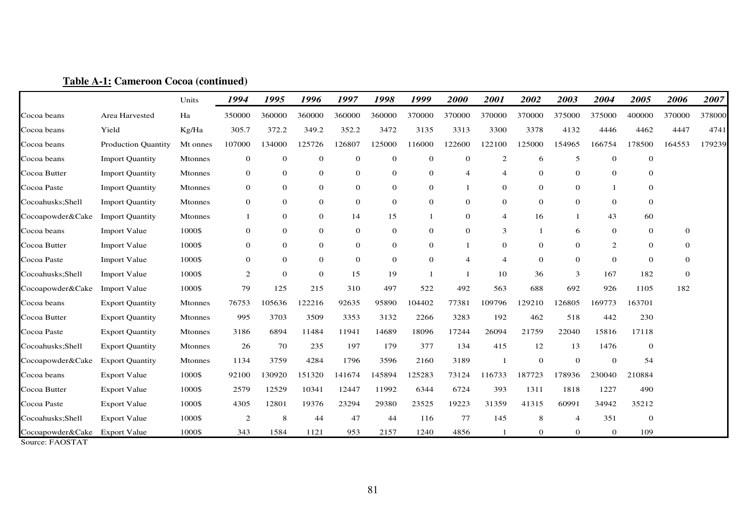|                                                          |                            | Units          | 1994             | 1995           | 1996           | 1997             | 1998         | 1999             | 2000           | 2001           | 2002           | 2003           | 2004           | 2005         | 2006     | 2007   |
|----------------------------------------------------------|----------------------------|----------------|------------------|----------------|----------------|------------------|--------------|------------------|----------------|----------------|----------------|----------------|----------------|--------------|----------|--------|
| Cocoa beans                                              | Area Harvested             | Ha             | 350000           | 360000         | 360000         | 360000           | 360000       | 370000           | 370000         | 370000         | 370000         | 375000         | 375000         | 400000       | 370000   | 378000 |
| Cocoa beans                                              | Yield                      | Kg/Ha          | 305.7            | 372.2          | 349.2          | 352.2            | 3472         | 3135             | 3313           | 3300           | 3378           | 4132           | 4446           | 4462         | 4447     | 4741   |
| Cocoa beans                                              | <b>Production Quantity</b> | Mt onnes       | 107000           | 134000         | 125726         | 126807           | 125000       | 116000           | 122600         | 122100         | 125000         | 154965         | 166754         | 178500       | 164553   | 179239 |
| Cocoa beans                                              | <b>Import Quantity</b>     | Mtonnes        | $\mathbf{0}$     | $\mathbf{0}$   | $\theta$       | $\mathbf{0}$     | $\mathbf 0$  | $\mathbf{0}$     | $\mathbf{0}$   | 2              | 6              | 5              | $\theta$       | $\mathbf{0}$ |          |        |
| Cocoa Butter                                             | <b>Import Quantity</b>     | Mtonnes        | $\mathbf{0}$     | $\mathbf{0}$   | $\overline{0}$ | $\mathbf{0}$     | $\mathbf 0$  | $\theta$         | $\overline{4}$ | $\overline{4}$ | $\mathbf{0}$   | $\overline{0}$ | $\Omega$       | $\mathbf{0}$ |          |        |
| Cocoa Paste                                              | <b>Import Quantity</b>     | Mtonnes        | $\mathbf{0}$     | $\mathbf{0}$   | $\mathbf{0}$   | $\boldsymbol{0}$ | $\mathbf{0}$ | $\mathbf{0}$     | -1             | $\mathbf{0}$   | $\mathbf{0}$   | 0              |                | $\theta$     |          |        |
| Cocoahusks;Shell                                         | <b>Import Quantity</b>     | Mtonnes        | $\mathbf{0}$     | $\mathbf{0}$   | $\mathbf{0}$   | $\boldsymbol{0}$ | $\mathbf{0}$ | $\boldsymbol{0}$ | $\mathbf{0}$   | $\mathbf{0}$   | $\mathbf{0}$   | $\overline{0}$ | $\mathbf{0}$   | $\theta$     |          |        |
| Cocoapowder&Cake                                         | <b>Import Quantity</b>     | Mtonnes        |                  | $\mathbf{0}$   | $\mathbf{0}$   | 14               | 15           | $\mathbf{1}$     | $\overline{0}$ | $\overline{4}$ | 16             |                | 43             | 60           |          |        |
| Cocoa beans                                              | <b>Import Value</b>        | 1000\$         | $\mathbf{0}$     | $\mathbf{0}$   | $\overline{0}$ | $\theta$         | $\mathbf 0$  | $\mathbf{0}$     | $\mathbf{0}$   | 3              | -1             | 6              | $\mathbf{0}$   | $\mathbf{0}$ | $\theta$ |        |
| Cocoa Butter                                             | <b>Import Value</b>        | 1000\$         | $\boldsymbol{0}$ | $\mathbf{0}$   | $\mathbf{0}$   | $\mathbf{0}$     | $\mathbf{0}$ | $\mathbf{0}$     | -1             | $\overline{0}$ | $\mathbf{0}$   | $\overline{0}$ | 2              | $\theta$     | $\theta$ |        |
| Cocoa Paste                                              | <b>Import Value</b>        | 1000\$         | $\mathbf{0}$     | $\overline{0}$ | $\overline{0}$ | $\theta$         | $\theta$     | $\theta$         | $\overline{4}$ | $\overline{4}$ | $\overline{0}$ | $\overline{0}$ | $\mathbf{0}$   | $\theta$     | $\theta$ |        |
| Cocoahusks;Shell                                         | <b>Import Value</b>        | 1000\$         | 2                | $\overline{0}$ | $\Omega$       | 15               | 19           |                  |                | 10             | 36             | 3              | 167            | 182          | $\theta$ |        |
| Cocoapowder&Cake                                         | <b>Import Value</b>        | 1000\$         | 79               | 125            | 215            | 310              | 497          | 522              | 492            | 563            | 688            | 692            | 926            | 1105         | 182      |        |
| Cocoa beans                                              | <b>Export Quantity</b>     | Mtonnes        | 76753            | 105636         | 122216         | 92635            | 95890        | 104402           | 77381          | 109796         | 129210         | 126805         | 169773         | 163701       |          |        |
| Cocoa Butter                                             | <b>Export Quantity</b>     | <b>Mtonnes</b> | 995              | 3703           | 3509           | 3353             | 3132         | 2266             | 3283           | 192            | 462            | 518            | 442            | 230          |          |        |
| Cocoa Paste                                              | <b>Export Quantity</b>     | <b>Mtonnes</b> | 3186             | 6894           | 11484          | 11941            | 14689        | 18096            | 17244          | 26094          | 21759          | 22040          | 15816          | 17118        |          |        |
| Cocoahusks;Shell                                         | <b>Export Quantity</b>     | <b>Mtonnes</b> | 26               | 70             | 235            | 197              | 179          | 377              | 134            | 415            | 12             | 13             | 1476           | $\theta$     |          |        |
| Cocoapowder&Cake                                         | <b>Export Quantity</b>     | <b>Mtonnes</b> | 1134             | 3759           | 4284           | 1796             | 3596         | 2160             | 3189           |                | $\mathbf{0}$   | 0              | $\mathbf 0$    | 54           |          |        |
| Cocoa beans                                              | <b>Export Value</b>        | 1000\$         | 92100            | 130920         | 151320         | 141674           | 145894       | 125283           | 73124          | 116733         | 187723         | 178936         | 230040         | 210884       |          |        |
| Cocoa Butter                                             | <b>Export Value</b>        | 1000\$         | 2579             | 12529          | 10341          | 12447            | 11992        | 6344             | 6724           | 393            | 1311           | 1818           | 1227           | 490          |          |        |
| Cocoa Paste                                              | <b>Export Value</b>        | 1000\$         | 4305             | 12801          | 19376          | 23294            | 29380        | 23525            | 19223          | 31359          | 41315          | 60991          | 34942          | 35212        |          |        |
| Cocoahusks; Shell                                        | <b>Export Value</b>        | 1000\$         | $\overline{2}$   | 8              | 44             | 47               | 44           | 116              | 77             | 145            | 8              | $\overline{4}$ | 351            | $\mathbf{0}$ |          |        |
| Cocoapowder&Cake<br>$Sourea·FA$ $\cap$ $ST$ $\wedge$ $T$ | <b>Export Value</b>        | 1000\$         | 343              | 1584           | 1121           | 953              | 2157         | 1240             | 4856           | -1             | $\overline{0}$ | $\overline{0}$ | $\overline{0}$ | 109          |          |        |

## **Table A-1: Cameroon Cocoa (continued)**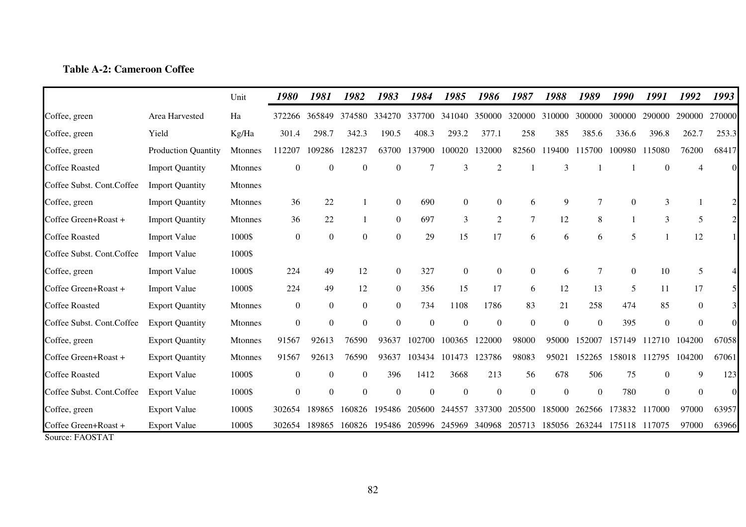# **Table A-2: Cameroon Coffee**

|                                         |                            | Unit           | 1980         | 1981           | 1982             | 1983             | 1984     | 1985           | 1986             | 1987             | 1988             | 1989     | 1990     | 1991             | 1992           | 1993           |
|-----------------------------------------|----------------------------|----------------|--------------|----------------|------------------|------------------|----------|----------------|------------------|------------------|------------------|----------|----------|------------------|----------------|----------------|
| Coffee, green                           | Area Harvested             | Ha             | 372266       | 365849         | 374580           | 334270           | 337700   | 341040         | 350000           | 320000           | 310000           | 300000   | 300000   | 290000           | 290000         | 270000         |
| Coffee, green                           | Yield                      | Kg/Ha          | 301.4        | 298.7          | 342.3            | 190.5            | 408.3    | 293.2          | 377.1            | 258              | 385              | 385.6    | 336.6    | 396.8            | 262.7          | 253.3          |
| Coffee, green                           | <b>Production Quantity</b> | Mtonnes        | 112207       | 109286         | 128237           | 63700            | 137900   | 100020         | 132000           | 82560            | 119400           | 115700   | 100980   | 115080           | 76200          | 68417          |
| <b>Coffee Roasted</b>                   | <b>Import Quantity</b>     | <b>Mtonnes</b> | $\theta$     | $\theta$       | $\Omega$         | $\Omega$         |          | 3              | $\overline{2}$   |                  | 3                |          |          | $\Omega$         |                | $\Omega$       |
| Coffee Subst. Cont.Coffee               | <b>Import Quantity</b>     | <b>Mtonnes</b> |              |                |                  |                  |          |                |                  |                  |                  |          |          |                  |                |                |
| Coffee, green                           | <b>Import Quantity</b>     | Mtonnes        | 36           | 22             |                  | $\mathbf{0}$     | 690      | $\theta$       | $\theta$         | 6                | 9                |          | $\theta$ | 3                |                |                |
| Coffee Green+Roast +                    | <b>Import Quantity</b>     | <b>Mtonnes</b> | 36           | 22             |                  | $\boldsymbol{0}$ | 697      | 3              | 2                | 7                | 12               | 8        |          | 3                | 5              | $\overline{c}$ |
| <b>Coffee Roasted</b>                   | <b>Import Value</b>        | 1000\$         | $\mathbf{0}$ | $\mathbf{0}$   | $\boldsymbol{0}$ | $\boldsymbol{0}$ | 29       | 15             | 17               | 6                | 6                | 6        | 5        |                  | 12             |                |
| Coffee Subst. Cont. Coffee              | <b>Import Value</b>        | 1000\$         |              |                |                  |                  |          |                |                  |                  |                  |          |          |                  |                |                |
| Coffee, green                           | <b>Import Value</b>        | 1000\$         | 224          | 49             | 12               | $\overline{0}$   | 327      | $\overline{0}$ | $\mathbf{0}$     | $\boldsymbol{0}$ | 6                |          | $\theta$ | 10               | 5              |                |
| Coffee Green+Roast +                    | <b>Import Value</b>        | 1000\$         | 224          | 49             | 12               | $\overline{0}$   | 356      | 15             | 17               | 6                | 12               | 13       | 5        | 11               | 17             | $\mathfrak{S}$ |
| <b>Coffee Roasted</b>                   | <b>Export Quantity</b>     | <b>Mtonnes</b> | $\theta$     | $\overline{0}$ | $\boldsymbol{0}$ | $\mathbf{0}$     | 734      | 1108           | 1786             | 83               | 21               | 258      | 474      | 85               | $\overline{0}$ | $\overline{3}$ |
| Coffee Subst. Cont.Coffee               | <b>Export Quantity</b>     | Mtonnes        | $\mathbf{0}$ | $\mathbf{0}$   | $\boldsymbol{0}$ | $\boldsymbol{0}$ | $\Omega$ | $\theta$       | $\boldsymbol{0}$ | $\mathbf{0}$     | $\boldsymbol{0}$ | $\Omega$ | 395      | $\boldsymbol{0}$ | $\theta$       | $\Omega$       |
| Coffee, green                           | <b>Export Quantity</b>     | <b>Mtonnes</b> | 91567        | 92613          | 76590            | 93637            | 102700   | 100365         | 122000           | 98000            | 95000            | 152007   | 157149   | 112710           | 104200         | 67058          |
| Coffee Green+Roast +                    | <b>Export Quantity</b>     | <b>Mtonnes</b> | 91567        | 92613          | 76590            | 93637            | 103434   | 101473         | 123786           | 98083            | 95021            | 152265   | 158018   | 112795           | 104200         | 67061          |
| <b>Coffee Roasted</b>                   | <b>Export Value</b>        | 1000\$         | $\theta$     | $\theta$       | $\overline{0}$   | 396              | 1412     | 3668           | 213              | 56               | 678              | 506      | 75       | $\Omega$         | 9              | 123            |
| Coffee Subst. Cont.Coffee               | <b>Export Value</b>        | 1000\$         | $\theta$     | $\theta$       | $\overline{0}$   | $\boldsymbol{0}$ | $\theta$ | $\overline{0}$ | $\boldsymbol{0}$ | $\overline{0}$   | $\mathbf{0}$     | $\theta$ | 780      | $\Omega$         | $\Omega$       | $\Omega$       |
| Coffee, green                           | <b>Export Value</b>        | 1000\$         | 302654       | 189865         | 160826           | 195486           | 205600   | 244557         | 337300           | 205500           | 185000           | 262566   | 173832   | 117000           | 97000          | 63957          |
| Coffee Green+Roast +<br>Source: FAOSTAT | <b>Export Value</b>        | 1000\$         | 302654       | 189865         | 160826           | 195486           | 205996   | 245969         | 340968           | 205713           | 185056           | 263244   | 175118   | 117075           | 97000          | 63966          |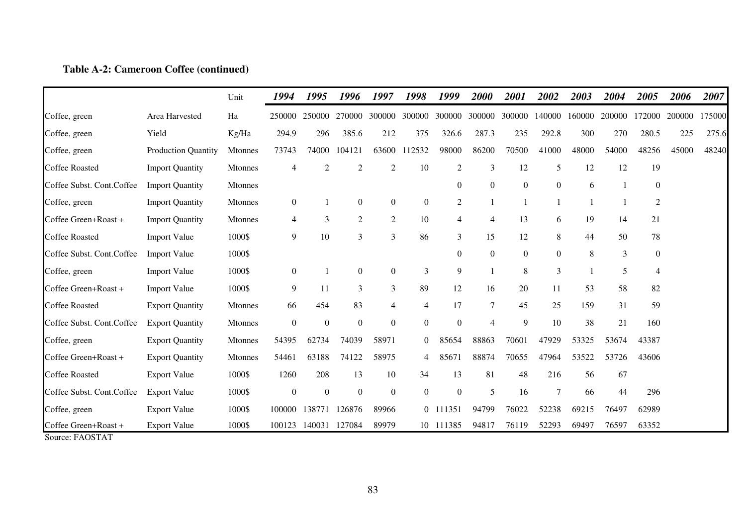### **Table A-2: Cameroon Coffee (continued)**

|                                         |                            | Unit           | 1994             | 1995             | 1996             | 1997             | 1998             | 1999             | 2000             | 2001             | 2002             | 2003   | 2004         | 2005             | 2006   | 2007   |
|-----------------------------------------|----------------------------|----------------|------------------|------------------|------------------|------------------|------------------|------------------|------------------|------------------|------------------|--------|--------------|------------------|--------|--------|
| Coffee, green                           | Area Harvested             | Ha             | 250000           | 250000           |                  | 270000 300000    | 300000           | 300000           | 300000           | 300000           | 140000           | 160000 | 200000       | 172000           | 200000 | 175000 |
| Coffee, green                           | Yield                      | Kg/Ha          | 294.9            | 296              | 385.6            | 212              | 375              | 326.6            | 287.3            | 235              | 292.8            | 300    | 270          | 280.5            | 225    | 275.6  |
| Coffee, green                           | <b>Production Quantity</b> | <b>Mtonnes</b> | 73743            | 74000            | 104121           | 63600            | 112532           | 98000            | 86200            | 70500            | 41000            | 48000  | 54000        | 48256            | 45000  | 48240  |
| <b>Coffee Roasted</b>                   | <b>Import Quantity</b>     | Mtonnes        | $\overline{4}$   | $\overline{2}$   | $\overline{2}$   | $\overline{2}$   | 10               | $\overline{2}$   | 3                | 12               | 5                | 12     | 12           | 19               |        |        |
| Coffee Subst. Cont.Coffee               | <b>Import Quantity</b>     | Mtonnes        |                  |                  |                  |                  |                  | $\overline{0}$   | $\boldsymbol{0}$ | $\boldsymbol{0}$ | $\boldsymbol{0}$ | 6      | $\mathbf{1}$ | $\boldsymbol{0}$ |        |        |
| Coffee, green                           | <b>Import Quantity</b>     | Mtonnes        | $\boldsymbol{0}$ |                  | $\mathbf{0}$     | $\boldsymbol{0}$ | $\boldsymbol{0}$ | $\overline{2}$   |                  |                  |                  |        | -1           | $\overline{2}$   |        |        |
| Coffee Green+Roast +                    | <b>Import Quantity</b>     | Mtonnes        | $\overline{4}$   | 3                | $\overline{2}$   | 2                | 10               | $\overline{4}$   | $\overline{4}$   | 13               | 6                | 19     | 14           | 21               |        |        |
| <b>Coffee Roasted</b>                   | <b>Import Value</b>        | 1000\$         | $\overline{9}$   | 10               | 3                | 3                | 86               | 3                | 15               | 12               | 8                | 44     | 50           | $78\,$           |        |        |
| Coffee Subst. Cont.Coffee               | <b>Import Value</b>        | 1000\$         |                  |                  |                  |                  |                  | $\Omega$         | $\boldsymbol{0}$ | $\boldsymbol{0}$ | $\boldsymbol{0}$ | 8      | 3            | $\boldsymbol{0}$ |        |        |
| Coffee, green                           | <b>Import Value</b>        | 1000\$         | $\boldsymbol{0}$ |                  | $\overline{0}$   | $\boldsymbol{0}$ | 3                | 9                |                  | 8                | $\mathfrak{Z}$   |        | 5            | $\overline{4}$   |        |        |
| Coffee Green+Roast +                    | <b>Import Value</b>        | 1000\$         | 9                | 11               | 3                | 3                | 89               | 12               | 16               | 20               | 11               | 53     | 58           | 82               |        |        |
| <b>Coffee Roasted</b>                   | <b>Export Quantity</b>     | Mtonnes        | 66               | 454              | 83               | 4                | 4                | 17               | $\tau$           | 45               | 25               | 159    | 31           | 59               |        |        |
| Coffee Subst. Cont.Coffee               | <b>Export Quantity</b>     | Mtonnes        | $\mathbf{0}$     | $\boldsymbol{0}$ | $\boldsymbol{0}$ | $\boldsymbol{0}$ | $\overline{0}$   | $\overline{0}$   | $\overline{4}$   | 9                | 10               | 38     | 21           | 160              |        |        |
| Coffee, green                           | <b>Export Quantity</b>     | Mtonnes        | 54395            | 62734            | 74039            | 58971            | $\overline{0}$   | 85654            | 88863            | 70601            | 47929            | 53325  | 53674        | 43387            |        |        |
| Coffee Green+Roast +                    | <b>Export Quantity</b>     | <b>Mtonnes</b> | 54461            | 63188            | 74122            | 58975            | 4                | 85671            | 88874            | 70655            | 47964            | 53522  | 53726        | 43606            |        |        |
| <b>Coffee Roasted</b>                   | <b>Export Value</b>        | 1000\$         | 1260             | 208              | 13               | 10               | 34               | 13               | 81               | 48               | 216              | 56     | 67           |                  |        |        |
| Coffee Subst. Cont.Coffee               | <b>Export Value</b>        | 1000\$         | $\boldsymbol{0}$ | $\boldsymbol{0}$ | $\boldsymbol{0}$ | $\boldsymbol{0}$ | $\boldsymbol{0}$ | $\boldsymbol{0}$ | 5                | 16               | 7                | 66     | 44           | 296              |        |        |
| Coffee, green                           | <b>Export Value</b>        | 1000\$         | 100000           | 138771           | 126876           | 89966            |                  | 0 111351         | 94799            | 76022            | 52238            | 69215  | 76497        | 62989            |        |        |
| Coffee Green+Roast +<br>Source: FAOSTAT | <b>Export Value</b>        | 1000\$         | 100123           | 140031           | 127084           | 89979            |                  | 10 111385        | 94817            | 76119            | 52293            | 69497  | 76597        | 63352            |        |        |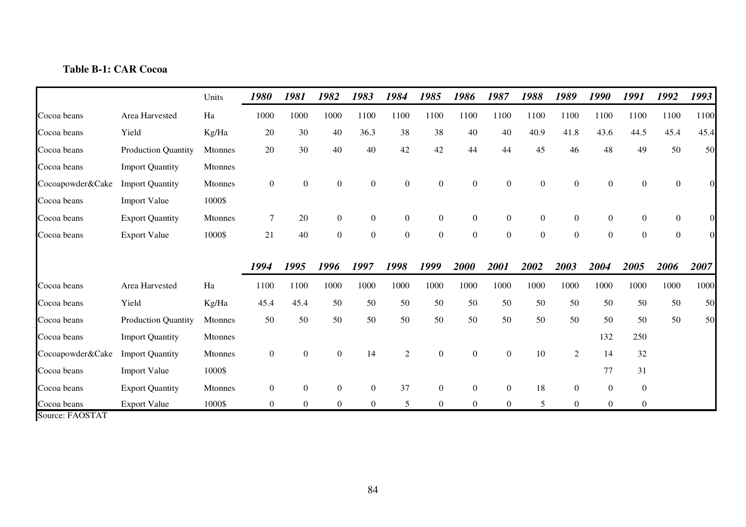# **Table B-1: CAR Cocoa**

|                  |                            | Units          | 1980             | 1981           | 1982             | 1983             | 1984             | 1985             | 1986             | 1987             | 1988           | 1989             | 1990             | 1991             | 1992             | 1993     |
|------------------|----------------------------|----------------|------------------|----------------|------------------|------------------|------------------|------------------|------------------|------------------|----------------|------------------|------------------|------------------|------------------|----------|
| Cocoa beans      | Area Harvested             | Ha             | 1000             | 1000           | 1000             | 1100             | 1100             | 1100             | 1100             | 1100             | 1100           | 1100             | 1100             | 1100             | 1100             | 1100     |
| Cocoa beans      | Yield                      | Kg/Ha          | 20               | 30             | 40               | 36.3             | 38               | 38               | 40               | 40               | 40.9           | 41.8             | 43.6             | 44.5             | 45.4             | 45.4     |
| Cocoa beans      | Production Quantity        | Mtonnes        | 20               | 30             | 40               | 40               | 42               | 42               | 44               | 44               | 45             | 46               | 48               | 49               | 50               | 50       |
| Cocoa beans      | <b>Import Quantity</b>     | Mtonnes        |                  |                |                  |                  |                  |                  |                  |                  |                |                  |                  |                  |                  |          |
| Cocoapowder&Cake | <b>Import Quantity</b>     | Mtonnes        | $\boldsymbol{0}$ | $\overline{0}$ | $\mathbf{0}$     | $\boldsymbol{0}$ | $\boldsymbol{0}$ | $\boldsymbol{0}$ | $\boldsymbol{0}$ | $\boldsymbol{0}$ | $\overline{0}$ | $\boldsymbol{0}$ | $\boldsymbol{0}$ | $\boldsymbol{0}$ | $\mathbf{0}$     |          |
| Cocoa beans      | <b>Import Value</b>        | 1000\$         |                  |                |                  |                  |                  |                  |                  |                  |                |                  |                  |                  |                  |          |
| Cocoa beans      | <b>Export Quantity</b>     | <b>Mtonnes</b> | $\tau$           | 20             | $\mathbf{0}$     | $\overline{0}$   | $\overline{0}$   | $\overline{0}$   | $\boldsymbol{0}$ | $\overline{0}$   | $\overline{0}$ | $\boldsymbol{0}$ | $\overline{0}$   | $\overline{0}$   | $\overline{0}$   | $\Omega$ |
| Cocoa beans      | <b>Export Value</b>        | 1000\$         | 21               | 40             | $\boldsymbol{0}$ | $\boldsymbol{0}$ | $\mathbf{0}$     | $\boldsymbol{0}$ | $\boldsymbol{0}$ | $\mathbf{0}$     | $\overline{0}$ | $\boldsymbol{0}$ | $\boldsymbol{0}$ | $\mathbf{0}$     | $\boldsymbol{0}$ | $\Omega$ |
|                  |                            |                |                  |                |                  |                  |                  |                  |                  |                  |                |                  |                  |                  |                  |          |
|                  |                            |                | 1994             | 1995           | 1996             | 1997             | 1998             | 1999             | 2000             | 2001             | 2002           | 2003             | 2004             | 2005             | 2006             | 2007     |
| Cocoa beans      | Area Harvested             | Ha             | 1100             | 1100           | 1000             | 1000             | 1000             | 1000             | 1000             | 1000             | 1000           | 1000             | 1000             | 1000             | 1000             | 1000     |
| Cocoa beans      | Yield                      | Kg/Ha          | 45.4             | 45.4           | 50               | 50               | 50               | 50               | 50               | 50               | 50             | 50               | 50               | 50               | 50               | 50       |
| Cocoa beans      | <b>Production Quantity</b> | Mtonnes        | 50               | 50             | 50               | 50               | 50               | 50               | 50               | 50               | 50             | 50               | 50               | 50               | 50               | 50       |
| Cocoa beans      | <b>Import Quantity</b>     | Mtonnes        |                  |                |                  |                  |                  |                  |                  |                  |                |                  | 132              | 250              |                  |          |
| Cocoapowder&Cake | <b>Import Quantity</b>     | Mtonnes        | $\boldsymbol{0}$ | $\Omega$       | $\mathbf{0}$     | 14               | 2                | $\boldsymbol{0}$ | $\boldsymbol{0}$ | $\boldsymbol{0}$ | 10             | $\overline{2}$   | 14               | 32               |                  |          |
| Cocoa beans      | <b>Import Value</b>        | 1000\$         |                  |                |                  |                  |                  |                  |                  |                  |                |                  | 77               | 31               |                  |          |
| Cocoa beans      | <b>Export Quantity</b>     | Mtonnes        | $\overline{0}$   | $\Omega$       | $\Omega$         | $\theta$         | 37               | $\boldsymbol{0}$ | $\boldsymbol{0}$ | $\overline{0}$   | 18             | $\boldsymbol{0}$ | $\overline{0}$   | $\mathbf{0}$     |                  |          |
| Cocoa beans      | <b>Export Value</b>        | 1000\$         | $\overline{0}$   | $\overline{0}$ | $\Omega$         | $\overline{0}$   | 5                | $\boldsymbol{0}$ | $\boldsymbol{0}$ | $\boldsymbol{0}$ | 5              | $\theta$         | $\overline{0}$   | $\overline{0}$   |                  |          |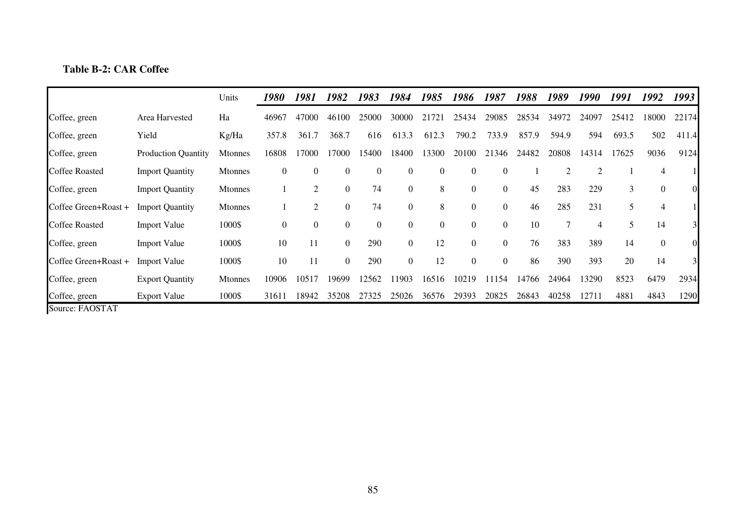## **Table B-2: CAR Coffee**

|                       |                            | Units          | <i>1980</i>      | 1981           | 1982             | 1983             | 1984           | 1985             | 1986             | 1987           | 1988  | 1989  | 1990           | 1991  | 1992           | 1993           |
|-----------------------|----------------------------|----------------|------------------|----------------|------------------|------------------|----------------|------------------|------------------|----------------|-------|-------|----------------|-------|----------------|----------------|
| Coffee, green         | Area Harvested             | Ha             | 46967            | 47000          | 46100            | 25000            | 30000          | 21721            | 25434            | 29085          | 28534 | 34972 | 24097          | 25412 | 18000          | 22174          |
| Coffee, green         | Yield                      | Kg/Ha          | 357.8            | 361.7          | 368.7            | 616              | 613.3          | 612.3            | 790.2            | 733.9          | 857.9 | 594.9 | 594            | 693.5 | 502            | 411.4          |
| Coffee, green         | <b>Production Quantity</b> | <b>Mtonnes</b> | 16808            | 17000          | 17000            | 15400            | 18400          | 13300            | 20100            | 21346          | 24482 | 20808 | 14314          | 17625 | 9036           | 9124           |
| <b>Coffee Roasted</b> | <b>Import Quantity</b>     | <b>Mtonnes</b> | $\boldsymbol{0}$ | $\Omega$       | $\boldsymbol{0}$ | $\boldsymbol{0}$ | $\theta$       | $\boldsymbol{0}$ | $\Omega$         | $\theta$       |       |       | $\overline{2}$ |       | $\overline{4}$ |                |
| Coffee, green         | <b>Import Quantity</b>     | <b>Mtonnes</b> |                  | 2              | $\boldsymbol{0}$ | 74               | $\theta$       | 8                | $\boldsymbol{0}$ | $\overline{0}$ | 45    | 283   | 229            | 3     | $\overline{0}$ | $\overline{0}$ |
| Coffee Green+Roast +  | <b>Import Quantity</b>     | <b>Mtonnes</b> |                  | 2              | $\boldsymbol{0}$ | 74               | $\theta$       | 8                | $\Omega$         | $\overline{0}$ | 46    | 285   | 231            | 5     | 4              |                |
| <b>Coffee Roasted</b> | <b>Import Value</b>        | 1000\$         | $\overline{0}$   | $\overline{0}$ | $\mathbf{0}$     | $\boldsymbol{0}$ | $\overline{0}$ | $\overline{0}$   | $\overline{0}$   | $\overline{0}$ | 10    |       | 4              |       | 14             | $\overline{3}$ |
| Coffee, green         | <b>Import Value</b>        | 1000\$         | 10               | 11             | $\overline{0}$   | 290              | $\overline{0}$ | 12               | $\overline{0}$   | $\overline{0}$ | 76    | 383   | 389            | 14    | $\overline{0}$ | $\overline{0}$ |
| Coffee Green+Roast +  | <b>Import Value</b>        | 1000\$         | 10               | 11             | $\overline{0}$   | 290              | $\overline{0}$ | 12               | $\overline{0}$   | $\overline{0}$ | 86    | 390   | 393            | 20    | 14             | $\overline{3}$ |
| Coffee, green         | <b>Export Quantity</b>     | <b>Mtonnes</b> | 10906            | 10517          | 19699            | 12562            | 11903          | 16516            | 10219            | 11154          | 14766 | 24964 | 13290          | 8523  | 6479           | 2934           |
| Coffee, green         | <b>Export Value</b>        | 1000\$         | 31611            | 18942          | 35208            | 27325            | 25026          | 36576            | 29393            | 20825          | 26843 | 40258 | 12711          | 4881  | 4843           | 1290           |
| Source: FAOSTAT       |                            |                |                  |                |                  |                  |                |                  |                  |                |       |       |                |       |                |                |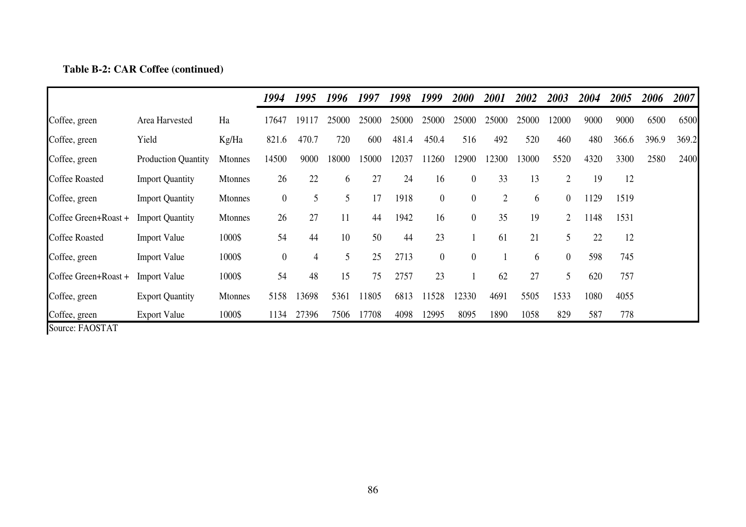|  |  |  | Table B-2: CAR Coffee (continued) |
|--|--|--|-----------------------------------|
|--|--|--|-----------------------------------|

|                       |                            |                | 1994             | 1995  | 1996  | 1997  | 1998  | 1999             | 2000             | 2001           | 2002  | 2003           | 2004 | 2005  | 2006  | 2007  |
|-----------------------|----------------------------|----------------|------------------|-------|-------|-------|-------|------------------|------------------|----------------|-------|----------------|------|-------|-------|-------|
| Coffee, green         | Area Harvested             | Ha             | 17647            | 19117 | 25000 | 25000 | 25000 | 25000            | 25000            | 25000          | 25000 | 12000          | 9000 | 9000  | 6500  | 6500  |
| Coffee, green         | Yield                      | Kg/Ha          | 821.6            | 470.7 | 720   | 600   | 481.4 | 450.4            | 516              | 492            | 520   | 460            | 480  | 366.6 | 396.9 | 369.2 |
| Coffee, green         | <b>Production Quantity</b> | <b>Mtonnes</b> | 14500            | 9000  | 18000 | 15000 | 12037 | 11260            | 12900            | 12300          | 13000 | 5520           | 4320 | 3300  | 2580  | 2400  |
| <b>Coffee Roasted</b> | <b>Import Quantity</b>     | <b>Mtonnes</b> | 26               | 22    | 6     | 27    | 24    | 16               | $\boldsymbol{0}$ | 33             | 13    | $\overline{2}$ | 19   | 12    |       |       |
| Coffee, green         | <b>Import Quantity</b>     | <b>Mtonnes</b> | $\boldsymbol{0}$ | 5     | 5     | 17    | 1918  | $\boldsymbol{0}$ | $\overline{0}$   | $\overline{2}$ | 6     | $\overline{0}$ | 1129 | 1519  |       |       |
| Coffee Green+Roast +  | <b>Import Quantity</b>     | <b>Mtonnes</b> | 26               | 27    | 11    | 44    | 1942  | 16               | $\boldsymbol{0}$ | 35             | 19    | $\overline{2}$ | 1148 | 1531  |       |       |
| <b>Coffee Roasted</b> | <b>Import Value</b>        | 1000\$         | 54               | 44    | 10    | 50    | 44    | 23               |                  | 61             | 21    | 5              | 22   | 12    |       |       |
| Coffee, green         | <b>Import Value</b>        | 1000\$         | $\boldsymbol{0}$ | 4     | 5     | 25    | 2713  | $\boldsymbol{0}$ | $\boldsymbol{0}$ |                | 6     | $\overline{0}$ | 598  | 745   |       |       |
| Coffee Green+Roast +  | <b>Import Value</b>        | 1000\$         | 54               | 48    | 15    | 75    | 2757  | 23               |                  | 62             | 27    | 5              | 620  | 757   |       |       |
| Coffee, green         | <b>Export Quantity</b>     | <b>Mtonnes</b> | 5158             | 13698 | 5361  | 11805 | 6813  | 11528            | 12330            | 4691           | 5505  | 1533           | 1080 | 4055  |       |       |
| Coffee, green         | <b>Export Value</b>        | 1000\$         | 1134             | 27396 | 7506  | 17708 | 4098  | 12995            | 8095             | 1890           | 1058  | 829            | 587  | 778   |       |       |
| Source: FAOSTAT       |                            |                |                  |       |       |       |       |                  |                  |                |       |                |      |       |       |       |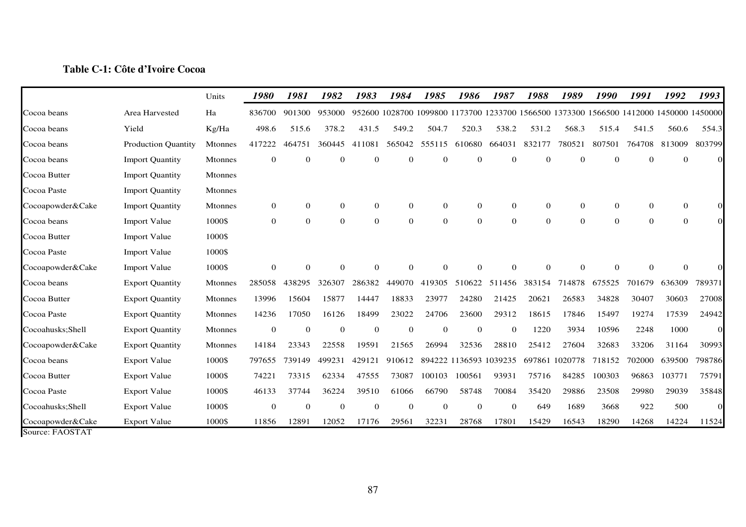## **Table C-1: Côte d'Ivoire Cocoa**

|                  |                            | Units          | 1980           | 1981         | 1982           | 1983     | 1984         | 1985           | 1986                   | 1987         | 1988           | 1989           | 1990           | 1991                                                                                   | 1992           | 1993     |
|------------------|----------------------------|----------------|----------------|--------------|----------------|----------|--------------|----------------|------------------------|--------------|----------------|----------------|----------------|----------------------------------------------------------------------------------------|----------------|----------|
| Cocoa beans      | Area Harvested             | Ha             | 836700         | 901300       | 953000         |          |              |                |                        |              |                |                |                | 952600 1028700 1099800 1173700 1233700 1566500 1373300 1566500 1412000 1450000 1450000 |                |          |
| Cocoa beans      | Yield                      | Kg/Ha          | 498.6          | 515.6        | 378.2          | 431.5    | 549.2        | 504.7          | 520.3                  | 538.2        | 531.2          | 568.3          | 515.4          | 541.5                                                                                  | 560.6          | 554.3    |
| Cocoa beans      | <b>Production Quantity</b> | <b>Mtonnes</b> | 417222         | 464751       | 360445         | 411081   | 565042       | 555115         | 610680                 | 664031       | 832177         | 780521         | 807501         | 764708                                                                                 | 813009         | 803799   |
| Cocoa beans      | <b>Import Quantity</b>     | <b>Mtonnes</b> | 0              | $\theta$     | $\overline{0}$ | $\Omega$ | $\theta$     | $\theta$       |                        | $\mathbf{0}$ | $\theta$       | $\Omega$       | $\Omega$       | $\Omega$                                                                               | $\Omega$       | $\Omega$ |
| Cocoa Butter     | <b>Import Quantity</b>     | <b>Mtonnes</b> |                |              |                |          |              |                |                        |              |                |                |                |                                                                                        |                |          |
| Cocoa Paste      | <b>Import Quantity</b>     | <b>Mtonnes</b> |                |              |                |          |              |                |                        |              |                |                |                |                                                                                        |                |          |
| Cocoapowder&Cake | <b>Import Quantity</b>     | <b>Mtonnes</b> | $\overline{0}$ | $\mathbf{0}$ | $\overline{0}$ | $\theta$ | $\mathbf{0}$ | $\overline{0}$ | $\overline{0}$         | $\theta$     | $\mathbf{0}$   | $\Omega$       | $\mathbf{0}$   | $\mathbf{0}$                                                                           | $\Omega$       | $\Omega$ |
| Cocoa beans      | <b>Import Value</b>        | 1000\$         | $\overline{0}$ | $\theta$     | $\overline{0}$ | $\theta$ | $\mathbf{0}$ | $\overline{0}$ | $\overline{0}$         | $\theta$     | $\overline{0}$ | $\mathbf{0}$   | $\overline{0}$ | $\mathbf{0}$                                                                           | $\overline{0}$ | $\Omega$ |
| Cocoa Butter     | <b>Import Value</b>        | 1000\$         |                |              |                |          |              |                |                        |              |                |                |                |                                                                                        |                |          |
| Cocoa Paste      | <b>Import Value</b>        | 1000\$         |                |              |                |          |              |                |                        |              |                |                |                |                                                                                        |                |          |
| Cocoapowder&Cake | <b>Import Value</b>        | 1000\$         | $\theta$       | $\Omega$     | $\theta$       | $\Omega$ | $\Omega$     | $\Omega$       |                        | $\Omega$     | $\Omega$       | $\Omega$       | $\Omega$       | $\Omega$                                                                               | $\Omega$       |          |
| Cocoa beans      | <b>Export Quantity</b>     | Mtonnes        | 285058         | 438295       | 326307         | 286382   | 449070       | 419305         | 510622                 | 511456       | 383154         | 714878         | 675525         | 701679                                                                                 | 636309         | 789371   |
| Cocoa Butter     | <b>Export Quantity</b>     | <b>Mtonnes</b> | 13996          | 15604        | 15877          | 14447    | 18833        | 23977          | 24280                  | 21425        | 20621          | 26583          | 34828          | 30407                                                                                  | 30603          | 27008    |
| Cocoa Paste      | <b>Export Quantity</b>     | Mtonnes        | 14236          | 17050        | 16126          | 18499    | 23022        | 24706          | 23600                  | 29312        | 18615          | 17846          | 15497          | 19274                                                                                  | 17539          | 24942    |
| Cocoahusks;Shell | <b>Export Quantity</b>     | <b>Mtonnes</b> | $\mathbf{0}$   | $\mathbf 0$  | $\mathbf{0}$   | $\theta$ | $\mathbf{0}$ | $\mathbf{0}$   | $\mathbf{0}$           | $\mathbf{0}$ | 1220           | 3934           | 10596          | 2248                                                                                   | 1000           | $\Omega$ |
| Cocoapowder&Cake | <b>Export Quantity</b>     | Mtonnes        | 14184          | 23343        | 22558          | 19591    | 21565        | 26994          | 32536                  | 28810        | 25412          | 27604          | 32683          | 33206                                                                                  | 31164          | 30993    |
| Cocoa beans      | <b>Export Value</b>        | 1000\$         | 797655         | 739149       | 499231         | 429121   | 910612       |                | 894222 1136593 1039235 |              |                | 697861 1020778 | 718152         | 702000                                                                                 | 639500         | 798786   |
| Cocoa Butter     | <b>Export Value</b>        | 1000\$         | 74221          | 73315        | 62334          | 47555    | 73087        | 100103         | 100561                 | 93931        | 75716          | 84285          | 100303         | 96863                                                                                  | 103771         | 75791    |
| Cocoa Paste      | <b>Export Value</b>        | 1000\$         | 46133          | 37744        | 36224          | 39510    | 61066        | 66790          | 58748                  | 70084        | 35420          | 29886          | 23508          | 29980                                                                                  | 29039          | 35848    |
| Cocoahusks;Shell | <b>Export Value</b>        | 1000\$         | $\theta$       | $\theta$     | $\mathbf{0}$   | $\theta$ | $\theta$     | $\mathbf{0}$   | $\theta$               | $\mathbf{0}$ | 649            | 1689           | 3668           | 922                                                                                    | 500            | $\Omega$ |
| Cocoapowder&Cake | <b>Export Value</b>        | 1000\$         | 11856          | 12891        | 12052          | 17176    | 29561        | 32231          | 28768                  | 17801        | 15429          | 16543          | 18290          | 14268                                                                                  | 14224          | 11524    |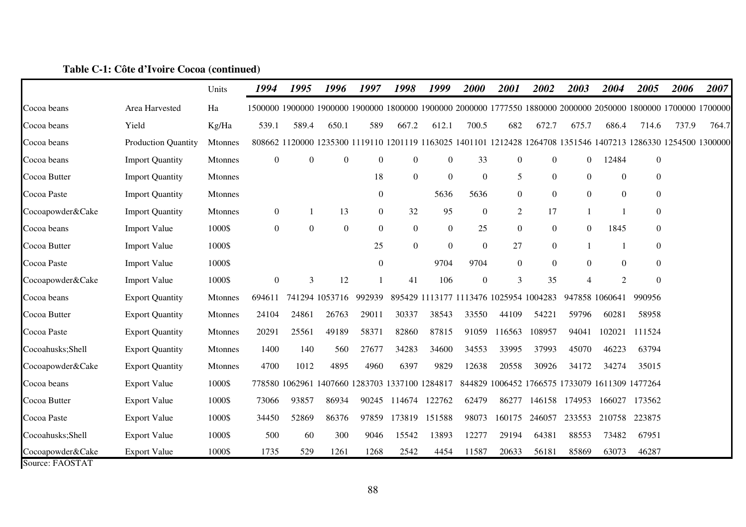|                  |                            | Units          | 1994           | 1995             | 1996             | 1997                                           | 1998             | 1999             | 2000             | 2001                                   | 2002             | 2003                                                                                                            | 2004             | 2005             | 2006  | 2007  |
|------------------|----------------------------|----------------|----------------|------------------|------------------|------------------------------------------------|------------------|------------------|------------------|----------------------------------------|------------------|-----------------------------------------------------------------------------------------------------------------|------------------|------------------|-------|-------|
| Cocoa beans      | Area Harvested             | Ha             |                |                  |                  |                                                |                  |                  |                  |                                        |                  | 1500000 1900000 1900000 1900000 1800000 1900000 2000000 1777550 1880000 2000000 2050000 1800000 1700000 1700000 |                  |                  |       |       |
| Cocoa beans      | Yield                      | Kg/Ha          | 539.1          | 589.4            | 650.1            | 589                                            | 667.2            | 612.1            | 700.5            | 682                                    | 672.7            | 675.7                                                                                                           | 686.4            | 714.6            | 737.9 | 764.7 |
| Cocoa beans      | <b>Production Quantity</b> | <b>Mtonnes</b> |                |                  |                  |                                                |                  |                  |                  |                                        |                  | 808662 1120000 1235300 1119110 1201119 1163025 1401101 1212428 1264708 1351546 1407213 1286330 1254500 1300000  |                  |                  |       |       |
| Cocoa beans      | <b>Import Quantity</b>     | <b>Mtonnes</b> | $\overline{0}$ | $\boldsymbol{0}$ | $\boldsymbol{0}$ | $\boldsymbol{0}$                               | $\boldsymbol{0}$ | $\boldsymbol{0}$ | 33               | $\boldsymbol{0}$                       | $\boldsymbol{0}$ | $\overline{0}$                                                                                                  | 12484            | $\boldsymbol{0}$ |       |       |
| Cocoa Butter     | <b>Import Quantity</b>     | Mtonnes        |                |                  |                  | 18                                             | $\boldsymbol{0}$ | $\boldsymbol{0}$ | $\boldsymbol{0}$ | 5                                      | $\boldsymbol{0}$ | $\mathbf{0}$                                                                                                    | $\boldsymbol{0}$ | $\boldsymbol{0}$ |       |       |
| Cocoa Paste      | <b>Import Quantity</b>     | <b>Mtonnes</b> |                |                  |                  | $\boldsymbol{0}$                               |                  | 5636             | 5636             | $\boldsymbol{0}$                       | $\boldsymbol{0}$ | $\boldsymbol{0}$                                                                                                | $\boldsymbol{0}$ | $\boldsymbol{0}$ |       |       |
| Cocoapowder&Cake | <b>Import Quantity</b>     | Mtonnes        | $\overline{0}$ |                  | 13               | $\overline{0}$                                 | 32               | 95               | $\theta$         | $\overline{2}$                         | 17               |                                                                                                                 |                  | $\overline{0}$   |       |       |
| Cocoa beans      | <b>Import Value</b>        | 1000\$         | $\overline{0}$ | $\boldsymbol{0}$ | $\boldsymbol{0}$ | $\theta$                                       | $\overline{0}$   | $\boldsymbol{0}$ | 25               | $\boldsymbol{0}$                       | $\boldsymbol{0}$ | $\mathbf{0}$                                                                                                    | 1845             | $\boldsymbol{0}$ |       |       |
| Cocoa Butter     | <b>Import Value</b>        | 1000\$         |                |                  |                  | 25                                             | $\boldsymbol{0}$ | $\boldsymbol{0}$ | $\boldsymbol{0}$ | 27                                     | $\boldsymbol{0}$ |                                                                                                                 |                  | $\boldsymbol{0}$ |       |       |
| Cocoa Paste      | <b>Import Value</b>        | 1000\$         |                |                  |                  | $\theta$                                       |                  | 9704             | 9704             | $\overline{0}$                         | $\boldsymbol{0}$ | $\mathbf{0}$                                                                                                    | $\mathbf{0}$     | $\boldsymbol{0}$ |       |       |
| Cocoapowder&Cake | <b>Import Value</b>        | 1000\$         | $\overline{0}$ | 3                | 12               |                                                | 41               | 106              | $\mathbf{0}$     | 3                                      | 35               | $\overline{4}$                                                                                                  | $\overline{c}$   | $\boldsymbol{0}$ |       |       |
| Cocoa beans      | <b>Export Quantity</b>     | <b>Mtonnes</b> | 694611         |                  | 741294 1053716   | 992939                                         |                  |                  |                  | 895429 1113177 1113476 1025954 1004283 |                  |                                                                                                                 | 947858 1060641   | 990956           |       |       |
| Cocoa Butter     | <b>Export Quantity</b>     | Mtonnes        | 24104          | 24861            | 26763            | 29011                                          | 30337            | 38543            | 33550            | 44109                                  | 54221            | 59796                                                                                                           | 60281            | 58958            |       |       |
| Cocoa Paste      | <b>Export Quantity</b>     | Mtonnes        | 20291          | 25561            | 49189            | 58371                                          | 82860            | 87815            | 91059            | 116563                                 | 108957           | 94041                                                                                                           | 102021           | 111524           |       |       |
| Cocoahusks;Shell | <b>Export Quantity</b>     | <b>Mtonnes</b> | 1400           | 140              | 560              | 27677                                          | 34283            | 34600            | 34553            | 33995                                  | 37993            | 45070                                                                                                           | 46223            | 63794            |       |       |
| Cocoapowder&Cake | <b>Export Quantity</b>     | Mtonnes        | 4700           | 1012             | 4895             | 4960                                           | 6397             | 9829             | 12638            | 20558                                  | 30926            | 34172                                                                                                           | 34274            | 35015            |       |       |
| Cocoa beans      | <b>Export Value</b>        | 1000\$         |                |                  |                  | 778580 1062961 1407660 1283703 1337100 1284817 |                  |                  |                  |                                        |                  | 844829 1006452 1766575 1733079 1611309 1477264                                                                  |                  |                  |       |       |
| Cocoa Butter     | <b>Export Value</b>        | 1000\$         | 73066          | 93857            | 86934            | 90245                                          | 114674           | 122762           | 62479            | 86277                                  | 146158           | 174953                                                                                                          | 166027           | 173562           |       |       |
| Cocoa Paste      | <b>Export Value</b>        | 1000\$         | 34450          | 52869            | 86376            | 97859                                          | 173819           | 151588           | 98073            | 160175                                 | 246057           | 233553                                                                                                          | 210758           | 223875           |       |       |
| Cocoahusks;Shell | <b>Export Value</b>        | 1000\$         | 500            | 60               | 300              | 9046                                           | 15542            | 13893            | 12277            | 29194                                  | 64381            | 88553                                                                                                           | 73482            | 67951            |       |       |
| Cocoapowder&Cake | <b>Export Value</b>        | 1000\$         | 1735           | 529              | 1261             | 1268                                           | 2542             | 4454             | 11587            | 20633                                  | 56181            | 85869                                                                                                           | 63073            | 46287            |       |       |

## **Table C-1: Côte d'Ivoire Cocoa (continued)**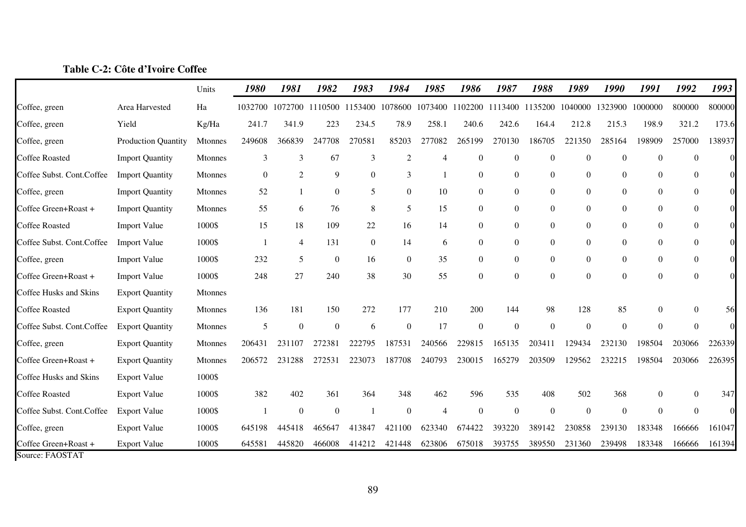|                                         |                            | Units          | 1980           | 1981           | 1982                    | 1983           | 1984                                            | 1985           | 1986             | 1987           | 1988             | 1989             | 1990             | 1991           | 1992             | 1993             |
|-----------------------------------------|----------------------------|----------------|----------------|----------------|-------------------------|----------------|-------------------------------------------------|----------------|------------------|----------------|------------------|------------------|------------------|----------------|------------------|------------------|
| Coffee, green                           | Area Harvested             | Ha             |                |                | 1032700 1072700 1110500 |                | 1153400 1078600 1073400 1102200 1113400 1135200 |                |                  |                |                  | 1040000          | 1323900          | 1000000        | 800000           | 800000           |
| Coffee, green                           | Yield                      | Kg/Ha          | 241.7          | 341.9          | 223                     | 234.5          | 78.9                                            | 258.1          | 240.6            | 242.6          | 164.4            | 212.8            | 215.3            | 198.9          | 321.2            | 173.6            |
| Coffee, green                           | <b>Production Quantity</b> | Mtonnes        | 249608         | 366839         | 247708                  | 270581         | 85203                                           | 277082         | 265199           | 270130         | 186705           | 221350           | 285164           | 198909         | 257000           | 138937           |
| <b>Coffee Roasted</b>                   | <b>Import Quantity</b>     | Mtonnes        | 3              | 3              | 67                      | 3              | $\overline{c}$                                  | $\overline{4}$ | $\theta$         | $\theta$       | $\theta$         | $\boldsymbol{0}$ | $\overline{0}$   | $\Omega$       | $\Omega$         | $\Omega$         |
| Coffee Subst. Cont.Coffee               | <b>Import Quantity</b>     | Mtonnes        | $\overline{0}$ | $\overline{c}$ | 9                       | $\overline{0}$ | 3                                               | $\mathbf{1}$   | $\boldsymbol{0}$ | $\overline{0}$ | $\overline{0}$   | $\mathbf{0}$     | $\mathbf{0}$     | $\overline{0}$ | $\mathbf{0}$     | $\boldsymbol{0}$ |
| Coffee, green                           | <b>Import Quantity</b>     | <b>Mtonnes</b> | 52             |                | $\boldsymbol{0}$        | 5              | $\overline{0}$                                  | 10             | $\boldsymbol{0}$ | $\overline{0}$ | $\overline{0}$   | $\boldsymbol{0}$ | $\overline{0}$   | $\overline{0}$ | $\overline{0}$   | $\overline{0}$   |
| Coffee Green+Roast +                    | <b>Import Quantity</b>     | Mtonnes        | 55             | 6              | 76                      | 8              | 5                                               | 15             | $\boldsymbol{0}$ | $\overline{0}$ | $\overline{0}$   | $\mathbf{0}$     | $\overline{0}$   | $\overline{0}$ | $\boldsymbol{0}$ | $\overline{0}$   |
| <b>Coffee Roasted</b>                   | <b>Import Value</b>        | 1000\$         | 15             | 18             | 109                     | 22             | 16                                              | 14             | $\boldsymbol{0}$ | $\overline{0}$ | $\overline{0}$   | $\mathbf{0}$     | $\mathbf{0}$     | $\theta$       | $\boldsymbol{0}$ | $\boldsymbol{0}$ |
| Coffee Subst. Cont.Coffee               | <b>Import Value</b>        | 1000\$         |                | $\overline{4}$ | 131                     | $\overline{0}$ | 14                                              | 6              | $\boldsymbol{0}$ | $\overline{0}$ | $\overline{0}$   | $\overline{0}$   | $\overline{0}$   | $\Omega$       | $\boldsymbol{0}$ | $\boldsymbol{0}$ |
| Coffee, green                           | <b>Import Value</b>        | 1000\$         | 232            | 5              | $\boldsymbol{0}$        | 16             | $\boldsymbol{0}$                                | 35             | $\boldsymbol{0}$ | $\overline{0}$ | $\boldsymbol{0}$ | $\boldsymbol{0}$ | $\boldsymbol{0}$ | $\overline{0}$ | $\boldsymbol{0}$ | $\boldsymbol{0}$ |
| Coffee Green+Roast +                    | <b>Import Value</b>        | 1000\$         | 248            | 27             | 240                     | 38             | 30                                              | 55             | $\mathbf{0}$     | $\overline{0}$ | $\overline{0}$   | $\mathbf{0}$     | $\mathbf{0}$     | $\Omega$       | $\mathbf{0}$     | $\Omega$         |
| Coffee Husks and Skins                  | <b>Export Quantity</b>     | Mtonnes        |                |                |                         |                |                                                 |                |                  |                |                  |                  |                  |                |                  |                  |
| <b>Coffee Roasted</b>                   | <b>Export Quantity</b>     | Mtonnes        | 136            | 181            | 150                     | 272            | 177                                             | 210            | 200              | 144            | 98               | 128              | 85               | $\Omega$       | $\Omega$         | 56               |
| Coffee Subst. Cont.Coffee               | <b>Export Quantity</b>     | Mtonnes        | 5              | $\overline{0}$ | $\overline{0}$          | 6              | $\theta$                                        | 17             | $\boldsymbol{0}$ | $\mathbf{0}$   | $\theta$         | $\Omega$         | $\mathbf{0}$     | $\Omega$       | $\overline{0}$   | $\Omega$         |
| Coffee, green                           | <b>Export Quantity</b>     | Mtonnes        | 206431         | 231107         | 272381                  | 222795         | 187531                                          | 240566         | 229815           | 165135         | 203411           | 129434           | 232130           | 198504         | 203066           | 226339           |
| Coffee Green+Roast +                    | <b>Export Quantity</b>     | Mtonnes        | 206572         | 231288         | 272531                  | 223073         | 187708                                          | 240793         | 230015           | 165279         | 203509           | 129562           | 232215           | 198504         | 203066           | 226395           |
| Coffee Husks and Skins                  | <b>Export Value</b>        | 1000\$         |                |                |                         |                |                                                 |                |                  |                |                  |                  |                  |                |                  |                  |
| <b>Coffee Roasted</b>                   | <b>Export Value</b>        | 1000\$         | 382            | 402            | 361                     | 364            | 348                                             | 462            | 596              | 535            | 408              | 502              | 368              | $\overline{0}$ | $\Omega$         | 347              |
| Coffee Subst. Cont.Coffee               | <b>Export Value</b>        | 1000\$         |                | $\overline{0}$ | $\overline{0}$          |                | $\overline{0}$                                  | $\overline{4}$ | $\overline{0}$   | $\mathbf{0}$   | $\overline{0}$   | $\overline{0}$   | $\overline{0}$   | $\Omega$       | $\overline{0}$   | $\Omega$         |
| Coffee, green                           | <b>Export Value</b>        | 1000\$         | 645198         | 445418         | 465647                  | 413847         | 421100                                          | 623340         | 674422           | 393220         | 389142           | 230858           | 239130           | 183348         | 166666           | 161047           |
| Coffee Green+Roast +<br>Source: FAOSTAT | <b>Export Value</b>        | 1000\$         | 645581         | 445820         | 466008                  | 414212         | 421448                                          | 623806         | 675018           | 393755         | 389550           | 231360           | 239498           | 183348         | 166666           | 161394           |

# **Table C-2: Côte d'Ivoire Coffee**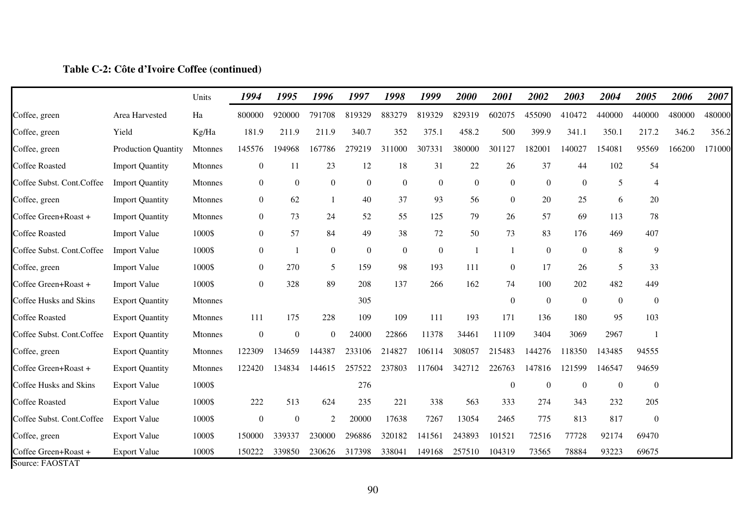### **Table C-2: Côte d'Ivoire Coffee (continued)**

| Coffee, green                           | Area Harvested             |                |                  |                  |                  | 1997           | 1998             | 1999             | 2000           | 2001             | 2002             | 2003           | 2004           | 2005             | 2006   | 2007   |
|-----------------------------------------|----------------------------|----------------|------------------|------------------|------------------|----------------|------------------|------------------|----------------|------------------|------------------|----------------|----------------|------------------|--------|--------|
|                                         |                            | Ha             | 800000           | 920000           | 791708           | 819329         | 883279           | 819329           | 829319         | 602075           | 455090           | 410472         | 440000         | 440000           | 480000 | 480000 |
| Coffee, green                           | Yield                      | Kg/Ha          | 181.9            | 211.9            | 211.9            | 340.7          | 352              | 375.1            | 458.2          | 500              | 399.9            | 341.1          | 350.1          | 217.2            | 346.2  | 356.2  |
| Coffee, green                           | <b>Production Quantity</b> | <b>Mtonnes</b> | 145576           | 194968           | 167786           | 279219         | 311000           | 307331           | 380000         | 301127           | 182001           | 140027         | 154081         | 95569            | 166200 | 171000 |
| <b>Coffee Roasted</b>                   | <b>Import Quantity</b>     | Mtonnes        | $\boldsymbol{0}$ | 11               | 23               | 12             | 18               | 31               | 22             | 26               | 37               | 44             | 102            | 54               |        |        |
| Coffee Subst. Cont.Coffee               | <b>Import Quantity</b>     | <b>Mtonnes</b> | $\boldsymbol{0}$ | $\boldsymbol{0}$ | $\boldsymbol{0}$ | $\mathbf{0}$   | $\overline{0}$   | $\overline{0}$   | $\overline{0}$ | $\boldsymbol{0}$ | $\boldsymbol{0}$ | $\overline{0}$ | 5              | $\overline{4}$   |        |        |
| Coffee, green                           | <b>Import Quantity</b>     | Mtonnes        | $\boldsymbol{0}$ | 62               | -1               | 40             | 37               | 93               | 56             | $\overline{0}$   | 20               | 25             | 6              | 20               |        |        |
| Coffee Green+Roast +                    | <b>Import Quantity</b>     | <b>Mtonnes</b> | $\overline{0}$   | 73               | 24               | 52             | 55               | 125              | 79             | 26               | 57               | 69             | 113            | 78               |        |        |
| <b>Coffee Roasted</b>                   | <b>Import Value</b>        | 1000\$         | $\boldsymbol{0}$ | 57               | 84               | 49             | 38               | 72               | 50             | 73               | 83               | 176            | 469            | 407              |        |        |
| Coffee Subst. Cont.Coffee               | <b>Import Value</b>        | 1000\$         | $\boldsymbol{0}$ |                  | $\boldsymbol{0}$ | $\overline{0}$ | $\boldsymbol{0}$ | $\boldsymbol{0}$ | $\overline{1}$ | $\mathbf{1}$     | $\boldsymbol{0}$ | $\mathbf{0}$   | 8              | 9                |        |        |
| Coffee, green                           | <b>Import Value</b>        | 1000\$         | $\overline{0}$   | 270              | 5                | 159            | 98               | 193              | 111            | $\boldsymbol{0}$ | 17               | 26             | 5              | 33               |        |        |
| Coffee Green+Roast +                    | <b>Import Value</b>        | 1000\$         | $\boldsymbol{0}$ | 328              | 89               | 208            | 137              | 266              | 162            | 74               | 100              | 202            | 482            | 449              |        |        |
| Coffee Husks and Skins                  | <b>Export Quantity</b>     | Mtonnes        |                  |                  |                  | 305            |                  |                  |                | $\boldsymbol{0}$ | $\boldsymbol{0}$ | $\mathbf{0}$   | $\overline{0}$ | $\boldsymbol{0}$ |        |        |
| <b>Coffee Roasted</b>                   | <b>Export Quantity</b>     | <b>Mtonnes</b> | 111              | 175              | 228              | 109            | 109              | 111              | 193            | 171              | 136              | 180            | 95             | 103              |        |        |
| Coffee Subst. Cont.Coffee               | <b>Export Quantity</b>     | Mtonnes        | $\boldsymbol{0}$ | $\boldsymbol{0}$ | $\overline{0}$   | 24000          | 22866            | 11378            | 34461          | 11109            | 3404             | 3069           | 2967           |                  |        |        |
| Coffee, green                           | <b>Export Quantity</b>     | <b>Mtonnes</b> | 122309           | 134659           | 144387           | 233106         | 214827           | 106114           | 308057         | 215483           | 144276           | 118350         | 143485         | 94555            |        |        |
| Coffee Green+Roast +                    | <b>Export Quantity</b>     | Mtonnes        | 122420           | 134834           | 144615           | 257522         | 237803           | 117604           | 342712         | 226763           | 147816           | 121599         | 146547         | 94659            |        |        |
| Coffee Husks and Skins                  | <b>Export Value</b>        | 1000\$         |                  |                  |                  | 276            |                  |                  |                | $\mathbf{0}$     | $\overline{0}$   | $\mathbf{0}$   | $\mathbf{0}$   | $\boldsymbol{0}$ |        |        |
| <b>Coffee Roasted</b>                   | <b>Export Value</b>        | 1000\$         | 222              | 513              | 624              | 235            | 221              | 338              | 563            | 333              | 274              | 343            | 232            | 205              |        |        |
| Coffee Subst. Cont.Coffee               | <b>Export Value</b>        | 1000\$         | $\boldsymbol{0}$ | $\overline{0}$   | $\overline{2}$   | 20000          | 17638            | 7267             | 13054          | 2465             | 775              | 813            | 817            | $\boldsymbol{0}$ |        |        |
| Coffee, green                           | <b>Export Value</b>        | 1000\$         | 150000           | 339337           | 230000           | 296886         | 320182           | 141561           | 243893         | 101521           | 72516            | 77728          | 92174          | 69470            |        |        |
| Coffee Green+Roast +<br>Source: FAOSTAT | <b>Export Value</b>        | 1000\$         | 150222           | 339850           | 230626           | 317398         | 338041           | 149168           | 257510         | 104319           | 73565            | 78884          | 93223          | 69675            |        |        |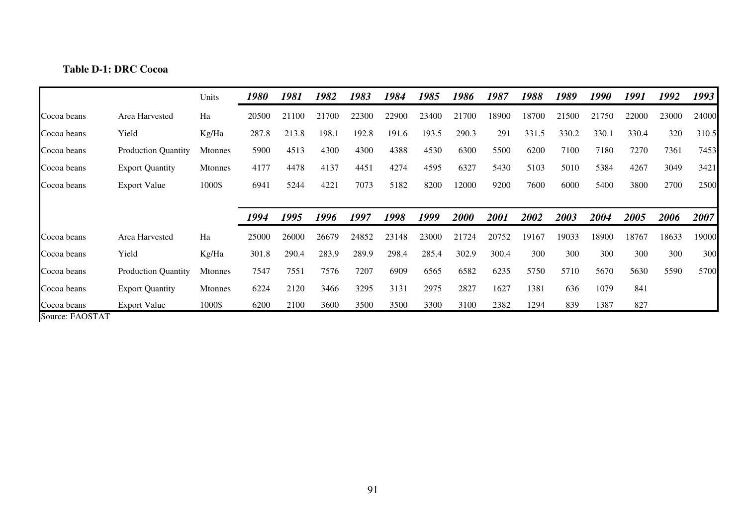# **Table D-1: DRC Cocoa**

|             |                            | Units          | 1980  | 1981  | 1982  | 1983  | 1984  | 1985  | 1986  | 1987  | 1988  | 1989  | 1990  | 1991  | 1992  | 1993  |
|-------------|----------------------------|----------------|-------|-------|-------|-------|-------|-------|-------|-------|-------|-------|-------|-------|-------|-------|
| Cocoa beans | Area Harvested             | Ha             | 20500 | 21100 | 21700 | 22300 | 22900 | 23400 | 21700 | 18900 | 18700 | 21500 | 21750 | 22000 | 23000 | 24000 |
| Cocoa beans | Yield                      | Kg/Ha          | 287.8 | 213.8 | 198.1 | 192.8 | 191.6 | 193.5 | 290.3 | 291   | 331.5 | 330.2 | 330.1 | 330.4 | 320   | 310.5 |
| Cocoa beans | Production Quantity        | <b>Mtonnes</b> | 5900  | 4513  | 4300  | 4300  | 4388  | 4530  | 6300  | 5500  | 6200  | 7100  | 7180  | 7270  | 7361  | 7453  |
| Cocoa beans | <b>Export Quantity</b>     | <b>Mtonnes</b> | 4177  | 4478  | 4137  | 4451  | 4274  | 4595  | 6327  | 5430  | 5103  | 5010  | 5384  | 4267  | 3049  | 3421  |
| Cocoa beans | <b>Export Value</b>        | 1000\$         | 6941  | 5244  | 4221  | 7073  | 5182  | 8200  | 12000 | 9200  | 7600  | 6000  | 5400  | 3800  | 2700  | 2500  |
|             |                            |                |       |       |       |       |       |       |       |       |       |       |       |       |       |       |
|             |                            |                | 1994  | 1995  | 1996  | 1997  | 1998  | 1999  | 2000  | 2001  | 2002  | 2003  | 2004  | 2005  | 2006  | 2007  |
| Cocoa beans | Area Harvested             | Ha             | 25000 | 26000 | 26679 | 24852 | 23148 | 23000 | 21724 | 20752 | 19167 | 19033 | 18900 | 18767 | 18633 | 19000 |
| Cocoa beans | Yield                      | Kg/Ha          | 301.8 | 290.4 | 283.9 | 289.9 | 298.4 | 285.4 | 302.9 | 300.4 | 300   | 300   | 300   | 300   | 300   | 300   |
| Cocoa beans | <b>Production Quantity</b> | <b>Mtonnes</b> | 7547  | 7551  | 7576  | 7207  | 6909  | 6565  | 6582  | 6235  | 5750  | 5710  | 5670  | 5630  | 5590  | 5700  |
| Cocoa beans | <b>Export Quantity</b>     | Mtonnes        | 6224  | 2120  | 3466  | 3295  | 3131  | 2975  | 2827  | 1627  | 1381  | 636   | 1079  | 841   |       |       |
| Cocoa beans | <b>Export Value</b>        | 1000\$         | 6200  | 2100  | 3600  | 3500  | 3500  | 3300  | 3100  | 2382  | 1294  | 839   | 1387  | 827   |       |       |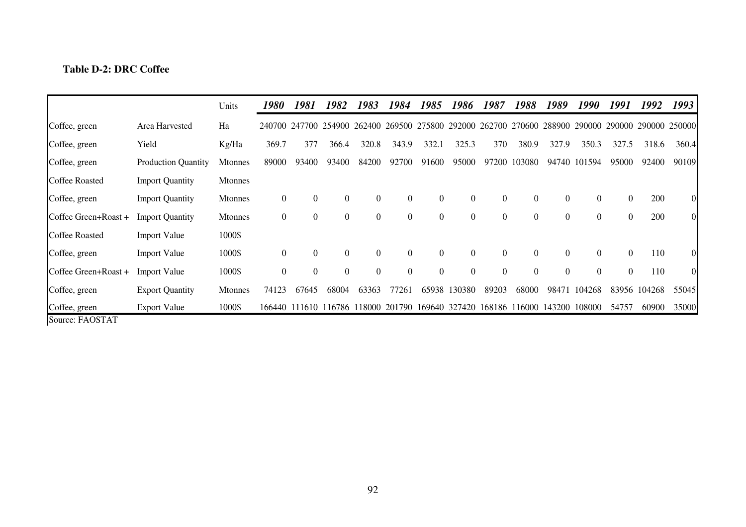## **Table D-2: DRC Coffee**

|                       |                            | Units          | 1980             | 1981                 | 1982             | 1983             | 1984           | 1985             | 1986                                                                  | 1987             | 1988             | 1989           | 1990             | 1991           | 1992          | 1993           |
|-----------------------|----------------------------|----------------|------------------|----------------------|------------------|------------------|----------------|------------------|-----------------------------------------------------------------------|------------------|------------------|----------------|------------------|----------------|---------------|----------------|
| Coffee, green         | Area Harvested             | Ha             |                  | 240700 247700 254900 |                  | 262400           | 269500         | 275800           |                                                                       | 292000 262700    | 270600           | 288900         | 290000           |                | 290000 290000 | 250000         |
| Coffee, green         | Yield                      | Kg/Ha          | 369.7            | 377                  | 366.4            | 320.8            | 343.9          | 332.1            | 325.3                                                                 | 370              | 380.9            | 327.9          | 350.3            | 327.5          | 318.6         | 360.4          |
| Coffee, green         | <b>Production Quantity</b> | <b>Mtonnes</b> | 89000            | 93400                | 93400            | 84200            | 92700          | 91600            | 95000                                                                 | 97200            | 103080           |                | 94740 101594     | 95000          | 92400         | 90109          |
| Coffee Roasted        | <b>Import Quantity</b>     | <b>Mtonnes</b> |                  |                      |                  |                  |                |                  |                                                                       |                  |                  |                |                  |                |               |                |
| Coffee, green         | <b>Import Quantity</b>     | <b>Mtonnes</b> | $\boldsymbol{0}$ | $\overline{0}$       | $\boldsymbol{0}$ | $\boldsymbol{0}$ | $\overline{0}$ | $\boldsymbol{0}$ | $\theta$                                                              | $\boldsymbol{0}$ | $\boldsymbol{0}$ | $\overline{0}$ | $\overline{0}$   | $\overline{0}$ | 200           | 0I             |
| Coffee Green+Roast +  | <b>Import Quantity</b>     | <b>Mtonnes</b> | $\boldsymbol{0}$ | 0                    | $\boldsymbol{0}$ | $\boldsymbol{0}$ | $\overline{0}$ | $\boldsymbol{0}$ | $\overline{0}$                                                        | $\boldsymbol{0}$ | $\boldsymbol{0}$ | $\overline{0}$ | $\overline{0}$   | $\overline{0}$ | 200           | $\overline{0}$ |
| <b>Coffee Roasted</b> | <b>Import Value</b>        | 1000\$         |                  |                      |                  |                  |                |                  |                                                                       |                  |                  |                |                  |                |               |                |
| Coffee, green         | <b>Import Value</b>        | 1000\$         | $\boldsymbol{0}$ | $\theta$             | $\boldsymbol{0}$ | $\boldsymbol{0}$ | $\theta$       | $\boldsymbol{0}$ | $\Omega$                                                              | $\boldsymbol{0}$ | $\overline{0}$   | $\theta$       | $\boldsymbol{0}$ | $\Omega$       | 110           | 0I             |
| Coffee Green+Roast +  | <b>Import Value</b>        | 1000\$         | $\boldsymbol{0}$ | $\theta$             | $\boldsymbol{0}$ | $\boldsymbol{0}$ | $\Omega$       | $\boldsymbol{0}$ | $\Omega$                                                              | $\boldsymbol{0}$ | $\overline{0}$   | $\Omega$       | $\boldsymbol{0}$ | $\theta$       | 110           | 01             |
| Coffee, green         | <b>Export Quantity</b>     | <b>Mtonnes</b> | 74123            | 67645                | 68004            | 63363            | 77261          | 65938            | 130380                                                                | 89203            | 68000            | 98471          | 104268           |                | 83956 104268  | 55045          |
| Coffee, green         | <b>Export Value</b>        | 1000\$         |                  |                      |                  |                  |                |                  | 166440 111610 116786 118000 201790 169640 327420 168186 116000 143200 |                  |                  |                | 108000           | 54757          | 60900         | 35000          |
| Source: FAOSTAT       |                            |                |                  |                      |                  |                  |                |                  |                                                                       |                  |                  |                |                  |                |               |                |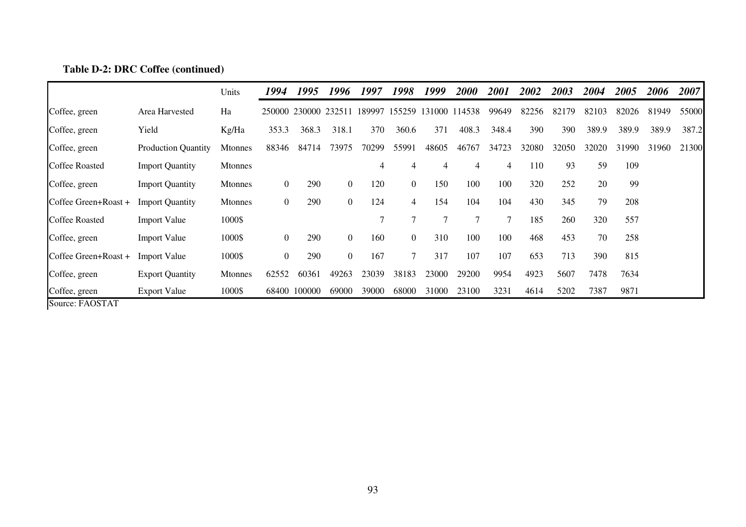|                       |                            | Units          | 1994             | 1995          | 1996           | 1997   | 1998           | 1999   | 2000          | <i>2001</i> | <i><b>2002</b></i> | 2003  | 2004  | 2005  | 2006  | 2007  |
|-----------------------|----------------------------|----------------|------------------|---------------|----------------|--------|----------------|--------|---------------|-------------|--------------------|-------|-------|-------|-------|-------|
| Coffee, green         | Area Harvested             | Ha             | 250000           | 230000 232511 |                | 189997 | 155259         | 131000 | 114538        | 99649       | 82256              | 82179 | 82103 | 82026 | 81949 | 55000 |
| Coffee, green         | Yield                      | Kg/Ha          | 353.3            | 368.3         | 318.1          | 370    | 360.6          | 371    | 408.3         | 348.4       | 390                | 390   | 389.9 | 389.9 | 389.9 | 387.2 |
| Coffee, green         | <b>Production Quantity</b> | Mtonnes        | 88346            | 84714         | 73975          | 70299  | 55991          | 48605  | 46767         | 34723       | 32080              | 32050 | 32020 | 31990 | 31960 | 21300 |
| <b>Coffee Roasted</b> | <b>Import Quantity</b>     | <b>Mtonnes</b> |                  |               |                | 4      | 4              | 4      | 4             | 4           | 110                | 93    | 59    | 109   |       |       |
| Coffee, green         | <b>Import Quantity</b>     | <b>Mtonnes</b> | 0                | 290           | $\overline{0}$ | 120    | $\overline{0}$ | 150    | 100           | 100         | 320                | 252   | 20    | 99    |       |       |
| Coffee Green+Roast +  | <b>Import Quantity</b>     | <b>Mtonnes</b> | $\overline{0}$   | 290           | $\overline{0}$ | 124    | 4              | 154    | 104           | 104         | 430                | 345   | 79    | 208   |       |       |
| <b>Coffee Roasted</b> | <b>Import Value</b>        | 1000\$         |                  |               |                | 7      | $\tau$         |        | $\mathcal{I}$ | 7           | 185                | 260   | 320   | 557   |       |       |
| Coffee, green         | <b>Import Value</b>        | 1000\$         | $\overline{0}$   | 290           | $\overline{0}$ | 160    | $\overline{0}$ | 310    | 100           | 100         | 468                | 453   | 70    | 258   |       |       |
| Coffee Green+Roast +  | <b>Import Value</b>        | 1000\$         | $\boldsymbol{0}$ | 290           | $\overline{0}$ | 167    | $\tau$         | 317    | 107           | 107         | 653                | 713   | 390   | 815   |       |       |
| Coffee, green         | <b>Export Quantity</b>     | <b>Mtonnes</b> | 62552            | 60361         | 49263          | 23039  | 38183          | 23000  | 29200         | 9954        | 4923               | 5607  | 7478  | 7634  |       |       |
| Coffee, green         | <b>Export Value</b>        | 1000\$         | 68400            | 100000        | 69000          | 39000  | 68000          | 31000  | 23100         | 3231        | 4614               | 5202  | 7387  | 9871  |       |       |

## **Table D-2: DRC Coffee (continued)**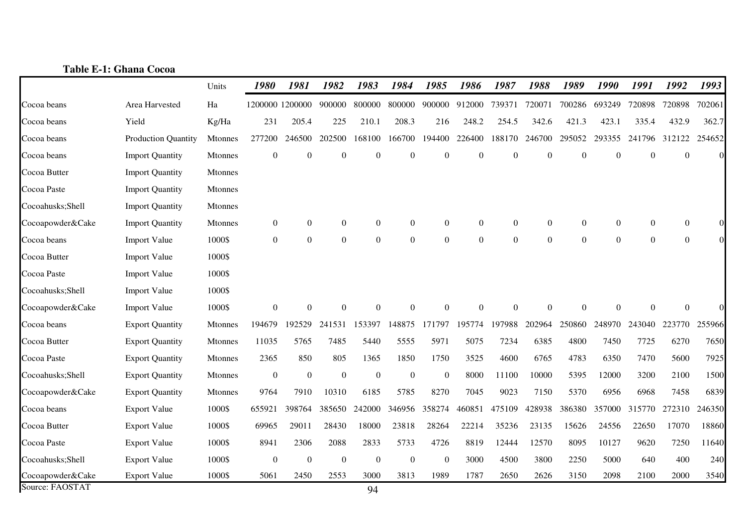|                  | <b>Table E-1: Ghana Cocoa</b> |                |                  |                  |                  |                |                  |                  |                  |                  |                  |                  |                  |                |                  |          |
|------------------|-------------------------------|----------------|------------------|------------------|------------------|----------------|------------------|------------------|------------------|------------------|------------------|------------------|------------------|----------------|------------------|----------|
|                  |                               | Units          | 1980             | 1981             | 1982             | 1983           | 1984             | 1985             | 1986             | 1987             | 1988             | 1989             | 1990             | 1991           | 1992             | 1993     |
| Cocoa beans      | Area Harvested                | Ha             | 1200000 1200000  |                  | 900000           | 800000         | 800000           | 900000           | 912000           | 739371           | 720071           | 700286           | 693249           | 720898         | 720898           | 702061   |
| Cocoa beans      | Yield                         | Kg/Ha          | 231              | 205.4            | 225              | 210.1          | 208.3            | 216              | 248.2            | 254.5            | 342.6            | 421.3            | 423.1            | 335.4          | 432.9            | 362.7    |
| Cocoa beans      | <b>Production Quantity</b>    | <b>Mtonnes</b> | 277200           | 246500           | 202500           | 168100         | 166700           | 194400           | 226400           | 188170           | 246700           | 295052           | 293355           | 241796         | 312122           | 254652   |
| Cocoa beans      | <b>Import Quantity</b>        | Mtonnes        | $\boldsymbol{0}$ | $\boldsymbol{0}$ | $\theta$         | $\overline{0}$ | $\theta$         | $\boldsymbol{0}$ | $\overline{0}$   | $\boldsymbol{0}$ | $\boldsymbol{0}$ | $\overline{0}$   | $\boldsymbol{0}$ | $\overline{0}$ | $\overline{0}$   | $\Omega$ |
| Cocoa Butter     | <b>Import Quantity</b>        | <b>Mtonnes</b> |                  |                  |                  |                |                  |                  |                  |                  |                  |                  |                  |                |                  |          |
| Cocoa Paste      | <b>Import Quantity</b>        | Mtonnes        |                  |                  |                  |                |                  |                  |                  |                  |                  |                  |                  |                |                  |          |
| Cocoahusks;Shell | <b>Import Quantity</b>        | <b>Mtonnes</b> |                  |                  |                  |                |                  |                  |                  |                  |                  |                  |                  |                |                  |          |
| Cocoapowder&Cake | <b>Import Quantity</b>        | Mtonnes        | 0                | $\boldsymbol{0}$ | $\boldsymbol{0}$ | $\overline{0}$ | $\boldsymbol{0}$ | $\boldsymbol{0}$ | $\boldsymbol{0}$ | $\boldsymbol{0}$ | $\boldsymbol{0}$ | $\boldsymbol{0}$ | $\boldsymbol{0}$ | $\theta$       | $\overline{0}$   | $\Omega$ |
| Cocoa beans      | <b>Import Value</b>           | 1000\$         | $\boldsymbol{0}$ | $\boldsymbol{0}$ | $\boldsymbol{0}$ | $\Omega$       | $\Omega$         | $\Omega$         | $\Omega$         | $\boldsymbol{0}$ | $\boldsymbol{0}$ | $\Omega$         | $\overline{0}$   | $\Omega$       | $\boldsymbol{0}$ | $\Omega$ |
| Cocoa Butter     | <b>Import Value</b>           | 1000\$         |                  |                  |                  |                |                  |                  |                  |                  |                  |                  |                  |                |                  |          |
| Cocoa Paste      | <b>Import Value</b>           | 1000\$         |                  |                  |                  |                |                  |                  |                  |                  |                  |                  |                  |                |                  |          |
| Cocoahusks;Shell | <b>Import Value</b>           | 1000\$         |                  |                  |                  |                |                  |                  |                  |                  |                  |                  |                  |                |                  |          |
| Cocoapowder&Cake | <b>Import Value</b>           | 1000\$         | $\overline{0}$   | $\theta$         | $\Omega$         | $\Omega$       | $\Omega$         | $\Omega$         | $\Omega$         | $\mathbf{0}$     | $\mathbf{0}$     | $\Omega$         | $\theta$         | $\Omega$       | $\overline{0}$   |          |
| Cocoa beans      | <b>Export Quantity</b>        | <b>Mtonnes</b> | 194679           | 192529           | 241531           | 153397         | 148875           | 171797           | 195774           | 197988           | 202964           | 250860           | 248970           | 243040         | 223770           | 255966   |
| Cocoa Butter     | <b>Export Quantity</b>        | <b>Mtonnes</b> | 11035            | 5765             | 7485             | 5440           | 5555             | 5971             | 5075             | 7234             | 6385             | 4800             | 7450             | 7725           | 6270             | 7650     |
| Cocoa Paste      | <b>Export Quantity</b>        | Mtonnes        | 2365             | 850              | 805              | 1365           | 1850             | 1750             | 3525             | 4600             | 6765             | 4783             | 6350             | 7470           | 5600             | 7925     |
| Cocoahusks;Shell | <b>Export Quantity</b>        | <b>Mtonnes</b> | $\boldsymbol{0}$ | $\boldsymbol{0}$ | $\mathbf{0}$     | $\overline{0}$ | $\theta$         | $\overline{0}$   | 8000             | 11100            | 10000            | 5395             | 12000            | 3200           | 2100             | 1500     |
| Cocoapowder&Cake | <b>Export Quantity</b>        | Mtonnes        | 9764             | 7910             | 10310            | 6185           | 5785             | 8270             | 7045             | 9023             | 7150             | 5370             | 6956             | 6968           | 7458             | 6839     |
| Cocoa beans      | <b>Export Value</b>           | 1000\$         | 655921           | 398764           | 385650           | 242000         | 346956           | 358274           | 460851           | 475109           | 428938           | 386380           | 357000           | 315770         | 272310           | 246350   |
| Cocoa Butter     | <b>Export Value</b>           | 1000\$         | 69965            | 29011            | 28430            | 18000          | 23818            | 28264            | 22214            | 35236            | 23135            | 15626            | 24556            | 22650          | 17070            | 18860    |
| Cocoa Paste      | <b>Export Value</b>           | 1000\$         | 8941             | 2306             | 2088             | 2833           | 5733             | 4726             | 8819             | 12444            | 12570            | 8095             | 10127            | 9620           | 7250             | 11640    |
| Cocoahusks;Shell | <b>Export Value</b>           | 1000\$         | $\boldsymbol{0}$ | $\boldsymbol{0}$ | $\overline{0}$   | $\overline{0}$ | $\theta$         | $\overline{0}$   | 3000             | 4500             | 3800             | 2250             | 5000             | 640            | 400              | 240      |
| Cocoapowder&Cake | <b>Export Value</b>           | 1000\$         | 5061             | 2450             | 2553             | 3000           | 3813             | 1989             | 1787             | 2650             | 2626             | 3150             | 2098             | 2100           | 2000             | 3540     |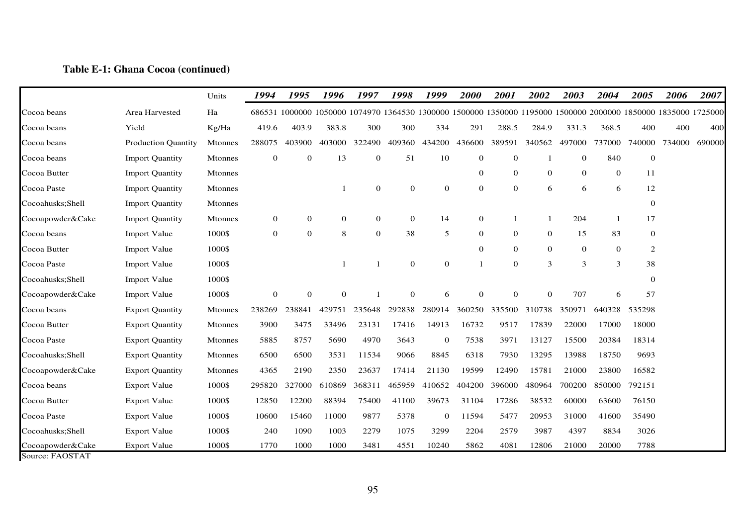## **Table E-1: Ghana Cocoa (continued)**

|                                     |                            | Units          | 1994         | 1995                                                                                                           | 1996         | 1997         | 1998           | 1999         | <b>2000</b>      | 2001           | 2002           | 2003         | 2004         | 2005         | 2006   | 2007   |
|-------------------------------------|----------------------------|----------------|--------------|----------------------------------------------------------------------------------------------------------------|--------------|--------------|----------------|--------------|------------------|----------------|----------------|--------------|--------------|--------------|--------|--------|
| Cocoa beans                         | Area Harvested             | Ha             |              | 686531 1000000 1050000 1074970 1364530 1300000 1500000 1350000 1195000 1500000 2000000 1850000 1835000 1725000 |              |              |                |              |                  |                |                |              |              |              |        |        |
| Cocoa beans                         | Yield                      | Kg/Ha          | 419.6        | 403.9                                                                                                          | 383.8        | 300          | 300            | 334          | 291              | 288.5          | 284.9          | 331.3        | 368.5        | 400          | 400    | 400    |
| Cocoa beans                         | <b>Production Quantity</b> | Mtonnes        | 288075       | 403900                                                                                                         | 403000       | 322490       | 409360         | 434200       | 436600           | 389591         | 340562         | 497000       | 737000       | 740000       | 734000 | 690000 |
| Cocoa beans                         | <b>Import Quantity</b>     | Mtonnes        | 0            | $\mathbf{0}$                                                                                                   | 13           | $\bf{0}$     | 51             | 10           | $\boldsymbol{0}$ | $\mathbf{0}$   | -1             | 0            | 840          | $\bf{0}$     |        |        |
| Cocoa Butter                        | <b>Import Quantity</b>     | Mtonnes        |              |                                                                                                                |              |              |                |              | $\mathbf{0}$     | $\overline{0}$ | $\mathbf{0}$   | $\mathbf{0}$ | $\mathbf{0}$ | 11           |        |        |
| Cocoa Paste                         | <b>Import Quantity</b>     | Mtonnes        |              |                                                                                                                | -1           | $\mathbf{0}$ | $\mathbf{0}$   | $\mathbf{0}$ | $\mathbf{0}$     | $\mathbf{0}$   | 6              | 6            | 6            | 12           |        |        |
| Cocoahusks; Shell                   | <b>Import Quantity</b>     | Mtonnes        |              |                                                                                                                |              |              |                |              |                  |                |                |              |              | $\mathbf{0}$ |        |        |
| Cocoapowder&Cake                    | <b>Import Quantity</b>     | Mtonnes        | 0            | $\overline{0}$                                                                                                 | $\mathbf{0}$ | $\mathbf{0}$ | $\overline{0}$ | 14           | $\theta$         |                | -1             | 204          | $\mathbf{1}$ | 17           |        |        |
| Cocoa beans                         | <b>Import Value</b>        | 1000\$         | 0            | $\overline{0}$                                                                                                 | 8            | $\mathbf{0}$ | 38             | 5            | 0                | $\mathbf{0}$   | $\overline{0}$ | 15           | 83           | 0            |        |        |
| Cocoa Butter                        | <b>Import Value</b>        | 1000\$         |              |                                                                                                                |              |              |                |              | $\mathbf{0}$     | $\mathbf{0}$   | $\overline{0}$ | $\mathbf{0}$ | $\mathbf 0$  | 2            |        |        |
| Cocoa Paste                         | <b>Import Value</b>        | 1000\$         |              |                                                                                                                |              |              | $\mathbf{0}$   | $\mathbf{0}$ |                  | $\overline{0}$ | 3              | 3            | 3            | 38           |        |        |
| Cocoahusks; Shell                   | <b>Import Value</b>        | 1000\$         |              |                                                                                                                |              |              |                |              |                  |                |                |              |              | $\mathbf{0}$ |        |        |
| Cocoapowder&Cake                    | <b>Import Value</b>        | 1000\$         | $\mathbf{0}$ | $\overline{0}$                                                                                                 | $\mathbf{0}$ |              | $\Omega$       | 6            | $\overline{0}$   | $\Omega$       | $\Omega$       | 707          | 6            | 57           |        |        |
| Cocoa beans                         | <b>Export Quantity</b>     | Mtonnes        | 238269       | 238841                                                                                                         | 429751       | 235648       | 292838         | 280914       | 360250           | 335500         | 310738         | 350971       | 640328       | 535298       |        |        |
| Cocoa Butter                        | <b>Export Quantity</b>     | <b>Mtonnes</b> | 3900         | 3475                                                                                                           | 33496        | 23131        | 17416          | 14913        | 16732            | 9517           | 17839          | 22000        | 17000        | 18000        |        |        |
| Cocoa Paste                         | <b>Export Quantity</b>     | Mtonnes        | 5885         | 8757                                                                                                           | 5690         | 4970         | 3643           | $\mathbf{0}$ | 7538             | 3971           | 13127          | 15500        | 20384        | 18314        |        |        |
| Cocoahusks; Shell                   | <b>Export Quantity</b>     | Mtonnes        | 6500         | 6500                                                                                                           | 3531         | 11534        | 9066           | 8845         | 6318             | 7930           | 13295          | 13988        | 18750        | 9693         |        |        |
| Cocoapowder&Cake                    | <b>Export Quantity</b>     | Mtonnes        | 4365         | 2190                                                                                                           | 2350         | 23637        | 17414          | 21130        | 19599            | 12490          | 15781          | 21000        | 23800        | 16582        |        |        |
| Cocoa beans                         | <b>Export Value</b>        | 1000\$         | 295820       | 327000                                                                                                         | 610869       | 368311       | 465959         | 410652       | 404200           | 396000         | 480964         | 700200       | 850000       | 792151       |        |        |
| Cocoa Butter                        | <b>Export Value</b>        | 1000\$         | 12850        | 12200                                                                                                          | 88394        | 75400        | 41100          | 39673        | 31104            | 17286          | 38532          | 60000        | 63600        | 76150        |        |        |
| Cocoa Paste                         | <b>Export Value</b>        | 1000\$         | 10600        | 15460                                                                                                          | 11000        | 9877         | 5378           | $\mathbf{0}$ | 11594            | 5477           | 20953          | 31000        | 41600        | 35490        |        |        |
| Cocoahusks; Shell                   | <b>Export Value</b>        | 1000\$         | 240          | 1090                                                                                                           | 1003         | 2279         | 1075           | 3299         | 2204             | 2579           | 3987           | 4397         | 8834         | 3026         |        |        |
| Cocoapowder&Cake<br>Source: FAOSTAT | <b>Export Value</b>        | 1000\$         | 1770         | 1000                                                                                                           | 1000         | 3481         | 4551           | 10240        | 5862             | 4081           | 12806          | 21000        | 20000        | 7788         |        |        |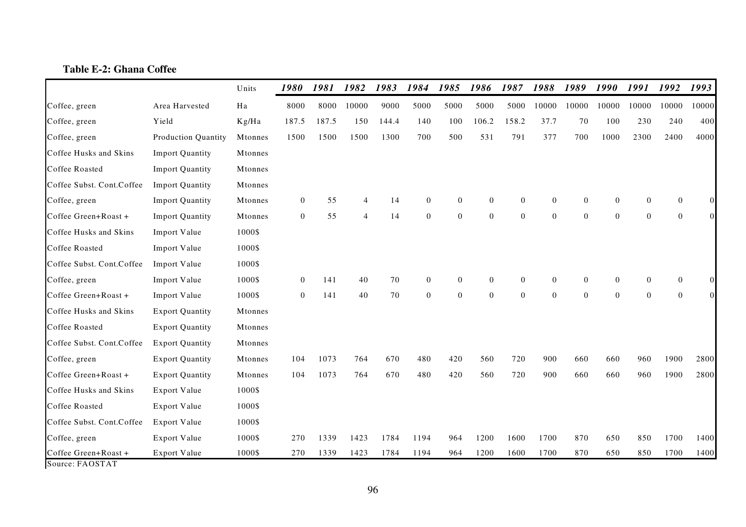# **Table E-2: Ghana Coffee**

|                                       |                        | Units   | 1980           | 1981  | 1982           | 1983  | 1984           | 1985             | 1986           | 1987           | 1988           | 1989             | 1990           | 1991         | 1992     | 1993     |
|---------------------------------------|------------------------|---------|----------------|-------|----------------|-------|----------------|------------------|----------------|----------------|----------------|------------------|----------------|--------------|----------|----------|
| Coffee, green                         | Area Harvested         | Ha      | 8000           | 8000  | 10000          | 9000  | 5000           | 5000             | 5000           | 5000           | 10000          | 10000            | 10000          | 10000        | 10000    | 10000    |
| Coffee, green                         | Yield                  | Kg/Ha   | 187.5          | 187.5 | 150            | 144.4 | 140            | 100              | 106.2          | 158.2          | 37.7           | 70               | 100            | 230          | 240      | 400      |
| Coffee, green                         | Production Quantity    | Mtonnes | 1500           | 1500  | 1500           | 1300  | 700            | 500              | 531            | 791            | 377            | 700              | 1000           | 2300         | 2400     | 4000     |
| Coffee Husks and Skins                | <b>Import Quantity</b> | Mtonnes |                |       |                |       |                |                  |                |                |                |                  |                |              |          |          |
| Coffee Roasted                        | <b>Import Quantity</b> | Mtonnes |                |       |                |       |                |                  |                |                |                |                  |                |              |          |          |
| Coffee Subst. Cont.Coffee             | <b>Import Quantity</b> | Mtonnes |                |       |                |       |                |                  |                |                |                |                  |                |              |          |          |
| Coffee, green                         | <b>Import Quantity</b> | Mtonnes | $\overline{0}$ | 55    |                | 14    | $\theta$       | $\mathbf{0}$     | $\overline{0}$ | $\theta$       | $\overline{0}$ | $\mathbf{0}$     | $\overline{0}$ | $\Omega$     | $\Omega$ | $\Omega$ |
| Coffee Green+Roast +                  | <b>Import Quantity</b> | Mtonnes | $\mathbf{0}$   | 55    | $\overline{4}$ | 14    | $\overline{0}$ | $\theta$         | $\overline{0}$ | $\overline{0}$ | $\overline{0}$ | $\theta$         | $\mathbf{0}$   | $\mathbf{0}$ | $\Omega$ | $\Omega$ |
| Coffee Husks and Skins                | Import Value           | 1000\$  |                |       |                |       |                |                  |                |                |                |                  |                |              |          |          |
| Coffee Roasted                        | Import Value           | 1000\$  |                |       |                |       |                |                  |                |                |                |                  |                |              |          |          |
| Coffee Subst. Cont.Coffee             | Import Value           | 1000\$  |                |       |                |       |                |                  |                |                |                |                  |                |              |          |          |
| Coffee, green                         | Import Value           | 1000\$  | $\overline{0}$ | 141   | 40             | 70    | $\overline{0}$ | $\mathbf{0}$     | $\overline{0}$ | $\theta$       | $\overline{0}$ | $\theta$         | $\overline{0}$ | $\mathbf{0}$ | $\Omega$ |          |
| Coffee Green+Roast +                  | Import Value           | 1000\$  | $\overline{0}$ | 141   | 40             | 70    | $\overline{0}$ | $\boldsymbol{0}$ | $\overline{0}$ | $\theta$       | $\overline{0}$ | $\boldsymbol{0}$ | $\mathbf{0}$   | $\mathbf{0}$ | $\Omega$ |          |
| Coffee Husks and Skins                | <b>Export Quantity</b> | Mtonnes |                |       |                |       |                |                  |                |                |                |                  |                |              |          |          |
| Coffee Roasted                        | <b>Export Quantity</b> | Mtonnes |                |       |                |       |                |                  |                |                |                |                  |                |              |          |          |
| Coffee Subst. Cont.Coffee             | <b>Export Quantity</b> | Mtonnes |                |       |                |       |                |                  |                |                |                |                  |                |              |          |          |
| Coffee, green                         | <b>Export Quantity</b> | Mtonnes | 104            | 1073  | 764            | 670   | 480            | 420              | 560            | 720            | 900            | 660              | 660            | 960          | 1900     | 2800     |
| Coffee Green+Roast +                  | <b>Export Quantity</b> | Mtonnes | 104            | 1073  | 764            | 670   | 480            | 420              | 560            | 720            | 900            | 660              | 660            | 960          | 1900     | 2800     |
| Coffee Husks and Skins                | Export Value           | 1000\$  |                |       |                |       |                |                  |                |                |                |                  |                |              |          |          |
| Coffee Roasted                        | Export Value           | 1000\$  |                |       |                |       |                |                  |                |                |                |                  |                |              |          |          |
| Coffee Subst. Cont.Coffee             | Export Value           | 1000\$  |                |       |                |       |                |                  |                |                |                |                  |                |              |          |          |
| Coffee, green                         | Export Value           | 1000\$  | 270            | 1339  | 1423           | 1784  | 1194           | 964              | 1200           | 1600           | 1700           | 870              | 650            | 850          | 1700     | 1400     |
| Coffee Green+Roast +<br>P A Q G T A T | Export Value           | 1000\$  | 270            | 1339  | 1423           | 1784  | 1194           | 964              | 1200           | 1600           | 1700           | 870              | 650            | 850          | 1700     | 1400     |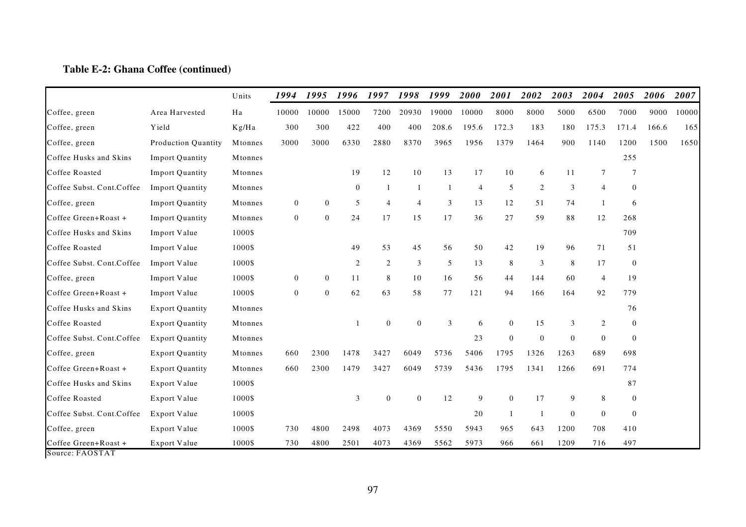### **Table E-2: Ghana Coffee (continued)**

|                                                                                                  |                            | Units   | 1994           | 1995           | 1996         | 1997           | 1998           | 1999  | 2000  | 2001           | 2002                     | 2003           | 2004                    | 2005           | 2006  | 2007  |
|--------------------------------------------------------------------------------------------------|----------------------------|---------|----------------|----------------|--------------|----------------|----------------|-------|-------|----------------|--------------------------|----------------|-------------------------|----------------|-------|-------|
| Coffee, green                                                                                    | Area Harvested             | Ha      | 10000          | 10000          | 15000        | 7200           | 20930          | 19000 | 10000 | 8000           | 8000                     | 5000           | 6500                    | 7000           | 9000  | 10000 |
| Coffee, green                                                                                    | Yield                      | Kg/Ha   | 300            | 300            | 422          | 400            | 400            | 208.6 | 195.6 | 172.3          | 183                      | 180            | 175.3                   | 171.4          | 166.6 | 165   |
| Coffee, green                                                                                    | <b>Production Quantity</b> | Mtonnes | 3000           | 3000           | 6330         | 2880           | 8370           | 3965  | 1956  | 1379           | 1464                     | 900            | 1140                    | 1200           | 1500  | 1650  |
| Coffee Husks and Skins                                                                           | <b>Import Quantity</b>     | Mtonnes |                |                |              |                |                |       |       |                |                          |                |                         | 255            |       |       |
| Coffee Roasted                                                                                   | <b>Import Quantity</b>     | Mtonnes |                |                | 19           | 12             | 10             | 13    | 17    | 10             | 6                        | 11             | 7                       | 7              |       |       |
| Coffee Subst. Cont.Coffee                                                                        | <b>Import Quantity</b>     | Mtonnes |                |                | $\mathbf{0}$ | 1              |                | 1     | 4     | 5              | 2                        | 3              | 4                       | $\mathbf{0}$   |       |       |
| Coffee, green                                                                                    | <b>Import Quantity</b>     | Mtonnes | $\mathbf{0}$   | $\overline{0}$ | 5            | $\overline{4}$ | $\overline{4}$ | 3     | 13    | 12             | 51                       | 74             | $\overline{\mathbf{1}}$ | 6              |       |       |
| Coffee Green+Roast +                                                                             | <b>Import Quantity</b>     | Mtonnes | $\overline{0}$ | $\overline{0}$ | 24           | 17             | 15             | 17    | 36    | 27             | 59                       | 88             | 12                      | 268            |       |       |
| Coffee Husks and Skins                                                                           | Import Value               | 1000\$  |                |                |              |                |                |       |       |                |                          |                |                         | 709            |       |       |
| Coffee Roasted                                                                                   | Import Value               | 1000\$  |                |                | 49           | 53             | 45             | 56    | 50    | 42             | 19                       | 96             | 71                      | 51             |       |       |
| Coffee Subst. Cont.Coffee                                                                        | Import Value               | 1000\$  |                |                | $\mathbf{2}$ | $\overline{c}$ | 3              | 5     | 13    | 8              | 3                        | 8              | 17                      | $\mathbf{0}$   |       |       |
| Coffee, green                                                                                    | Import Value               | 1000\$  | $\mathbf{0}$   | $\overline{0}$ | 11           | 8              | 10             | 16    | 56    | 44             | 144                      | 60             | $\overline{4}$          | 19             |       |       |
| Coffee Green+Roast +                                                                             | Import Value               | 1000\$  | $\mathbf{0}$   | $\mathbf{0}$   | 62           | 63             | 58             | 77    | 121   | 94             | 166                      | 164            | 92                      | 779            |       |       |
| Coffee Husks and Skins                                                                           | <b>Export Quantity</b>     | Mtonnes |                |                |              |                |                |       |       |                |                          |                |                         | 76             |       |       |
| Coffee Roasted                                                                                   | <b>Export Quantity</b>     | Mtonnes |                |                |              | $\theta$       | $\overline{0}$ | 3     | 6     | $\Omega$       | 15                       | 3              | 2                       | $\overline{0}$ |       |       |
| Coffee Subst. Cont.Coffee                                                                        | <b>Export Quantity</b>     | Mtonnes |                |                |              |                |                |       | 23    | $\Omega$       | $\Omega$                 | $\overline{0}$ | $\overline{0}$          | $\overline{0}$ |       |       |
| Coffee, green                                                                                    | <b>Export Quantity</b>     | Mtonnes | 660            | 2300           | 1478         | 3427           | 6049           | 5736  | 5406  | 1795           | 1326                     | 1263           | 689                     | 698            |       |       |
| Coffee Green+Roast +                                                                             | <b>Export Quantity</b>     | Mtonnes | 660            | 2300           | 1479         | 3427           | 6049           | 5739  | 5436  | 1795           | 1341                     | 1266           | 691                     | 774            |       |       |
| Coffee Husks and Skins                                                                           | Export Value               | 1000\$  |                |                |              |                |                |       |       |                |                          |                |                         | 87             |       |       |
| Coffee Roasted                                                                                   | Export Value               | 1000\$  |                |                | 3            | $\theta$       | $\overline{0}$ | 12    | 9     | $\overline{0}$ | 17                       | 9              | 8                       | $\overline{0}$ |       |       |
| Coffee Subst. Cont.Coffee                                                                        | Export Value               | 1000\$  |                |                |              |                |                |       | 20    | $\overline{1}$ | $\overline{\phantom{a}}$ | $\mathbf{0}$   | $\mathbf{0}$            | $\overline{0}$ |       |       |
| Coffee, green                                                                                    | Export Value               | 1000\$  | 730            | 4800           | 2498         | 4073           | 4369           | 5550  | 5943  | 965            | 643                      | 1200           | 708                     | 410            |       |       |
| Coffee Green+Roast +<br>$C_{\text{ouco}}$ $\Omega$ $\Omega$ $\Omega$ $\Gamma$ $\Lambda$ $\Gamma$ | Export Value               | 1000\$  | 730            | 4800           | 2501         | 4073           | 4369           | 5562  | 5973  | 966            | 661                      | 1209           | 716                     | 497            |       |       |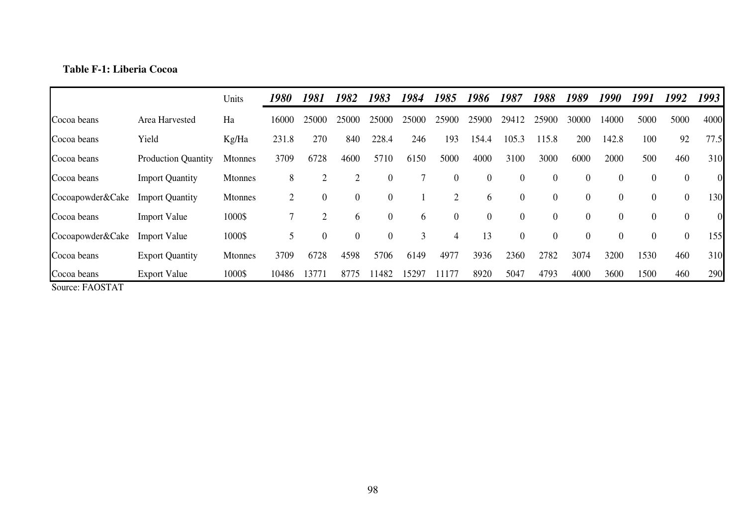# **Table F-1: Liberia Cocoa**

|                  |                            | Units   | 1980  | 1981             | 1982             | 1983           | 1984  | 1985     | 1986           | 1987             | 1988             | 1989             | 1990           | 1991 | 1992           | 1993           |
|------------------|----------------------------|---------|-------|------------------|------------------|----------------|-------|----------|----------------|------------------|------------------|------------------|----------------|------|----------------|----------------|
| Cocoa beans      | Area Harvested             | Ha      | 16000 | 25000            | 25000            | 25000          | 25000 | 25900    | 25900          | 29412            | 25900            | 30000            | 14000          | 5000 | 5000           | 4000           |
| Cocoa beans      | Yield                      | Kg/Ha   | 231.8 | 270              | 840              | 228.4          | 246   | 193      | 154.4          | 105.3            | 115.8            | 200              | 142.8          | 100  | 92             | 77.5           |
| Cocoa beans      | <b>Production Quantity</b> | Mtonnes | 3709  | 6728             | 4600             | 5710           | 6150  | 5000     | 4000           | 3100             | 3000             | 6000             | 2000           | 500  | 460            | 310            |
| Cocoa beans      | <b>Import Quantity</b>     | Mtonnes | 8     | $\overline{2}$   | 2                | $\theta$       |       | $\theta$ | $\mathbf{0}$   | $\boldsymbol{0}$ | $\overline{0}$   | $\theta$         | $\theta$       | 0    | $\overline{0}$ | $\overline{0}$ |
| Cocoapowder&Cake | <b>Import Quantity</b>     | Mtonnes | 2     | $\boldsymbol{0}$ | $\boldsymbol{0}$ | $\overline{0}$ |       | C.       | 6              | $\mathbf{0}$     | $\overline{0}$   | $\overline{0}$   | $\overline{0}$ | 0    | $\overline{0}$ | 130            |
| Cocoa beans      | <b>Import Value</b>        | 1000\$  |       | $\overline{2}$   | 6                | $\overline{0}$ | 6     | $\theta$ | $\overline{0}$ | $\boldsymbol{0}$ | $\boldsymbol{0}$ | $\boldsymbol{0}$ | $\overline{0}$ | 0    | $\overline{0}$ | $\overline{0}$ |
| Cocoapowder&Cake | <b>Import Value</b>        | 1000\$  | 5     | $\overline{0}$   | $\boldsymbol{0}$ | $\overline{0}$ | 3     | 4        | 13             | $\mathbf{0}$     | $\overline{0}$   | $\boldsymbol{0}$ | $\theta$       | 0    | $\overline{0}$ | 155            |
| Cocoa beans      | <b>Export Quantity</b>     | Mtonnes | 3709  | 6728             | 4598             | 5706           | 6149  | 4977     | 3936           | 2360             | 2782             | 3074             | 3200           | 1530 | 460            | 310            |
| Cocoa beans      | <b>Export Value</b>        | 1000\$  | 10486 | 13771            | 8775             | 1482           | 15297 | 11177    | 8920           | 5047             | 4793             | 4000             | 3600           | 1500 | 460            | 290            |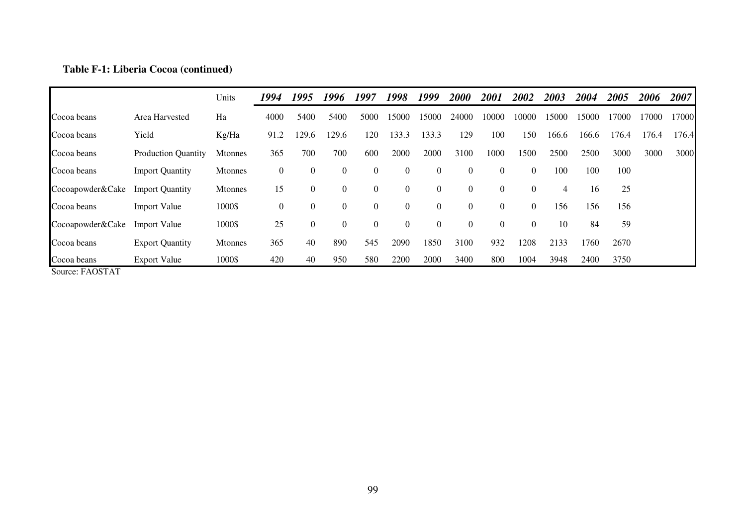## **Table F-1: Liberia Cocoa (continued)**

|                  |                            | Units          | 1994             | 1995             | 1996           | 1997     | 1998           | 1999             | 2000           | 2001             | 2002           | 2003  | 2004  | 2005  | 2006  | 2007  |
|------------------|----------------------------|----------------|------------------|------------------|----------------|----------|----------------|------------------|----------------|------------------|----------------|-------|-------|-------|-------|-------|
| Cocoa beans      | Area Harvested             | Ha             | 4000             | 5400             | 5400           | 5000     | 15000          | 15000            | 24000          | 10000            | 10000          | 15000 | 15000 | 17000 | 7000  | 17000 |
| Cocoa beans      | Yield                      | Kg/Ha          | 91.2             | 129.6            | 129.6          | 120      | 133.3          | 133.3            | 129            | 100              | 150            | 166.6 | 166.6 | 176.4 | 176.4 | 176.4 |
| Cocoa beans      | <b>Production Quantity</b> | <b>Mtonnes</b> | 365              | 700              | 700            | 600      | 2000           | 2000             | 3100           | 1000             | 1500           | 2500  | 2500  | 3000  | 3000  | 3000  |
| Cocoa beans      | <b>Import Quantity</b>     | <b>Mtonnes</b> | $\overline{0}$   | $\boldsymbol{0}$ | $\overline{0}$ | $\theta$ | $\mathbf{0}$   | $\overline{0}$   | $\overline{0}$ | $\theta$         | $\overline{0}$ | 100   | 100   | 100   |       |       |
| Cocoapowder&Cake | <b>Import Quantity</b>     | Mtonnes        | 15               | $\theta$         | $\overline{0}$ | $\theta$ | $\overline{0}$ | $\overline{0}$   | $\theta$       | $\theta$         | $\overline{0}$ | 4     | 16    | 25    |       |       |
| Cocoa beans      | <b>Import Value</b>        | 1000\$         | $\boldsymbol{0}$ | $\boldsymbol{0}$ | $\overline{0}$ | $\theta$ | $\overline{0}$ | $\boldsymbol{0}$ | $\overline{0}$ | $\boldsymbol{0}$ | $\overline{0}$ | 156   | 156   | 156   |       |       |
| Cocoapowder&Cake | <b>Import Value</b>        | 1000\$         | 25               | $\mathbf{0}$     | $\overline{0}$ | $\Omega$ | $\mathbf{0}$   | $\boldsymbol{0}$ | $\theta$       | $\boldsymbol{0}$ | $\Omega$       | 10    | 84    | 59    |       |       |
| Cocoa beans      | <b>Export Quantity</b>     | Mtonnes        | 365              | 40               | 890            | 545      | 2090           | 1850             | 3100           | 932              | 1208           | 2133  | 1760  | 2670  |       |       |
| Cocoa beans      | <b>Export Value</b>        | 1000\$         | 420              | 40               | 950            | 580      | 2200           | 2000             | 3400           | 800              | 1004           | 3948  | 2400  | 3750  |       |       |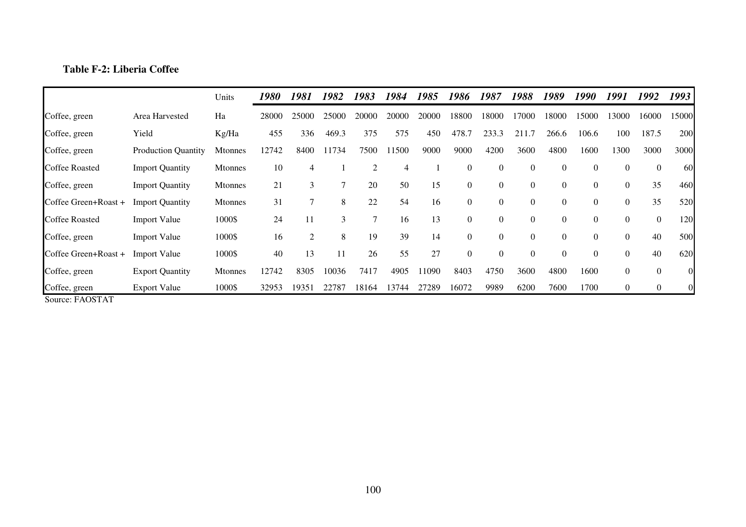# **Table F-2: Liberia Coffee**

|                       |                            | Units          | 1980  | 1981           | 1982  | 1983           | 1984  | 1985  | 1986     | 1987           | 1988             | 1989           | 1990     | 1991     | 1992           | 1993           |
|-----------------------|----------------------------|----------------|-------|----------------|-------|----------------|-------|-------|----------|----------------|------------------|----------------|----------|----------|----------------|----------------|
| Coffee, green         | Area Harvested             | Ha             | 28000 | 25000          | 25000 | 20000          | 20000 | 20000 | 18800    | 18000          | 17000            | 18000          | 15000    | 13000    | 6000           | 15000          |
| Coffee, green         | Yield                      | Kg/Ha          | 455   | 336            | 469.3 | 375            | 575   | 450   | 478.7    | 233.3          | 211.7            | 266.6          | 106.6    | 100      | 187.5          | 200            |
| Coffee, green         | <b>Production Quantity</b> | <b>Mtonnes</b> | 12742 | 8400           | 734   | 7500           | 11500 | 9000  | 9000     | 4200           | 3600             | 4800           | 1600     | 1300     | 3000           | 3000           |
| <b>Coffee Roasted</b> | <b>Import Quantity</b>     | Mtonnes        | 10    |                |       | $\overline{c}$ | 4     |       | $\theta$ | $\mathbf{0}$   | $\theta$         | $\overline{0}$ | $\Omega$ | $\Omega$ | $\overline{0}$ | <b>60</b>      |
| Coffee, green         | <b>Import Quantity</b>     | <b>Mtonnes</b> | 21    | 3              | 7     | 20             | 50    | 15    | $\Omega$ | $\mathbf{0}$   | $\mathbf{0}$     | $\theta$       | $\Omega$ | $\Omega$ | 35             | 460            |
| Coffee Green+Roast +  | <b>Import Quantity</b>     | <b>Mtonnes</b> | 31    |                | 8     | 22             | 54    | 16    | $\Omega$ | $\theta$       | $\boldsymbol{0}$ | $\overline{0}$ | $\Omega$ | $\Omega$ | 35             | 520            |
| <b>Coffee Roasted</b> | <b>Import Value</b>        | 1000\$         | 24    | 11             | 3     | $\overline{7}$ | 16    | 13    | $\Omega$ | $\Omega$       | $\boldsymbol{0}$ | $\overline{0}$ | $\Omega$ | 0        | $\overline{0}$ | 120            |
| Coffee, green         | <b>Import Value</b>        | 1000\$         | 16    | $\overline{2}$ | 8     | 19             | 39    | 14    | $\theta$ | $\theta$       | $\boldsymbol{0}$ | $\overline{0}$ | $\theta$ | $\theta$ | 40             | 500            |
| Coffee Green+Roast +  | <b>Import Value</b>        | 1000\$         | 40    | 13             | 11    | 26             | 55    | 27    | $\theta$ | $\overline{0}$ | $\theta$         | $\Omega$       | $\Omega$ | $\Omega$ | 40             | 620            |
| Coffee, green         | <b>Export Quantity</b>     | <b>Mtonnes</b> | 12742 | 8305           | 10036 | 7417           | 4905  | 1090  | 8403     | 4750           | 3600             | 4800           | 1600     | $\Omega$ | $\theta$       | $\overline{0}$ |
| Coffee, green         | <b>Export Value</b>        | 1000\$         | 32953 | 19351          | 22787 | 18164          | 13744 | 27289 | 16072    | 9989           | 6200             | 7600           | 1700     | 0        | $\overline{0}$ |                |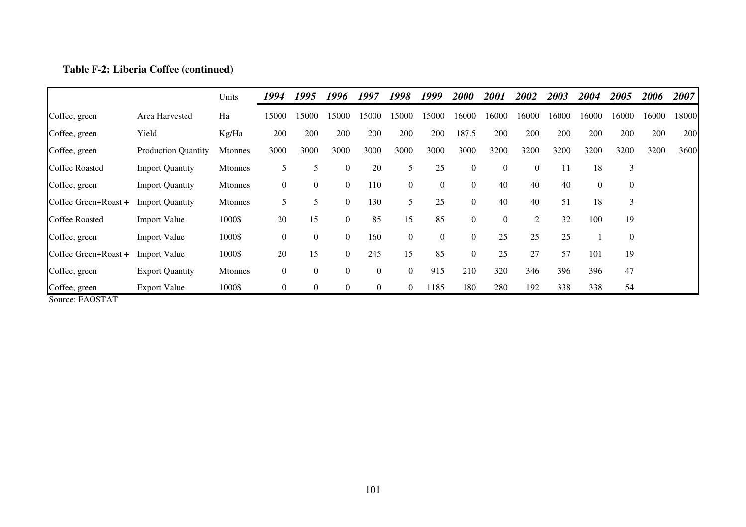## **Table F-2: Liberia Coffee (continued)**

|                       |                            | Units          | 1994             | 1995             | 1996             | 1997             | 1998             | 1999           | <i>2000</i>    | 2001     | 2002           | 2003  | 2004             | 2005           | 2006  | 2007  |
|-----------------------|----------------------------|----------------|------------------|------------------|------------------|------------------|------------------|----------------|----------------|----------|----------------|-------|------------------|----------------|-------|-------|
| Coffee, green         | Area Harvested             | Ha             | 15000            | 15000            | 15000            | 15000            | 15000            | 15000          | 16000          | 6000     | 16000          | 16000 | 16000            | 16000          | 16000 | 18000 |
| Coffee, green         | Yield                      | Kg/Ha          | 200              | 200              | 200              | 200              | 200              | 200            | 187.5          | 200      | 200            | 200   | 200              | 200            | 200   | 200   |
| Coffee, green         | <b>Production Quantity</b> | <b>Mtonnes</b> | 3000             | 3000             | 3000             | 3000             | 3000             | 3000           | 3000           | 3200     | 3200           | 3200  | 3200             | 3200           | 3200  | 3600  |
| <b>Coffee Roasted</b> | <b>Import Quantity</b>     | <b>Mtonnes</b> | 5                |                  | $\boldsymbol{0}$ | 20               | 5                | 25             | $\overline{0}$ | $\theta$ | $\overline{0}$ | -11   | 18               | 3              |       |       |
| Coffee, green         | <b>Import Quantity</b>     | <b>Mtonnes</b> | $\overline{0}$   | $\boldsymbol{0}$ | $\boldsymbol{0}$ | 110              | $\boldsymbol{0}$ | $\overline{0}$ | $\overline{0}$ | 40       | 40             | 40    | $\boldsymbol{0}$ | 0              |       |       |
| Coffee Green+Roast +  | <b>Import Quantity</b>     | <b>Mtonnes</b> | 5                |                  | $\boldsymbol{0}$ | 130              | 5                | 25             | $\overline{0}$ | 40       | 40             | 51    | 18               | 3              |       |       |
| <b>Coffee Roasted</b> | <b>Import Value</b>        | 1000\$         | 20               | 15               | $\boldsymbol{0}$ | 85               | 15               | 85             | $\overline{0}$ | $\theta$ | $\overline{2}$ | 32    | 100              | 19             |       |       |
| Coffee, green         | <b>Import Value</b>        | 1000\$         | $\boldsymbol{0}$ | $\overline{0}$   | $\boldsymbol{0}$ | 160              | $\overline{0}$   | $\overline{0}$ | $\overline{0}$ | 25       | 25             | 25    |                  | $\overline{0}$ |       |       |
| Coffee Green+Roast +  | <b>Import Value</b>        | 1000\$         | 20               | 15               | $\overline{0}$   | 245              | 15               | 85             | $\overline{0}$ | 25       | 27             | 57    | 101              | 19             |       |       |
| Coffee, green         | <b>Export Quantity</b>     | <b>Mtonnes</b> | $\overline{0}$   | $\overline{0}$   | $\boldsymbol{0}$ | $\boldsymbol{0}$ | $\overline{0}$   | 915            | 210            | 320      | 346            | 396   | 396              | 47             |       |       |
| Coffee, green         | <b>Export Value</b>        | 1000\$         | $\theta$         | $\overline{0}$   | $\overline{0}$   | $\overline{0}$   | $\theta$         | 1185           | 180            | 280      | 192            | 338   | 338              | 54             |       |       |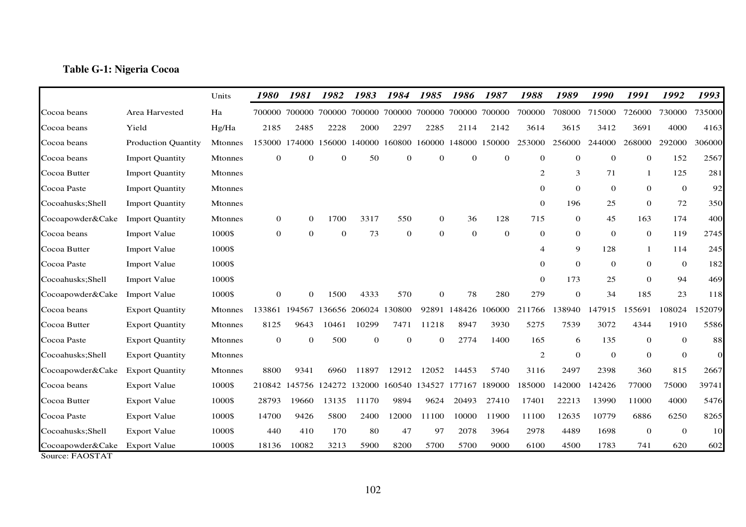### **Table G-1: Nigeria Cocoa**

|                                     |                            | Units          | 1980         | 1981           | 1982         | 1983          | 1984                        | 1985         | 1986         | 1987         | 1988           | 1989           | 1990             | 1991         | 1992         | 1993      |
|-------------------------------------|----------------------------|----------------|--------------|----------------|--------------|---------------|-----------------------------|--------------|--------------|--------------|----------------|----------------|------------------|--------------|--------------|-----------|
| Cocoa beans                         | Area Harvested             | Ha             | 700000       | 700000         | 700000       |               | 700000 700000 700000 700000 |              |              | 700000       | 700000         | 708000         | 715000           | 726000       | 730000       | 735000    |
| Cocoa beans                         | Yield                      | Hg/Ha          | 2185         | 2485           | 2228         | 2000          | 2297                        | 2285         | 2114         | 2142         | 3614           | 3615           | 3412             | 3691         | 4000         | 4163      |
| Cocoa beans                         | <b>Production Quantity</b> | <b>Mtonnes</b> | 153000       | 174000         | 156000       | 140000        | 160800                      | 160000       | 148000       | 150000       | 253000         | 256000         | 244000           | 268000       | 292000       | 306000    |
| Cocoa beans                         | <b>Import Quantity</b>     | <b>Mtonnes</b> | $\mathbf{0}$ | $\mathbf{0}$   | $\mathbf{0}$ | 50            | $\mathbf{0}$                | $\mathbf{0}$ | $\mathbf{0}$ | $\mathbf{0}$ | $\overline{0}$ | $\theta$       | $\boldsymbol{0}$ | $\mathbf{0}$ | 152          | 2567      |
| Cocoa Butter                        | <b>Import Quantity</b>     | <b>Mtonnes</b> |              |                |              |               |                             |              |              |              | 2              | 3              | 71               | $\mathbf{1}$ | 125          | 281       |
| Cocoa Paste                         | <b>Import Quantity</b>     | Mtonnes        |              |                |              |               |                             |              |              |              | $\overline{0}$ | $\overline{0}$ | $\theta$         | $\theta$     | $\mathbf{0}$ | 92        |
| Cocoahusks;Shell                    | <b>Import Quantity</b>     | <b>Mtonnes</b> |              |                |              |               |                             |              |              |              | $\Omega$       | 196            | 25               | $\theta$     | 72           | 350       |
| Cocoapowder&Cake                    | <b>Import Quantity</b>     | <b>Mtonnes</b> | 0            | $\overline{0}$ | 1700         | 3317          | 550                         | $\mathbf 0$  | 36           | 128          | 715            | $\overline{0}$ | 45               | 163          | 174          | 400       |
| Cocoa beans                         | <b>Import Value</b>        | 1000\$         | $\mathbf{0}$ | $\Omega$       | $\theta$     | 73            | $\mathbf{0}$                | $\mathbf{0}$ | $\theta$     | $\mathbf{0}$ | $\overline{0}$ | $\overline{0}$ | $\mathbf{0}$     | $\mathbf{0}$ | 119          | 2745      |
| Cocoa Butter                        | <b>Import Value</b>        | 1000\$         |              |                |              |               |                             |              |              |              | 4              | 9              | 128              | $\mathbf{1}$ | 114          | 245       |
| Cocoa Paste                         | <b>Import Value</b>        | 1000\$         |              |                |              |               |                             |              |              |              | $\Omega$       | $\Omega$       | $\overline{0}$   | $\theta$     | $\mathbf{0}$ | 182       |
| Cocoahusks; Shell                   | <b>Import Value</b>        | 1000\$         |              |                |              |               |                             |              |              |              | $\overline{0}$ | 173            | 25               | $\theta$     | 94           | 469       |
| Cocoapowder&Cake                    | <b>Import Value</b>        | 1000\$         | $\mathbf{0}$ | $\Omega$       | 1500         | 4333          | 570                         | $\Omega$     | 78           | 280          | 279            | $\Omega$       | 34               | 185          | 23           | 118       |
| Cocoa beans                         | <b>Export Quantity</b>     | <b>Mtonnes</b> | 133861       | 194567         | 136656       | 206024 130800 |                             | 92891        | 148426       | 106000       | 211766         | 138940         | 147915           | 155691       | 108024       | 152079    |
| Cocoa Butter                        | <b>Export Quantity</b>     | <b>Mtonnes</b> | 8125         | 9643           | 10461        | 10299         | 7471                        | 11218        | 8947         | 3930         | 5275           | 7539           | 3072             | 4344         | 1910         | 5586      |
| Cocoa Paste                         | <b>Export Quantity</b>     | <b>Mtonnes</b> | $\mathbf{0}$ | $\Omega$       | 500          | $\theta$      | $\mathbf{0}$                | $\mathbf{0}$ | 2774         | 1400         | 165            | 6              | 135              | $\theta$     | $\mathbf{0}$ | 88        |
| Cocoahusks; Shell                   | <b>Export Quantity</b>     | Mtonnes        |              |                |              |               |                             |              |              |              | $\mathfrak{2}$ | $\Omega$       | $\mathbf{0}$     | $\theta$     | $\mathbf{0}$ | $\Omega$  |
| Cocoapowder&Cake                    | <b>Export Quantity</b>     | <b>Mtonnes</b> | 8800         | 9341           | 6960         | 11897         | 12912                       | 12052        | 14453        | 5740         | 3116           | 2497           | 2398             | 360          | 815          | 2667      |
| Cocoa beans                         | <b>Export Value</b>        | 1000\$         | 210842       | 145756         | 124272       |               | 132000 160540 134527        |              | 177167       | 189000       | 185000         | 142000         | 142426           | 77000        | 75000        | 39741     |
| Cocoa Butter                        | <b>Export Value</b>        | 1000\$         | 28793        | 19660          | 13135        | 11170         | 9894                        | 9624         | 20493        | 27410        | 17401          | 22213          | 13990            | 11000        | 4000         | 5476      |
| Cocoa Paste                         | <b>Export Value</b>        | 1000\$         | 14700        | 9426           | 5800         | 2400          | 12000                       | 11100        | 10000        | 11900        | 11100          | 12635          | 10779            | 6886         | 6250         | 8265      |
| Cocoahusks;Shell                    | <b>Export Value</b>        | 1000\$         | 440          | 410            | 170          | 80            | 47                          | 97           | 2078         | 3964         | 2978           | 4489           | 1698             | $\theta$     | $\mathbf{0}$ | <b>10</b> |
| Cocoapowder&Cake<br>Source: FAOSTAT | <b>Export Value</b>        | 1000\$         | 18136        | 10082          | 3213         | 5900          | 8200                        | 5700         | 5700         | 9000         | 6100           | 4500           | 1783             | 741          | 620          | 602       |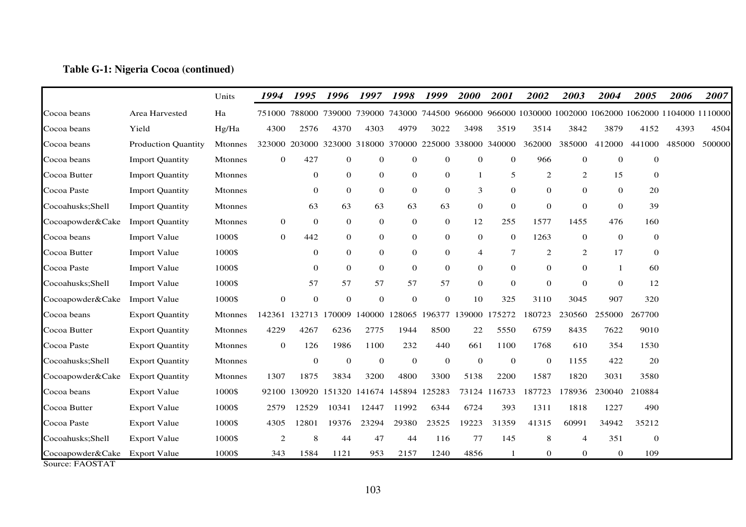### **Table G-1: Nigeria Cocoa (continued)**

|                   |                            | Units          | 1994         | 1995           | 1996         | 1997                        | 1998             | 1999             | 2000           | 2001                 | 2002                                                                                             | 2003         | 2004           | 2005         | 2006   | 2007   |
|-------------------|----------------------------|----------------|--------------|----------------|--------------|-----------------------------|------------------|------------------|----------------|----------------------|--------------------------------------------------------------------------------------------------|--------------|----------------|--------------|--------|--------|
| Cocoa beans       | Area Harvested             | Ha             | 751000       |                |              |                             |                  |                  |                |                      | 788000 739000 739000 743000 744500 966000 966000 1030000 1002000 1062000 1062000 1104000 1110000 |              |                |              |        |        |
| Cocoa beans       | Yield                      | Hg/Ha          | 4300         | 2576           | 4370         | 4303                        | 4979             | 3022             | 3498           | 3519                 | 3514                                                                                             | 3842         | 3879           | 4152         | 4393   | 4504   |
| Cocoa beans       | <b>Production Quantity</b> | Mtonnes        | 323000       |                |              | 203000 323000 318000 370000 |                  |                  |                | 225000 338000 340000 | 362000                                                                                           | 385000       | 412000         | 441000       | 485000 | 500000 |
| Cocoa beans       | <b>Import Quantity</b>     | <b>Mtonnes</b> | $\mathbf{0}$ | 427            | $\mathbf{0}$ | $\mathbf 0$                 | $\mathbf{0}$     | $\mathbf{0}$     | $\theta$       | $\theta$             | 966                                                                                              | $\mathbf{0}$ | $\theta$       | $\mathbf 0$  |        |        |
| Cocoa Butter      | <b>Import Quantity</b>     | <b>Mtonnes</b> |              | $\theta$       | $\theta$     | $\mathbf 0$                 | $\mathbf{0}$     | $\mathbf{0}$     | -1             | 5                    | 2                                                                                                | 2            | 15             | $\mathbf{0}$ |        |        |
| Cocoa Paste       | <b>Import Quantity</b>     | <b>Mtonnes</b> |              | $\mathbf{0}$   | $\theta$     | $\theta$                    | $\mathbf{0}$     | $\mathbf{0}$     | 3              | $\theta$             | $\overline{0}$                                                                                   | $\theta$     | $\theta$       | 20           |        |        |
| Cocoahusks;Shell  | <b>Import Quantity</b>     | <b>Mtonnes</b> |              | 63             | 63           | 63                          | 63               | 63               | $\mathbf{0}$   | $\mathbf{0}$         | $\mathbf{0}$                                                                                     | $\mathbf{0}$ | $\theta$       | 39           |        |        |
| Cocoapowder&Cake  | <b>Import Quantity</b>     | <b>Mtonnes</b> | $\mathbf{0}$ | $\theta$       | $\theta$     | $\Omega$                    | $\mathbf{0}$     | $\mathbf{0}$     | 12             | 255                  | 1577                                                                                             | 1455         | 476            | 160          |        |        |
| Cocoa beans       | <b>Import Value</b>        | 1000\$         | $\mathbf{0}$ | 442            | $\theta$     | $\theta$                    | $\mathbf{0}$     | $\mathbf{0}$     | $\overline{0}$ | $\mathbf{0}$         | 1263                                                                                             | $\mathbf 0$  | $\theta$       | $\mathbf{0}$ |        |        |
| Cocoa Butter      | <b>Import Value</b>        | 1000\$         |              | $\theta$       | $\theta$     | $\theta$                    | $\mathbf{0}$     | $\mathbf{0}$     | $\overline{4}$ | 7                    | 2                                                                                                | 2            | 17             | $\Omega$     |        |        |
| Cocoa Paste       | <b>Import Value</b>        | 1000\$         |              | $\theta$       | $\theta$     | $\mathbf{0}$                | $\mathbf{0}$     | $\mathbf{0}$     | $\mathbf{0}$   | $\theta$             | $\overline{0}$                                                                                   | $\theta$     | -1             | 60           |        |        |
| Cocoahusks; Shell | <b>Import Value</b>        | 1000\$         |              | 57             | 57           | 57                          | 57               | 57               | $\mathbf{0}$   | $\mathbf{0}$         | $\mathbf{0}$                                                                                     | $\theta$     | $\theta$       | 12           |        |        |
| Cocoapowder&Cake  | <b>Import Value</b>        | 1000\$         | $\mathbf{0}$ | $\overline{0}$ | $\theta$     | $\mathbf{0}$                | $\mathbf{0}$     | $\boldsymbol{0}$ | 10             | 325                  | 3110                                                                                             | 3045         | 907            | 320          |        |        |
| Cocoa beans       | <b>Export Quantity</b>     | <b>Mtonnes</b> | 142361       | 132713 170009  |              | 140000                      | 128065           | 196377 139000    |                | 175272               | 180723                                                                                           | 230560       | 255000         | 267700       |        |        |
| Cocoa Butter      | <b>Export Quantity</b>     | <b>Mtonnes</b> | 4229         | 4267           | 6236         | 2775                        | 1944             | 8500             | 22             | 5550                 | 6759                                                                                             | 8435         | 7622           | 9010         |        |        |
| Cocoa Paste       | <b>Export Quantity</b>     | <b>Mtonnes</b> | $\mathbf{0}$ | 126            | 1986         | 1100                        | 232              | 440              | 661            | 1100                 | 1768                                                                                             | 610          | 354            | 1530         |        |        |
| Cocoahusks;Shell  | <b>Export Quantity</b>     | Mtonnes        |              | $\theta$       | $\theta$     | $\mathbf{0}$                | $\boldsymbol{0}$ | $\mathbf 0$      | $\overline{0}$ | $\mathbf 0$          | $\mathbf{0}$                                                                                     | 1155         | 422            | 20           |        |        |
| Cocoapowder&Cake  | <b>Export Quantity</b>     | <b>Mtonnes</b> | 1307         | 1875           | 3834         | 3200                        | 4800             | 3300             | 5138           | 2200                 | 1587                                                                                             | 1820         | 3031           | 3580         |        |        |
| Cocoa beans       | <b>Export Value</b>        | 1000\$         | 92100        | 130920         | 151320       | 141674                      | 145894           | 125283           | 73124          | 116733               | 187723                                                                                           | 178936       | 230040         | 210884       |        |        |
| Cocoa Butter      | <b>Export Value</b>        | 1000\$         | 2579         | 12529          | 10341        | 12447                       | 11992            | 6344             | 6724           | 393                  | 1311                                                                                             | 1818         | 1227           | 490          |        |        |
| Cocoa Paste       | <b>Export Value</b>        | 1000\$         | 4305         | 12801          | 19376        | 23294                       | 29380            | 23525            | 19223          | 31359                | 41315                                                                                            | 60991        | 34942          | 35212        |        |        |
| Cocoahusks;Shell  | <b>Export Value</b>        | 1000\$         | $\sqrt{2}$   | 8              | 44           | 47                          | 44               | 116              | 77             | 145                  | 8                                                                                                | 4            | 351            | $\mathbf{0}$ |        |        |
| Cocoapowder&Cake  | <b>Export Value</b>        | 1000\$         | 343          | 1584           | 1121         | 953                         | 2157             | 1240             | 4856           |                      | $\mathbf{0}$                                                                                     | $\mathbf{0}$ | $\overline{0}$ | 109          |        |        |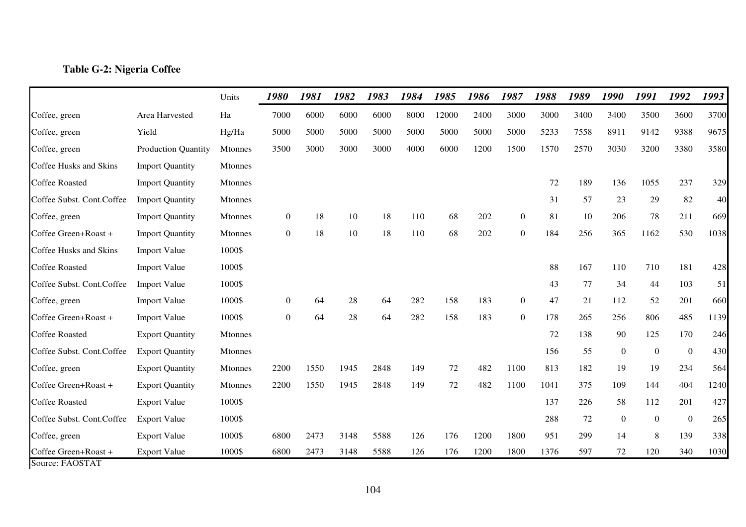### **Table G-2: Nigeria Coffee**

|                                                                            |                            | Units          | 1980             | 1981 | 1982 | 1983 | 1984 | 1985  | 1986 | 1987             | 1988 | 1989 | 1990             | 1991     | 1992             | 1993 |
|----------------------------------------------------------------------------|----------------------------|----------------|------------------|------|------|------|------|-------|------|------------------|------|------|------------------|----------|------------------|------|
| Coffee, green                                                              | Area Harvested             | Ha             | 7000             | 6000 | 6000 | 6000 | 8000 | 12000 | 2400 | 3000             | 3000 | 3400 | 3400             | 3500     | 3600             | 3700 |
| Coffee, green                                                              | Yield                      | Hg/Ha          | 5000             | 5000 | 5000 | 5000 | 5000 | 5000  | 5000 | 5000             | 5233 | 7558 | 8911             | 9142     | 9388             | 9675 |
| Coffee, green                                                              | <b>Production Quantity</b> | Mtonnes        | 3500             | 3000 | 3000 | 3000 | 4000 | 6000  | 1200 | 1500             | 1570 | 2570 | 3030             | 3200     | 3380             | 3580 |
| Coffee Husks and Skins                                                     | <b>Import Quantity</b>     | Mtonnes        |                  |      |      |      |      |       |      |                  |      |      |                  |          |                  |      |
| <b>Coffee Roasted</b>                                                      | <b>Import Quantity</b>     | <b>Mtonnes</b> |                  |      |      |      |      |       |      |                  | 72   | 189  | 136              | 1055     | 237              | 329  |
| Coffee Subst. Cont.Coffee                                                  | <b>Import Quantity</b>     | Mtonnes        |                  |      |      |      |      |       |      |                  | 31   | 57   | 23               | 29       | 82               | 40   |
| Coffee, green                                                              | <b>Import Quantity</b>     | Mtonnes        | $\overline{0}$   | 18   | 10   | 18   | 110  | 68    | 202  | $\boldsymbol{0}$ | 81   | 10   | 206              | 78       | 211              | 669  |
| Coffee Green+Roast +                                                       | <b>Import Quantity</b>     | <b>Mtonnes</b> | $\overline{0}$   | 18   | 10   | 18   | 110  | 68    | 202  | $\overline{0}$   | 184  | 256  | 365              | 1162     | 530              | 1038 |
| Coffee Husks and Skins                                                     | <b>Import Value</b>        | 1000\$         |                  |      |      |      |      |       |      |                  |      |      |                  |          |                  |      |
| <b>Coffee Roasted</b>                                                      | <b>Import Value</b>        | 1000\$         |                  |      |      |      |      |       |      |                  | 88   | 167  | 110              | 710      | 181              | 428  |
| Coffee Subst. Cont.Coffee                                                  | <b>Import Value</b>        | 1000\$         |                  |      |      |      |      |       |      |                  | 43   | 77   | 34               | 44       | 103              | 51   |
| Coffee, green                                                              | <b>Import Value</b>        | 1000\$         | $\overline{0}$   | 64   | 28   | 64   | 282  | 158   | 183  | $\overline{0}$   | 47   | 21   | 112              | 52       | 201              | 660  |
| Coffee Green+Roast +                                                       | <b>Import Value</b>        | 1000\$         | $\boldsymbol{0}$ | 64   | 28   | 64   | 282  | 158   | 183  | $\boldsymbol{0}$ | 178  | 265  | 256              | 806      | 485              | 1139 |
| <b>Coffee Roasted</b>                                                      | <b>Export Quantity</b>     | Mtonnes        |                  |      |      |      |      |       |      |                  | 72   | 138  | 90               | 125      | 170              | 246  |
| Coffee Subst. Cont.Coffee                                                  | <b>Export Quantity</b>     | Mtonnes        |                  |      |      |      |      |       |      |                  | 156  | 55   | $\overline{0}$   | $\theta$ | $\boldsymbol{0}$ | 430  |
| Coffee, green                                                              | <b>Export Quantity</b>     | Mtonnes        | 2200             | 1550 | 1945 | 2848 | 149  | 72    | 482  | 1100             | 813  | 182  | 19               | 19       | 234              | 564  |
| Coffee Green+Roast +                                                       | <b>Export Quantity</b>     | <b>Mtonnes</b> | 2200             | 1550 | 1945 | 2848 | 149  | 72    | 482  | 1100             | 1041 | 375  | 109              | 144      | 404              | 1240 |
| <b>Coffee Roasted</b>                                                      | <b>Export Value</b>        | 1000\$         |                  |      |      |      |      |       |      |                  | 137  | 226  | 58               | 112      | 201              | 427  |
| Coffee Subst. Cont.Coffee                                                  | <b>Export Value</b>        | 1000\$         |                  |      |      |      |      |       |      |                  | 288  | 72   | $\boldsymbol{0}$ | $\theta$ | $\boldsymbol{0}$ | 265  |
| Coffee, green                                                              | <b>Export Value</b>        | 1000\$         | 6800             | 2473 | 3148 | 5588 | 126  | 176   | 1200 | 1800             | 951  | 299  | 14               | 8        | 139              | 338  |
| Coffee Green+Roast +<br>$C_{\text{outgas}}$ $E \Lambda \Omega T \Lambda T$ | <b>Export Value</b>        | 1000\$         | 6800             | 2473 | 3148 | 5588 | 126  | 176   | 1200 | 1800             | 1376 | 597  | 72               | 120      | 340              | 1030 |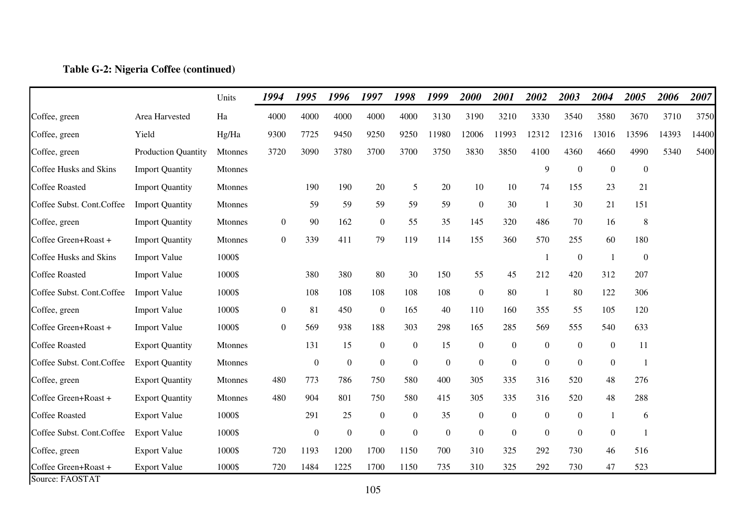## **Table G-2: Nigeria Coffee (continued)**

|                                         |                        | Units          | 1994             | 1995             | 1996             | 1997             | 1998             | 1999             | 2000             | 2001             | 2002             | 2003             | 2004             | 2005             | 2006  | 2007  |
|-----------------------------------------|------------------------|----------------|------------------|------------------|------------------|------------------|------------------|------------------|------------------|------------------|------------------|------------------|------------------|------------------|-------|-------|
| Coffee, green                           | Area Harvested         | Ha             | 4000             | 4000             | 4000             | 4000             | 4000             | 3130             | 3190             | 3210             | 3330             | 3540             | 3580             | 3670             | 3710  | 3750  |
| Coffee, green                           | Yield                  | Hg/Ha          | 9300             | 7725             | 9450             | 9250             | 9250             | 11980            | 12006            | 11993            | 12312            | 12316            | 13016            | 13596            | 14393 | 14400 |
| Coffee, green                           | Production Quantity    | Mtonnes        | 3720             | 3090             | 3780             | 3700             | 3700             | 3750             | 3830             | 3850             | 4100             | 4360             | 4660             | 4990             | 5340  | 5400  |
| Coffee Husks and Skins                  | <b>Import Quantity</b> | Mtonnes        |                  |                  |                  |                  |                  |                  |                  |                  | 9                | $\boldsymbol{0}$ | $\boldsymbol{0}$ | $\boldsymbol{0}$ |       |       |
| <b>Coffee Roasted</b>                   | <b>Import Quantity</b> | Mtonnes        |                  | 190              | 190              | 20               | 5                | 20               | 10               | 10               | 74               | 155              | 23               | 21               |       |       |
| Coffee Subst. Cont.Coffee               | <b>Import Quantity</b> | Mtonnes        |                  | 59               | 59               | 59               | 59               | 59               | $\mathbf{0}$     | 30               | -1               | 30               | 21               | 151              |       |       |
| Coffee, green                           | <b>Import Quantity</b> | Mtonnes        | $\mathbf{0}$     | 90               | 162              | $\boldsymbol{0}$ | 55               | 35               | 145              | 320              | 486              | 70               | 16               | $\,8\,$          |       |       |
| Coffee Green+Roast +                    | <b>Import Quantity</b> | <b>Mtonnes</b> | $\overline{0}$   | 339              | 411              | 79               | 119              | 114              | 155              | 360              | 570              | 255              | 60               | 180              |       |       |
| Coffee Husks and Skins                  | <b>Import Value</b>    | 1000\$         |                  |                  |                  |                  |                  |                  |                  |                  | -1               | $\mathbf{0}$     | $\overline{1}$   | $\boldsymbol{0}$ |       |       |
| <b>Coffee Roasted</b>                   | <b>Import Value</b>    | 1000\$         |                  | 380              | 380              | 80               | 30               | 150              | 55               | 45               | 212              | 420              | 312              | 207              |       |       |
| Coffee Subst. Cont.Coffee               | <b>Import Value</b>    | 1000\$         |                  | 108              | 108              | 108              | 108              | 108              | $\boldsymbol{0}$ | 80               | -1               | 80               | 122              | 306              |       |       |
| Coffee, green                           | <b>Import Value</b>    | 1000\$         | $\boldsymbol{0}$ | 81               | 450              | $\boldsymbol{0}$ | 165              | 40               | 110              | 160              | 355              | 55               | 105              | 120              |       |       |
| Coffee Green+Roast +                    | <b>Import Value</b>    | 1000\$         | $\overline{0}$   | 569              | 938              | 188              | 303              | 298              | 165              | 285              | 569              | 555              | 540              | 633              |       |       |
| <b>Coffee Roasted</b>                   | <b>Export Quantity</b> | Mtonnes        |                  | 131              | 15               | $\boldsymbol{0}$ | $\boldsymbol{0}$ | 15               | $\boldsymbol{0}$ | $\boldsymbol{0}$ | $\boldsymbol{0}$ | $\mathbf{0}$     | $\boldsymbol{0}$ | 11               |       |       |
| Coffee Subst. Cont.Coffee               | <b>Export Quantity</b> | Mtonnes        |                  | $\boldsymbol{0}$ | $\boldsymbol{0}$ | $\boldsymbol{0}$ | $\boldsymbol{0}$ | $\boldsymbol{0}$ | $\mathbf{0}$     | $\boldsymbol{0}$ | $\boldsymbol{0}$ | $\boldsymbol{0}$ | $\boldsymbol{0}$ | $\mathbf{1}$     |       |       |
| Coffee, green                           | <b>Export Quantity</b> | Mtonnes        | 480              | 773              | 786              | 750              | 580              | 400              | 305              | 335              | 316              | 520              | 48               | 276              |       |       |
| Coffee Green+Roast +                    | <b>Export Quantity</b> | <b>Mtonnes</b> | 480              | 904              | 801              | 750              | 580              | 415              | 305              | 335              | 316              | 520              | 48               | 288              |       |       |
| <b>Coffee Roasted</b>                   | <b>Export Value</b>    | 1000\$         |                  | 291              | 25               | $\boldsymbol{0}$ | $\boldsymbol{0}$ | 35               | $\boldsymbol{0}$ | $\boldsymbol{0}$ | $\boldsymbol{0}$ | $\boldsymbol{0}$ |                  | 6                |       |       |
| Coffee Subst. Cont.Coffee               | <b>Export Value</b>    | 1000\$         |                  | $\mathbf{0}$     | $\mathbf{0}$     | $\mathbf{0}$     | $\boldsymbol{0}$ | $\mathbf{0}$     | $\mathbf{0}$     | $\boldsymbol{0}$ | $\mathbf{0}$     | $\mathbf{0}$     | $\boldsymbol{0}$ |                  |       |       |
| Coffee, green                           | <b>Export Value</b>    | 1000\$         | 720              | 1193             | 1200             | 1700             | 1150             | 700              | 310              | 325              | 292              | 730              | 46               | 516              |       |       |
| Coffee Green+Roast +<br>Source: FAOSTAT | <b>Export Value</b>    | 1000\$         | 720              | 1484             | 1225             | 1700             | 1150             | 735              | 310              | 325              | 292              | 730              | 47               | 523              |       |       |

105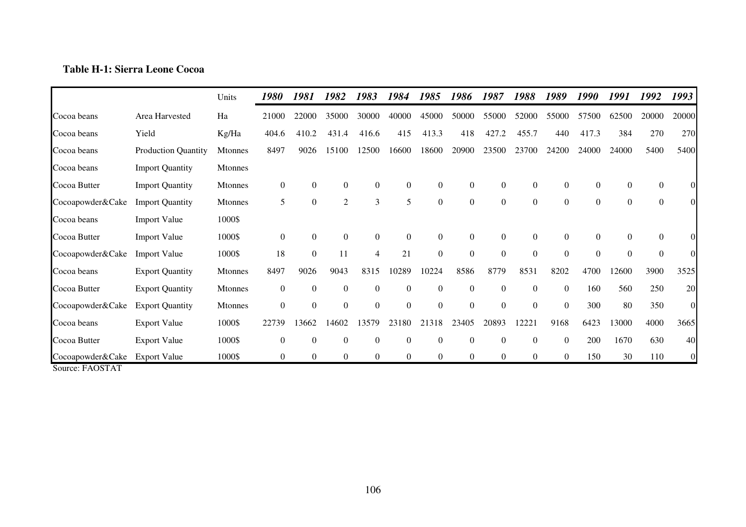# **Table H-1: Sierra Leone Cocoa**

|                                                                             |                            | Units          | 1980           | 1981             | 1982             | 1983           | 1984             | 1985             | 1986             | 1987             | 1988           | 1989             | 1990           | 1991     | 1992             | 1993           |
|-----------------------------------------------------------------------------|----------------------------|----------------|----------------|------------------|------------------|----------------|------------------|------------------|------------------|------------------|----------------|------------------|----------------|----------|------------------|----------------|
| Cocoa beans                                                                 | Area Harvested             | Ha             | 21000          | 22000            | 35000            | 30000          | 40000            | 45000            | 50000            | 55000            | 52000          | 55000            | 57500          | 62500    | 20000            | 20000          |
| Cocoa beans                                                                 | Yield                      | Kg/Ha          | 404.6          | 410.2            | 431.4            | 416.6          | 415              | 413.3            | 418              | 427.2            | 455.7          | 440              | 417.3          | 384      | 270              | 270            |
| Cocoa beans                                                                 | <b>Production Quantity</b> | <b>Mtonnes</b> | 8497           | 9026             | 15100            | 12500          | 16600            | 18600            | 20900            | 23500            | 23700          | 24200            | 24000          | 24000    | 5400             | 5400           |
| Cocoa beans                                                                 | <b>Import Quantity</b>     | Mtonnes        |                |                  |                  |                |                  |                  |                  |                  |                |                  |                |          |                  |                |
| Cocoa Butter                                                                | <b>Import Quantity</b>     | Mtonnes        | $\mathbf{0}$   | $\boldsymbol{0}$ | $\overline{0}$   | $\overline{0}$ | $\boldsymbol{0}$ | $\mathbf{0}$     | $\boldsymbol{0}$ | $\boldsymbol{0}$ | $\overline{0}$ | $\mathbf{0}$     | $\overline{0}$ | $\Omega$ | $\boldsymbol{0}$ | $\theta$       |
| Cocoapowder&Cake                                                            | <b>Import Quantity</b>     | <b>Mtonnes</b> | 5              | $\boldsymbol{0}$ | $\mathfrak{2}$   | 3              | 5                | $\overline{0}$   | $\boldsymbol{0}$ | $\mathbf{0}$     | $\overline{0}$ | $\overline{0}$   | $\overline{0}$ | $\Omega$ | $\boldsymbol{0}$ | $\Omega$       |
| Cocoa beans                                                                 | <b>Import Value</b>        | 1000\$         |                |                  |                  |                |                  |                  |                  |                  |                |                  |                |          |                  |                |
| Cocoa Butter                                                                | <b>Import Value</b>        | 1000\$         | $\mathbf{0}$   | $\boldsymbol{0}$ | $\boldsymbol{0}$ | $\overline{0}$ | $\boldsymbol{0}$ | $\mathbf{0}$     | $\boldsymbol{0}$ | $\mathbf{0}$     | $\overline{0}$ | $\theta$         | $\overline{0}$ | $\Omega$ | $\theta$         | $\Omega$       |
| Cocoapowder&Cake                                                            | <b>Import Value</b>        | 1000\$         | 18             | $\boldsymbol{0}$ | 11               | 4              | 21               | $\overline{0}$   | $\overline{0}$   | $\boldsymbol{0}$ | $\Omega$       | $\boldsymbol{0}$ | $\Omega$       | $\Omega$ | $\mathbf{0}$     | $\Omega$       |
| Cocoa beans                                                                 | <b>Export Quantity</b>     | Mtonnes        | 8497           | 9026             | 9043             | 8315           | 10289            | 10224            | 8586             | 8779             | 8531           | 8202             | 4700           | 12600    | 3900             | 3525           |
| Cocoa Butter                                                                | <b>Export Quantity</b>     | Mtonnes        | $\mathbf{0}$   | $\boldsymbol{0}$ | $\boldsymbol{0}$ | $\overline{0}$ | $\boldsymbol{0}$ | $\boldsymbol{0}$ | $\mathbf{0}$     | $\boldsymbol{0}$ | $\overline{0}$ | $\overline{0}$   | 160            | 560      | 250              | 20             |
| Cocoapowder&Cake                                                            | <b>Export Quantity</b>     | Mtonnes        | $\overline{0}$ | $\mathbf{0}$     | $\boldsymbol{0}$ | $\overline{0}$ | $\overline{0}$   | $\mathbf{0}$     | $\overline{0}$   | $\mathbf{0}$     | $\theta$       | $\theta$         | 300            | 80       | 350              | $\overline{0}$ |
| Cocoa beans                                                                 | <b>Export Value</b>        | 1000\$         | 22739          | 13662            | 14602            | 13579          | 23180            | 21318            | 23405            | 20893            | 1222           | 9168             | 6423           | 13000    | 4000             | 3665           |
| Cocoa Butter                                                                | <b>Export Value</b>        | 1000\$         | $\overline{0}$ | $\boldsymbol{0}$ | $\boldsymbol{0}$ | $\theta$       | $\theta$         | $\theta$         | $\theta$         | $\boldsymbol{0}$ | $\theta$       | $\Omega$         | 200            | 1670     | 630              | 40             |
| Cocoapowder&Cake<br>$\Gamma$ $\Lambda$ $\Omega$ $\Gamma$ $\Lambda$ $\Gamma$ | <b>Export Value</b>        | 1000\$         | $\overline{0}$ | $\mathbf{0}$     | $\boldsymbol{0}$ | $\overline{0}$ | $\overline{0}$   | $\overline{0}$   | $\overline{0}$   | $\boldsymbol{0}$ | $\overline{0}$ | $\theta$         | 150            | 30       | 110              | $\overline{0}$ |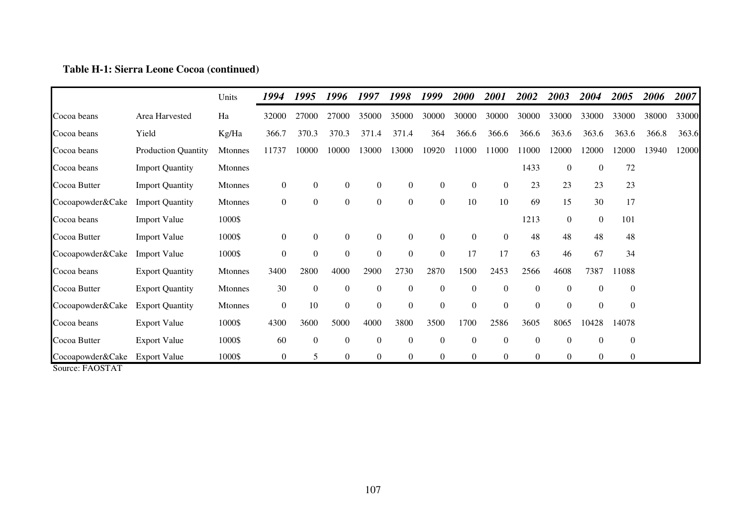## **Table H-1: Sierra Leone Cocoa (continued)**

|                                                                  |                            | Units          | 1994             | 1995             | 1996             | 1997             | 1998             | 1999             | <i>2000</i>      | <i>2001</i>      | 2002             | 2003             | 2004             | 2005             | 2006  | 2007  |
|------------------------------------------------------------------|----------------------------|----------------|------------------|------------------|------------------|------------------|------------------|------------------|------------------|------------------|------------------|------------------|------------------|------------------|-------|-------|
| Cocoa beans                                                      | Area Harvested             | Ha             | 32000            | 27000            | 27000            | 35000            | 35000            | 30000            | 30000            | 30000            | 30000            | 33000            | 33000            | 33000            | 38000 | 33000 |
| Cocoa beans                                                      | Yield                      | Kg/Ha          | 366.7            | 370.3            | 370.3            | 371.4            | 371.4            | 364              | 366.6            | 366.6            | 366.6            | 363.6            | 363.6            | 363.6            | 366.8 | 363.6 |
| Cocoa beans                                                      | <b>Production Quantity</b> | <b>Mtonnes</b> | 11737            | 10000            | 10000            | 13000            | 13000            | 10920            | 11000            | 11000            | 11000            | 12000            | 12000            | 12000            | 13940 | 12000 |
| Cocoa beans                                                      | <b>Import Quantity</b>     | <b>Mtonnes</b> |                  |                  |                  |                  |                  |                  |                  |                  | 1433             | $\boldsymbol{0}$ | $\boldsymbol{0}$ | 72               |       |       |
| Cocoa Butter                                                     | <b>Import Quantity</b>     | Mtonnes        | $\boldsymbol{0}$ | $\mathbf{0}$     | $\boldsymbol{0}$ | $\boldsymbol{0}$ | $\boldsymbol{0}$ | $\boldsymbol{0}$ | $\overline{0}$   | $\boldsymbol{0}$ | 23               | 23               | 23               | 23               |       |       |
| Cocoapowder&Cake                                                 | <b>Import Quantity</b>     | <b>Mtonnes</b> | $\boldsymbol{0}$ | $\mathbf{0}$     | $\boldsymbol{0}$ | $\overline{0}$   | $\boldsymbol{0}$ | $\boldsymbol{0}$ | 10               | 10               | 69               | 15               | 30               | 17               |       |       |
| Cocoa beans                                                      | <b>Import Value</b>        | 1000\$         |                  |                  |                  |                  |                  |                  |                  |                  | 1213             | $\boldsymbol{0}$ | $\boldsymbol{0}$ | 101              |       |       |
| Cocoa Butter                                                     | <b>Import Value</b>        | 1000\$         | $\boldsymbol{0}$ | $\mathbf{0}$     | $\boldsymbol{0}$ | $\overline{0}$   | $\boldsymbol{0}$ | $\mathbf{0}$     | $\overline{0}$   | $\boldsymbol{0}$ | 48               | 48               | 48               | 48               |       |       |
| Cocoapowder&Cake                                                 | <b>Import Value</b>        | 1000\$         | $\boldsymbol{0}$ | $\mathbf{0}$     | $\boldsymbol{0}$ | $\overline{0}$   | $\boldsymbol{0}$ | $\boldsymbol{0}$ | 17               | 17               | 63               | 46               | 67               | 34               |       |       |
| Cocoa beans                                                      | <b>Export Quantity</b>     | <b>Mtonnes</b> | 3400             | 2800             | 4000             | 2900             | 2730             | 2870             | 1500             | 2453             | 2566             | 4608             | 7387             | 11088            |       |       |
| Cocoa Butter                                                     | <b>Export Quantity</b>     | Mtonnes        | 30               | $\boldsymbol{0}$ | $\mathbf{0}$     | $\overline{0}$   | $\overline{0}$   | $\boldsymbol{0}$ | $\overline{0}$   | $\boldsymbol{0}$ | $\theta$         | $\overline{0}$   | $\overline{0}$   | $\overline{0}$   |       |       |
| Cocoapowder&Cake                                                 | <b>Export Quantity</b>     | <b>Mtonnes</b> | $\boldsymbol{0}$ | 10               | $\mathbf{0}$     | $\overline{0}$   | $\overline{0}$   | $\boldsymbol{0}$ | $\overline{0}$   | $\overline{0}$   | $\mathbf{0}$     | $\theta$         | $\overline{0}$   | $\theta$         |       |       |
| Cocoa beans                                                      | <b>Export Value</b>        | 1000\$         | 4300             | 3600             | 5000             | 4000             | 3800             | 3500             | 1700             | 2586             | 3605             | 8065             | 10428            | 14078            |       |       |
| Cocoa Butter                                                     | <b>Export Value</b>        | 1000\$         | 60               | $\boldsymbol{0}$ | $\boldsymbol{0}$ | $\overline{0}$   | $\boldsymbol{0}$ | $\boldsymbol{0}$ | $\boldsymbol{0}$ | $\boldsymbol{0}$ | $\boldsymbol{0}$ | $\boldsymbol{0}$ | $\boldsymbol{0}$ | $\boldsymbol{0}$ |       |       |
| Cocoapowder&Cake<br>$\Gamma$ + $\cap$ $\cap$ $\Gamma$ + $\Gamma$ | Export Value               | 1000\$         | $\boldsymbol{0}$ | 5                | $\mathbf{0}$     | $\overline{0}$   | $\theta$         | $\overline{0}$   | $\overline{0}$   | $\boldsymbol{0}$ | $\overline{0}$   | $\overline{0}$   | $\overline{0}$   | $\overline{0}$   |       |       |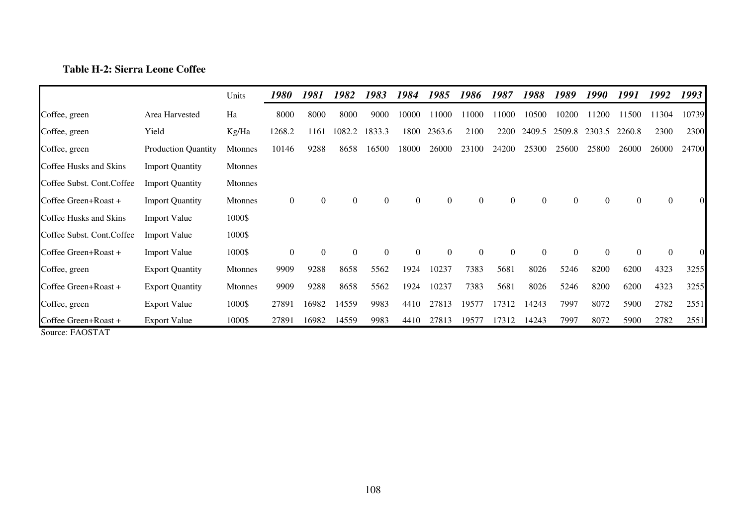# **Table H-2: Sierra Leone Coffee**

|                            |                            | Units          | 1980             | 1981     | 1982         | 1983           | 1984           | 1985           | 1986           | 1987           | 1988             | 1989             | 1990           | 1991           | 1992           | 1993     |
|----------------------------|----------------------------|----------------|------------------|----------|--------------|----------------|----------------|----------------|----------------|----------------|------------------|------------------|----------------|----------------|----------------|----------|
| Coffee, green              | Area Harvested             | Ha             | 8000             | 8000     | 8000         | 9000           | 10000          | 1000           | 11000          | 11000          | 10500            | 10200            | 11200          | 11500          | 11304          | 10739    |
| Coffee, green              | Yield                      | Kg/Ha          | 1268.2           | 1161     | 1082.2       | 1833.3         | 1800           | 2363.6         | 2100           | 2200           | 2409.5           | 2509.8           | 2303.5         | 2260.8         | 2300           | 2300     |
| Coffee, green              | <b>Production Quantity</b> | <b>Mtonnes</b> | 10146            | 9288     | 8658         | 16500          | 18000          | 26000          | 23100          | 24200          | 25300            | 25600            | 25800          | 26000          | 26000          | 24700    |
| Coffee Husks and Skins     | <b>Import Quantity</b>     | <b>Mtonnes</b> |                  |          |              |                |                |                |                |                |                  |                  |                |                |                |          |
| Coffee Subst. Cont. Coffee | <b>Import Quantity</b>     | <b>Mtonnes</b> |                  |          |              |                |                |                |                |                |                  |                  |                |                |                |          |
| Coffee Green+Roast +       | <b>Import Quantity</b>     | <b>Mtonnes</b> | $\boldsymbol{0}$ | 0        | $\mathbf{0}$ | $\overline{0}$ | $\mathbf{0}$   | $\overline{0}$ | $\overline{0}$ | $\overline{0}$ | $\boldsymbol{0}$ | $\boldsymbol{0}$ | $\overline{0}$ | $\overline{0}$ | $\theta$       |          |
| Coffee Husks and Skins     | <b>Import Value</b>        | 1000\$         |                  |          |              |                |                |                |                |                |                  |                  |                |                |                |          |
| Coffee Subst. Cont.Coffee  | <b>Import Value</b>        | 1000\$         |                  |          |              |                |                |                |                |                |                  |                  |                |                |                |          |
| Coffee Green+Roast +       | <b>Import Value</b>        | 1000\$         | $\boldsymbol{0}$ | $\theta$ | $\Omega$     | $\mathbf{0}$   | $\overline{0}$ | $\overline{0}$ | $\overline{0}$ | $\mathbf{0}$   | $\theta$         | $\boldsymbol{0}$ | $\theta$       | $\Omega$       | $\overline{0}$ | $\Omega$ |
| Coffee, green              | <b>Export Quantity</b>     | <b>Mtonnes</b> | 9909             | 9288     | 8658         | 5562           | 1924           | 10237          | 7383           | 5681           | 8026             | 5246             | 8200           | 6200           | 4323           | 3255     |
| Coffee Green+Roast +       | <b>Export Quantity</b>     | <b>Mtonnes</b> | 9909             | 9288     | 8658         | 5562           | 1924           | 10237          | 7383           | 5681           | 8026             | 5246             | 8200           | 6200           | 4323           | 3255     |
| Coffee, green              | <b>Export Value</b>        | 1000\$         | 27891            | 16982    | 14559        | 9983           | 4410           | 27813          | 19577          | 17312          | 14243            | 7997             | 8072           | 5900           | 2782           | 2551     |
| Coffee Green+Roast +       | <b>Export Value</b>        | 1000\$         | 27891            | 16982    | 14559        | 9983           | 4410           | 27813          | 19577          | 17312          | 14243            | 7997             | 8072           | 5900           | 2782           | 2551     |
| Source: FAOSTAT            |                            |                |                  |          |              |                |                |                |                |                |                  |                  |                |                |                |          |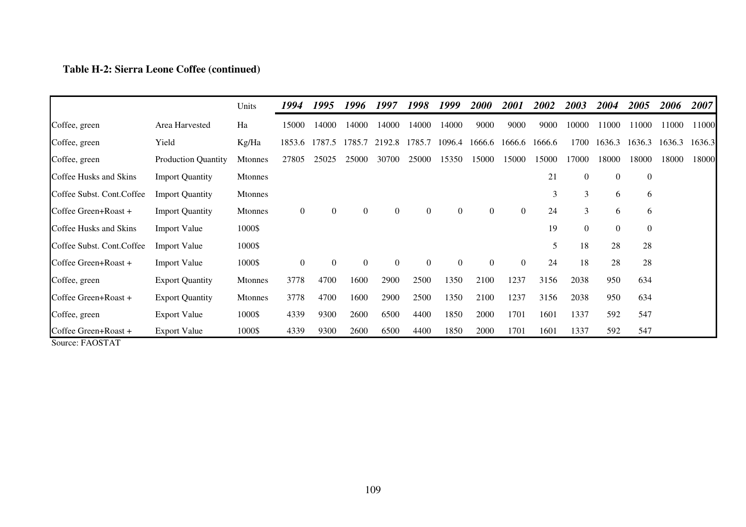## **Table H-2: Sierra Leone Coffee (continued)**

|                                                                                     |                            | Units          | 1994             | 1995           | 1996           | 1997         | 1998           | 1999           | <b>2000</b>    | 2001           | 2002   | 2003             | 2004           | 2005           | 2006   | 2007   |
|-------------------------------------------------------------------------------------|----------------------------|----------------|------------------|----------------|----------------|--------------|----------------|----------------|----------------|----------------|--------|------------------|----------------|----------------|--------|--------|
| Coffee, green                                                                       | Area Harvested             | Ha             | 15000            | 14000          | 14000          | 14000        | 14000          | 14000          | 9000           | 9000           | 9000   | 10000            | 11000          | 11000          | 11000  | 11000  |
| Coffee, green                                                                       | Yield                      | Kg/Ha          | 1853.6           | 1787.5         | 1785.7         | 2192.8       | 1785.7         | 1096.4         | 1666.6         | 1666.6         | 1666.6 | 1700             | 1636.3         | 1636.3         | 1636.3 | 1636.3 |
| Coffee, green                                                                       | <b>Production Quantity</b> | <b>Mtonnes</b> | 27805            | 25025          | 25000          | 30700        | 25000          | 15350          | 15000          | 15000          | 15000  | 17000            | 18000          | 18000          | 18000  | 18000  |
| Coffee Husks and Skins                                                              | <b>Import Quantity</b>     | <b>Mtonnes</b> |                  |                |                |              |                |                |                |                | 21     | $\overline{0}$   | $\overline{0}$ | $\mathbf{0}$   |        |        |
| Coffee Subst. Cont. Coffee                                                          | <b>Import Quantity</b>     | <b>Mtonnes</b> |                  |                |                |              |                |                |                |                | 3      | 3                | 6              | 6              |        |        |
| Coffee Green+Roast +                                                                | <b>Import Quantity</b>     | <b>Mtonnes</b> | $\boldsymbol{0}$ | $\overline{0}$ | $\overline{0}$ | $\mathbf{0}$ | $\overline{0}$ | $\overline{0}$ | $\overline{0}$ | $\overline{0}$ | 24     | 3                | 6              | 6              |        |        |
| Coffee Husks and Skins                                                              | <b>Import Value</b>        | 1000\$         |                  |                |                |              |                |                |                |                | 19     | $\boldsymbol{0}$ | $\overline{0}$ | $\overline{0}$ |        |        |
| Coffee Subst. Cont. Coffee                                                          | <b>Import Value</b>        | 1000\$         |                  |                |                |              |                |                |                |                | 5      | 18               | 28             | 28             |        |        |
| Coffee Green+Roast +                                                                | <b>Import Value</b>        | 1000\$         | $\theta$         | $\Omega$       | $\theta$       | $\Omega$     | $\theta$       | $\overline{0}$ | $\Omega$       | $\Omega$       | 24     | 18               | 28             | 28             |        |        |
| Coffee, green                                                                       | <b>Export Quantity</b>     | <b>Mtonnes</b> | 3778             | 4700           | 1600           | 2900         | 2500           | 1350           | 2100           | 1237           | 3156   | 2038             | 950            | 634            |        |        |
| Coffee Green+Roast +                                                                | <b>Export Quantity</b>     | <b>Mtonnes</b> | 3778             | 4700           | 1600           | 2900         | 2500           | 1350           | 2100           | 1237           | 3156   | 2038             | 950            | 634            |        |        |
| Coffee, green                                                                       | <b>Export Value</b>        | 1000\$         | 4339             | 9300           | 2600           | 6500         | 4400           | 1850           | 2000           | 1701           | 1601   | 1337             | 592            | 547            |        |        |
| Coffee Green+Roast +<br>$\Gamma$ ( $\Lambda$ $\Omega$ $\Gamma$ ) $\Lambda$ $\Gamma$ | <b>Export Value</b>        | 1000\$         | 4339             | 9300           | 2600           | 6500         | 4400           | 1850           | 2000           | 1701           | 1601   | 1337             | 592            | 547            |        |        |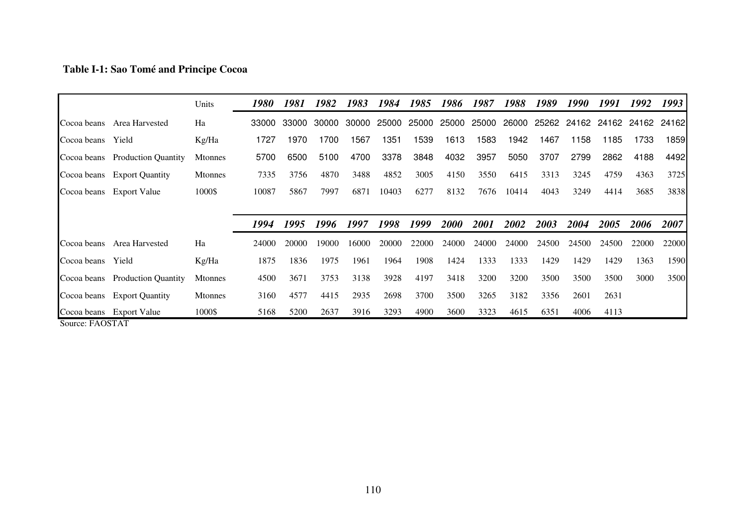## **Table I-1: Sao Tomé and Principe Cocoa**

|                   |                                 | Units          | 1980  | 1981  | 1982  | 1983  | 1984  | 1985  | 1986        | 1987        | 1988  | 1989  | 1990  | 1991               | 1992  | 1993                  |
|-------------------|---------------------------------|----------------|-------|-------|-------|-------|-------|-------|-------------|-------------|-------|-------|-------|--------------------|-------|-----------------------|
| Cocoa beans       | Area Harvested                  | Ha             | 33000 | 33000 | 30000 | 30000 | 25000 | 25000 | 25000       | 25000       | 26000 | 25262 |       | 24162 24162        | 24162 | 24162                 |
| Cocoa beans       | Yield                           | Kg/Ha          | 1727  | 1970  | 1700  | 1567  | 1351  | 1539  | 1613        | 1583        | 1942  | 1467  | 1158  | 1185               | 1733  | 1859                  |
|                   | Cocoa beans Production Quantity | <b>Mtonnes</b> | 5700  | 6500  | 5100  | 4700  | 3378  | 3848  | 4032        | 3957        | 5050  | 3707  | 2799  | 2862               | 4188  | 4492                  |
|                   | Cocoa beans Export Quantity     | <b>Mtonnes</b> | 7335  | 3756  | 4870  | 3488  | 4852  | 3005  | 4150        | 3550        | 6415  | 3313  | 3245  | 4759               | 4363  | 3725                  |
|                   | Cocoa beans Export Value        | 1000\$         | 10087 | 5867  | 7997  | 6871  | 10403 | 6277  | 8132        | 7676        | 10414 | 4043  | 3249  | 4414               | 3685  | 3838                  |
|                   |                                 |                |       |       |       |       |       |       |             |             |       |       |       |                    |       |                       |
|                   |                                 |                |       |       |       |       |       |       |             |             |       |       |       |                    |       |                       |
|                   |                                 |                | 1994  | 1995  | 1996  | 1997  | 1998  | 1999  | <b>2000</b> | <i>2001</i> | 2002  | 2003  | 2004  | <i><b>2005</b></i> | 2006  | 2007                  |
| Cocoa beans       | Area Harvested                  | Ha             | 24000 | 20000 | 19000 | 16000 | 20000 | 22000 | 24000       | 24000       | 24000 | 24500 | 24500 | 24500              | 22000 |                       |
| Cocoa beans Yield |                                 | Kg/Ha          | 1875  | 1836  | 1975  | 1961  | 1964  | 1908  | 1424        | 1333        | 1333  | 1429  | 1429  | 1429               | 1363  |                       |
|                   | Cocoa beans Production Quantity | <b>Mtonnes</b> | 4500  | 3671  | 3753  | 3138  | 3928  | 4197  | 3418        | 3200        | 3200  | 3500  | 3500  | 3500               | 3000  |                       |
|                   | Cocoa beans Export Quantity     | <b>Mtonnes</b> | 3160  | 4577  | 4415  | 2935  | 2698  | 3700  | 3500        | 3265        | 3182  | 3356  | 2601  | 2631               |       | 22000<br>1590<br>3500 |
|                   | Cocoa beans Export Value        | 1000\$         | 5168  | 5200  | 2637  | 3916  | 3293  | 4900  | 3600        | 3323        | 4615  | 6351  | 4006  | 4113               |       |                       |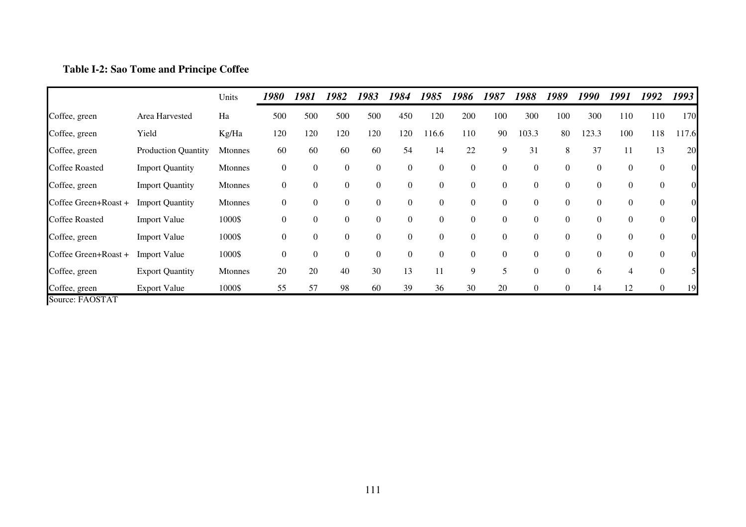# **Table I-2: Sao Tome and Principe Coffee**

|                       |                            | Units          | 1980     | 1981     | 1982             | 1983             | 1984             | 1985           | 1986     | 1987             | 1988             | 1989             | 1990     | 1991     | 1992             | 1993           |
|-----------------------|----------------------------|----------------|----------|----------|------------------|------------------|------------------|----------------|----------|------------------|------------------|------------------|----------|----------|------------------|----------------|
| Coffee, green         | Area Harvested             | Ha             | 500      | 500      | 500              | 500              | 450              | 120            | 200      | 100              | 300              | 100              | 300      | 110      | 110              | 170            |
| Coffee, green         | Yield                      | Kg/Ha          | 120      | 120      | 120              | 120              | 120              | 116.6          | 110      | 90               | 103.3            | 80               | 123.3    | 100      | 118              | 117.6          |
| Coffee, green         | <b>Production Quantity</b> | <b>Mtonnes</b> | 60       | 60       | 60               | 60               | 54               | 14             | 22       | 9                | 31               | 8                | 37       | 11       | 13               | 20             |
| <b>Coffee Roasted</b> | <b>Import Quantity</b>     | <b>Mtonnes</b> | $\theta$ | $\theta$ | $\boldsymbol{0}$ | $\mathbf{0}$     | $\overline{0}$   | $\Omega$       | $\theta$ | $\boldsymbol{0}$ | $\overline{0}$   | $\overline{0}$   | $\Omega$ | $\Omega$ | $\boldsymbol{0}$ | 01             |
| Coffee, green         | <b>Import Quantity</b>     | <b>Mtonnes</b> | $\theta$ | $\theta$ | $\boldsymbol{0}$ | $\mathbf{0}$     | $\boldsymbol{0}$ | $\overline{0}$ | $\theta$ | $\boldsymbol{0}$ | $\boldsymbol{0}$ | $\overline{0}$   | $\Omega$ | 0        | $\boldsymbol{0}$ | $\overline{0}$ |
| Coffee Green+Roast +  | <b>Import Quantity</b>     | <b>Mtonnes</b> | $\theta$ | $\theta$ | $\boldsymbol{0}$ | $\boldsymbol{0}$ | $\boldsymbol{0}$ | $\overline{0}$ | $\theta$ | $\boldsymbol{0}$ | $\boldsymbol{0}$ | $\boldsymbol{0}$ | $\theta$ | 0        | $\boldsymbol{0}$ | OI             |
| <b>Coffee Roasted</b> | <b>Import Value</b>        | 1000\$         | $\theta$ | $\theta$ | $\boldsymbol{0}$ | $\theta$         | $\overline{0}$   | $\theta$       | $\theta$ | $\theta$         | $\boldsymbol{0}$ | $\overline{0}$   | $\Omega$ | $\Omega$ | $\mathbf{0}$     | OI             |
| Coffee, green         | <b>Import Value</b>        | 1000\$         | $\theta$ | $\theta$ | $\boldsymbol{0}$ | $\mathbf{0}$     | $\boldsymbol{0}$ | $\theta$       | $\theta$ | $\overline{0}$   | $\boldsymbol{0}$ | $\overline{0}$   | $\theta$ | $\Omega$ | $\mathbf{0}$     | OI             |
| Coffee Green+Roast +  | <b>Import Value</b>        | 1000\$         | $\theta$ | $\theta$ | $\mathbf{0}$     | $\boldsymbol{0}$ | $\boldsymbol{0}$ | $\Omega$       | $\Omega$ | $\boldsymbol{0}$ | $\boldsymbol{0}$ | $\overline{0}$   | $\Omega$ | $\Omega$ | $\boldsymbol{0}$ | $\overline{0}$ |
| Coffee, green         | <b>Export Quantity</b>     | <b>Mtonnes</b> | 20       | 20       | 40               | 30               | 13               | 11             | 9        | 5                | $\boldsymbol{0}$ | $\overline{0}$   | 6        |          | $\overline{0}$   | 5 <sub>l</sub> |
| Coffee, green         | <b>Export Value</b>        | 1000\$         | 55       | 57       | 98               | 60               | 39               | 36             | 30       | 20               | $\boldsymbol{0}$ | $\mathbf{0}$     | 14       | 12       | $\boldsymbol{0}$ | 19             |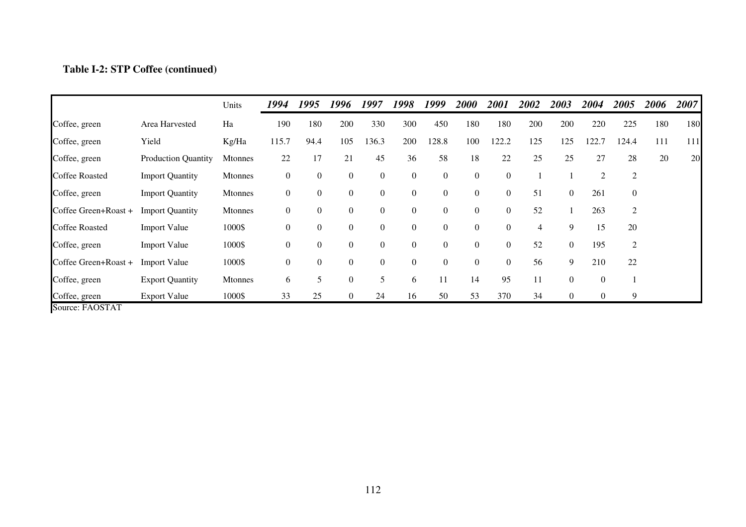# **Table I-2: STP Coffee (continued)**

|                       |                            | Units          | 1994             | 1995           | 1996             | 1997             | 1998           | 1999             | 2000             | 2001           | 2002           | 2003           | 2004           | 2005             | 2006 | 2007 |
|-----------------------|----------------------------|----------------|------------------|----------------|------------------|------------------|----------------|------------------|------------------|----------------|----------------|----------------|----------------|------------------|------|------|
| Coffee, green         | Area Harvested             | Ha             | 190              | 180            | 200              | 330              | 300            | 450              | 180              | 180            | 200            | 200            | 220            | 225              | 180  | 180  |
| Coffee, green         | Yield                      | Kg/Ha          | 115.7            | 94.4           | 105              | 136.3            | 200            | 128.8            | 100              | 122.2          | 125            | 125            | 122.7          | 124.4            | 111  | 111  |
| Coffee, green         | <b>Production Quantity</b> | <b>Mtonnes</b> | 22               | 17             | 21               | 45               | 36             | 58               | 18               | 22             | 25             | 25             | 27             | 28               | 20   | 20   |
| <b>Coffee Roasted</b> | <b>Import Quantity</b>     | <b>Mtonnes</b> | $\boldsymbol{0}$ | 0              | $\boldsymbol{0}$ | $\boldsymbol{0}$ | $\overline{0}$ | $\boldsymbol{0}$ | $\boldsymbol{0}$ | $\mathbf{0}$   |                |                | $\overline{2}$ | $\overline{c}$   |      |      |
| Coffee, green         | <b>Import Quantity</b>     | <b>Mtonnes</b> | $\mathbf{0}$     | $\overline{0}$ | $\boldsymbol{0}$ | $\boldsymbol{0}$ | $\overline{0}$ | $\boldsymbol{0}$ | $\overline{0}$   | $\mathbf{0}$   | 51             | $\overline{0}$ | 261            | $\boldsymbol{0}$ |      |      |
| Coffee Green+Roast +  | <b>Import Quantity</b>     | Mtonnes        | $\overline{0}$   | $\overline{0}$ | $\boldsymbol{0}$ | $\boldsymbol{0}$ | $\overline{0}$ | $\theta$         | $\overline{0}$   | $\overline{0}$ | 52             |                | 263            | 2                |      |      |
| <b>Coffee Roasted</b> | <b>Import Value</b>        | 1000\$         | $\mathbf{0}$     | $\overline{0}$ | $\boldsymbol{0}$ | $\boldsymbol{0}$ | $\overline{0}$ | $\mathbf{0}$     | $\overline{0}$   | $\mathbf{0}$   | $\overline{4}$ | 9              | 15             | 20               |      |      |
| Coffee, green         | <b>Import Value</b>        | 1000\$         | $\boldsymbol{0}$ | $\overline{0}$ | $\boldsymbol{0}$ | $\boldsymbol{0}$ | $\overline{0}$ | $\mathbf{0}$     | $\overline{0}$   | $\overline{0}$ | 52             | $\overline{0}$ | 195            | 2                |      |      |
| Coffee Green+Roast +  | <b>Import Value</b>        | 1000\$         | $\overline{0}$   | $\theta$       | $\boldsymbol{0}$ | $\boldsymbol{0}$ | $\overline{0}$ | $\overline{0}$   | $\overline{0}$   | $\overline{0}$ | 56             | 9              | 210            | 22               |      |      |
| Coffee, green         | <b>Export Quantity</b>     | Mtonnes        | 6                | 5              | $\mathbf{0}$     | 5                | 6              | 11               | 14               | 95             | 11             | $\theta$       | $\theta$       |                  |      |      |
| Coffee, green         | <b>Export Value</b>        | 1000\$         | 33               | 25             | $\mathbf{0}$     | 24               | 16             | 50               | 53               | 370            | 34             | $\overline{0}$ | $\overline{0}$ | 9                |      |      |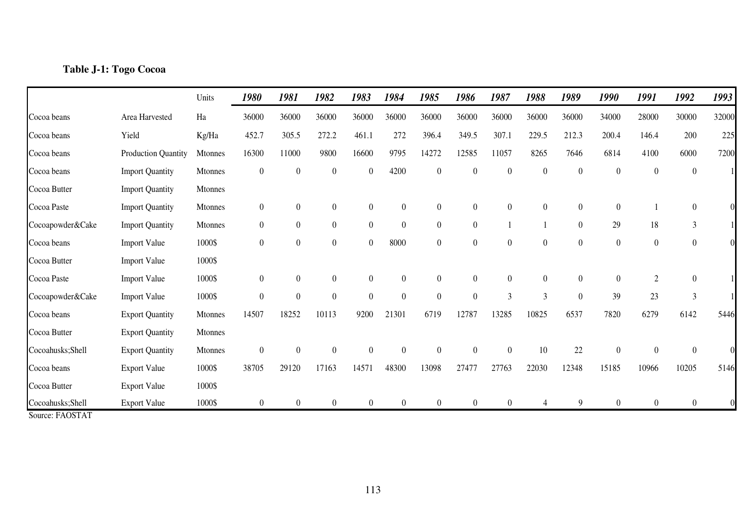### **Table J-1: Togo Cocoa**

|                                      |                        | Units   | 1980             | 1981             | 1982             | 1983             | 1984             | 1985             | 1986             | 1987             | 1988             | 1989             | 1990             | 1991             | 1992             | 1993     |
|--------------------------------------|------------------------|---------|------------------|------------------|------------------|------------------|------------------|------------------|------------------|------------------|------------------|------------------|------------------|------------------|------------------|----------|
| Cocoa beans                          | Area Harvested         | Ha      | 36000            | 36000            | 36000            | 36000            | 36000            | 36000            | 36000            | 36000            | 36000            | 36000            | 34000            | 28000            | 30000            | 32000    |
| Cocoa beans                          | Yield                  | Kg/Ha   | 452.7            | 305.5            | 272.2            | 461.1            | 272              | 396.4            | 349.5            | 307.1            | 229.5            | 212.3            | 200.4            | 146.4            | 200              | 225      |
| Cocoa beans                          | Production Quantity    | Mtonnes | 16300            | 11000            | 9800             | 16600            | 9795             | 14272            | 12585            | 11057            | 8265             | 7646             | 6814             | 4100             | 6000             | 7200     |
| Cocoa beans                          | <b>Import Quantity</b> | Mtonnes | $\boldsymbol{0}$ | $\boldsymbol{0}$ | $\boldsymbol{0}$ | $\boldsymbol{0}$ | 4200             | $\boldsymbol{0}$ | $\boldsymbol{0}$ | $\boldsymbol{0}$ | $\boldsymbol{0}$ | $\boldsymbol{0}$ | $\boldsymbol{0}$ | $\overline{0}$   | $\boldsymbol{0}$ |          |
| Cocoa Butter                         | <b>Import Quantity</b> | Mtonnes |                  |                  |                  |                  |                  |                  |                  |                  |                  |                  |                  |                  |                  |          |
| Cocoa Paste                          | <b>Import Quantity</b> | Mtonnes | $\overline{0}$   | $\overline{0}$   | $\overline{0}$   | $\overline{0}$   | $\overline{0}$   | $\overline{0}$   | $\boldsymbol{0}$ | $\overline{0}$   | $\overline{0}$   | $\overline{0}$   | $\boldsymbol{0}$ |                  | $\overline{0}$   |          |
| Cocoapowder&Cake                     | <b>Import Quantity</b> | Mtonnes | $\overline{0}$   | $\overline{0}$   | $\overline{0}$   | $\boldsymbol{0}$ | $\overline{0}$   | $\boldsymbol{0}$ | $\overline{0}$   |                  |                  | $\boldsymbol{0}$ | 29               | 18               | $\mathfrak{Z}$   |          |
| Cocoa beans                          | <b>Import Value</b>    | 1000\$  | $\overline{0}$   | $\boldsymbol{0}$ | $\boldsymbol{0}$ | $\boldsymbol{0}$ | 8000             | $\overline{0}$   | $\overline{0}$   | $\boldsymbol{0}$ | $\boldsymbol{0}$ | $\boldsymbol{0}$ | $\boldsymbol{0}$ | $\boldsymbol{0}$ | $\boldsymbol{0}$ | $\Omega$ |
| Cocoa Butter                         | <b>Import Value</b>    | 1000\$  |                  |                  |                  |                  |                  |                  |                  |                  |                  |                  |                  |                  |                  |          |
| Cocoa Paste                          | <b>Import Value</b>    | 1000\$  | $\boldsymbol{0}$ | $\overline{0}$   | $\boldsymbol{0}$ | $\boldsymbol{0}$ | $\theta$         | $\overline{0}$   | $\boldsymbol{0}$ | $\theta$         | $\boldsymbol{0}$ | $\boldsymbol{0}$ | $\boldsymbol{0}$ | $\sqrt{2}$       | $\overline{0}$   |          |
| Cocoapowder&Cake                     | <b>Import Value</b>    | 1000\$  | $\theta$         | $\boldsymbol{0}$ | $\boldsymbol{0}$ | $\boldsymbol{0}$ | $\boldsymbol{0}$ | $\boldsymbol{0}$ | $\boldsymbol{0}$ | 3                | 3                | $\boldsymbol{0}$ | 39               | 23               | $\mathfrak{Z}$   |          |
| Cocoa beans                          | <b>Export Quantity</b> | Mtonnes | 14507            | 18252            | 10113            | 9200             | 21301            | 6719             | 12787            | 13285            | 10825            | 6537             | 7820             | 6279             | 6142             | 5446     |
| Cocoa Butter                         | <b>Export Quantity</b> | Mtonnes |                  |                  |                  |                  |                  |                  |                  |                  |                  |                  |                  |                  |                  |          |
| Cocoahusks;Shell                     | <b>Export Quantity</b> | Mtonnes | $\boldsymbol{0}$ | $\boldsymbol{0}$ | $\boldsymbol{0}$ | $\boldsymbol{0}$ | $\overline{0}$   | $\boldsymbol{0}$ | $\boldsymbol{0}$ | $\boldsymbol{0}$ | 10               | 22               | $\boldsymbol{0}$ | $\boldsymbol{0}$ | $\boldsymbol{0}$ | $\Omega$ |
| Cocoa beans                          | <b>Export Value</b>    | 1000\$  | 38705            | 29120            | 17163            | 14571            | 48300            | 13098            | 27477            | 27763            | 22030            | 12348            | 15185            | 10966            | 10205            | 5146     |
| Cocoa Butter                         | <b>Export Value</b>    | 1000\$  |                  |                  |                  |                  |                  |                  |                  |                  |                  |                  |                  |                  |                  |          |
| Cocoahusks; Shell<br>Source: FAOSTAT | <b>Export Value</b>    | 1000\$  | $\overline{0}$   | $\overline{0}$   | $\overline{0}$   | $\boldsymbol{0}$ | $\overline{0}$   | $\Omega$         | $\overline{0}$   | $\theta$         |                  | 9                | $\overline{0}$   | $\overline{0}$   | $\overline{0}$   |          |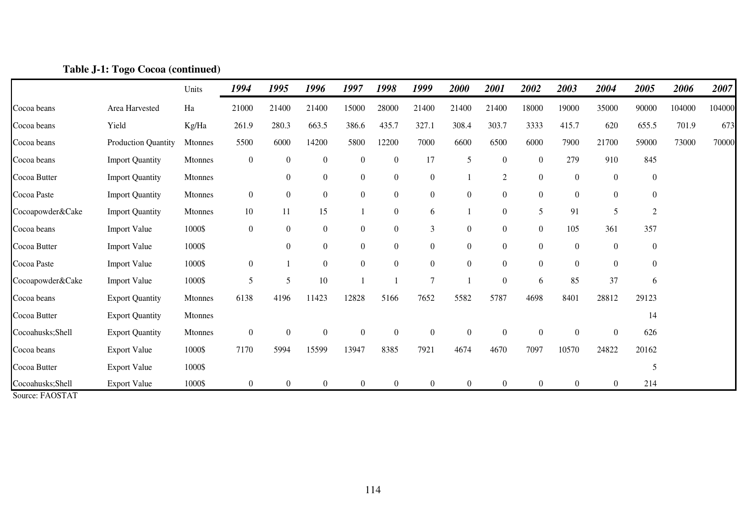|                  |                            | Units   | 1994             | 1995             | 1996             | 1997             | 1998             | 1999             | 2000             | 2001             | 2002           | 2003             | 2004             | 2005             | 2006   | 2007   |
|------------------|----------------------------|---------|------------------|------------------|------------------|------------------|------------------|------------------|------------------|------------------|----------------|------------------|------------------|------------------|--------|--------|
| Cocoa beans      | Area Harvested             | Ha      | 21000            | 21400            | 21400            | 15000            | 28000            | 21400            | 21400            | 21400            | 18000          | 19000            | 35000            | 90000            | 104000 | 104000 |
| Cocoa beans      | Yield                      | Kg/Ha   | 261.9            | 280.3            | 663.5            | 386.6            | 435.7            | 327.1            | 308.4            | 303.7            | 3333           | 415.7            | 620              | 655.5            | 701.9  | 673    |
| Cocoa beans      | <b>Production Quantity</b> | Mtonnes | 5500             | 6000             | 14200            | 5800             | 12200            | 7000             | 6600             | 6500             | 6000           | 7900             | 21700            | 59000            | 73000  | 70000  |
| Cocoa beans      | <b>Import Quantity</b>     | Mtonnes | $\boldsymbol{0}$ | $\boldsymbol{0}$ | $\boldsymbol{0}$ | $\boldsymbol{0}$ | $\mathbf{0}$     | 17               | 5                | $\mathbf{0}$     | $\overline{0}$ | 279              | 910              | 845              |        |        |
| Cocoa Butter     | <b>Import Quantity</b>     | Mtonnes |                  | $\mathbf{0}$     | $\boldsymbol{0}$ | $\boldsymbol{0}$ | $\mathbf{0}$     | $\boldsymbol{0}$ |                  | 2                | $\overline{0}$ | $\boldsymbol{0}$ | $\boldsymbol{0}$ | $\boldsymbol{0}$ |        |        |
| Cocoa Paste      | <b>Import Quantity</b>     | Mtonnes | $\overline{0}$   | $\boldsymbol{0}$ | $\boldsymbol{0}$ | $\boldsymbol{0}$ | $\boldsymbol{0}$ | $\boldsymbol{0}$ | $\boldsymbol{0}$ | $\boldsymbol{0}$ | $\overline{0}$ | $\boldsymbol{0}$ | $\boldsymbol{0}$ | $\boldsymbol{0}$ |        |        |
| Cocoapowder&Cake | <b>Import Quantity</b>     | Mtonnes | $10\,$           | 11               | 15               | 1                | $\boldsymbol{0}$ | 6                |                  | $\boldsymbol{0}$ | 5              | 91               | 5                | $\overline{2}$   |        |        |
| Cocoa beans      | <b>Import Value</b>        | 1000\$  | $\overline{0}$   | $\boldsymbol{0}$ | $\boldsymbol{0}$ | $\boldsymbol{0}$ | $\boldsymbol{0}$ | 3                | $\boldsymbol{0}$ | $\overline{0}$   | $\overline{0}$ | 105              | 361              | 357              |        |        |
| Cocoa Butter     | <b>Import Value</b>        | 1000\$  |                  | $\theta$         | $\boldsymbol{0}$ | $\boldsymbol{0}$ | $\boldsymbol{0}$ | $\boldsymbol{0}$ | $\boldsymbol{0}$ | $\overline{0}$   | $\mathbf{0}$   | $\mathbf{0}$     | $\boldsymbol{0}$ | $\boldsymbol{0}$ |        |        |
| Cocoa Paste      | <b>Import Value</b>        | 1000\$  | $\overline{0}$   |                  | $\boldsymbol{0}$ | $\boldsymbol{0}$ | $\overline{0}$   | $\boldsymbol{0}$ | $\boldsymbol{0}$ | $\overline{0}$   | $\mathbf{0}$   | $\mathbf{0}$     | $\boldsymbol{0}$ | $\boldsymbol{0}$ |        |        |
| Cocoapowder&Cake | <b>Import Value</b>        | 1000\$  | 5                | 5                | $10\,$           |                  |                  | $\overline{7}$   |                  | $\boldsymbol{0}$ | 6              | 85               | 37               | 6                |        |        |
| Cocoa beans      | <b>Export Quantity</b>     | Mtonnes | 6138             | 4196             | 11423            | 12828            | 5166             | 7652             | 5582             | 5787             | 4698           | 8401             | 28812            | 29123            |        |        |
| Cocoa Butter     | <b>Export Quantity</b>     | Mtonnes |                  |                  |                  |                  |                  |                  |                  |                  |                |                  |                  | 14               |        |        |
| Cocoahusks;Shell | <b>Export Quantity</b>     | Mtonnes | $\overline{0}$   | $\boldsymbol{0}$ | $\boldsymbol{0}$ | $\boldsymbol{0}$ | $\overline{0}$   | $\boldsymbol{0}$ | $\boldsymbol{0}$ | $\overline{0}$   | $\overline{0}$ | $\boldsymbol{0}$ | $\boldsymbol{0}$ | 626              |        |        |
| Cocoa beans      | <b>Export Value</b>        | 1000\$  | 7170             | 5994             | 15599            | 13947            | 8385             | 7921             | 4674             | 4670             | 7097           | 10570            | 24822            | 20162            |        |        |
| Cocoa Butter     | <b>Export Value</b>        | 1000\$  |                  |                  |                  |                  |                  |                  |                  |                  |                |                  |                  | 5                |        |        |
| Cocoahusks;Shell | <b>Export Value</b>        | 1000\$  | $\overline{0}$   | $\overline{0}$   | $\boldsymbol{0}$ | $\overline{0}$   | $\overline{0}$   | $\theta$         | $\mathbf{0}$     | $\overline{0}$   | $\overline{0}$ | $\overline{0}$   | $\overline{0}$   | 214              |        |        |

### **Table J-1: Togo Cocoa (continued)**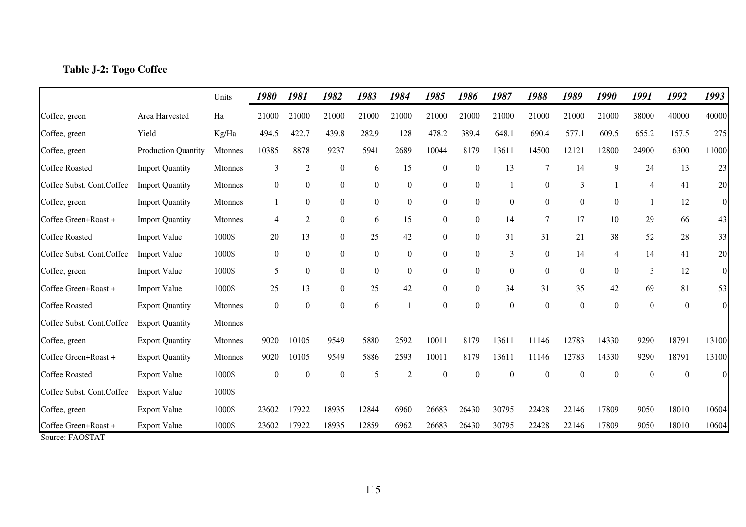### **Table J-2: Togo Coffee**

|                                         |                            | Units          | 1980             | 1981             | 1982             | 1983             | 1984             | 1985             | 1986             | 1987             | 1988             | 1989             | 1990             | 1991             | 1992             | 1993             |
|-----------------------------------------|----------------------------|----------------|------------------|------------------|------------------|------------------|------------------|------------------|------------------|------------------|------------------|------------------|------------------|------------------|------------------|------------------|
| Coffee, green                           | Area Harvested             | Ha             | 21000            | 21000            | 21000            | 21000            | 21000            | 21000            | 21000            | 21000            | 21000            | 21000            | 21000            | 38000            | 40000            | 40000            |
| Coffee, green                           | Yield                      | Kg/Ha          | 494.5            | 422.7            | 439.8            | 282.9            | 128              | 478.2            | 389.4            | 648.1            | 690.4            | 577.1            | 609.5            | 655.2            | 157.5            | 275              |
| Coffee, green                           | <b>Production Quantity</b> | Mtonnes        | 10385            | 8878             | 9237             | 5941             | 2689             | 10044            | 8179             | 13611            | 14500            | 12121            | 12800            | 24900            | 6300             | 11000            |
| <b>Coffee Roasted</b>                   | <b>Import Quantity</b>     | Mtonnes        | 3                | $\mathfrak{2}$   | $\boldsymbol{0}$ | 6                | 15               | $\boldsymbol{0}$ | $\boldsymbol{0}$ | 13               | $\overline{7}$   | 14               | 9                | 24               | 13               | 23               |
| Coffee Subst. Cont. Coffee              | <b>Import Quantity</b>     | <b>Mtonnes</b> | $\overline{0}$   | $\overline{0}$   | $\overline{0}$   | $\overline{0}$   | $\boldsymbol{0}$ | $\boldsymbol{0}$ | $\boldsymbol{0}$ |                  | $\boldsymbol{0}$ | 3                |                  | $\overline{4}$   | 41               | 20               |
| Coffee, green                           | <b>Import Quantity</b>     | Mtonnes        |                  | $\boldsymbol{0}$ | $\boldsymbol{0}$ | $\boldsymbol{0}$ | $\boldsymbol{0}$ | $\boldsymbol{0}$ | $\boldsymbol{0}$ | $\boldsymbol{0}$ | $\overline{0}$   | $\boldsymbol{0}$ | $\boldsymbol{0}$ |                  | 12               | $\boldsymbol{0}$ |
| Coffee Green+Roast +                    | <b>Import Quantity</b>     | Mtonnes        | 4                | $\overline{c}$   | $\overline{0}$   | 6                | 15               | $\boldsymbol{0}$ | $\boldsymbol{0}$ | 14               | $\tau$           | 17               | 10               | 29               | 66               | 43               |
| <b>Coffee Roasted</b>                   | <b>Import Value</b>        | 1000\$         | 20               | 13               | $\overline{0}$   | 25               | 42               | $\boldsymbol{0}$ | $\boldsymbol{0}$ | 31               | 31               | 21               | 38               | 52               | 28               | 33               |
| Coffee Subst. Cont.Coffee               | <b>Import Value</b>        | 1000\$         | $\overline{0}$   | $\boldsymbol{0}$ | $\boldsymbol{0}$ | $\boldsymbol{0}$ | $\boldsymbol{0}$ | $\boldsymbol{0}$ | $\overline{0}$   | 3                | $\boldsymbol{0}$ | 14               | $\overline{4}$   | 14               | 41               | 20               |
| Coffee, green                           | <b>Import Value</b>        | 1000\$         | 5                | $\boldsymbol{0}$ | $\overline{0}$   | $\boldsymbol{0}$ | $\boldsymbol{0}$ | $\boldsymbol{0}$ | $\boldsymbol{0}$ | $\boldsymbol{0}$ | $\boldsymbol{0}$ | $\boldsymbol{0}$ | $\boldsymbol{0}$ | $\mathfrak{Z}$   | 12               | $\overline{0}$   |
| Coffee Green+Roast +                    | <b>Import Value</b>        | 1000\$         | 25               | 13               | $\overline{0}$   | 25               | 42               | $\boldsymbol{0}$ | $\boldsymbol{0}$ | 34               | 31               | 35               | 42               | 69               | 81               | 53               |
| <b>Coffee Roasted</b>                   | <b>Export Quantity</b>     | Mtonnes        | $\boldsymbol{0}$ | $\boldsymbol{0}$ | $\overline{0}$   | 6                | $\mathbf{1}$     | $\boldsymbol{0}$ | $\boldsymbol{0}$ | $\overline{0}$   | $\boldsymbol{0}$ | $\boldsymbol{0}$ | $\boldsymbol{0}$ | $\boldsymbol{0}$ | $\boldsymbol{0}$ | $\Omega$         |
| Coffee Subst. Cont.Coffee               | <b>Export Quantity</b>     | Mtonnes        |                  |                  |                  |                  |                  |                  |                  |                  |                  |                  |                  |                  |                  |                  |
| Coffee, green                           | <b>Export Quantity</b>     | Mtonnes        | 9020             | 10105            | 9549             | 5880             | 2592             | 10011            | 8179             | 13611            | 11146            | 12783            | 14330            | 9290             | 18791            | 13100            |
| Coffee Green+Roast +                    | <b>Export Quantity</b>     | Mtonnes        | 9020             | 10105            | 9549             | 5886             | 2593             | 10011            | 8179             | 13611            | 11146            | 12783            | 14330            | 9290             | 18791            | 13100            |
| <b>Coffee Roasted</b>                   | <b>Export Value</b>        | 1000\$         | $\overline{0}$   | $\boldsymbol{0}$ | $\theta$         | 15               | $\overline{2}$   | $\boldsymbol{0}$ | $\boldsymbol{0}$ | $\Omega$         | $\boldsymbol{0}$ | $\theta$         | $\boldsymbol{0}$ | $\boldsymbol{0}$ | $\boldsymbol{0}$ | $\Omega$         |
| Coffee Subst. Cont.Coffee               | <b>Export Value</b>        | 1000\$         |                  |                  |                  |                  |                  |                  |                  |                  |                  |                  |                  |                  |                  |                  |
| Coffee, green                           | <b>Export Value</b>        | 1000\$         | 23602            | 17922            | 18935            | 12844            | 6960             | 26683            | 26430            | 30795            | 22428            | 22146            | 17809            | 9050             | 18010            | 10604            |
| Coffee Green+Roast +<br>Source: FAOSTAT | <b>Export Value</b>        | 1000\$         | 23602            | 17922            | 18935            | 12859            | 6962             | 26683            | 26430            | 30795            | 22428            | 22146            | 17809            | 9050             | 18010            | 10604            |